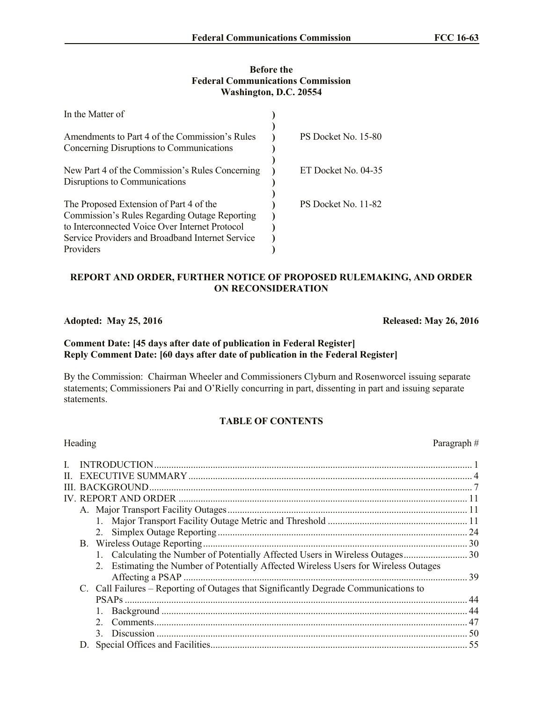### **Before the Federal Communications Commission Washington, D.C. 20554**

| In the Matter of                                                                                                                                                                                            |                     |
|-------------------------------------------------------------------------------------------------------------------------------------------------------------------------------------------------------------|---------------------|
| Amendments to Part 4 of the Commission's Rules<br>Concerning Disruptions to Communications                                                                                                                  | PS Docket No. 15-80 |
| New Part 4 of the Commission's Rules Concerning<br>Disruptions to Communications                                                                                                                            | ET Docket No. 04-35 |
| The Proposed Extension of Part 4 of the<br>Commission's Rules Regarding Outage Reporting<br>to Interconnected Voice Over Internet Protocol<br>Service Providers and Broadband Internet Service<br>Providers | PS Docket No. 11-82 |

# **REPORT AND ORDER, FURTHER NOTICE OF PROPOSED RULEMAKING, AND ORDER ON RECONSIDERATION**

# **Adopted: May 25, 2016 Released: May 26, 2016**

# **Comment Date: [45 days after date of publication in Federal Register] Reply Comment Date: [60 days after date of publication in the Federal Register]**

By the Commission: Chairman Wheeler and Commissioners Clyburn and Rosenworcel issuing separate statements; Commissioners Pai and O'Rielly concurring in part, dissenting in part and issuing separate statements.

# **TABLE OF CONTENTS**

| Heading                                                                              | Paragraph# |
|--------------------------------------------------------------------------------------|------------|
| L                                                                                    |            |
|                                                                                      |            |
|                                                                                      |            |
|                                                                                      |            |
|                                                                                      |            |
|                                                                                      |            |
|                                                                                      | -24        |
| B. Wireless Outage Reporting                                                         |            |
|                                                                                      |            |
| 2. Estimating the Number of Potentially Affected Wireless Users for Wireless Outages |            |
|                                                                                      | 39         |
| C. Call Failures - Reporting of Outages that Significantly Degrade Communications to |            |
|                                                                                      |            |
|                                                                                      |            |
| $2^{\circ}$                                                                          | .47        |
| $\mathcal{L}$                                                                        |            |
|                                                                                      | .55        |
|                                                                                      |            |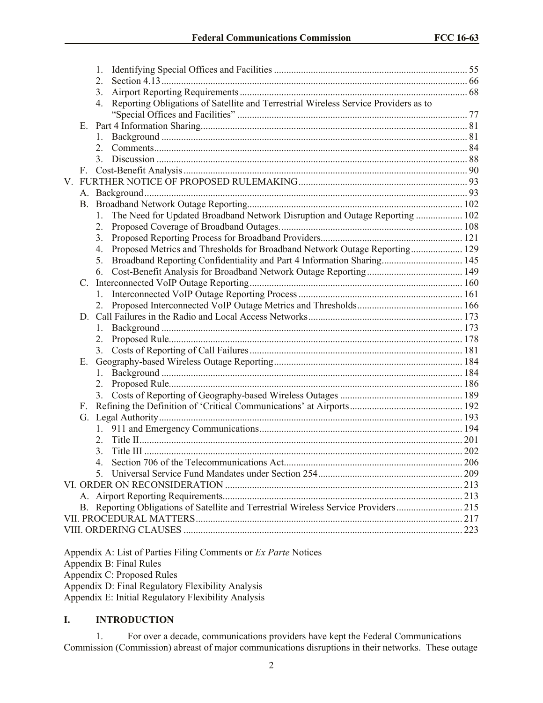|             |    | 1.                                                                                        |  |
|-------------|----|-------------------------------------------------------------------------------------------|--|
|             |    | 2.                                                                                        |  |
|             |    | 3.                                                                                        |  |
|             |    | Reporting Obligations of Satellite and Terrestrial Wireless Service Providers as to<br>4. |  |
|             |    |                                                                                           |  |
|             | Е. |                                                                                           |  |
|             |    |                                                                                           |  |
|             |    | 2.                                                                                        |  |
|             |    | 3.                                                                                        |  |
|             | F. |                                                                                           |  |
| $V_{\cdot}$ |    |                                                                                           |  |
|             |    |                                                                                           |  |
|             |    |                                                                                           |  |
|             |    | The Need for Updated Broadband Network Disruption and Outage Reporting  102<br>1.         |  |
|             |    | 2.                                                                                        |  |
|             |    | 3.                                                                                        |  |
|             |    | Proposed Metrics and Thresholds for Broadband Network Outage Reporting 129<br>4.          |  |
|             |    | Broadband Reporting Confidentiality and Part 4 Information Sharing 145<br>5.              |  |
|             |    | 6.                                                                                        |  |
|             | C. |                                                                                           |  |
|             |    |                                                                                           |  |
|             |    |                                                                                           |  |
|             |    |                                                                                           |  |
|             |    | 1.                                                                                        |  |
|             |    | 2.                                                                                        |  |
|             |    | 3.                                                                                        |  |
|             | Е. |                                                                                           |  |
|             |    | 1.                                                                                        |  |
|             |    | 2.                                                                                        |  |
|             |    | 3.                                                                                        |  |
|             | F. |                                                                                           |  |
|             |    |                                                                                           |  |
|             |    |                                                                                           |  |
|             |    | 2.                                                                                        |  |
|             |    | 3.                                                                                        |  |
|             |    |                                                                                           |  |
|             |    | 5.                                                                                        |  |
|             |    |                                                                                           |  |
|             |    |                                                                                           |  |
|             |    | B. Reporting Obligations of Satellite and Terrestrial Wireless Service Providers 215      |  |
|             |    |                                                                                           |  |
|             |    |                                                                                           |  |
|             |    |                                                                                           |  |

Appendix A: List of Parties Filing Comments or *Ex Parte* Notices Appendix B: Final Rules Appendix C: Proposed Rules Appendix D: Final Regulatory Flexibility Analysis

Appendix E: Initial Regulatory Flexibility Analysis

# **I. INTRODUCTION**

1. For over a decade, communications providers have kept the Federal Communications Commission (Commission) abreast of major communications disruptions in their networks. These outage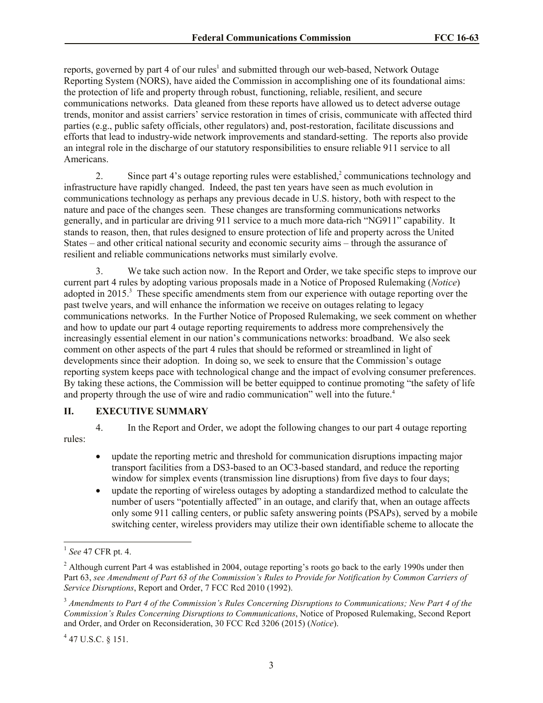reports, governed by part 4 of our rules<sup>1</sup> and submitted through our web-based, Network Outage Reporting System (NORS), have aided the Commission in accomplishing one of its foundational aims: the protection of life and property through robust, functioning, reliable, resilient, and secure communications networks. Data gleaned from these reports have allowed us to detect adverse outage trends, monitor and assist carriers' service restoration in times of crisis, communicate with affected third parties (e.g., public safety officials, other regulators) and, post-restoration, facilitate discussions and efforts that lead to industry-wide network improvements and standard-setting. The reports also provide an integral role in the discharge of our statutory responsibilities to ensure reliable 911 service to all Americans.

2. Since part 4's outage reporting rules were established, $\alpha$ <sup>2</sup> communications technology and infrastructure have rapidly changed. Indeed, the past ten years have seen as much evolution in communications technology as perhaps any previous decade in U.S. history, both with respect to the nature and pace of the changes seen. These changes are transforming communications networks generally, and in particular are driving 911 service to a much more data-rich "NG911" capability. It stands to reason, then, that rules designed to ensure protection of life and property across the United States – and other critical national security and economic security aims – through the assurance of resilient and reliable communications networks must similarly evolve.

3. We take such action now. In the Report and Order, we take specific steps to improve our current part 4 rules by adopting various proposals made in a Notice of Proposed Rulemaking (*Notice*) adopted in 2015.<sup>3</sup> These specific amendments stem from our experience with outage reporting over the past twelve years, and will enhance the information we receive on outages relating to legacy communications networks. In the Further Notice of Proposed Rulemaking, we seek comment on whether and how to update our part 4 outage reporting requirements to address more comprehensively the increasingly essential element in our nation's communications networks: broadband. We also seek comment on other aspects of the part 4 rules that should be reformed or streamlined in light of developments since their adoption. In doing so, we seek to ensure that the Commission's outage reporting system keeps pace with technological change and the impact of evolving consumer preferences. By taking these actions, the Commission will be better equipped to continue promoting "the safety of life and property through the use of wire and radio communication" well into the future.<sup>4</sup>

### **II. EXECUTIVE SUMMARY**

4. In the Report and Order, we adopt the following changes to our part 4 outage reporting rules:

- update the reporting metric and threshold for communication disruptions impacting major transport facilities from a DS3-based to an OC3-based standard, and reduce the reporting window for simplex events (transmission line disruptions) from five days to four days;
- update the reporting of wireless outages by adopting a standardized method to calculate the number of users "potentially affected" in an outage, and clarify that, when an outage affects only some 911 calling centers, or public safety answering points (PSAPs), served by a mobile switching center, wireless providers may utilize their own identifiable scheme to allocate the

 $447$  U.S.C. § 151.

 1 *See* 47 CFR pt. 4.

<sup>&</sup>lt;sup>2</sup> Although current Part 4 was established in 2004, outage reporting's roots go back to the early 1990s under then Part 63, *see Amendment of Part 63 of the Commission's Rules to Provide for Notification by Common Carriers of Service Disruptions*, Report and Order, 7 FCC Rcd 2010 (1992).

<sup>3</sup> *Amendments to Part 4 of the Commission's Rules Concerning Disruptions to Communications; New Part 4 of the Commission's Rules Concerning Disruptions to Communications*, Notice of Proposed Rulemaking, Second Report and Order, and Order on Reconsideration, 30 FCC Rcd 3206 (2015) (*Notice*).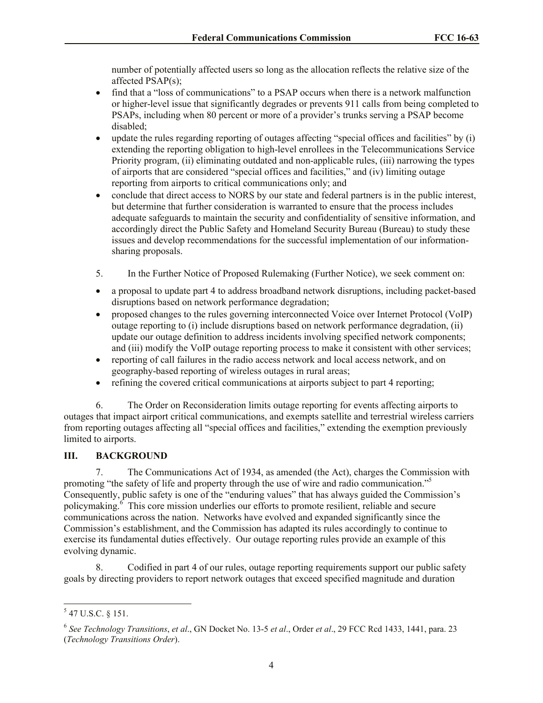number of potentially affected users so long as the allocation reflects the relative size of the affected PSAP(s);

- find that a "loss of communications" to a PSAP occurs when there is a network malfunction or higher-level issue that significantly degrades or prevents 911 calls from being completed to PSAPs, including when 80 percent or more of a provider's trunks serving a PSAP become disabled;
- update the rules regarding reporting of outages affecting "special offices and facilities" by (i) extending the reporting obligation to high-level enrollees in the Telecommunications Service Priority program, (ii) eliminating outdated and non-applicable rules, (iii) narrowing the types of airports that are considered "special offices and facilities," and (iv) limiting outage reporting from airports to critical communications only; and
- conclude that direct access to NORS by our state and federal partners is in the public interest, but determine that further consideration is warranted to ensure that the process includes adequate safeguards to maintain the security and confidentiality of sensitive information, and accordingly direct the Public Safety and Homeland Security Bureau (Bureau) to study these issues and develop recommendations for the successful implementation of our informationsharing proposals.
- 5. In the Further Notice of Proposed Rulemaking (Further Notice), we seek comment on:
- a proposal to update part 4 to address broadband network disruptions, including packet-based disruptions based on network performance degradation;
- proposed changes to the rules governing interconnected Voice over Internet Protocol (VoIP) outage reporting to (i) include disruptions based on network performance degradation, (ii) update our outage definition to address incidents involving specified network components; and (iii) modify the VoIP outage reporting process to make it consistent with other services;
- reporting of call failures in the radio access network and local access network, and on geography-based reporting of wireless outages in rural areas;
- refining the covered critical communications at airports subject to part 4 reporting;

6. The Order on Reconsideration limits outage reporting for events affecting airports to outages that impact airport critical communications, and exempts satellite and terrestrial wireless carriers from reporting outages affecting all "special offices and facilities," extending the exemption previously limited to airports.

# **III. BACKGROUND**

7. The Communications Act of 1934, as amended (the Act), charges the Commission with promoting "the safety of life and property through the use of wire and radio communication."<sup>5</sup> Consequently, public safety is one of the "enduring values" that has always guided the Commission's policymaking.<sup>6</sup> This core mission underlies our efforts to promote resilient, reliable and secure communications across the nation. Networks have evolved and expanded significantly since the Commission's establishment, and the Commission has adapted its rules accordingly to continue to exercise its fundamental duties effectively. Our outage reporting rules provide an example of this evolving dynamic.

8. Codified in part 4 of our rules, outage reporting requirements support our public safety goals by directing providers to report network outages that exceed specified magnitude and duration

 $\overline{\phantom{a}}$ 

 $5$  47 U.S.C. § 151.

<sup>6</sup> *See Technology Transitions*, *et al*., GN Docket No. 13-5 *et al*., Order *et al*., 29 FCC Rcd 1433, 1441, para. 23 (*Technology Transitions Order*).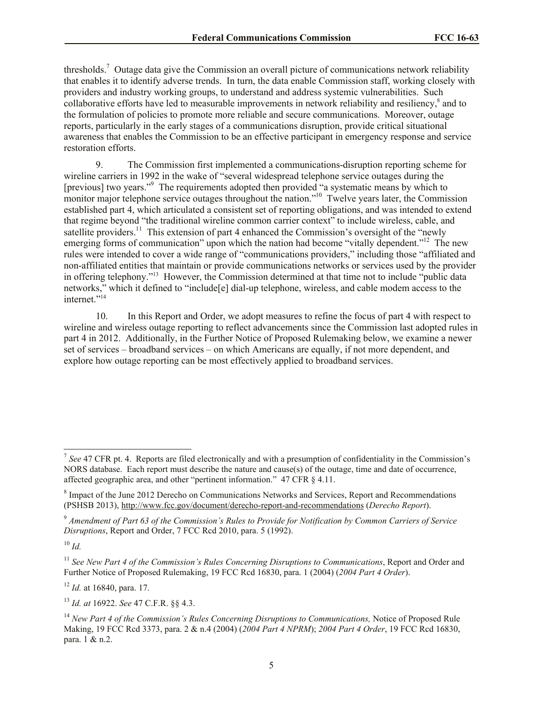thresholds.<sup>7</sup> Outage data give the Commission an overall picture of communications network reliability that enables it to identify adverse trends. In turn, the data enable Commission staff, working closely with providers and industry working groups, to understand and address systemic vulnerabilities. Such collaborative efforts have led to measurable improvements in network reliability and resiliency,<sup>8</sup> and to the formulation of policies to promote more reliable and secure communications. Moreover, outage reports, particularly in the early stages of a communications disruption, provide critical situational awareness that enables the Commission to be an effective participant in emergency response and service restoration efforts.

9. The Commission first implemented a communications-disruption reporting scheme for wireline carriers in 1992 in the wake of "several widespread telephone service outages during the [previous] two years."<sup>9</sup> The requirements adopted then provided "a systematic means by which to monitor major telephone service outages throughout the nation."<sup>10</sup> Twelve years later, the Commission established part 4, which articulated a consistent set of reporting obligations, and was intended to extend that regime beyond "the traditional wireline common carrier context" to include wireless, cable, and satellite providers.<sup>11</sup> This extension of part 4 enhanced the Commission's oversight of the "newly emerging forms of communication" upon which the nation had become "vitally dependent."<sup>12</sup> The new rules were intended to cover a wide range of "communications providers," including those "affiliated and non-affiliated entities that maintain or provide communications networks or services used by the provider in offering telephony."<sup>13</sup> However, the Commission determined at that time not to include "public data networks," which it defined to "include[e] dial-up telephone, wireless, and cable modem access to the internet."<sup>14</sup>

10. In this Report and Order, we adopt measures to refine the focus of part 4 with respect to wireline and wireless outage reporting to reflect advancements since the Commission last adopted rules in part 4 in 2012. Additionally, in the Further Notice of Proposed Rulemaking below, we examine a newer set of services – broadband services – on which Americans are equally, if not more dependent, and explore how outage reporting can be most effectively applied to broadband services.

<sup>10</sup> *Id.*

 $\overline{\phantom{a}}$ 

<sup>11</sup> *See New Part 4 of the Commission's Rules Concerning Disruptions to Communications*, Report and Order and Further Notice of Proposed Rulemaking, 19 FCC Rcd 16830, para. 1 (2004) (*2004 Part 4 Order*).

<sup>12</sup> *Id.* at 16840, para. 17.

<sup>13</sup> *Id. at* 16922. *See* 47 C.F.R. §§ 4.3.

<sup>&</sup>lt;sup>7</sup> See 47 CFR pt. 4. Reports are filed electronically and with a presumption of confidentiality in the Commission's NORS database. Each report must describe the nature and cause(s) of the outage, time and date of occurrence, affected geographic area, and other "pertinent information." 47 CFR § 4.11.

<sup>&</sup>lt;sup>8</sup> Impact of the June 2012 Derecho on Communications Networks and Services, Report and Recommendations (PSHSB 2013), http://www.fcc.gov/document/derecho-report-and-recommendations (*Derecho Report*).

<sup>9</sup> *Amendment of Part 63 of the Commission's Rules to Provide for Notification by Common Carriers of Service Disruptions*, Report and Order, 7 FCC Rcd 2010, para. 5 (1992).

<sup>&</sup>lt;sup>14</sup> *New Part 4 of the Commission's Rules Concerning Disruptions to Communications.* Notice of Proposed Rule Making, 19 FCC Rcd 3373, para. 2 & n.4 (2004) (*2004 Part 4 NPRM*); *2004 Part 4 Order*, 19 FCC Rcd 16830, para. 1 & n.2.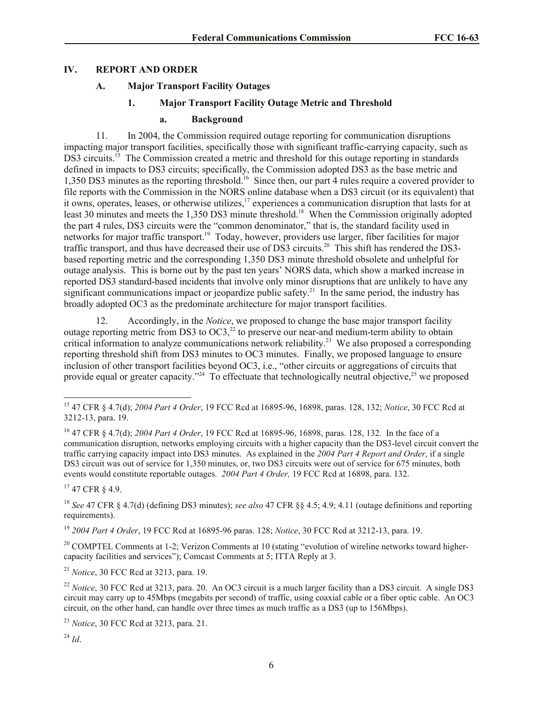#### **IV. REPORT AND ORDER**

### **A. Major Transport Facility Outages**

# **1. Major Transport Facility Outage Metric and Threshold**

#### **a. Background**

11. In 2004, the Commission required outage reporting for communication disruptions impacting major transport facilities, specifically those with significant traffic-carrying capacity, such as DS3 circuits.<sup>15</sup> The Commission created a metric and threshold for this outage reporting in standards defined in impacts to DS3 circuits; specifically, the Commission adopted DS3 as the base metric and 1,350 DS3 minutes as the reporting threshold.<sup>16</sup> Since then, our part 4 rules require a covered provider to file reports with the Commission in the NORS online database when a DS3 circuit (or its equivalent) that it owns, operates, leases, or otherwise utilizes,<sup>17</sup> experiences a communication disruption that lasts for at least 30 minutes and meets the 1,350 DS3 minute threshold.<sup>18</sup> When the Commission originally adopted the part 4 rules, DS3 circuits were the "common denominator," that is, the standard facility used in networks for major traffic transport.<sup>19</sup> Today, however, providers use larger, fiber facilities for major traffic transport, and thus have decreased their use of DS3 circuits.<sup>20</sup> This shift has rendered the DS3based reporting metric and the corresponding 1,350 DS3 minute threshold obsolete and unhelpful for outage analysis. This is borne out by the past ten years' NORS data, which show a marked increase in reported DS3 standard-based incidents that involve only minor disruptions that are unlikely to have any significant communications impact or jeopardize public safety.<sup>21</sup> In the same period, the industry has broadly adopted OC3 as the predominate architecture for major transport facilities.

12. Accordingly, in the *Notice*, we proposed to change the base major transport facility outage reporting metric from DS3 to  $OC3$ <sup>22</sup>, to preserve our near-and medium-term ability to obtain critical information to analyze communications network reliability.<sup>23</sup> We also proposed a corresponding reporting threshold shift from DS3 minutes to OC3 minutes. Finally, we proposed language to ensure inclusion of other transport facilities beyond OC3, i.e., "other circuits or aggregations of circuits that provide equal or greater capacity."<sup>24</sup> To effectuate that technologically neutral objective,<sup>25</sup> we proposed

<sup>17</sup> 47 CFR § 4.9.

 $\overline{a}$ 

<sup>18</sup> *See* 47 CFR § 4.7(d) (defining DS3 minutes); *see also* 47 CFR §§ 4.5; 4.9; 4.11 (outage definitions and reporting requirements).

<sup>19</sup> *2004 Part 4 Order*, 19 FCC Rcd at 16895-96 paras. 128; *Notice*, 30 FCC Rcd at 3212-13, para. 19.

<sup>20</sup> COMPTEL Comments at 1-2; Verizon Comments at 10 (stating "evolution of wireline networks toward highercapacity facilities and services"); Comcast Comments at 5; ITTA Reply at 3.

<sup>21</sup> *Notice*, 30 FCC Rcd at 3213, para. 19.

<sup>15</sup> 47 CFR § 4.7(d); *2004 Part 4 Order*, 19 FCC Rcd at 16895-96, 16898, paras. 128, 132; *Notice*, 30 FCC Rcd at 3212-13, para. 19.

<sup>16</sup> 47 CFR § 4.7(d); *2004 Part 4 Order*, 19 FCC Rcd at 16895-96, 16898, paras. 128, 132. In the face of a communication disruption, networks employing circuits with a higher capacity than the DS3-level circuit convert the traffic carrying capacity impact into DS3 minutes. As explained in the *2004 Part 4 Report and Order*, if a single DS3 circuit was out of service for 1,350 minutes, or, two DS3 circuits were out of service for 675 minutes, both events would constitute reportable outages. *2004 Part 4 Order,* 19 FCC Rcd at 16898, para. 132.

<sup>&</sup>lt;sup>22</sup> *Notice*, 30 FCC Rcd at 3213, para. 20. An OC3 circuit is a much larger facility than a DS3 circuit. A single DS3 circuit may carry up to 45Mbps (megabits per second) of traffic, using coaxial cable or a fiber optic cable. An OC3 circuit, on the other hand, can handle over three times as much traffic as a DS3 (up to 156Mbps).

<sup>23</sup> *Notice*, 30 FCC Rcd at 3213, para. 21.

<sup>24</sup> *Id*.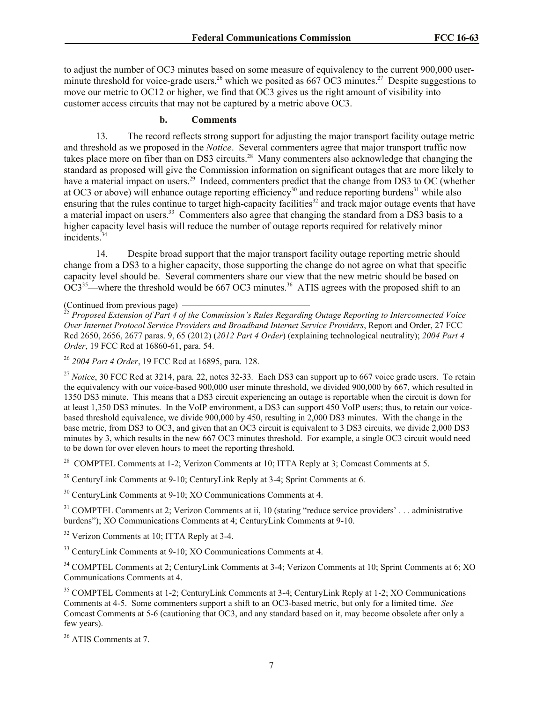to adjust the number of OC3 minutes based on some measure of equivalency to the current 900,000 userminute threshold for voice-grade users,<sup>26</sup> which we posited as 667 OC3 minutes.<sup>27</sup> Despite suggestions to move our metric to OC12 or higher, we find that OC3 gives us the right amount of visibility into customer access circuits that may not be captured by a metric above OC3.

#### **b. Comments**

13. The record reflects strong support for adjusting the major transport facility outage metric and threshold as we proposed in the *Notice*. Several commenters agree that major transport traffic now takes place more on fiber than on DS3 circuits.<sup>28</sup> Many commenters also acknowledge that changing the standard as proposed will give the Commission information on significant outages that are more likely to have a material impact on users.<sup>29</sup> Indeed, commenters predict that the change from DS3 to OC (whether at OC3 or above) will enhance outage reporting efficiency<sup>30</sup> and reduce reporting burdens<sup>31</sup> while also ensuring that the rules continue to target high-capacity facilities<sup>32</sup> and track major outage events that have a material impact on users.<sup>33</sup> Commenters also agree that changing the standard from a DS3 basis to a higher capacity level basis will reduce the number of outage reports required for relatively minor incidents.<sup>34</sup>

14. Despite broad support that the major transport facility outage reporting metric should change from a DS3 to a higher capacity, those supporting the change do not agree on what that specific capacity level should be. Several commenters share our view that the new metric should be based on  $OC3<sup>35</sup>$ —where the threshold would be 667 OC3 minutes.<sup>36</sup> ATIS agrees with the proposed shift to an

<sup>25</sup> *Proposed Extension of Part 4 of the Commission's Rules Regarding Outage Reporting to Interconnected Voice Over Internet Protocol Service Providers and Broadband Internet Service Providers*, Report and Order, 27 FCC Rcd 2650, 2656, 2677 paras. 9, 65 (2012) (*2012 Part 4 Order*) (explaining technological neutrality); *2004 Part 4 Order*, 19 FCC Rcd at 16860-61, para. 54.

<sup>26</sup> *2004 Part 4 Order*, 19 FCC Rcd at 16895, para. 128.

<sup>27</sup> *Notice*, 30 FCC Rcd at 3214, para*.* 22, notes 32-33*.* Each DS3 can support up to 667 voice grade users. To retain the equivalency with our voice-based 900,000 user minute threshold, we divided 900,000 by 667, which resulted in 1350 DS3 minute. This means that a DS3 circuit experiencing an outage is reportable when the circuit is down for at least 1,350 DS3 minutes. In the VoIP environment, a DS3 can support 450 VoIP users; thus, to retain our voicebased threshold equivalence, we divide 900,000 by 450, resulting in 2,000 DS3 minutes. With the change in the base metric, from DS3 to OC3, and given that an OC3 circuit is equivalent to 3 DS3 circuits, we divide 2,000 DS3 minutes by 3, which results in the new 667 OC3 minutes threshold. For example, a single OC3 circuit would need to be down for over eleven hours to meet the reporting threshold.

<sup>28</sup> COMPTEL Comments at 1-2; Verizon Comments at 10; ITTA Reply at 3; Comcast Comments at 5.

<sup>29</sup> CenturyLink Comments at 9-10; CenturyLink Reply at 3-4; Sprint Comments at 6.

 $30$  CenturyLink Comments at 9-10; XO Communications Comments at 4.

 $31$  COMPTEL Comments at 2; Verizon Comments at ii, 10 (stating "reduce service providers' ... administrative burdens"); XO Communications Comments at 4; CenturyLink Comments at 9-10.

<sup>32</sup> Verizon Comments at 10; ITTA Reply at 3-4.

<sup>33</sup> CenturyLink Comments at 9-10; XO Communications Comments at 4.

<sup>34</sup> COMPTEL Comments at 2; CenturyLink Comments at 3-4; Verizon Comments at 10; Sprint Comments at 6; XO Communications Comments at 4.

<sup>35</sup> COMPTEL Comments at 1-2; CenturyLink Comments at 3-4; CenturyLink Reply at 1-2; XO Communications Comments at 4-5. Some commenters support a shift to an OC3-based metric, but only for a limited time. *See* Comcast Comments at 5-6 (cautioning that OC3, and any standard based on it, may become obsolete after only a few years).

<sup>36</sup> ATIS Comments at 7.

<sup>(</sup>Continued from previous page)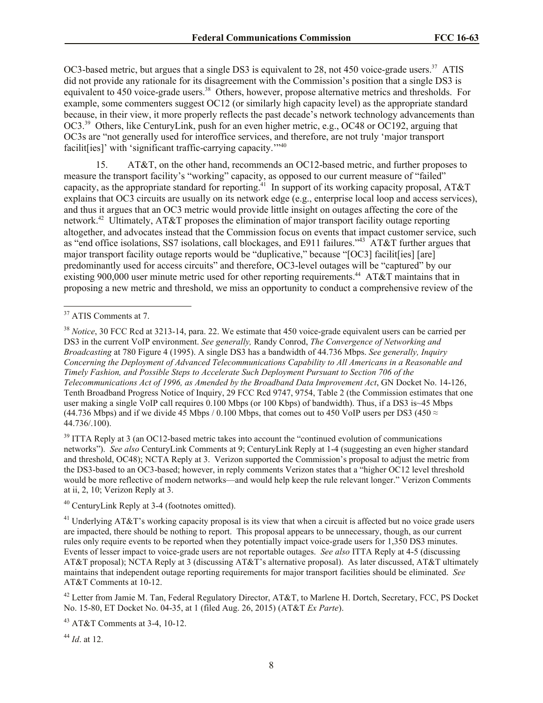OC3-based metric, but argues that a single DS3 is equivalent to 28, not 450 voice-grade users.<sup>37</sup> ATIS did not provide any rationale for its disagreement with the Commission's position that a single DS3 is equivalent to 450 voice-grade users.<sup>38</sup> Others, however, propose alternative metrics and thresholds. For example, some commenters suggest OC12 (or similarly high capacity level) as the appropriate standard because, in their view, it more properly reflects the past decade's network technology advancements than OC3.<sup>39</sup> Others, like CenturyLink, push for an even higher metric, e.g., OC48 or OC192, arguing that OC3s are "not generally used for interoffice services, and therefore, are not truly 'major transport facilit[ies]' with 'significant traffic-carrying capacity.'"<sup>40</sup>

15. AT&T, on the other hand, recommends an OC12-based metric, and further proposes to measure the transport facility's "working" capacity, as opposed to our current measure of "failed" capacity, as the appropriate standard for reporting.<sup>41</sup> In support of its working capacity proposal, AT&T explains that OC3 circuits are usually on its network edge (e.g., enterprise local loop and access services), and thus it argues that an OC3 metric would provide little insight on outages affecting the core of the network.<sup>42</sup> Ultimately, AT&T proposes the elimination of major transport facility outage reporting altogether, and advocates instead that the Commission focus on events that impact customer service, such as "end office isolations, SS7 isolations, call blockages, and E911 failures."<sup>43</sup> AT&T further argues that major transport facility outage reports would be "duplicative," because "[OC3] facilit[ies] [are] predominantly used for access circuits" and therefore, OC3-level outages will be "captured" by our existing 900,000 user minute metric used for other reporting requirements.<sup>44</sup> AT&T maintains that in proposing a new metric and threshold, we miss an opportunity to conduct a comprehensive review of the

 $\overline{a}$ 

<sup>39</sup> ITTA Reply at 3 (an OC12-based metric takes into account the "continued evolution of communications" networks"). *See also* CenturyLink Comments at 9; CenturyLink Reply at 1-4 (suggesting an even higher standard and threshold, OC48); NCTA Reply at 3. Verizon supported the Commission's proposal to adjust the metric from the DS3-based to an OC3-based; however, in reply comments Verizon states that a "higher OC12 level threshold would be more reflective of modern networks—and would help keep the rule relevant longer." Verizon Comments at ii, 2, 10; Verizon Reply at 3.

<sup>40</sup> CenturyLink Reply at 3-4 (footnotes omitted).

<sup>41</sup> Underlying AT&T's working capacity proposal is its view that when a circuit is affected but no voice grade users are impacted, there should be nothing to report. This proposal appears to be unnecessary, though, as our current rules only require events to be reported when they potentially impact voice-grade users for 1,350 DS3 minutes. Events of lesser impact to voice-grade users are not reportable outages. *See also* ITTA Reply at 4-5 (discussing AT&T proposal); NCTA Reply at 3 (discussing AT&T's alternative proposal). As later discussed, AT&T ultimately maintains that independent outage reporting requirements for major transport facilities should be eliminated. *See*  AT&T Comments at 10-12.

<sup>42</sup> Letter from Jamie M. Tan, Federal Regulatory Director, AT&T, to Marlene H. Dortch, Secretary, FCC, PS Docket No. 15-80, ET Docket No. 04-35, at 1 (filed Aug. 26, 2015) (AT&T *Ex Parte*).

<sup>43</sup> AT&T Comments at 3-4, 10-12.

<sup>44</sup> *Id*. at 12.

<sup>&</sup>lt;sup>37</sup> ATIS Comments at 7.

<sup>38</sup> *Notice*, 30 FCC Rcd at 3213-14, para. 22. We estimate that 450 voice-grade equivalent users can be carried per DS3 in the current VoIP environment. *See generally,* Randy Conrod, *The Convergence of Networking and Broadcasting* at 780 Figure 4 (1995). A single DS3 has a bandwidth of 44.736 Mbps. *See generally, Inquiry Concerning the Deployment of Advanced Telecommunications Capability to All Americans in a Reasonable and Timely Fashion, and Possible Steps to Accelerate Such Deployment Pursuant to Section 706 of the Telecommunications Act of 1996, as Amended by the Broadband Data Improvement Act*, GN Docket No. 14-126, Tenth Broadband Progress Notice of Inquiry, 29 FCC Rcd 9747, 9754, Table 2 (the Commission estimates that one user making a single VoIP call requires 0.100 Mbps (or 100 Kbps) of bandwidth). Thus, if a DS3 is~45 Mbps (44.736 Mbps) and if we divide 45 Mbps / 0.100 Mbps, that comes out to 450 VoIP users per DS3 (450  $\approx$ 44.736/.100).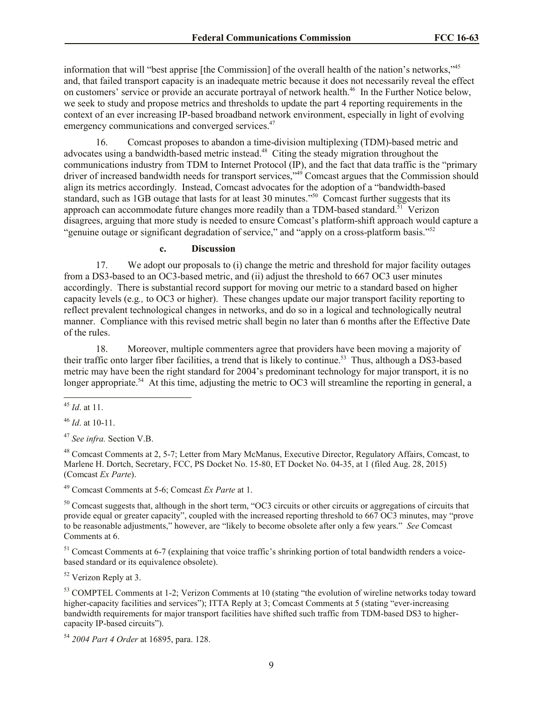information that will "best apprise [the Commission] of the overall health of the nation's networks,"<sup>45</sup> and, that failed transport capacity is an inadequate metric because it does not necessarily reveal the effect on customers' service or provide an accurate portrayal of network health.<sup>46</sup> In the Further Notice below, we seek to study and propose metrics and thresholds to update the part 4 reporting requirements in the context of an ever increasing IP-based broadband network environment, especially in light of evolving emergency communications and converged services.<sup>47</sup>

16. Comcast proposes to abandon a time-division multiplexing (TDM)-based metric and advocates using a bandwidth-based metric instead.<sup>48</sup> Citing the steady migration throughout the communications industry from TDM to Internet Protocol (IP), and the fact that data traffic is the "primary driver of increased bandwidth needs for transport services,"<sup>49</sup> Comcast argues that the Commission should align its metrics accordingly. Instead, Comcast advocates for the adoption of a "bandwidth-based standard, such as 1GB outage that lasts for at least 30 minutes."<sup>50</sup> Comcast further suggests that its approach can accommodate future changes more readily than a TDM-based standard.<sup>51</sup> Verizon disagrees, arguing that more study is needed to ensure Comcast's platform-shift approach would capture a "genuine outage or significant degradation of service," and "apply on a cross-platform basis."<sup>52</sup>

# **c. Discussion**

17. We adopt our proposals to (i) change the metric and threshold for major facility outages from a DS3-based to an OC3-based metric, and (ii) adjust the threshold to 667 OC3 user minutes accordingly. There is substantial record support for moving our metric to a standard based on higher capacity levels (e.g*.,* to OC3 or higher). These changes update our major transport facility reporting to reflect prevalent technological changes in networks, and do so in a logical and technologically neutral manner. Compliance with this revised metric shall begin no later than 6 months after the Effective Date of the rules.

18. Moreover, multiple commenters agree that providers have been moving a majority of their traffic onto larger fiber facilities, a trend that is likely to continue.<sup>53</sup> Thus, although a DS3-based metric may have been the right standard for 2004's predominant technology for major transport, it is no longer appropriate.<sup>54</sup> At this time, adjusting the metric to OC3 will streamline the reporting in general, a

<sup>48</sup> Comcast Comments at 2, 5-7; Letter from Mary McManus, Executive Director, Regulatory Affairs, Comcast, to Marlene H. Dortch, Secretary, FCC, PS Docket No. 15-80, ET Docket No. 04-35, at 1 (filed Aug. 28, 2015) (Comcast *Ex Parte*).

<sup>49</sup> Comcast Comments at 5-6; Comcast *Ex Parte* at 1.

<sup>50</sup> Comcast suggests that, although in the short term, "OC3 circuits or other circuits or aggregations of circuits that provide equal or greater capacity", coupled with the increased reporting threshold to 667 OC3 minutes, may "prove to be reasonable adjustments," however, are "likely to become obsolete after only a few years." *See* Comcast Comments at 6.

 $<sup>51</sup>$  Comcast Comments at 6-7 (explaining that voice traffic's shrinking portion of total bandwidth renders a voice-</sup> based standard or its equivalence obsolete).

<sup>52</sup> Verizon Reply at 3.

<sup>53</sup> COMPTEL Comments at 1-2; Verizon Comments at 10 (stating "the evolution of wireline networks today toward higher-capacity facilities and services"); ITTA Reply at 3; Comcast Comments at 5 (stating "ever-increasing bandwidth requirements for major transport facilities have shifted such traffic from TDM-based DS3 to highercapacity IP-based circuits").

<sup>54</sup> *2004 Part 4 Order* at 16895, para. 128.

 $\overline{a}$ <sup>45</sup> *Id*. at 11.

<sup>46</sup> *Id*. at 10-11.

<sup>47</sup> *See infra.* Section V.B.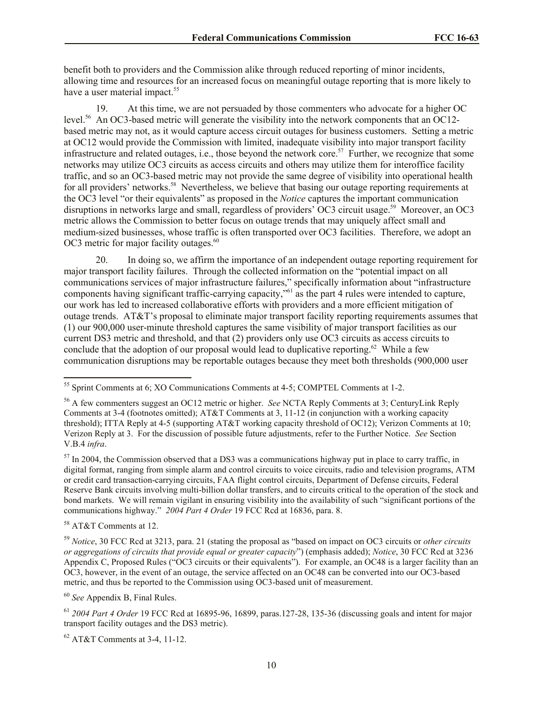benefit both to providers and the Commission alike through reduced reporting of minor incidents, allowing time and resources for an increased focus on meaningful outage reporting that is more likely to have a user material impact.<sup>55</sup>

19. At this time, we are not persuaded by those commenters who advocate for a higher OC level.<sup>56</sup> An OC3-based metric will generate the visibility into the network components that an OC12based metric may not, as it would capture access circuit outages for business customers. Setting a metric at OC12 would provide the Commission with limited, inadequate visibility into major transport facility infrastructure and related outages, i.e., those beyond the network core.<sup>57</sup> Further, we recognize that some networks may utilize OC3 circuits as access circuits and others may utilize them for interoffice facility traffic, and so an OC3-based metric may not provide the same degree of visibility into operational health for all providers' networks.<sup>58</sup> Nevertheless, we believe that basing our outage reporting requirements at the OC3 level "or their equivalents" as proposed in the *Notice* captures the important communication disruptions in networks large and small, regardless of providers' OC3 circuit usage.<sup>59</sup> Moreover, an OC3 metric allows the Commission to better focus on outage trends that may uniquely affect small and medium-sized businesses, whose traffic is often transported over OC3 facilities. Therefore, we adopt an OC3 metric for major facility outages.<sup>60</sup>

20. In doing so, we affirm the importance of an independent outage reporting requirement for major transport facility failures. Through the collected information on the "potential impact on all communications services of major infrastructure failures," specifically information about "infrastructure components having significant traffic-carrying capacity,"<sup>61</sup> as the part 4 rules were intended to capture, our work has led to increased collaborative efforts with providers and a more efficient mitigation of outage trends. AT&T's proposal to eliminate major transport facility reporting requirements assumes that (1) our 900,000 user-minute threshold captures the same visibility of major transport facilities as our current DS3 metric and threshold, and that (2) providers only use OC3 circuits as access circuits to conclude that the adoption of our proposal would lead to duplicative reporting.<sup>62</sup> While a few communication disruptions may be reportable outages because they meet both thresholds (900,000 user

<sup>58</sup> AT&T Comments at 12.

 $\overline{a}$ 

<sup>59</sup> *Notice*, 30 FCC Rcd at 3213, para. 21 (stating the proposal as "based on impact on OC3 circuits or *other circuits or aggregations of circuits that provide equal or greater capacity*") (emphasis added); *Notice*, 30 FCC Rcd at 3236 Appendix C, Proposed Rules ("OC3 circuits or their equivalents"). For example, an OC48 is a larger facility than an OC3, however, in the event of an outage, the service affected on an OC48 can be converted into our OC3-based metric, and thus be reported to the Commission using OC3-based unit of measurement.

<sup>60</sup> *See* Appendix B, Final Rules.

<sup>62</sup> AT&T Comments at 3-4, 11-12.

<sup>55</sup> Sprint Comments at 6; XO Communications Comments at 4-5; COMPTEL Comments at 1-2.

<sup>56</sup> A few commenters suggest an OC12 metric or higher. *See* NCTA Reply Comments at 3; CenturyLink Reply Comments at 3-4 (footnotes omitted); AT&T Comments at 3, 11-12 (in conjunction with a working capacity threshold); ITTA Reply at 4-5 (supporting AT&T working capacity threshold of OC12); Verizon Comments at 10; Verizon Reply at 3. For the discussion of possible future adjustments, refer to the Further Notice. *See* Section V.B.4 *infra*.

<sup>&</sup>lt;sup>57</sup> In 2004, the Commission observed that a DS3 was a communications highway put in place to carry traffic, in digital format, ranging from simple alarm and control circuits to voice circuits, radio and television programs, ATM or credit card transaction-carrying circuits, FAA flight control circuits, Department of Defense circuits, Federal Reserve Bank circuits involving multi-billion dollar transfers, and to circuits critical to the operation of the stock and bond markets. We will remain vigilant in ensuring visibility into the availability of such "significant portions of the communications highway." *2004 Part 4 Order* 19 FCC Rcd at 16836, para. 8.

<sup>61</sup> *2004 Part 4 Order* 19 FCC Rcd at 16895-96, 16899, paras.127-28, 135-36 (discussing goals and intent for major transport facility outages and the DS3 metric).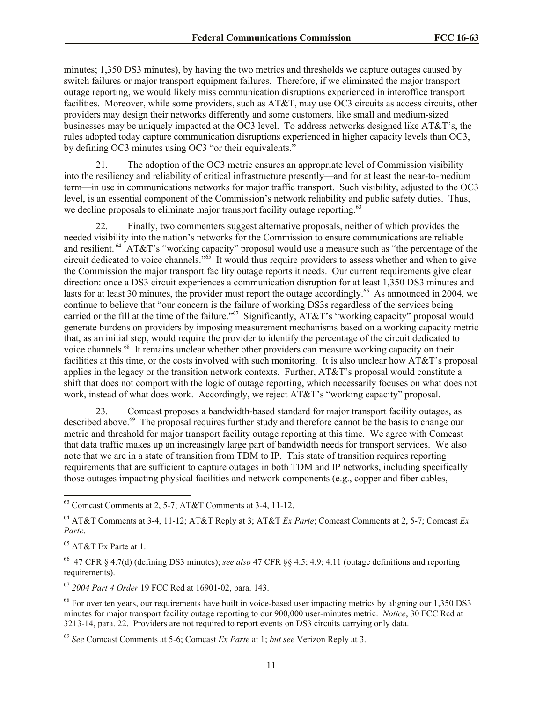minutes; 1,350 DS3 minutes), by having the two metrics and thresholds we capture outages caused by switch failures or major transport equipment failures. Therefore, if we eliminated the major transport outage reporting, we would likely miss communication disruptions experienced in interoffice transport facilities. Moreover, while some providers, such as AT&T, may use OC3 circuits as access circuits, other providers may design their networks differently and some customers, like small and medium-sized businesses may be uniquely impacted at the OC3 level. To address networks designed like AT&T's, the rules adopted today capture communication disruptions experienced in higher capacity levels than OC3, by defining OC3 minutes using OC3 "or their equivalents."

21. The adoption of the OC3 metric ensures an appropriate level of Commission visibility into the resiliency and reliability of critical infrastructure presently—and for at least the near-to-medium term—in use in communications networks for major traffic transport. Such visibility, adjusted to the OC3 level, is an essential component of the Commission's network reliability and public safety duties. Thus, we decline proposals to eliminate major transport facility outage reporting.<sup>63</sup>

22. Finally, two commenters suggest alternative proposals, neither of which provides the needed visibility into the nation's networks for the Commission to ensure communications are reliable and resilient.<sup>64</sup> AT&T's "working capacity" proposal would use a measure such as "the percentage of the circuit dedicated to voice channels."<sup>65</sup> It would thus require providers to assess whether and when to give the Commission the major transport facility outage reports it needs. Our current requirements give clear direction: once a DS3 circuit experiences a communication disruption for at least 1,350 DS3 minutes and lasts for at least 30 minutes, the provider must report the outage accordingly.<sup>66</sup> As announced in 2004, we continue to believe that "our concern is the failure of working DS3s regardless of the services being carried or the fill at the time of the failure."<sup>67</sup> Significantly, AT&T's "working capacity" proposal would generate burdens on providers by imposing measurement mechanisms based on a working capacity metric that, as an initial step, would require the provider to identify the percentage of the circuit dedicated to voice channels.<sup>68</sup> It remains unclear whether other providers can measure working capacity on their facilities at this time, or the costs involved with such monitoring. It is also unclear how AT&T's proposal applies in the legacy or the transition network contexts. Further, AT&T's proposal would constitute a shift that does not comport with the logic of outage reporting, which necessarily focuses on what does not work, instead of what does work. Accordingly, we reject AT&T's "working capacity" proposal.

23. Comcast proposes a bandwidth-based standard for major transport facility outages, as described above.<sup>69</sup> The proposal requires further study and therefore cannot be the basis to change our metric and threshold for major transport facility outage reporting at this time. We agree with Comcast that data traffic makes up an increasingly large part of bandwidth needs for transport services. We also note that we are in a state of transition from TDM to IP. This state of transition requires reporting requirements that are sufficient to capture outages in both TDM and IP networks, including specifically those outages impacting physical facilities and network components (e.g., copper and fiber cables,

<sup>67</sup> *2004 Part 4 Order* 19 FCC Rcd at 16901-02, para. 143.

 $\overline{a}$  $63$  Comcast Comments at 2, 5-7; AT&T Comments at 3-4, 11-12.

<sup>64</sup> AT&T Comments at 3-4, 11-12; AT&T Reply at 3; AT&T *Ex Parte*; Comcast Comments at 2, 5-7; Comcast *Ex Parte*.

<sup>&</sup>lt;sup>65</sup> AT&T Ex Parte at 1.

<sup>66</sup> 47 CFR § 4.7(d) (defining DS3 minutes); *see also* 47 CFR §§ 4.5; 4.9; 4.11 (outage definitions and reporting requirements).

<sup>&</sup>lt;sup>68</sup> For over ten years, our requirements have built in voice-based user impacting metrics by aligning our 1,350 DS3 minutes for major transport facility outage reporting to our 900,000 user-minutes metric. *Notice*, 30 FCC Rcd at 3213-14, para. 22. Providers are not required to report events on DS3 circuits carrying only data.

<sup>69</sup> *See* Comcast Comments at 5-6; Comcast *Ex Parte* at 1; *but see* Verizon Reply at 3.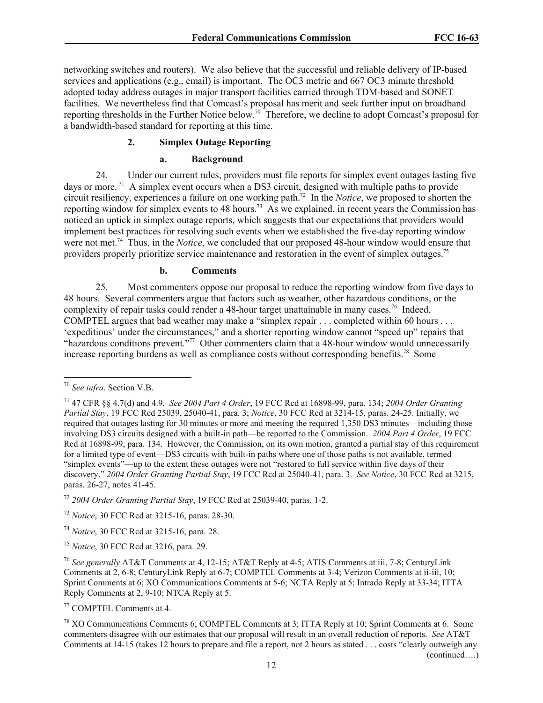networking switches and routers). We also believe that the successful and reliable delivery of IP-based services and applications (e.g., email) is important. The OC3 metric and 667 OC3 minute threshold adopted today address outages in major transport facilities carried through TDM-based and SONET facilities. We nevertheless find that Comcast's proposal has merit and seek further input on broadband reporting thresholds in the Further Notice below.<sup>70</sup> Therefore, we decline to adopt Comcast's proposal for a bandwidth-based standard for reporting at this time.

## **2. Simplex Outage Reporting**

#### **a. Background**

24. Under our current rules, providers must file reports for simplex event outages lasting five days or more.<sup>71</sup> A simplex event occurs when a DS3 circuit, designed with multiple paths to provide circuit resiliency, experiences a failure on one working path.<sup>72</sup> In the *Notice*, we proposed to shorten the reporting window for simplex events to 48 hours.<sup>73</sup> As we explained, in recent years the Commission has noticed an uptick in simplex outage reports, which suggests that our expectations that providers would implement best practices for resolving such events when we established the five-day reporting window were not met.<sup>74</sup> Thus, in the *Notice*, we concluded that our proposed 48-hour window would ensure that providers properly prioritize service maintenance and restoration in the event of simplex outages.<sup>75</sup>

#### **b. Comments**

25. Most commenters oppose our proposal to reduce the reporting window from five days to 48 hours. Several commenters argue that factors such as weather, other hazardous conditions, or the complexity of repair tasks could render a 48-hour target unattainable in many cases.<sup>76</sup> Indeed, COMPTEL argues that bad weather may make a "simplex repair . . . completed within 60 hours . . . 'expeditious' under the circumstances," and a shorter reporting window cannot "speed up" repairs that "hazardous conditions prevent."<sup>77</sup> Other commenters claim that a 48-hour window would unnecessarily increase reporting burdens as well as compliance costs without corresponding benefits.<sup>78</sup> Some

 $\overline{a}$ 

<sup>72</sup> *2004 Order Granting Partial Stay*, 19 FCC Rcd at 25039-40, paras. 1-2.

<sup>70</sup> *See infra*. Section V.B.

<sup>71</sup> 47 CFR §§ 4.7(d) and 4.9. *See 2004 Part 4 Order*, 19 FCC Rcd at 16898-99, para. 134; *2004 Order Granting Partial Stay*, 19 FCC Rcd 25039, 25040-41, para. 3; *Notice*, 30 FCC Rcd at 3214-15, paras. 24-25. Initially, we required that outages lasting for 30 minutes or more and meeting the required 1,350 DS3 minutes—including those involving DS3 circuits designed with a built-in path—be reported to the Commission. *2004 Part 4 Order*, 19 FCC Rcd at 16898-99, para. 134. However, the Commission, on its own motion, granted a partial stay of this requirement for a limited type of event—DS3 circuits with built-in paths where one of those paths is not available, termed "simplex events"—up to the extent these outages were not "restored to full service within five days of their discovery." *2004 Order Granting Partial Stay*, 19 FCC Rcd at 25040-41, para. 3. *See Notice*, 30 FCC Rcd at 3215, paras. 26-27, notes 41-45.

<sup>73</sup> *Notice*, 30 FCC Rcd at 3215-16, paras. 28-30.

<sup>74</sup> *Notice*, 30 FCC Rcd at 3215-16, para. 28.

<sup>75</sup> *Notice*, 30 FCC Rcd at 3216, para. 29.

<sup>76</sup> *See generally* AT&T Comments at 4, 12-15; AT&T Reply at 4-5; ATIS Comments at iii, 7-8; CenturyLink Comments at 2, 6-8; CenturyLink Reply at 6-7; COMPTEL Comments at 3-4; Verizon Comments at ii-iii, 10; Sprint Comments at 6; XO Communications Comments at 5-6; NCTA Reply at 5; Intrado Reply at 33-34; ITTA Reply Comments at 2, 9-10; NTCA Reply at 5.

<sup>77</sup> COMPTEL Comments at 4.

<sup>&</sup>lt;sup>78</sup> XO Communications Comments 6; COMPTEL Comments at 3; ITTA Reply at 10; Sprint Comments at 6. Some commenters disagree with our estimates that our proposal will result in an overall reduction of reports. *See* AT&T Comments at 14-15 (takes 12 hours to prepare and file a report, not 2 hours as stated . . . costs "clearly outweigh any (continued….)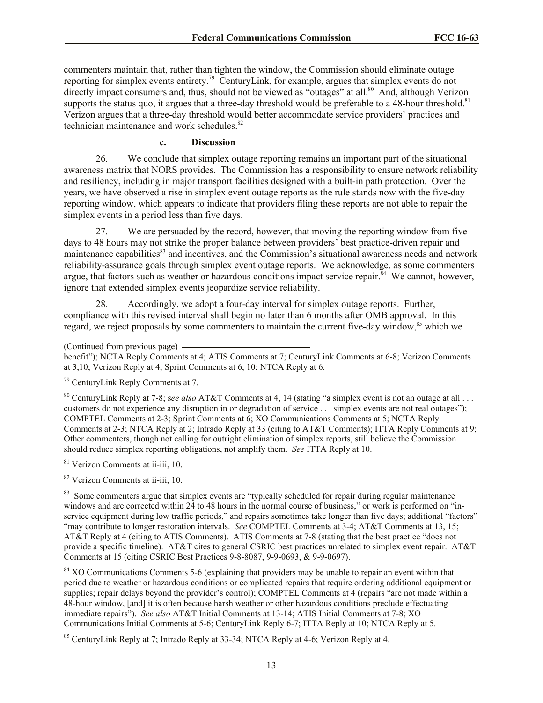commenters maintain that, rather than tighten the window, the Commission should eliminate outage reporting for simplex events entirety.<sup>79</sup> CenturyLink, for example, argues that simplex events do not directly impact consumers and, thus, should not be viewed as "outages" at all.<sup>80</sup> And, although Verizon supports the status quo, it argues that a three-day threshold would be preferable to a 48-hour threshold.<sup>81</sup> Verizon argues that a three-day threshold would better accommodate service providers' practices and technician maintenance and work schedules. 82

#### **c. Discussion**

26. We conclude that simplex outage reporting remains an important part of the situational awareness matrix that NORS provides. The Commission has a responsibility to ensure network reliability and resiliency, including in major transport facilities designed with a built-in path protection. Over the years, we have observed a rise in simplex event outage reports as the rule stands now with the five-day reporting window, which appears to indicate that providers filing these reports are not able to repair the simplex events in a period less than five days.

27. We are persuaded by the record, however, that moving the reporting window from five days to 48 hours may not strike the proper balance between providers' best practice-driven repair and maintenance capabilities<sup>83</sup> and incentives, and the Commission's situational awareness needs and network reliability-assurance goals through simplex event outage reports. We acknowledge, as some commenters argue, that factors such as weather or hazardous conditions impact service repair.<sup>84</sup> We cannot, however, ignore that extended simplex events jeopardize service reliability.

28. Accordingly, we adopt a four-day interval for simplex outage reports. Further, compliance with this revised interval shall begin no later than 6 months after OMB approval. In this regard, we reject proposals by some commenters to maintain the current five-day window,<sup>85</sup> which we

#### (Continued from previous page)

benefit"); NCTA Reply Comments at 4; ATIS Comments at 7; CenturyLink Comments at 6-8; Verizon Comments at 3,10; Verizon Reply at 4; Sprint Comments at 6, 10; NTCA Reply at 6.

<sup>79</sup> CenturyLink Reply Comments at 7.

<sup>80</sup> CenturyLink Reply at 7-8; s*ee also* AT&T Comments at 4, 14 (stating "a simplex event is not an outage at all . . . customers do not experience any disruption in or degradation of service . . . simplex events are not real outages"); COMPTEL Comments at 2-3; Sprint Comments at 6; XO Communications Comments at 5; NCTA Reply Comments at 2-3; NTCA Reply at 2; Intrado Reply at 33 (citing to AT&T Comments); ITTA Reply Comments at 9; Other commenters, though not calling for outright elimination of simplex reports, still believe the Commission should reduce simplex reporting obligations, not amplify them. *See* ITTA Reply at 10.

<sup>81</sup> Verizon Comments at ii-iii, 10.

<sup>82</sup> Verizon Comments at ii-iii, 10.

<sup>83</sup> Some commenters argue that simplex events are "typically scheduled for repair during regular maintenance windows and are corrected within 24 to 48 hours in the normal course of business," or work is performed on "inservice equipment during low traffic periods," and repairs sometimes take longer than five days; additional "factors" "may contribute to longer restoration intervals. *See* COMPTEL Comments at 3-4; AT&T Comments at 13, 15; AT&T Reply at 4 (citing to ATIS Comments). ATIS Comments at 7-8 (stating that the best practice "does not provide a specific timeline). AT&T cites to general CSRIC best practices unrelated to simplex event repair. AT&T Comments at 15 (citing CSRIC Best Practices 9-8-8087, 9-9-0693, & 9-9-0697).

<sup>84</sup> XO Communications Comments 5-6 (explaining that providers may be unable to repair an event within that period due to weather or hazardous conditions or complicated repairs that require ordering additional equipment or supplies; repair delays beyond the provider's control); COMPTEL Comments at 4 (repairs "are not made within a 48-hour window, [and] it is often because harsh weather or other hazardous conditions preclude effectuating immediate repairs"). *See also* AT&T Initial Comments at 13-14; ATIS Initial Comments at 7-8; XO Communications Initial Comments at 5-6; CenturyLink Reply 6-7; ITTA Reply at 10; NTCA Reply at 5.

<sup>85</sup> CenturyLink Reply at 7; Intrado Reply at 33-34; NTCA Reply at 4-6; Verizon Reply at 4.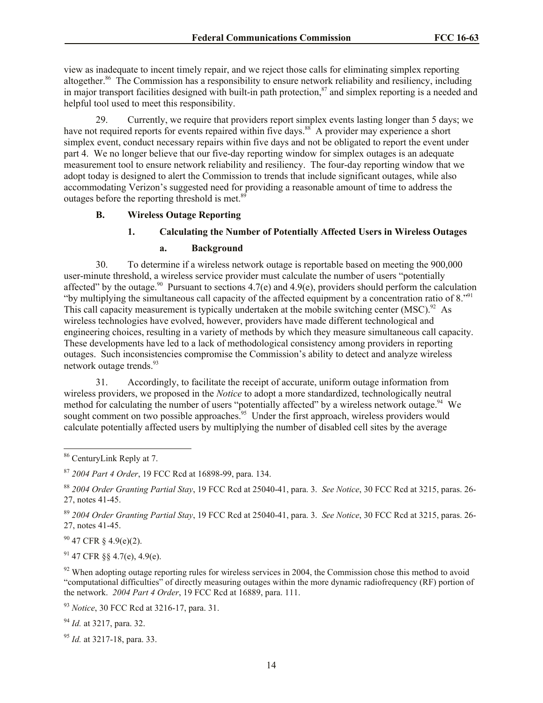view as inadequate to incent timely repair, and we reject those calls for eliminating simplex reporting altogether.<sup>86</sup> The Commission has a responsibility to ensure network reliability and resiliency, including in major transport facilities designed with built-in path protection, $87$  and simplex reporting is a needed and helpful tool used to meet this responsibility.

29. Currently, we require that providers report simplex events lasting longer than 5 days; we have not required reports for events repaired within five days.<sup>88</sup> A provider may experience a short simplex event, conduct necessary repairs within five days and not be obligated to report the event under part 4. We no longer believe that our five-day reporting window for simplex outages is an adequate measurement tool to ensure network reliability and resiliency. The four-day reporting window that we adopt today is designed to alert the Commission to trends that include significant outages, while also accommodating Verizon's suggested need for providing a reasonable amount of time to address the outages before the reporting threshold is met.<sup>89</sup>

#### **B. Wireless Outage Reporting**

## **1. Calculating the Number of Potentially Affected Users in Wireless Outages**

## **a. Background**

30. To determine if a wireless network outage is reportable based on meeting the 900,000 user-minute threshold, a wireless service provider must calculate the number of users "potentially affected" by the outage.<sup>90</sup> Pursuant to sections  $4.7(e)$  and  $4.9(e)$ , providers should perform the calculation "by multiplying the simultaneous call capacity of the affected equipment by a concentration ratio of  $8.^{91}$ This call capacity measurement is typically undertaken at the mobile switching center  $(MSC)^{92}$  As wireless technologies have evolved, however, providers have made different technological and engineering choices, resulting in a variety of methods by which they measure simultaneous call capacity. These developments have led to a lack of methodological consistency among providers in reporting outages. Such inconsistencies compromise the Commission's ability to detect and analyze wireless network outage trends.<sup>93</sup>

31. Accordingly, to facilitate the receipt of accurate, uniform outage information from wireless providers, we proposed in the *Notice* to adopt a more standardized, technologically neutral method for calculating the number of users "potentially affected" by a wireless network outage.<sup>94</sup> We sought comment on two possible approaches.<sup>95</sup> Under the first approach, wireless providers would calculate potentially affected users by multiplying the number of disabled cell sites by the average

 $\overline{a}$ 

 $90$  47 CFR § 4.9(e)(2).

 $91$  47 CFR 88 4.7(e), 4.9(e).

 $92$  When adopting outage reporting rules for wireless services in 2004, the Commission chose this method to avoid "computational difficulties" of directly measuring outages within the more dynamic radiofrequency (RF) portion of the network. *2004 Part 4 Order*, 19 FCC Rcd at 16889, para. 111.

<sup>93</sup> *Notice*, 30 FCC Rcd at 3216-17, para. 31.

<sup>94</sup> *Id.* at 3217, para. 32.

<sup>95</sup> *Id.* at 3217-18, para. 33.

<sup>&</sup>lt;sup>86</sup> CenturyLink Reply at 7.

<sup>87</sup> *2004 Part 4 Order*, 19 FCC Rcd at 16898-99, para. 134.

<sup>88</sup> *2004 Order Granting Partial Stay*, 19 FCC Rcd at 25040-41, para. 3. *See Notice*, 30 FCC Rcd at 3215, paras. 26- 27, notes 41-45.

<sup>89</sup> *2004 Order Granting Partial Stay*, 19 FCC Rcd at 25040-41, para. 3. *See Notice*, 30 FCC Rcd at 3215, paras. 26- 27, notes 41-45.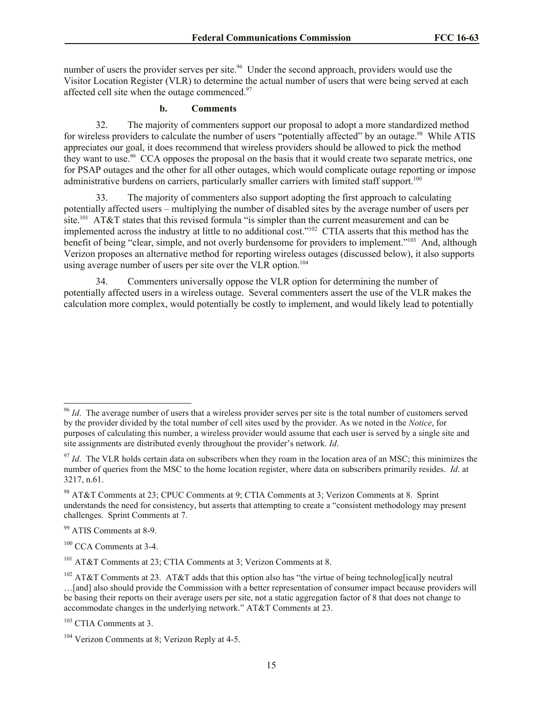number of users the provider serves per site.<sup>96</sup> Under the second approach, providers would use the Visitor Location Register (VLR) to determine the actual number of users that were being served at each affected cell site when the outage commenced.<sup>97</sup>

## **b. Comments**

32. The majority of commenters support our proposal to adopt a more standardized method for wireless providers to calculate the number of users "potentially affected" by an outage.<sup>98</sup> While ATIS appreciates our goal, it does recommend that wireless providers should be allowed to pick the method they want to use.<sup>99</sup> CCA opposes the proposal on the basis that it would create two separate metrics, one for PSAP outages and the other for all other outages, which would complicate outage reporting or impose administrative burdens on carriers, particularly smaller carriers with limited staff support.<sup>100</sup>

33. The majority of commenters also support adopting the first approach to calculating potentially affected users – multiplying the number of disabled sites by the average number of users per site.<sup>101</sup> AT&T states that this revised formula "is simpler than the current measurement and can be implemented across the industry at little to no additional cost."<sup>102</sup> CTIA asserts that this method has the benefit of being "clear, simple, and not overly burdensome for providers to implement."<sup>103</sup> And, although Verizon proposes an alternative method for reporting wireless outages (discussed below), it also supports using average number of users per site over the VLR option.<sup>104</sup>

34. Commenters universally oppose the VLR option for determining the number of potentially affected users in a wireless outage. Several commenters assert the use of the VLR makes the calculation more complex, would potentially be costly to implement, and would likely lead to potentially

 $\overline{a}$ 

<sup>&</sup>lt;sup>96</sup> *Id*. The average number of users that a wireless provider serves per site is the total number of customers served by the provider divided by the total number of cell sites used by the provider. As we noted in the *Notice*, for purposes of calculating this number, a wireless provider would assume that each user is served by a single site and site assignments are distributed evenly throughout the provider's network. *Id*.

 $\frac{97}{10}$ . The VLR holds certain data on subscribers when they roam in the location area of an MSC; this minimizes the number of queries from the MSC to the home location register, where data on subscribers primarily resides. *Id*. at 3217, n.61.

<sup>98</sup> AT&T Comments at 23; CPUC Comments at 9; CTIA Comments at 3; Verizon Comments at 8. Sprint understands the need for consistency, but asserts that attempting to create a "consistent methodology may present challenges. Sprint Comments at 7.

<sup>99</sup> ATIS Comments at 8-9.

<sup>&</sup>lt;sup>100</sup> CCA Comments at 3-4.

<sup>101</sup> AT&T Comments at 23; CTIA Comments at 3; Verizon Comments at 8.

<sup>&</sup>lt;sup>102</sup> AT&T Comments at 23. AT&T adds that this option also has "the virtue of being technolog[ical]y neutral …[and] also should provide the Commission with a better representation of consumer impact because providers will be basing their reports on their average users per site, not a static aggregation factor of 8 that does not change to accommodate changes in the underlying network." AT&T Comments at 23.

<sup>103</sup> CTIA Comments at 3.

<sup>104</sup> Verizon Comments at 8; Verizon Reply at 4-5.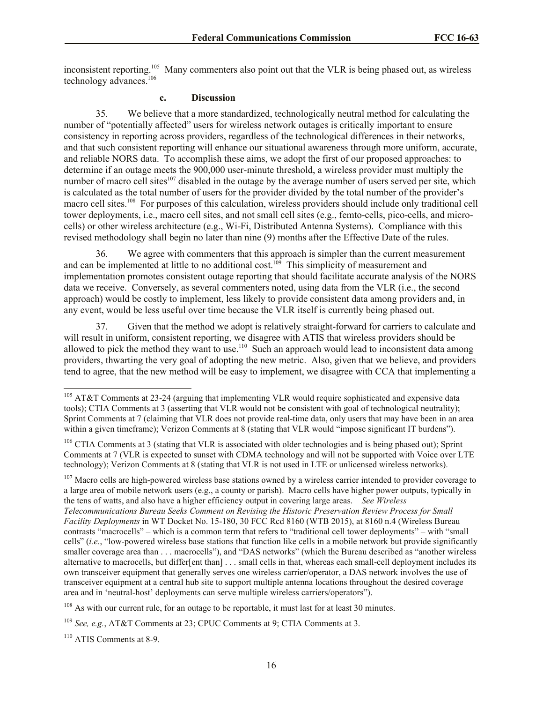inconsistent reporting.<sup>105</sup> Many commenters also point out that the VLR is being phased out, as wireless technology advances.<sup>106</sup>

# **c. Discussion**

35. We believe that a more standardized, technologically neutral method for calculating the number of "potentially affected" users for wireless network outages is critically important to ensure consistency in reporting across providers, regardless of the technological differences in their networks, and that such consistent reporting will enhance our situational awareness through more uniform, accurate, and reliable NORS data. To accomplish these aims, we adopt the first of our proposed approaches: to determine if an outage meets the 900,000 user-minute threshold, a wireless provider must multiply the number of macro cell sites<sup>107</sup> disabled in the outage by the average number of users served per site, which is calculated as the total number of users for the provider divided by the total number of the provider's macro cell sites.<sup>108</sup> For purposes of this calculation, wireless providers should include only traditional cell tower deployments, i.e., macro cell sites, and not small cell sites (e.g., femto-cells, pico-cells, and microcells) or other wireless architecture (e.g., Wi-Fi, Distributed Antenna Systems). Compliance with this revised methodology shall begin no later than nine (9) months after the Effective Date of the rules.

36. We agree with commenters that this approach is simpler than the current measurement and can be implemented at little to no additional cost.<sup>109</sup> This simplicity of measurement and implementation promotes consistent outage reporting that should facilitate accurate analysis of the NORS data we receive. Conversely, as several commenters noted, using data from the VLR (i.e., the second approach) would be costly to implement, less likely to provide consistent data among providers and, in any event, would be less useful over time because the VLR itself is currently being phased out.

37. Given that the method we adopt is relatively straight-forward for carriers to calculate and will result in uniform, consistent reporting, we disagree with ATIS that wireless providers should be allowed to pick the method they want to use.<sup>110</sup> Such an approach would lead to inconsistent data among providers, thwarting the very goal of adopting the new metric. Also, given that we believe, and providers tend to agree, that the new method will be easy to implement, we disagree with CCA that implementing a

 $\overline{a}$ 

 $105$  AT&T Comments at 23-24 (arguing that implementing VLR would require sophisticated and expensive data tools); CTIA Comments at 3 (asserting that VLR would not be consistent with goal of technological neutrality); Sprint Comments at 7 (claiming that VLR does not provide real-time data, only users that may have been in an area within a given timeframe); Verizon Comments at 8 (stating that VLR would "impose significant IT burdens").

<sup>&</sup>lt;sup>106</sup> CTIA Comments at 3 (stating that VLR is associated with older technologies and is being phased out); Sprint Comments at 7 (VLR is expected to sunset with CDMA technology and will not be supported with Voice over LTE technology); Verizon Comments at 8 (stating that VLR is not used in LTE or unlicensed wireless networks).

 $107$  Macro cells are high-powered wireless base stations owned by a wireless carrier intended to provider coverage to a large area of mobile network users (e.g., a county or parish). Macro cells have higher power outputs, typically in the tens of watts, and also have a higher efficiency output in covering large areas. *See Wireless Telecommunications Bureau Seeks Comment on Revising the Historic Preservation Review Process for Small Facility Deployments* in WT Docket No. 15-180, 30 FCC Rcd 8160 (WTB 2015), at 8160 n.4 (Wireless Bureau contrasts "macrocells" – which is a common term that refers to "traditional cell tower deployments" – with "small cells" (*i.e.*, "low-powered wireless base stations that function like cells in a mobile network but provide significantly smaller coverage area than . . . macrocells"), and "DAS networks" (which the Bureau described as "another wireless alternative to macrocells, but differ[ent than] . . . small cells in that, whereas each small-cell deployment includes its own transceiver equipment that generally serves one wireless carrier/operator, a DAS network involves the use of transceiver equipment at a central hub site to support multiple antenna locations throughout the desired coverage area and in 'neutral-host' deployments can serve multiple wireless carriers/operators").

 $108$  As with our current rule, for an outage to be reportable, it must last for at least 30 minutes.

<sup>109</sup> *See, e.g.*, AT&T Comments at 23; CPUC Comments at 9; CTIA Comments at 3.

<sup>110</sup> ATIS Comments at 8-9.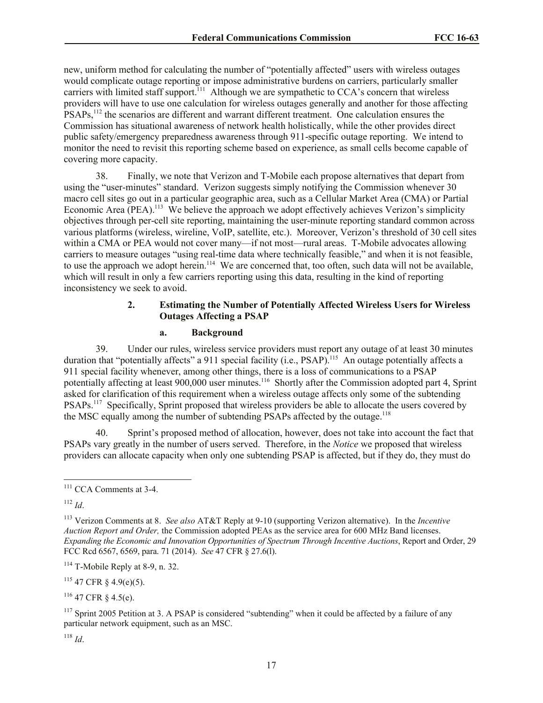new, uniform method for calculating the number of "potentially affected" users with wireless outages would complicate outage reporting or impose administrative burdens on carriers, particularly smaller carriers with limited staff support.<sup>111</sup> Although we are sympathetic to  $CCA$ 's concern that wireless providers will have to use one calculation for wireless outages generally and another for those affecting PSAPs,<sup>112</sup> the scenarios are different and warrant different treatment. One calculation ensures the Commission has situational awareness of network health holistically, while the other provides direct public safety/emergency preparedness awareness through 911-specific outage reporting. We intend to monitor the need to revisit this reporting scheme based on experience, as small cells become capable of covering more capacity.

38. Finally, we note that Verizon and T-Mobile each propose alternatives that depart from using the "user-minutes" standard. Verizon suggests simply notifying the Commission whenever 30 macro cell sites go out in a particular geographic area, such as a Cellular Market Area (CMA) or Partial Economic Area (PEA).<sup>113</sup> We believe the approach we adopt effectively achieves Verizon's simplicity objectives through per-cell site reporting, maintaining the user-minute reporting standard common across various platforms (wireless, wireline, VoIP, satellite, etc.). Moreover, Verizon's threshold of 30 cell sites within a CMA or PEA would not cover many—if not most—rural areas. T-Mobile advocates allowing carriers to measure outages "using real-time data where technically feasible," and when it is not feasible, to use the approach we adopt herein.<sup>114</sup> We are concerned that, too often, such data will not be available, which will result in only a few carriers reporting using this data, resulting in the kind of reporting inconsistency we seek to avoid.

## **2. Estimating the Number of Potentially Affected Wireless Users for Wireless Outages Affecting a PSAP**

### **a. Background**

39. Under our rules, wireless service providers must report any outage of at least 30 minutes duration that "potentially affects" a 911 special facility (i.e., PSAP).<sup>115</sup> An outage potentially affects a 911 special facility whenever, among other things, there is a loss of communications to a PSAP potentially affecting at least 900,000 user minutes.<sup>116</sup> Shortly after the Commission adopted part 4, Sprint asked for clarification of this requirement when a wireless outage affects only some of the subtending PSAPs.<sup>117</sup> Specifically, Sprint proposed that wireless providers be able to allocate the users covered by the MSC equally among the number of subtending PSAPs affected by the outage.<sup>118</sup>

40. Sprint's proposed method of allocation, however, does not take into account the fact that PSAPs vary greatly in the number of users served. Therefore, in the *Notice* we proposed that wireless providers can allocate capacity when only one subtending PSAP is affected, but if they do, they must do

<sup>112</sup> *Id*.

 $\overline{a}$ 

 $114$  T-Mobile Reply at 8-9, n. 32.

 $115$  47 CFR § 4.9(e)(5).

 $116$  47 CFR  $\frac{8}{4}$  4.5(e).

 $117$  Sprint 2005 Petition at 3. A PSAP is considered "subtending" when it could be affected by a failure of any particular network equipment, such as an MSC.

<sup>118</sup> *Id*.

<sup>&</sup>lt;sup>111</sup> CCA Comments at 3-4.

<sup>113</sup> Verizon Comments at 8. *See also* AT&T Reply at 9-10 (supporting Verizon alternative). In the *Incentive Auction Report and Order,* the Commission adopted PEAs as the service area for 600 MHz Band licenses. *Expanding the Economic and Innovation Opportunities of Spectrum Through Incentive Auctions*, Report and Order, 29 FCC Rcd 6567, 6569, para. 71 (2014). *See* 47 CFR § 27.6(l).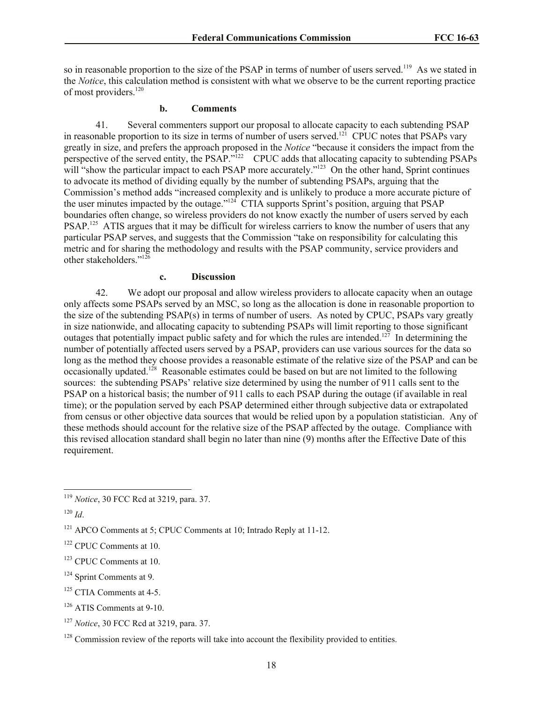so in reasonable proportion to the size of the PSAP in terms of number of users served.<sup>119</sup> As we stated in the *Notice*, this calculation method is consistent with what we observe to be the current reporting practice of most providers.<sup>120</sup>

## **b. Comments**

41. Several commenters support our proposal to allocate capacity to each subtending PSAP in reasonable proportion to its size in terms of number of users served.<sup>121</sup> CPUC notes that PSAPs vary greatly in size, and prefers the approach proposed in the *Notice* "because it considers the impact from the perspective of the served entity, the PSAP."<sup>122</sup> CPUC adds that allocating capacity to subtending PSAPs will "show the particular impact to each PSAP more accurately."<sup>123</sup> On the other hand, Sprint continues to advocate its method of dividing equally by the number of subtending PSAPs, arguing that the Commission's method adds "increased complexity and is unlikely to produce a more accurate picture of the user minutes impacted by the outage."<sup>124</sup> CTIA supports Sprint's position, arguing that PSAP boundaries often change, so wireless providers do not know exactly the number of users served by each PSAP.<sup>125</sup> ATIS argues that it may be difficult for wireless carriers to know the number of users that any particular PSAP serves, and suggests that the Commission "take on responsibility for calculating this metric and for sharing the methodology and results with the PSAP community, service providers and other stakeholders."<sup>126</sup>

#### **c. Discussion**

42. We adopt our proposal and allow wireless providers to allocate capacity when an outage only affects some PSAPs served by an MSC, so long as the allocation is done in reasonable proportion to the size of the subtending PSAP(s) in terms of number of users. As noted by CPUC, PSAPs vary greatly in size nationwide, and allocating capacity to subtending PSAPs will limit reporting to those significant outages that potentially impact public safety and for which the rules are intended.<sup>127</sup> In determining the number of potentially affected users served by a PSAP, providers can use various sources for the data so long as the method they choose provides a reasonable estimate of the relative size of the PSAP and can be occasionally updated.<sup>128</sup> Reasonable estimates could be based on but are not limited to the following sources: the subtending PSAPs' relative size determined by using the number of 911 calls sent to the PSAP on a historical basis; the number of 911 calls to each PSAP during the outage (if available in real time); or the population served by each PSAP determined either through subjective data or extrapolated from census or other objective data sources that would be relied upon by a population statistician. Any of these methods should account for the relative size of the PSAP affected by the outage. Compliance with this revised allocation standard shall begin no later than nine (9) months after the Effective Date of this requirement.

 $\overline{a}$ 

- <sup>124</sup> Sprint Comments at 9.
- $125$  CTIA Comments at 4-5.

<sup>119</sup> *Notice*, 30 FCC Rcd at 3219, para. 37.

<sup>120</sup> *Id*.

<sup>&</sup>lt;sup>121</sup> APCO Comments at 5; CPUC Comments at 10; Intrado Reply at 11-12.

<sup>122</sup> CPUC Comments at 10.

<sup>&</sup>lt;sup>123</sup> CPUC Comments at 10.

<sup>126</sup> ATIS Comments at 9-10.

<sup>127</sup> *Notice*, 30 FCC Rcd at 3219, para. 37.

 $128$  Commission review of the reports will take into account the flexibility provided to entities.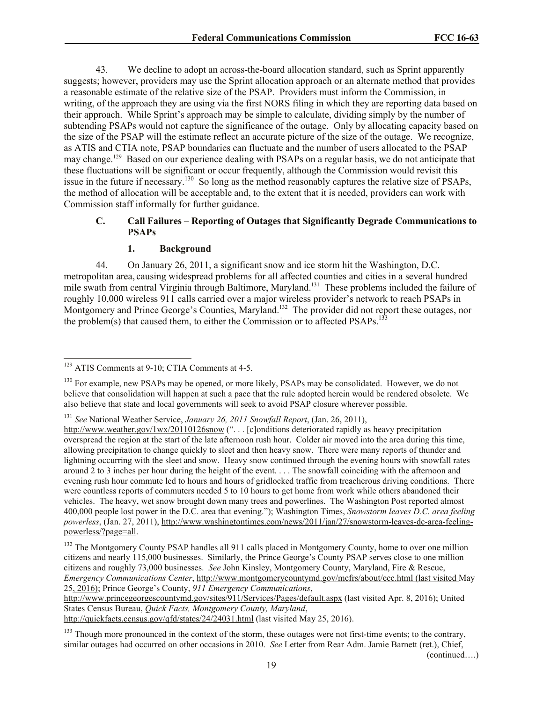43. We decline to adopt an across-the-board allocation standard, such as Sprint apparently suggests; however, providers may use the Sprint allocation approach or an alternate method that provides a reasonable estimate of the relative size of the PSAP. Providers must inform the Commission, in writing, of the approach they are using via the first NORS filing in which they are reporting data based on their approach. While Sprint's approach may be simple to calculate, dividing simply by the number of subtending PSAPs would not capture the significance of the outage. Only by allocating capacity based on the size of the PSAP will the estimate reflect an accurate picture of the size of the outage. We recognize, as ATIS and CTIA note, PSAP boundaries can fluctuate and the number of users allocated to the PSAP may change.<sup>129</sup> Based on our experience dealing with PSAPs on a regular basis, we do not anticipate that these fluctuations will be significant or occur frequently, although the Commission would revisit this issue in the future if necessary.<sup>130</sup> So long as the method reasonably captures the relative size of PSAPs, the method of allocation will be acceptable and, to the extent that it is needed, providers can work with Commission staff informally for further guidance.

# **C. Call Failures – Reporting of Outages that Significantly Degrade Communications to PSAPs**

### **1. Background**

44. On January 26, 2011, a significant snow and ice storm hit the Washington, D.C. metropolitan area, causing widespread problems for all affected counties and cities in a several hundred mile swath from central Virginia through Baltimore, Maryland.<sup>131</sup> These problems included the failure of roughly 10,000 wireless 911 calls carried over a major wireless provider's network to reach PSAPs in Montgomery and Prince George's Counties, Maryland.<sup>132</sup> The provider did not report these outages, nor the problem(s) that caused them, to either the Commission or to affected PSAPs.<sup>133</sup>

http://www.princegeorgescountymd.gov/sites/911/Services/Pages/default.aspx (last visited Apr. 8, 2016); United States Census Bureau, *Quick Facts, Montgomery County, Maryland*,

http://quickfacts.census.gov/qfd/states/24/24031.html (last visited May 25, 2016).

(continued….)

 $\overline{a}$ <sup>129</sup> ATIS Comments at 9-10; CTIA Comments at 4-5.

<sup>&</sup>lt;sup>130</sup> For example, new PSAPs may be opened, or more likely, PSAPs may be consolidated. However, we do not believe that consolidation will happen at such a pace that the rule adopted herein would be rendered obsolete. We also believe that state and local governments will seek to avoid PSAP closure wherever possible.

<sup>131</sup> *See* National Weather Service, *January 26, 2011 Snowfall Report*, (Jan. 26, 2011),

http://www.weather.gov/1wx/20110126snow ("... [c]onditions deteriorated rapidly as heavy precipitation overspread the region at the start of the late afternoon rush hour. Colder air moved into the area during this time, allowing precipitation to change quickly to sleet and then heavy snow. There were many reports of thunder and lightning occurring with the sleet and snow. Heavy snow continued through the evening hours with snowfall rates around 2 to 3 inches per hour during the height of the event. . . . The snowfall coinciding with the afternoon and evening rush hour commute led to hours and hours of gridlocked traffic from treacherous driving conditions. There were countless reports of commuters needed 5 to 10 hours to get home from work while others abandoned their vehicles. The heavy, wet snow brought down many trees and powerlines. The Washington Post reported almost 400,000 people lost power in the D.C. area that evening."); Washington Times, *Snowstorm leaves D.C. area feeling powerless*, (Jan. 27, 2011), http://www.washingtontimes.com/news/2011/jan/27/snowstorm-leaves-dc-area-feelingpowerless/?page=all.

<sup>&</sup>lt;sup>132</sup> The Montgomery County PSAP handles all 911 calls placed in Montgomery County, home to over one million citizens and nearly 115,000 businesses. Similarly, the Prince George's County PSAP serves close to one million citizens and roughly 73,000 businesses. *See* John Kinsley, Montgomery County, Maryland, Fire & Rescue, *Emergency Communications Center*, http://www.montgomerycountymd.gov/mcfrs/about/ecc.html (last visited May 25, 2016); Prince George's County, *911 Emergency Communications*,

<sup>&</sup>lt;sup>133</sup> Though more pronounced in the context of the storm, these outages were not first-time events; to the contrary, similar outages had occurred on other occasions in 2010. *See* Letter from Rear Adm. Jamie Barnett (ret.), Chief,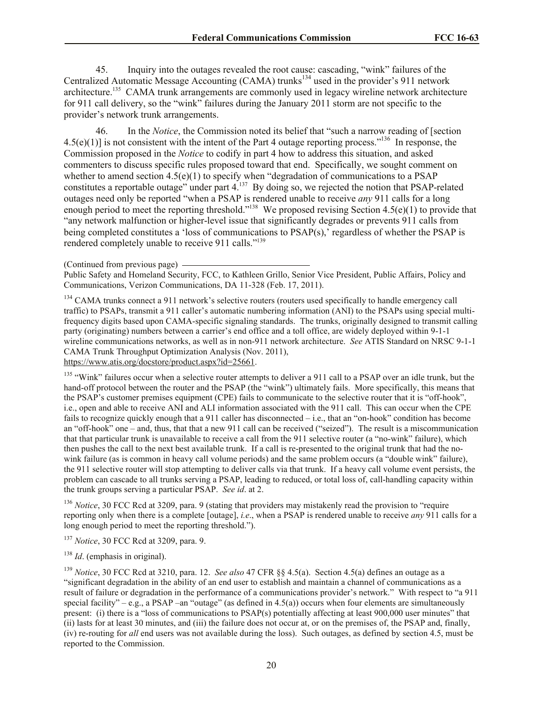45. Inquiry into the outages revealed the root cause: cascading, "wink" failures of the Centralized Automatic Message Accounting (CAMA) trunks<sup>134</sup> used in the provider's 911 network architecture.<sup>135</sup> CAMA trunk arrangements are commonly used in legacy wireline network architecture for 911 call delivery, so the "wink" failures during the January 2011 storm are not specific to the provider's network trunk arrangements.

46. In the *Notice*, the Commission noted its belief that "such a narrow reading of [section  $4.5(e)(1)$  is not consistent with the intent of the Part 4 outage reporting process."<sup>136</sup> In response, the Commission proposed in the *Notice* to codify in part 4 how to address this situation, and asked commenters to discuss specific rules proposed toward that end. Specifically, we sought comment on whether to amend section 4.5(e)(1) to specify when "degradation of communications to a PSAP constitutes a reportable outage" under part  $4.^{137}$  By doing so, we rejected the notion that PSAP-related outages need only be reported "when a PSAP is rendered unable to receive *any* 911 calls for a long enough period to meet the reporting threshold."<sup>138</sup> We proposed revising Section  $4.5(e)(1)$  to provide that "any network malfunction or higher-level issue that significantly degrades or prevents 911 calls from being completed constitutes a 'loss of communications to PSAP(s),' regardless of whether the PSAP is rendered completely unable to receive 911 calls."<sup>139</sup>

Public Safety and Homeland Security, FCC, to Kathleen Grillo, Senior Vice President, Public Affairs, Policy and Communications, Verizon Communications, DA 11-328 (Feb. 17, 2011).

<sup>134</sup> CAMA trunks connect a 911 network's selective routers (routers used specifically to handle emergency call traffic) to PSAPs, transmit a 911 caller's automatic numbering information (ANI) to the PSAPs using special multifrequency digits based upon CAMA-specific signaling standards. The trunks, originally designed to transmit calling party (originating) numbers between a carrier's end office and a toll office, are widely deployed within 9-1-1 wireline communications networks, as well as in non-911 network architecture. *See* ATIS Standard on NRSC 9-1-1 CAMA Trunk Throughput Optimization Analysis (Nov. 2011),

https://www.atis.org/docstore/product.aspx?id=25661.

<sup>135</sup> "Wink" failures occur when a selective router attempts to deliver a 911 call to a PSAP over an idle trunk, but the hand-off protocol between the router and the PSAP (the "wink") ultimately fails. More specifically, this means that the PSAP's customer premises equipment (CPE) fails to communicate to the selective router that it is "off-hook", i.e., open and able to receive ANI and ALI information associated with the 911 call. This can occur when the CPE fails to recognize quickly enough that a 911 caller has disconnected  $-$  i.e., that an "on-hook" condition has become an "off-hook" one – and, thus, that that a new 911 call can be received ("seized"). The result is a miscommunication that that particular trunk is unavailable to receive a call from the 911 selective router (a "no-wink" failure), which then pushes the call to the next best available trunk. If a call is re-presented to the original trunk that had the nowink failure (as is common in heavy call volume periods) and the same problem occurs (a "double wink" failure), the 911 selective router will stop attempting to deliver calls via that trunk. If a heavy call volume event persists, the problem can cascade to all trunks serving a PSAP, leading to reduced, or total loss of, call-handling capacity within the trunk groups serving a particular PSAP. *See id*. at 2.

<sup>136</sup> *Notice*, 30 FCC Rcd at 3209, para. 9 (stating that providers may mistakenly read the provision to "require" reporting only when there is a complete [outage], *i.e*., when a PSAP is rendered unable to receive *any* 911 calls for a long enough period to meet the reporting threshold.").

<sup>137</sup> *Notice*, 30 FCC Rcd at 3209, para. 9.

<sup>138</sup> *Id*. (emphasis in original).

<sup>139</sup> *Notice*, 30 FCC Rcd at 3210, para. 12. *See also* 47 CFR §§ 4.5(a). Section 4.5(a) defines an outage as a "significant degradation in the ability of an end user to establish and maintain a channel of communications as a result of failure or degradation in the performance of a communications provider's network." With respect to "a 911 special facility" – e.g., a PSAP –an "outage" (as defined in 4.5(a)) occurs when four elements are simultaneously present: (i) there is a "loss of communications to PSAP(s) potentially affecting at least 900,000 user minutes" that (ii) lasts for at least 30 minutes, and (iii) the failure does not occur at, or on the premises of, the PSAP and, finally, (iv) re-routing for *all* end users was not available during the loss). Such outages, as defined by section 4.5, must be reported to the Commission.

<sup>(</sup>Continued from previous page)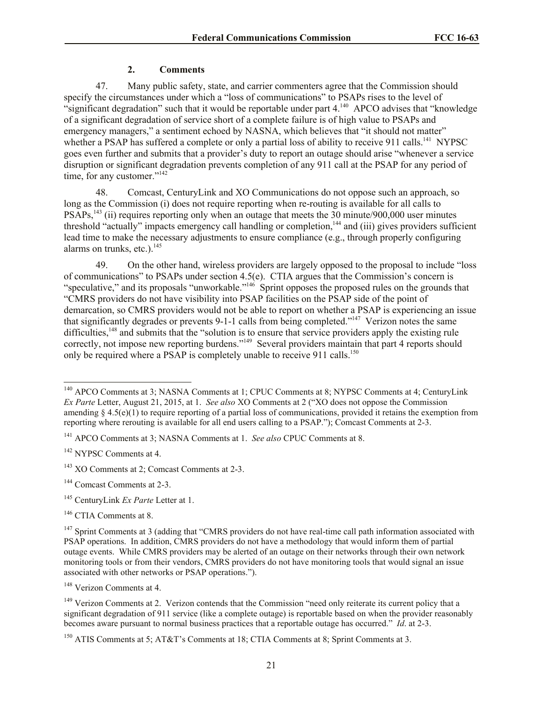## **2. Comments**

47. Many public safety, state, and carrier commenters agree that the Commission should specify the circumstances under which a "loss of communications" to PSAPs rises to the level of "significant degradation" such that it would be reportable under part 4.<sup>140</sup> APCO advises that "knowledge of a significant degradation of service short of a complete failure is of high value to PSAPs and emergency managers," a sentiment echoed by NASNA, which believes that "it should not matter" whether a PSAP has suffered a complete or only a partial loss of ability to receive 911 calls.<sup>141</sup> NYPSC goes even further and submits that a provider's duty to report an outage should arise "whenever a service disruption or significant degradation prevents completion of any 911 call at the PSAP for any period of time, for any customer."<sup>142</sup>

48. Comcast, CenturyLink and XO Communications do not oppose such an approach, so long as the Commission (i) does not require reporting when re-routing is available for all calls to PSAPs,<sup>143</sup> (ii) requires reporting only when an outage that meets the 30 minute/900,000 user minutes threshold "actually" impacts emergency call handling or completion,<sup>144</sup> and (iii) gives providers sufficient lead time to make the necessary adjustments to ensure compliance (e.g., through properly configuring alarms on trunks, etc.). $145$ 

49. On the other hand, wireless providers are largely opposed to the proposal to include "loss of communications" to PSAPs under section 4.5(e). CTIA argues that the Commission's concern is "speculative," and its proposals "unworkable."<sup>146</sup> Sprint opposes the proposed rules on the grounds that "CMRS providers do not have visibility into PSAP facilities on the PSAP side of the point of demarcation, so CMRS providers would not be able to report on whether a PSAP is experiencing an issue that significantly degrades or prevents 9-1-1 calls from being completed."<sup>147</sup> Verizon notes the same difficulties,<sup>148</sup> and submits that the "solution is to ensure that service providers apply the existing rule correctly, not impose new reporting burdens."<sup>149</sup> Several providers maintain that part 4 reports should only be required where a PSAP is completely unable to receive 911 calls.<sup>150</sup>

<sup>141</sup> APCO Comments at 3; NASNA Comments at 1. *See also* CPUC Comments at 8.

<sup>142</sup> NYPSC Comments at 4.

 $\overline{a}$ 

<sup>143</sup> XO Comments at 2; Comcast Comments at 2-3.

<sup>144</sup> Comcast Comments at 2-3.

<sup>145</sup> CenturyLink *Ex Parte* Letter at 1.

<sup>146</sup> CTIA Comments at 8.

<sup>148</sup> Verizon Comments at 4.

<sup>&</sup>lt;sup>140</sup> APCO Comments at 3; NASNA Comments at 1; CPUC Comments at 8; NYPSC Comments at 4; CenturyLink *Ex Parte* Letter, August 21, 2015, at 1. *See also* XO Comments at 2 ("XO does not oppose the Commission amending  $\delta$  4.5(e)(1) to require reporting of a partial loss of communications, provided it retains the exemption from reporting where rerouting is available for all end users calling to a PSAP."); Comcast Comments at 2-3.

<sup>&</sup>lt;sup>147</sup> Sprint Comments at 3 (adding that "CMRS providers do not have real-time call path information associated with PSAP operations. In addition, CMRS providers do not have a methodology that would inform them of partial outage events. While CMRS providers may be alerted of an outage on their networks through their own network monitoring tools or from their vendors, CMRS providers do not have monitoring tools that would signal an issue associated with other networks or PSAP operations.").

<sup>&</sup>lt;sup>149</sup> Verizon Comments at 2. Verizon contends that the Commission "need only reiterate its current policy that a significant degradation of 911 service (like a complete outage) is reportable based on when the provider reasonably becomes aware pursuant to normal business practices that a reportable outage has occurred." *Id*. at 2-3.

<sup>&</sup>lt;sup>150</sup> ATIS Comments at 5; AT&T's Comments at 18; CTIA Comments at 8; Sprint Comments at 3.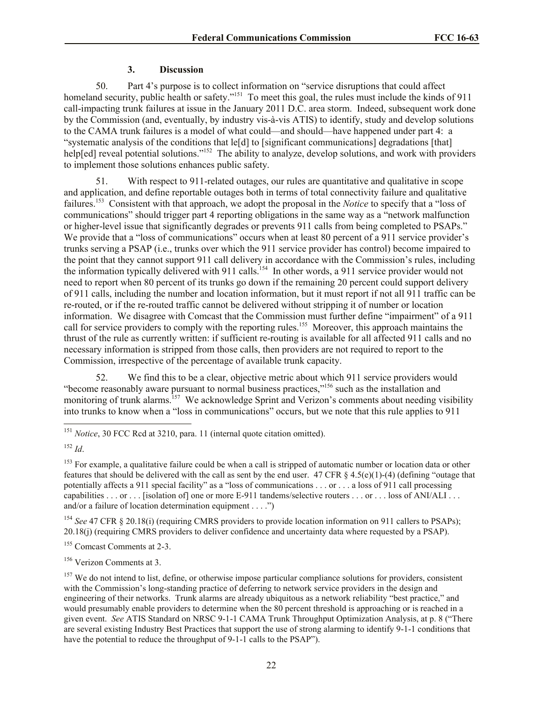## **3. Discussion**

50. Part 4's purpose is to collect information on "service disruptions that could affect homeland security, public health or safety."<sup>151</sup> To meet this goal, the rules must include the kinds of 911 call-impacting trunk failures at issue in the January 2011 D.C. area storm. Indeed, subsequent work done by the Commission (and, eventually, by industry vis-à-vis ATIS) to identify, study and develop solutions to the CAMA trunk failures is a model of what could—and should—have happened under part 4: a "systematic analysis of the conditions that le[d] to [significant communications] degradations [that] help[ed] reveal potential solutions."<sup>152</sup> The ability to analyze, develop solutions, and work with providers to implement those solutions enhances public safety.

51. With respect to 911-related outages, our rules are quantitative and qualitative in scope and application, and define reportable outages both in terms of total connectivity failure and qualitative failures.<sup>153</sup> Consistent with that approach, we adopt the proposal in the *Notice* to specify that a "loss of communications" should trigger part 4 reporting obligations in the same way as a "network malfunction or higher-level issue that significantly degrades or prevents 911 calls from being completed to PSAPs." We provide that a "loss of communications" occurs when at least 80 percent of a 911 service provider's trunks serving a PSAP (i.e., trunks over which the 911 service provider has control) become impaired to the point that they cannot support 911 call delivery in accordance with the Commission's rules, including the information typically delivered with 911 calls.<sup>154</sup> In other words, a 911 service provider would not need to report when 80 percent of its trunks go down if the remaining 20 percent could support delivery of 911 calls, including the number and location information, but it must report if not all 911 traffic can be re-routed, or if the re-routed traffic cannot be delivered without stripping it of number or location information. We disagree with Comcast that the Commission must further define "impairment" of a 911 call for service providers to comply with the reporting rules.<sup>155</sup> Moreover, this approach maintains the thrust of the rule as currently written: if sufficient re-routing is available for all affected 911 calls and no necessary information is stripped from those calls, then providers are not required to report to the Commission, irrespective of the percentage of available trunk capacity.

52. We find this to be a clear, objective metric about which 911 service providers would "become reasonably aware pursuant to normal business practices,"<sup>156</sup> such as the installation and monitoring of trunk alarms.<sup>157</sup> We acknowledge Sprint and Verizon's comments about needing visibility into trunks to know when a "loss in communications" occurs, but we note that this rule applies to 911

 $\overline{\phantom{a}}$ 

<sup>154</sup> See 47 CFR § 20.18(i) (requiring CMRS providers to provide location information on 911 callers to PSAPs); 20.18(j) (requiring CMRS providers to deliver confidence and uncertainty data where requested by a PSAP).

<sup>155</sup> Comcast Comments at 2-3.

<sup>156</sup> Verizon Comments at 3.

<sup>&</sup>lt;sup>151</sup> *Notice*, 30 FCC Rcd at 3210, para. 11 (internal quote citation omitted).

<sup>152</sup> *Id*.

<sup>&</sup>lt;sup>153</sup> For example, a qualitative failure could be when a call is stripped of automatic number or location data or other features that should be delivered with the call as sent by the end user. 47 CFR  $\S$  4.5(e)(1)-(4) (defining "outage that potentially affects a 911 special facility" as a "loss of communications . . . or . . . a loss of 911 call processing capabilities . . . or . . . [isolation of] one or more E-911 tandems/selective routers . . . or . . . loss of ANI/ALI . . . and/or a failure of location determination equipment . . . .")

 $157$  We do not intend to list, define, or otherwise impose particular compliance solutions for providers, consistent with the Commission's long-standing practice of deferring to network service providers in the design and engineering of their networks. Trunk alarms are already ubiquitous as a network reliability "best practice," and would presumably enable providers to determine when the 80 percent threshold is approaching or is reached in a given event. *See* ATIS Standard on NRSC 9-1-1 CAMA Trunk Throughput Optimization Analysis, at p. 8 ("There are several existing Industry Best Practices that support the use of strong alarming to identify 9-1-1 conditions that have the potential to reduce the throughput of 9-1-1 calls to the PSAP").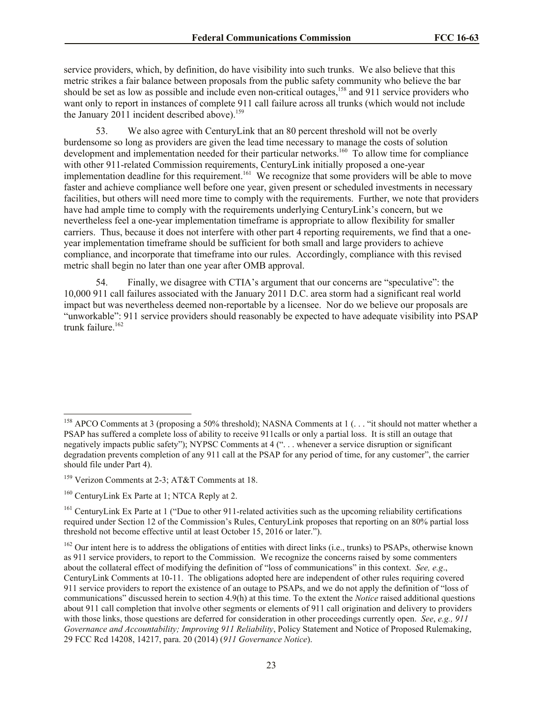service providers, which, by definition, do have visibility into such trunks. We also believe that this metric strikes a fair balance between proposals from the public safety community who believe the bar should be set as low as possible and include even non-critical outages,<sup>158</sup> and 911 service providers who want only to report in instances of complete 911 call failure across all trunks (which would not include the January 2011 incident described above).<sup>159</sup>

53. We also agree with CenturyLink that an 80 percent threshold will not be overly burdensome so long as providers are given the lead time necessary to manage the costs of solution development and implementation needed for their particular networks.<sup>160</sup> To allow time for compliance with other 911-related Commission requirements, CenturyLink initially proposed a one-year implementation deadline for this requirement.<sup>161</sup> We recognize that some providers will be able to move faster and achieve compliance well before one year, given present or scheduled investments in necessary facilities, but others will need more time to comply with the requirements. Further, we note that providers have had ample time to comply with the requirements underlying CenturyLink's concern, but we nevertheless feel a one-year implementation timeframe is appropriate to allow flexibility for smaller carriers. Thus, because it does not interfere with other part 4 reporting requirements, we find that a oneyear implementation timeframe should be sufficient for both small and large providers to achieve compliance, and incorporate that timeframe into our rules. Accordingly, compliance with this revised metric shall begin no later than one year after OMB approval.

54. Finally, we disagree with CTIA's argument that our concerns are "speculative": the 10,000 911 call failures associated with the January 2011 D.C. area storm had a significant real world impact but was nevertheless deemed non-reportable by a licensee. Nor do we believe our proposals are "unworkable": 911 service providers should reasonably be expected to have adequate visibility into PSAP trunk failure.<sup>162</sup>

l

<sup>&</sup>lt;sup>158</sup> APCO Comments at 3 (proposing a 50% threshold); NASNA Comments at 1 (... "it should not matter whether a PSAP has suffered a complete loss of ability to receive 911calls or only a partial loss. It is still an outage that negatively impacts public safety"); NYPSC Comments at 4 (". . . whenever a service disruption or significant degradation prevents completion of any 911 call at the PSAP for any period of time, for any customer", the carrier should file under Part 4).

<sup>159</sup> Verizon Comments at 2-3; AT&T Comments at 18.

<sup>&</sup>lt;sup>160</sup> CenturyLink Ex Parte at 1; NTCA Reply at 2.

<sup>&</sup>lt;sup>161</sup> CenturyLink Ex Parte at 1 ("Due to other 911-related activities such as the upcoming reliability certifications required under Section 12 of the Commission's Rules, CenturyLink proposes that reporting on an 80% partial loss threshold not become effective until at least October 15, 2016 or later.").

 $162$  Our intent here is to address the obligations of entities with direct links (i.e., trunks) to PSAPs, otherwise known as 911 service providers, to report to the Commission. We recognize the concerns raised by some commenters about the collateral effect of modifying the definition of "loss of communications" in this context. *See, e.g*., CenturyLink Comments at 10-11. The obligations adopted here are independent of other rules requiring covered 911 service providers to report the existence of an outage to PSAPs, and we do not apply the definition of "loss of communications" discussed herein to section 4.9(h) at this time. To the extent the *Notice* raised additional questions about 911 call completion that involve other segments or elements of 911 call origination and delivery to providers with those links, those questions are deferred for consideration in other proceedings currently open. *See*, *e.g., 911 Governance and Accountability; Improving 911 Reliability*, Policy Statement and Notice of Proposed Rulemaking, 29 FCC Rcd 14208, 14217, para. 20 (2014) (*911 Governance Notice*).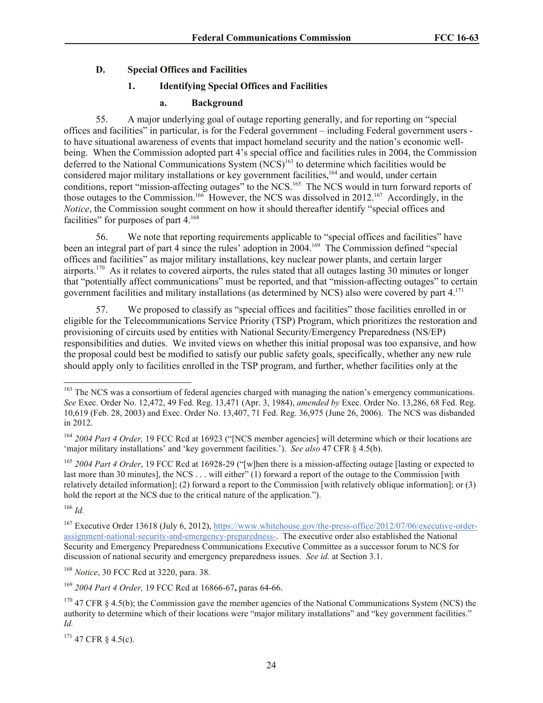# **D. Special Offices and Facilities**

# **1. Identifying Special Offices and Facilities**

#### **a. Background**

55. A major underlying goal of outage reporting generally, and for reporting on "special offices and facilities" in particular, is for the Federal government – including Federal government users to have situational awareness of events that impact homeland security and the nation's economic wellbeing. When the Commission adopted part 4's special office and facilities rules in 2004, the Commission deferred to the National Communications System (NCS)<sup>163</sup> to determine which facilities would be considered major military installations or key government facilities,<sup>164</sup> and would, under certain conditions, report "mission-affecting outages" to the NCS.<sup>165</sup> The NCS would in turn forward reports of those outages to the Commission.<sup>166</sup> However, the NCS was dissolved in 2012.<sup>167</sup> Accordingly, in the *Notice*, the Commission sought comment on how it should thereafter identify "special offices and facilities" for purposes of part 4.<sup>168</sup>

56. We note that reporting requirements applicable to "special offices and facilities" have been an integral part of part 4 since the rules' adoption in 2004.<sup>169</sup> The Commission defined "special offices and facilities" as major military installations, key nuclear power plants, and certain larger airports.<sup>170</sup> As it relates to covered airports, the rules stated that all outages lasting 30 minutes or longer that "potentially affect communications" must be reported, and that "mission-affecting outages" to certain government facilities and military installations (as determined by NCS) also were covered by part 4.<sup>171</sup>

57. We proposed to classify as "special offices and facilities" those facilities enrolled in or eligible for the Telecommunications Service Priority (TSP) Program, which prioritizes the restoration and provisioning of circuits used by entities with National Security/Emergency Preparedness (NS/EP) responsibilities and duties. We invited views on whether this initial proposal was too expansive, and how the proposal could best be modified to satisfy our public safety goals, specifically, whether any new rule should apply only to facilities enrolled in the TSP program, and further, whether facilities only at the

<sup>165</sup> *2004 Part 4 Order*, 19 FCC Rcd at 16928-29 ("[w]hen there is a mission-affecting outage [lasting or expected to last more than 30 minutes], the NCS . . . will either"  $(1)$  forward a report of the outage to the Commission [with relatively detailed information]; (2) forward a report to the Commission [with relatively oblique information]; or (3) hold the report at the NCS due to the critical nature of the application.").

<sup>166</sup> *Id.* 

 $\overline{\phantom{a}}$ 

<sup>168</sup> *Notice*, 30 FCC Rcd at 3220, para. 38.

<sup>169</sup> *2004 Part 4 Order,* 19 FCC Rcd at 16866-67**,** paras 64-66.

 $171$  47 CFR § 4.5(c).

<sup>&</sup>lt;sup>163</sup> The NCS was a consortium of federal agencies charged with managing the nation's emergency communications. *See* Exec. Order No. 12,472, 49 Fed. Reg. 13,471 (Apr. 3, 1984), *amended by* Exec. Order No. 13,286, 68 Fed. Reg. 10,619 (Feb. 28, 2003) and Exec. Order No. 13,407, 71 Fed. Reg. 36,975 (June 26, 2006). The NCS was disbanded in 2012.

<sup>164</sup> *2004 Part 4 Order,* 19 FCC Rcd at 16923 ("[NCS member agencies] will determine which or their locations are 'major military installations' and 'key government facilities.'). *See also* 47 CFR § 4.5(b).

<sup>&</sup>lt;sup>167</sup> Executive Order 13618 (July 6, 2012), https://www.whitehouse.gov/the-press-office/2012/07/06/executive-orderassignment-national-security-and-emergency-preparedness-. The executive order also established the National Security and Emergency Preparedness Communications Executive Committee as a successor forum to NCS for discussion of national security and emergency preparedness issues. *See id.* at Section 3.1.

 $170$  47 CFR § 4.5(b); the Commission gave the member agencies of the National Communications System (NCS) the authority to determine which of their locations were "major military installations" and "key government facilities." *Id.*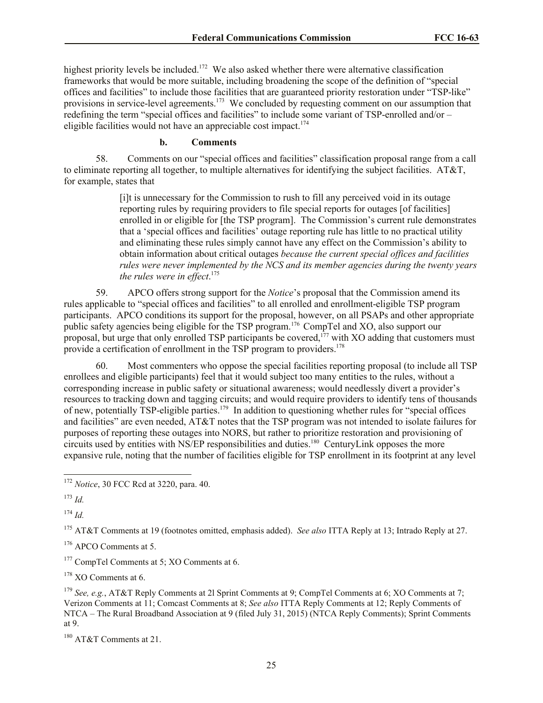highest priority levels be included.<sup>172</sup> We also asked whether there were alternative classification frameworks that would be more suitable, including broadening the scope of the definition of "special offices and facilities" to include those facilities that are guaranteed priority restoration under "TSP-like" provisions in service-level agreements.<sup>173</sup> We concluded by requesting comment on our assumption that redefining the term "special offices and facilities" to include some variant of TSP-enrolled and/or – eligible facilities would not have an appreciable cost impact.<sup>174</sup>

### **b. Comments**

58. Comments on our "special offices and facilities" classification proposal range from a call to eliminate reporting all together, to multiple alternatives for identifying the subject facilities. AT&T, for example, states that

> [i]t is unnecessary for the Commission to rush to fill any perceived void in its outage reporting rules by requiring providers to file special reports for outages [of facilities] enrolled in or eligible for [the TSP program]. The Commission's current rule demonstrates that a 'special offices and facilities' outage reporting rule has little to no practical utility and eliminating these rules simply cannot have any effect on the Commission's ability to obtain information about critical outages *because the current special offices and facilities rules were never implemented by the NCS and its member agencies during the twenty years the rules were in effect*. 175

59. APCO offers strong support for the *Notice*'s proposal that the Commission amend its rules applicable to "special offices and facilities" to all enrolled and enrollment-eligible TSP program participants. APCO conditions its support for the proposal, however, on all PSAPs and other appropriate public safety agencies being eligible for the TSP program.<sup>176</sup> CompTel and XO, also support our proposal, but urge that only enrolled TSP participants be covered,<sup>177</sup> with XO adding that customers must provide a certification of enrollment in the TSP program to providers.<sup>178</sup>

60. Most commenters who oppose the special facilities reporting proposal (to include all TSP enrollees and eligible participants) feel that it would subject too many entities to the rules, without a corresponding increase in public safety or situational awareness; would needlessly divert a provider's resources to tracking down and tagging circuits; and would require providers to identify tens of thousands of new, potentially TSP-eligible parties.<sup>179</sup> In addition to questioning whether rules for "special offices and facilities" are even needed, AT&T notes that the TSP program was not intended to isolate failures for purposes of reporting these outages into NORS, but rather to prioritize restoration and provisioning of circuits used by entities with NS/EP responsibilities and duties.<sup>180</sup> CenturyLink opposes the more expansive rule, noting that the number of facilities eligible for TSP enrollment in its footprint at any level

<sup>173</sup> *Id.*

 $\overline{a}$ 

<sup>174</sup> *Id.*

<sup>175</sup> AT&T Comments at 19 (footnotes omitted, emphasis added). *See also* ITTA Reply at 13; Intrado Reply at 27.

<sup>176</sup> APCO Comments at 5.

<sup>177</sup> CompTel Comments at 5; XO Comments at 6.

<sup>178</sup> XO Comments at 6.

<sup>179</sup> *See, e.g.*, AT&T Reply Comments at 2l Sprint Comments at 9; CompTel Comments at 6; XO Comments at 7; Verizon Comments at 11; Comcast Comments at 8; *See also* ITTA Reply Comments at 12; Reply Comments of NTCA – The Rural Broadband Association at 9 (filed July 31, 2015) (NTCA Reply Comments); Sprint Comments at 9.

<sup>180</sup> AT&T Comments at 21.

<sup>172</sup> *Notice*, 30 FCC Rcd at 3220, para. 40.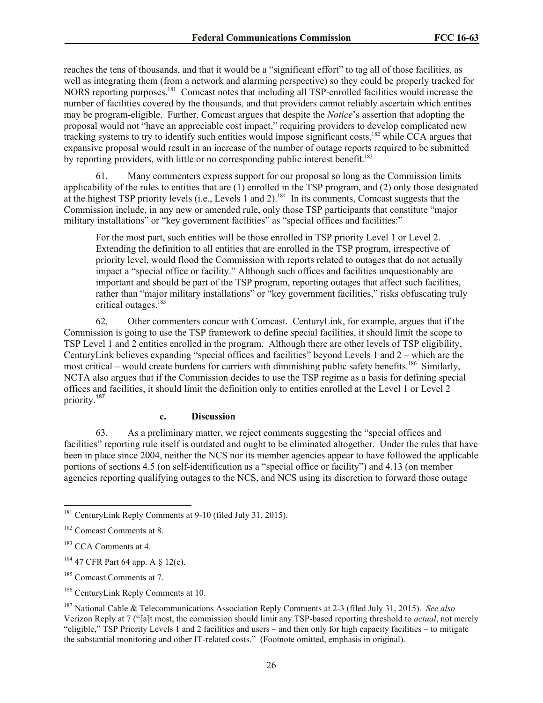reaches the tens of thousands, and that it would be a "significant effort" to tag all of those facilities, as well as integrating them (from a network and alarming perspective) so they could be properly tracked for NORS reporting purposes.<sup>181</sup> Comcast notes that including all TSP-enrolled facilities would increase the number of facilities covered by the thousands*,* and that providers cannot reliably ascertain which entities may be program-eligible. Further, Comcast argues that despite the *Notice*'s assertion that adopting the proposal would not "have an appreciable cost impact," requiring providers to develop complicated new tracking systems to try to identify such entities would impose significant costs,<sup>182</sup> while CCA argues that expansive proposal would result in an increase of the number of outage reports required to be submitted by reporting providers, with little or no corresponding public interest benefit.<sup>183</sup>

61. Many commenters express support for our proposal so long as the Commission limits applicability of the rules to entities that are (1) enrolled in the TSP program, and (2) only those designated at the highest TSP priority levels (i.e., Levels 1 and 2).<sup>184</sup> In its comments, Comcast suggests that the Commission include, in any new or amended rule, only those TSP participants that constitute "major military installations" or "key government facilities" as "special offices and facilities:"

For the most part, such entities will be those enrolled in TSP priority Level 1 or Level 2. Extending the definition to all entities that are enrolled in the TSP program, irrespective of priority level, would flood the Commission with reports related to outages that do not actually impact a "special office or facility." Although such offices and facilities unquestionably are important and should be part of the TSP program, reporting outages that affect such facilities, rather than "major military installations" or "key government facilities," risks obfuscating truly critical outages.<sup>185</sup>

62. Other commenters concur with Comcast. CenturyLink, for example, argues that if the Commission is going to use the TSP framework to define special facilities, it should limit the scope to TSP Level 1 and 2 entities enrolled in the program. Although there are other levels of TSP eligibility, CenturyLink believes expanding "special offices and facilities" beyond Levels 1 and 2 – which are the most critical – would create burdens for carriers with diminishing public safety benefits.<sup>186</sup> Similarly, NCTA also argues that if the Commission decides to use the TSP regime as a basis for defining special offices and facilities, it should limit the definition only to entities enrolled at the Level 1 or Level 2 priority. 187

#### **c. Discussion**

63. As a preliminary matter, we reject comments suggesting the "special offices and facilities" reporting rule itself is outdated and ought to be eliminated altogether. Under the rules that have been in place since 2004, neither the NCS nor its member agencies appear to have followed the applicable portions of sections 4.5 (on self-identification as a "special office or facility") and 4.13 (on member agencies reporting qualifying outages to the NCS, and NCS using its discretion to forward those outage

l

<sup>&</sup>lt;sup>181</sup> CenturyLink Reply Comments at 9-10 (filed July 31, 2015).

<sup>&</sup>lt;sup>182</sup> Comcast Comments at 8.

<sup>&</sup>lt;sup>183</sup> CCA Comments at 4.

 $184$  47 CFR Part 64 app. A  $\S$  12(c).

<sup>&</sup>lt;sup>185</sup> Comcast Comments at 7.

<sup>&</sup>lt;sup>186</sup> CenturyLink Reply Comments at 10.

<sup>187</sup> National Cable & Telecommunications Association Reply Comments at 2-3 (filed July 31, 2015). *See also* Verizon Reply at 7 ("[a]t most, the commission should limit any TSP-based reporting threshold to *actual*, not merely "eligible," TSP Priority Levels 1 and 2 facilities and users – and then only for high capacity facilities – to mitigate the substantial monitoring and other IT-related costs." (Footnote omitted, emphasis in original).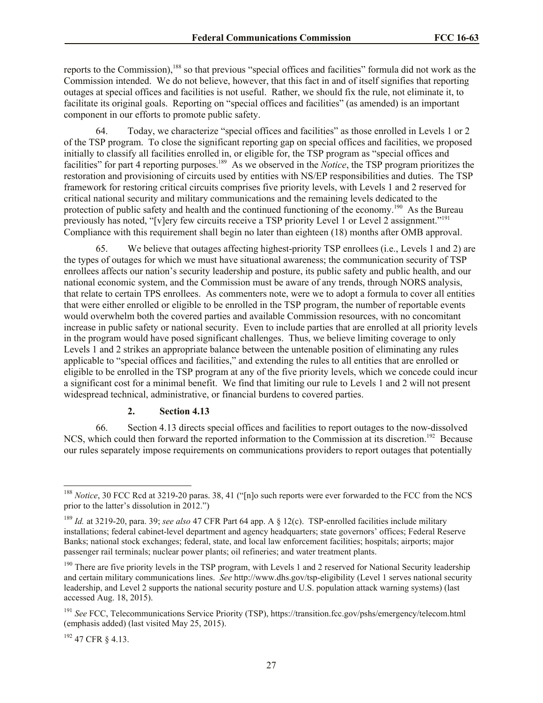reports to the Commission),<sup>188</sup> so that previous "special offices and facilities" formula did not work as the Commission intended. We do not believe, however, that this fact in and of itself signifies that reporting outages at special offices and facilities is not useful. Rather, we should fix the rule, not eliminate it, to facilitate its original goals. Reporting on "special offices and facilities" (as amended) is an important component in our efforts to promote public safety.

64. Today, we characterize "special offices and facilities" as those enrolled in Levels 1 or 2 of the TSP program. To close the significant reporting gap on special offices and facilities, we proposed initially to classify all facilities enrolled in, or eligible for, the TSP program as "special offices and facilities" for part 4 reporting purposes.<sup>189</sup> As we observed in the *Notice*, the TSP program prioritizes the restoration and provisioning of circuits used by entities with NS/EP responsibilities and duties. The TSP framework for restoring critical circuits comprises five priority levels, with Levels 1 and 2 reserved for critical national security and military communications and the remaining levels dedicated to the protection of public safety and health and the continued functioning of the economy.<sup>190</sup> As the Bureau previously has noted, "[v]ery few circuits receive a TSP priority Level 1 or Level 2 assignment."<sup>191</sup> Compliance with this requirement shall begin no later than eighteen (18) months after OMB approval.

65. We believe that outages affecting highest-priority TSP enrollees (i.e., Levels 1 and 2) are the types of outages for which we must have situational awareness; the communication security of TSP enrollees affects our nation's security leadership and posture, its public safety and public health, and our national economic system, and the Commission must be aware of any trends, through NORS analysis, that relate to certain TPS enrollees. As commenters note, were we to adopt a formula to cover all entities that were either enrolled or eligible to be enrolled in the TSP program, the number of reportable events would overwhelm both the covered parties and available Commission resources, with no concomitant increase in public safety or national security. Even to include parties that are enrolled at all priority levels in the program would have posed significant challenges. Thus, we believe limiting coverage to only Levels 1 and 2 strikes an appropriate balance between the untenable position of eliminating any rules applicable to "special offices and facilities," and extending the rules to all entities that are enrolled or eligible to be enrolled in the TSP program at any of the five priority levels, which we concede could incur a significant cost for a minimal benefit. We find that limiting our rule to Levels 1 and 2 will not present widespread technical, administrative, or financial burdens to covered parties.

#### **2. Section 4.13**

66. Section 4.13 directs special offices and facilities to report outages to the now-dissolved NCS, which could then forward the reported information to the Commission at its discretion.<sup>192</sup> Because our rules separately impose requirements on communications providers to report outages that potentially

<sup>192</sup> 47 CFR § 4.13.

l <sup>188</sup> *Notice*, 30 FCC Rcd at 3219-20 paras. 38, 41 ("[n]o such reports were ever forwarded to the FCC from the NCS prior to the latter's dissolution in 2012.")

<sup>189</sup> *Id.* at 3219-20, para. 39; *see also* 47 CFR Part 64 app. A § 12(c). TSP-enrolled facilities include military installations; federal cabinet-level department and agency headquarters; state governors' offices; Federal Reserve Banks; national stock exchanges; federal, state, and local law enforcement facilities; hospitals; airports; major passenger rail terminals; nuclear power plants; oil refineries; and water treatment plants.

 $190$  There are five priority levels in the TSP program, with Levels 1 and 2 reserved for National Security leadership and certain military communications lines. *See* http://www.dhs.gov/tsp-eligibility (Level 1 serves national security leadership, and Level 2 supports the national security posture and U.S. population attack warning systems) (last accessed Aug. 18, 2015).

<sup>191</sup> *See* FCC, Telecommunications Service Priority (TSP), https://transition.fcc.gov/pshs/emergency/telecom.html (emphasis added) (last visited May 25, 2015).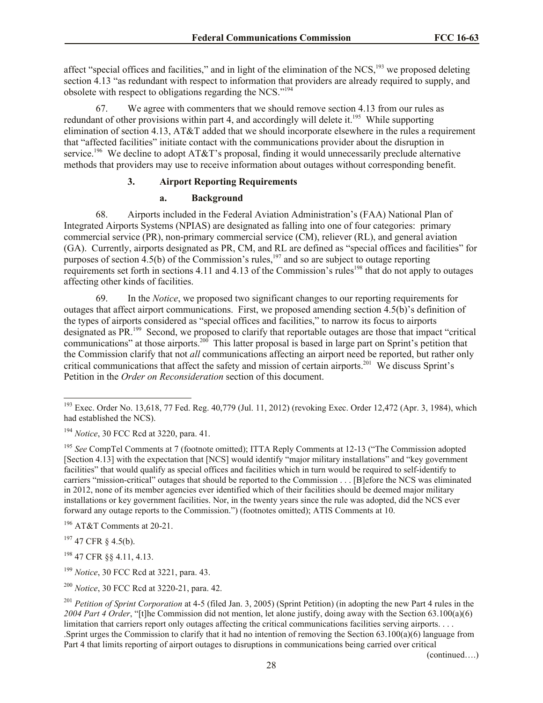affect "special offices and facilities," and in light of the elimination of the NCS,<sup>193</sup> we proposed deleting section 4.13 "as redundant with respect to information that providers are already required to supply, and obsolete with respect to obligations regarding the NCS."<sup>194</sup>

67. We agree with commenters that we should remove section 4.13 from our rules as redundant of other provisions within part 4, and accordingly will delete it.<sup>195</sup> While supporting elimination of section 4.13, AT&T added that we should incorporate elsewhere in the rules a requirement that "affected facilities" initiate contact with the communications provider about the disruption in service.<sup>196</sup> We decline to adopt AT&T's proposal, finding it would unnecessarily preclude alternative methods that providers may use to receive information about outages without corresponding benefit.

# **3. Airport Reporting Requirements**

# **a. Background**

68. Airports included in the Federal Aviation Administration's (FAA) National Plan of Integrated Airports Systems (NPIAS) are designated as falling into one of four categories: primary commercial service (PR), non-primary commercial service (CM), reliever (RL), and general aviation (GA). Currently, airports designated as PR, CM, and RL are defined as "special offices and facilities" for purposes of section  $\frac{1}{4}$ .5(b) of the Commission's rules,<sup>197</sup> and so are subject to outage reporting requirements set forth in sections 4.11 and 4.13 of the Commission's rules<sup>198</sup> that do not apply to outages affecting other kinds of facilities.

69. In the *Notice*, we proposed two significant changes to our reporting requirements for outages that affect airport communications. First, we proposed amending section 4.5(b)'s definition of the types of airports considered as "special offices and facilities," to narrow its focus to airports designated as PR.<sup>199</sup> Second, we proposed to clarify that reportable outages are those that impact "critical communications" at those airports.<sup>200</sup> This latter proposal is based in large part on Sprint's petition that the Commission clarify that not *all* communications affecting an airport need be reported, but rather only critical communications that affect the safety and mission of certain airports.<sup>201</sup> We discuss Sprint's Petition in the *Order on Reconsideration* section of this document.

<sup>196</sup> AT&T Comments at 20-21.

 $197$  47 CFR § 4.5(b).

<sup>198</sup> 47 CFR §§ 4.11, 4.13.

<sup>199</sup> *Notice*, 30 FCC Rcd at 3221, para. 43.

<sup>200</sup> *Notice*, 30 FCC Rcd at 3220-21, para. 42.

(continued….)

l <sup>193</sup> Exec. Order No. 13,618, 77 Fed. Reg. 40,779 (Jul. 11, 2012) (revoking Exec. Order 12,472 (Apr. 3, 1984), which had established the NCS).

<sup>194</sup> *Notice*, 30 FCC Rcd at 3220, para. 41.

<sup>&</sup>lt;sup>195</sup> See CompTel Comments at 7 (footnote omitted); ITTA Reply Comments at 12-13 ("The Commission adopted [Section 4.13] with the expectation that [NCS] would identify "major military installations" and "key government facilities" that would qualify as special offices and facilities which in turn would be required to self-identify to carriers "mission-critical" outages that should be reported to the Commission . . . [B]efore the NCS was eliminated in 2012, none of its member agencies ever identified which of their facilities should be deemed major military installations or key government facilities. Nor, in the twenty years since the rule was adopted, did the NCS ever forward any outage reports to the Commission.") (footnotes omitted); ATIS Comments at 10.

<sup>201</sup> *Petition of Sprint Corporation* at 4-5 (filed Jan. 3, 2005) (Sprint Petition) (in adopting the new Part 4 rules in the *2004 Part 4 Order*, "[t]he Commission did not mention, let alone justify, doing away with the Section 63.100(a)(6) limitation that carriers report only outages affecting the critical communications facilities serving airports. . . . .Sprint urges the Commission to clarify that it had no intention of removing the Section 63.100(a)(6) language from Part 4 that limits reporting of airport outages to disruptions in communications being carried over critical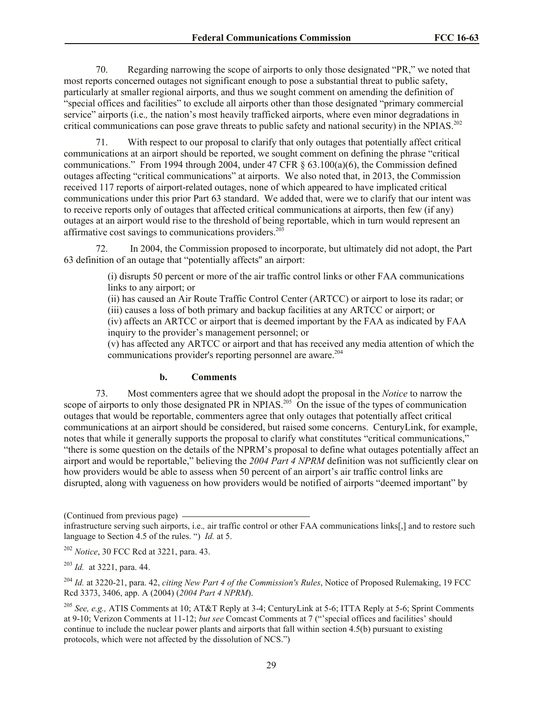70. Regarding narrowing the scope of airports to only those designated "PR," we noted that most reports concerned outages not significant enough to pose a substantial threat to public safety, particularly at smaller regional airports, and thus we sought comment on amending the definition of "special offices and facilities" to exclude all airports other than those designated "primary commercial service" airports (i.e.*,* the nation's most heavily trafficked airports, where even minor degradations in critical communications can pose grave threats to public safety and national security) in the NPIAS.<sup>202</sup>

71. With respect to our proposal to clarify that only outages that potentially affect critical communications at an airport should be reported, we sought comment on defining the phrase "critical communications." From 1994 through 2004, under 47 CFR  $\S$  63.100(a)(6), the Commission defined outages affecting "critical communications" at airports. We also noted that, in 2013, the Commission received 117 reports of airport-related outages, none of which appeared to have implicated critical communications under this prior Part 63 standard. We added that, were we to clarify that our intent was to receive reports only of outages that affected critical communications at airports, then few (if any) outages at an airport would rise to the threshold of being reportable, which in turn would represent an affirmative cost savings to communications providers. $203$ 

72. In 2004, the Commission proposed to incorporate, but ultimately did not adopt, the Part 63 definition of an outage that "potentially affects'' an airport:

> (i) disrupts 50 percent or more of the air traffic control links or other FAA communications links to any airport; or

> (ii) has caused an Air Route Traffic Control Center (ARTCC) or airport to lose its radar; or

(iii) causes a loss of both primary and backup facilities at any ARTCC or airport; or

(iv) affects an ARTCC or airport that is deemed important by the FAA as indicated by FAA inquiry to the provider's management personnel; or

(v) has affected any ARTCC or airport and that has received any media attention of which the communications provider's reporting personnel are aware.<sup>204</sup>

#### **b. Comments**

73. Most commenters agree that we should adopt the proposal in the *Notice* to narrow the scope of airports to only those designated PR in NPIAS.<sup>205</sup> On the issue of the types of communication outages that would be reportable, commenters agree that only outages that potentially affect critical communications at an airport should be considered, but raised some concerns. CenturyLink, for example, notes that while it generally supports the proposal to clarify what constitutes "critical communications," "there is some question on the details of the NPRM's proposal to define what outages potentially affect an airport and would be reportable," believing the *2004 Part 4 NPRM* definition was not sufficiently clear on how providers would be able to assess when 50 percent of an airport's air traffic control links are disrupted, along with vagueness on how providers would be notified of airports "deemed important" by

(Continued from previous page)

infrastructure serving such airports, i.e.*,* air traffic control or other FAA communications links[,] and to restore such language to Section 4.5 of the rules. ") *Id.* at 5.

<sup>202</sup> *Notice*, 30 FCC Rcd at 3221, para. 43.

<sup>203</sup> *Id.* at 3221, para. 44.

<sup>204</sup> *Id.* at 3220-21, para. 42, *citing New Part 4 of the Commission's Rules*, Notice of Proposed Rulemaking, 19 FCC Rcd 3373, 3406, app. A (2004) (*2004 Part 4 NPRM*).

<sup>205</sup> *See, e.g.,* ATIS Comments at 10; AT&T Reply at 3-4; CenturyLink at 5-6; ITTA Reply at 5-6; Sprint Comments at 9-10; Verizon Comments at 11-12; *but see* Comcast Comments at 7 ("'special offices and facilities' should continue to include the nuclear power plants and airports that fall within section 4.5(b) pursuant to existing protocols, which were not affected by the dissolution of NCS.")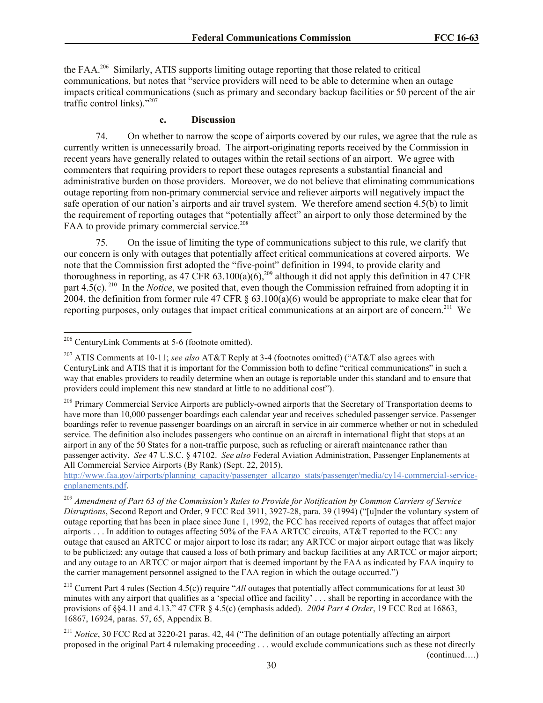the FAA.<sup>206</sup> Similarly, ATIS supports limiting outage reporting that those related to critical communications, but notes that "service providers will need to be able to determine when an outage impacts critical communications (such as primary and secondary backup facilities or 50 percent of the air traffic control links)."<sup>207</sup>

#### **c. Discussion**

74. On whether to narrow the scope of airports covered by our rules, we agree that the rule as currently written is unnecessarily broad. The airport-originating reports received by the Commission in recent years have generally related to outages within the retail sections of an airport. We agree with commenters that requiring providers to report these outages represents a substantial financial and administrative burden on those providers. Moreover, we do not believe that eliminating communications outage reporting from non-primary commercial service and reliever airports will negatively impact the safe operation of our nation's airports and air travel system. We therefore amend section 4.5(b) to limit the requirement of reporting outages that "potentially affect" an airport to only those determined by the FAA to provide primary commercial service.<sup>208</sup>

75. On the issue of limiting the type of communications subject to this rule, we clarify that our concern is only with outages that potentially affect critical communications at covered airports. We note that the Commission first adopted the "five-point" definition in 1994, to provide clarity and thoroughness in reporting, as 47 CFR 63.100(a)(6),<sup>209</sup> although it did not apply this definition in 47 CFR part 4.5(c).<sup>210</sup> In the *Notice*, we posited that, even though the Commission refrained from adopting it in 2004, the definition from former rule 47 CFR § 63.100(a)(6) would be appropriate to make clear that for reporting purposes, only outages that impact critical communications at an airport are of concern.<sup>211</sup> We

l

 $206$  CenturyLink Comments at 5-6 (footnote omitted).

<sup>207</sup> ATIS Comments at 10-11; *see also* AT&T Reply at 3-4 (footnotes omitted) ("AT&T also agrees with CenturyLink and ATIS that it is important for the Commission both to define "critical communications" in such a way that enables providers to readily determine when an outage is reportable under this standard and to ensure that providers could implement this new standard at little to no additional cost").

<sup>&</sup>lt;sup>208</sup> Primary Commercial Service Airports are publicly-owned airports that the Secretary of Transportation deems to have more than 10,000 passenger boardings each calendar year and receives scheduled passenger service. Passenger boardings refer to revenue passenger boardings on an aircraft in service in air commerce whether or not in scheduled service. The definition also includes passengers who continue on an aircraft in international flight that stops at an airport in any of the 50 States for a non-traffic purpose, such as refueling or aircraft maintenance rather than passenger activity. *See* 47 U.S.C. § 47102. *See also* Federal Aviation Administration, Passenger Enplanements at All Commercial Service Airports (By Rank) (Sept. 22, 2015),

http://www.faa.gov/airports/planning\_capacity/passenger\_allcargo\_stats/passenger/media/cy14-commercial-serviceenplanements.pdf.

<sup>209</sup> *Amendment of Part 63 of the Commission's Rules to Provide for Notification by Common Carriers of Service Disruptions*, Second Report and Order, 9 FCC Rcd 3911, 3927-28, para. 39 (1994) ("[u]nder the voluntary system of outage reporting that has been in place since June 1, 1992, the FCC has received reports of outages that affect major airports . . . In addition to outages affecting 50% of the FAA ARTCC circuits, AT&T reported to the FCC: any outage that caused an ARTCC or major airport to lose its radar; any ARTCC or major airport outage that was likely to be publicized; any outage that caused a loss of both primary and backup facilities at any ARTCC or major airport; and any outage to an ARTCC or major airport that is deemed important by the FAA as indicated by FAA inquiry to the carrier management personnel assigned to the FAA region in which the outage occurred.")

<sup>210</sup> Current Part 4 rules (Section 4.5(c)) require "*All* outages that potentially affect communications for at least 30 minutes with any airport that qualifies as a 'special office and facility' . . . shall be reporting in accordance with the provisions of §§4.11 and 4.13." 47 CFR § 4.5(c) (emphasis added). *2004 Part 4 Order*, 19 FCC Rcd at 16863, 16867, 16924, paras. 57, 65, Appendix B.

<sup>211</sup> *Notice*, 30 FCC Rcd at 3220-21 paras. 42, 44 ("The definition of an outage potentially affecting an airport proposed in the original Part 4 rulemaking proceeding . . . would exclude communications such as these not directly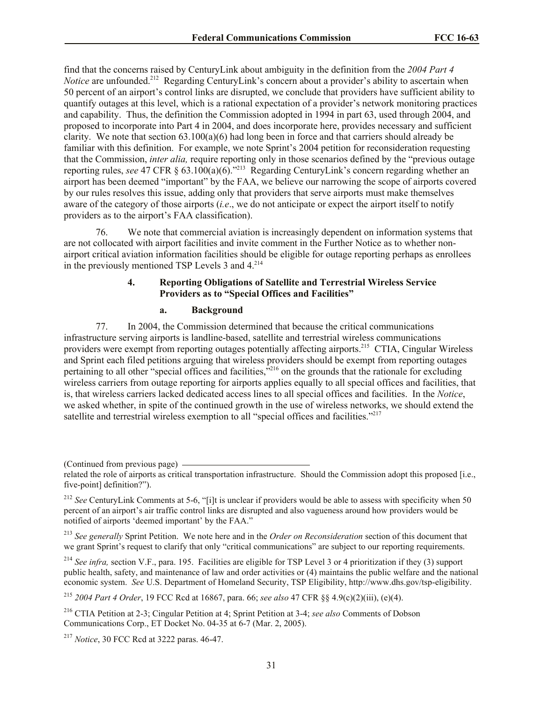find that the concerns raised by CenturyLink about ambiguity in the definition from the *2004 Part 4 Notice* are unfounded.<sup>212</sup> Regarding CenturyLink's concern about a provider's ability to ascertain when 50 percent of an airport's control links are disrupted, we conclude that providers have sufficient ability to quantify outages at this level, which is a rational expectation of a provider's network monitoring practices and capability. Thus, the definition the Commission adopted in 1994 in part 63, used through 2004, and proposed to incorporate into Part 4 in 2004, and does incorporate here, provides necessary and sufficient clarity. We note that section 63.100(a)(6) had long been in force and that carriers should already be familiar with this definition. For example, we note Sprint's 2004 petition for reconsideration requesting that the Commission, *inter alia,* require reporting only in those scenarios defined by the "previous outage reporting rules, *see* 47 CFR § 63.100(a)(6)."<sup>213</sup> Regarding CenturyLink's concern regarding whether an airport has been deemed "important" by the FAA, we believe our narrowing the scope of airports covered by our rules resolves this issue, adding only that providers that serve airports must make themselves aware of the category of those airports (*i.e*., we do not anticipate or expect the airport itself to notify providers as to the airport's FAA classification).

76. We note that commercial aviation is increasingly dependent on information systems that are not collocated with airport facilities and invite comment in the Further Notice as to whether nonairport critical aviation information facilities should be eligible for outage reporting perhaps as enrollees in the previously mentioned TSP Levels  $3$  and  $4^{214}$ .

## **4. Reporting Obligations of Satellite and Terrestrial Wireless Service Providers as to "Special Offices and Facilities"**

#### **a. Background**

77. In 2004, the Commission determined that because the critical communications infrastructure serving airports is landline-based, satellite and terrestrial wireless communications providers were exempt from reporting outages potentially affecting airports.<sup>215</sup> CTIA, Cingular Wireless and Sprint each filed petitions arguing that wireless providers should be exempt from reporting outages pertaining to all other "special offices and facilities,"<sup>216</sup> on the grounds that the rationale for excluding wireless carriers from outage reporting for airports applies equally to all special offices and facilities, that is, that wireless carriers lacked dedicated access lines to all special offices and facilities. In the *Notice*, we asked whether, in spite of the continued growth in the use of wireless networks, we should extend the satellite and terrestrial wireless exemption to all "special offices and facilities."<sup>217</sup>

(Continued from previous page)

<sup>213</sup> *See generally* Sprint Petition. We note here and in the *Order on Reconsideration* section of this document that we grant Sprint's request to clarify that only "critical communications" are subject to our reporting requirements.

<sup>214</sup> *See infra,* section V.F., para. 195. Facilities are eligible for TSP Level 3 or 4 prioritization if they (3) support public health, safety, and maintenance of law and order activities or (4) maintains the public welfare and the national economic system. *See* U.S. Department of Homeland Security, TSP Eligibility, http://www.dhs.gov/tsp-eligibility.

<sup>215</sup> *2004 Part 4 Order*, 19 FCC Rcd at 16867, para. 66; *see also* 47 CFR §§ 4.9(c)(2)(iii), (e)(4).

<sup>217</sup> *Notice*, 30 FCC Rcd at 3222 paras. 46-47.

related the role of airports as critical transportation infrastructure. Should the Commission adopt this proposed [i.e., five-point] definition?").

<sup>&</sup>lt;sup>212</sup> *See* CenturyLink Comments at 5-6, "[i]t is unclear if providers would be able to assess with specificity when 50 percent of an airport's air traffic control links are disrupted and also vagueness around how providers would be notified of airports 'deemed important' by the FAA."

<sup>216</sup> CTIA Petition at 2-3; Cingular Petition at 4; Sprint Petition at 3-4; *see also* Comments of Dobson Communications Corp., ET Docket No. 04-35 at 6-7 (Mar. 2, 2005).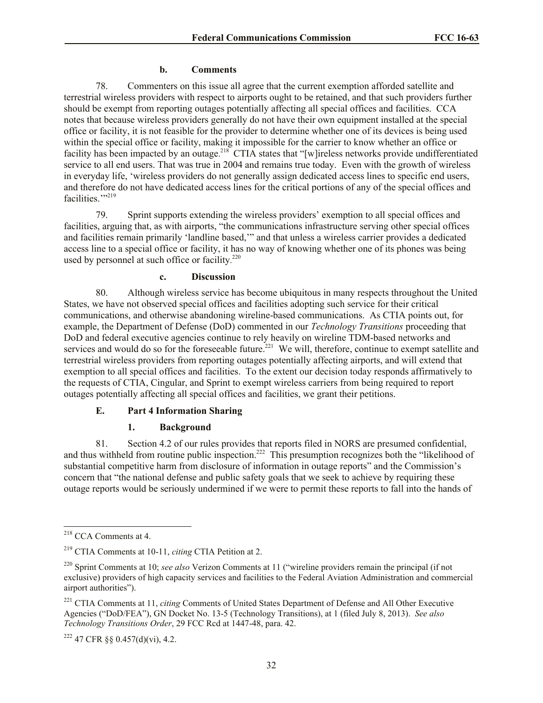### **b. Comments**

78. Commenters on this issue all agree that the current exemption afforded satellite and terrestrial wireless providers with respect to airports ought to be retained, and that such providers further should be exempt from reporting outages potentially affecting all special offices and facilities. CCA notes that because wireless providers generally do not have their own equipment installed at the special office or facility, it is not feasible for the provider to determine whether one of its devices is being used within the special office or facility, making it impossible for the carrier to know whether an office or facility has been impacted by an outage.<sup>218</sup> CTIA states that "[w]ireless networks provide undifferentiated service to all end users. That was true in 2004 and remains true today. Even with the growth of wireless in everyday life, 'wireless providers do not generally assign dedicated access lines to specific end users, and therefore do not have dedicated access lines for the critical portions of any of the special offices and facilities."<sup>219</sup>

79. Sprint supports extending the wireless providers' exemption to all special offices and facilities, arguing that, as with airports, "the communications infrastructure serving other special offices and facilities remain primarily 'landline based,'" and that unless a wireless carrier provides a dedicated access line to a special office or facility, it has no way of knowing whether one of its phones was being used by personnel at such office or facility.<sup>220</sup>

## **c. Discussion**

80. Although wireless service has become ubiquitous in many respects throughout the United States, we have not observed special offices and facilities adopting such service for their critical communications, and otherwise abandoning wireline-based communications. As CTIA points out, for example, the Department of Defense (DoD) commented in our *Technology Transitions* proceeding that DoD and federal executive agencies continue to rely heavily on wireline TDM-based networks and services and would do so for the foreseeable future.<sup>221</sup> We will, therefore, continue to exempt satellite and terrestrial wireless providers from reporting outages potentially affecting airports, and will extend that exemption to all special offices and facilities. To the extent our decision today responds affirmatively to the requests of CTIA, Cingular, and Sprint to exempt wireless carriers from being required to report outages potentially affecting all special offices and facilities, we grant their petitions.

### **E. Part 4 Information Sharing**

### **1. Background**

81. Section 4.2 of our rules provides that reports filed in NORS are presumed confidential, and thus withheld from routine public inspection.<sup>222</sup> This presumption recognizes both the "likelihood of substantial competitive harm from disclosure of information in outage reports" and the Commission's concern that "the national defense and public safety goals that we seek to achieve by requiring these outage reports would be seriously undermined if we were to permit these reports to fall into the hands of

 $\overline{\phantom{a}}$ 

 $222$  47 CFR  $\S$ § 0.457(d)(vi), 4.2.

<sup>218</sup> CCA Comments at 4.

<sup>219</sup> CTIA Comments at 10-11, *citing* CTIA Petition at 2.

<sup>220</sup> Sprint Comments at 10; *see also* Verizon Comments at 11 ("wireline providers remain the principal (if not exclusive) providers of high capacity services and facilities to the Federal Aviation Administration and commercial airport authorities").

<sup>221</sup> CTIA Comments at 11, *citing* Comments of United States Department of Defense and All Other Executive Agencies ("DoD/FEA"), GN Docket No. 13-5 (Technology Transitions), at 1 (filed July 8, 2013). *See also Technology Transitions Order*, 29 FCC Rcd at 1447-48, para. 42.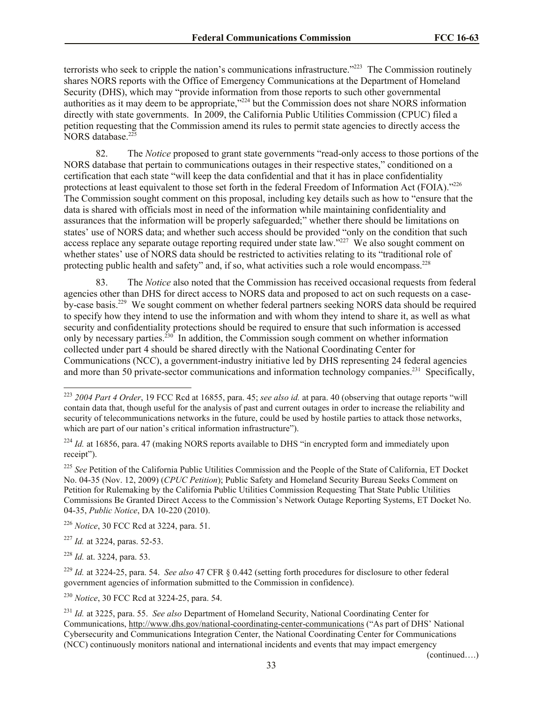terrorists who seek to cripple the nation's communications infrastructure."<sup>223</sup> The Commission routinely shares NORS reports with the Office of Emergency Communications at the Department of Homeland Security (DHS), which may "provide information from those reports to such other governmental authorities as it may deem to be appropriate,"<sup>224</sup> but the Commission does not share NORS information directly with state governments. In 2009, the California Public Utilities Commission (CPUC) filed a petition requesting that the Commission amend its rules to permit state agencies to directly access the NORS database.<sup>225</sup>

82. The *Notice* proposed to grant state governments "read-only access to those portions of the NORS database that pertain to communications outages in their respective states," conditioned on a certification that each state "will keep the data confidential and that it has in place confidentiality protections at least equivalent to those set forth in the federal Freedom of Information Act (FOIA)."226 The Commission sought comment on this proposal, including key details such as how to "ensure that the data is shared with officials most in need of the information while maintaining confidentiality and assurances that the information will be properly safeguarded;" whether there should be limitations on states' use of NORS data; and whether such access should be provided "only on the condition that such access replace any separate outage reporting required under state law."<sup>227</sup> We also sought comment on whether states' use of NORS data should be restricted to activities relating to its "traditional role of protecting public health and safety" and, if so, what activities such a role would encompass.<sup>228</sup>

83. The *Notice* also noted that the Commission has received occasional requests from federal agencies other than DHS for direct access to NORS data and proposed to act on such requests on a caseby-case basis.<sup>229</sup> We sought comment on whether federal partners seeking NORS data should be required to specify how they intend to use the information and with whom they intend to share it, as well as what security and confidentiality protections should be required to ensure that such information is accessed only by necessary parties.<sup>230</sup> In addition, the Commission sough comment on whether information collected under part 4 should be shared directly with the National Coordinating Center for Communications (NCC), a government-industry initiative led by DHS representing 24 federal agencies and more than 50 private-sector communications and information technology companies.<sup>231</sup> Specifically,

 $\overline{\phantom{a}}$ 

(continued….)

<sup>223</sup> *2004 Part 4 Order*, 19 FCC Rcd at 16855, para. 45; *see also id.* at para. 40 (observing that outage reports "will contain data that, though useful for the analysis of past and current outages in order to increase the reliability and security of telecommunications networks in the future, could be used by hostile parties to attack those networks, which are part of our nation's critical information infrastructure").

<sup>&</sup>lt;sup>224</sup> *Id.* at 16856, para. 47 (making NORS reports available to DHS "in encrypted form and immediately upon receipt").

<sup>225</sup> *See* Petition of the California Public Utilities Commission and the People of the State of California, ET Docket No. 04-35 (Nov. 12, 2009) (*CPUC Petition*); Public Safety and Homeland Security Bureau Seeks Comment on Petition for Rulemaking by the California Public Utilities Commission Requesting That State Public Utilities Commissions Be Granted Direct Access to the Commission's Network Outage Reporting Systems, ET Docket No. 04-35, *Public Notice*, DA 10-220 (2010).

<sup>226</sup> *Notice*, 30 FCC Rcd at 3224, para. 51.

<sup>227</sup> *Id.* at 3224, paras. 52-53.

<sup>228</sup> *Id.* at. 3224, para. 53.

<sup>229</sup> *Id.* at 3224-25, para. 54. *See also* 47 CFR § 0.442 (setting forth procedures for disclosure to other federal government agencies of information submitted to the Commission in confidence).

<sup>230</sup> *Notice*, 30 FCC Rcd at 3224-25, para. 54.

<sup>231</sup> *Id.* at 3225, para. 55. *See also* Department of Homeland Security, National Coordinating Center for Communications, http://www.dhs.gov/national-coordinating-center-communications ("As part of DHS' National Cybersecurity and Communications Integration Center, the National Coordinating Center for Communications (NCC) continuously monitors national and international incidents and events that may impact emergency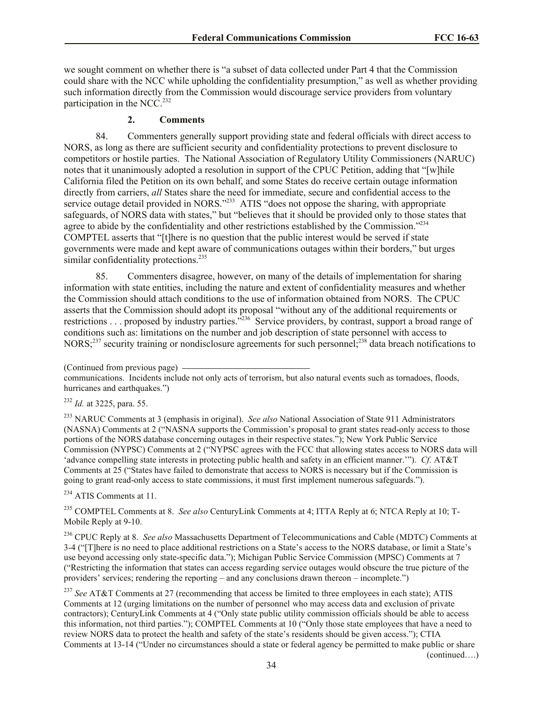we sought comment on whether there is "a subset of data collected under Part 4 that the Commission could share with the NCC while upholding the confidentiality presumption," as well as whether providing such information directly from the Commission would discourage service providers from voluntary participation in the NCC.<sup>232</sup>

#### **2. Comments**

84. Commenters generally support providing state and federal officials with direct access to NORS, as long as there are sufficient security and confidentiality protections to prevent disclosure to competitors or hostile parties. The National Association of Regulatory Utility Commissioners (NARUC) notes that it unanimously adopted a resolution in support of the CPUC Petition, adding that "[w]hile California filed the Petition on its own behalf, and some States do receive certain outage information directly from carriers, *all* States share the need for immediate, secure and confidential access to the service outage detail provided in NORS."<sup>233</sup> ATIS "does not oppose the sharing, with appropriate safeguards, of NORS data with states," but "believes that it should be provided only to those states that agree to abide by the confidentiality and other restrictions established by the Commission."<sup>234</sup> COMPTEL asserts that "[t]here is no question that the public interest would be served if state governments were made and kept aware of communications outages within their borders," but urges similar confidentiality protections.<sup>235</sup>

85. Commenters disagree, however, on many of the details of implementation for sharing information with state entities, including the nature and extent of confidentiality measures and whether the Commission should attach conditions to the use of information obtained from NORS. The CPUC asserts that the Commission should adopt its proposal "without any of the additional requirements or restrictions . . . proposed by industry parties."<sup>236</sup> Service providers, by contrast, support a broad range of conditions such as: limitations on the number and job description of state personnel with access to NORS<sup>237</sup> security training or nondisclosure agreements for such personnel;<sup>238</sup> data breach notifications to

<sup>232</sup> *Id.* at 3225, para. 55.

<sup>233</sup> NARUC Comments at 3 (emphasis in original). *See also* National Association of State 911 Administrators (NASNA) Comments at 2 ("NASNA supports the Commission's proposal to grant states read-only access to those portions of the NORS database concerning outages in their respective states."); New York Public Service Commission (NYPSC) Comments at 2 ("NYPSC agrees with the FCC that allowing states access to NORS data will 'advance compelling state interests in protecting public health and safety in an efficient manner.'"). *Cf.* AT&T Comments at 25 ("States have failed to demonstrate that access to NORS is necessary but if the Commission is going to grant read-only access to state commissions, it must first implement numerous safeguards.").

<sup>234</sup> ATIS Comments at 11.

<sup>235</sup> COMPTEL Comments at 8. *See also* CenturyLink Comments at 4; ITTA Reply at 6; NTCA Reply at 10; T-Mobile Reply at 9-10.

<sup>236</sup> CPUC Reply at 8. *See also* Massachusetts Department of Telecommunications and Cable (MDTC) Comments at 3-4 ("[T]here is no need to place additional restrictions on a State's access to the NORS database, or limit a State's use beyond accessing only state-specific data."); Michigan Public Service Commission (MPSC) Comments at 7 ("Restricting the information that states can access regarding service outages would obscure the true picture of the providers' services; rendering the reporting – and any conclusions drawn thereon – incomplete.")

<sup>237</sup> See AT&T Comments at 27 (recommending that access be limited to three employees in each state); ATIS Comments at 12 (urging limitations on the number of personnel who may access data and exclusion of private contractors); CenturyLink Comments at 4 ("Only state public utility commission officials should be able to access this information, not third parties."); COMPTEL Comments at 10 ("Only those state employees that have a need to review NORS data to protect the health and safety of the state's residents should be given access."); CTIA Comments at 13-14 ("Under no circumstances should a state or federal agency be permitted to make public or share (continued….)

<sup>(</sup>Continued from previous page)

communications. Incidents include not only acts of terrorism, but also natural events such as tornadoes, floods, hurricanes and earthquakes.")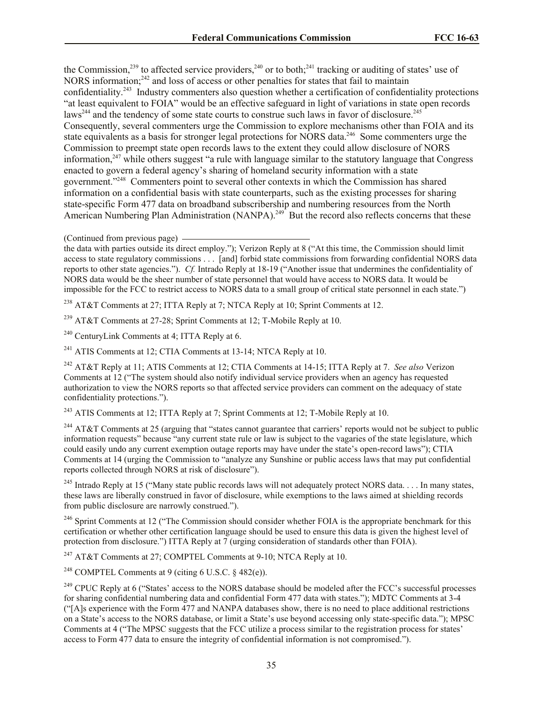the Commission,<sup>239</sup> to affected service providers,<sup>240</sup> or to both;<sup>241</sup> tracking or auditing of states' use of NORS information;<sup>242</sup> and loss of access or other penalties for states that fail to maintain confidentiality.<sup>243</sup> Industry commenters also question whether a certification of confidentiality protections "at least equivalent to FOIA" would be an effective safeguard in light of variations in state open records  $\text{laws}^{244}$  and the tendency of some state courts to construe such laws in favor of disclosure.<sup>245</sup> Consequently, several commenters urge the Commission to explore mechanisms other than FOIA and its state equivalents as a basis for stronger legal protections for NORS data.<sup>246</sup> Some commenters urge the Commission to preempt state open records laws to the extent they could allow disclosure of NORS information,<sup>247</sup> while others suggest "a rule with language similar to the statutory language that Congress enacted to govern a federal agency's sharing of homeland security information with a state government."<sup>248</sup> Commenters point to several other contexts in which the Commission has shared information on a confidential basis with state counterparts, such as the existing processes for sharing state-specific Form 477 data on broadband subscribership and numbering resources from the North American Numbering Plan Administration (NANPA).<sup>249</sup> But the record also reflects concerns that these

<sup>238</sup> AT&T Comments at 27; ITTA Reply at 7; NTCA Reply at 10; Sprint Comments at 12.

<sup>239</sup> AT&T Comments at 27-28; Sprint Comments at 12; T-Mobile Reply at 10.

<sup>240</sup> CenturyLink Comments at 4; ITTA Reply at 6.

<sup>241</sup> ATIS Comments at 12; CTIA Comments at 13-14; NTCA Reply at 10.

<sup>242</sup> AT&T Reply at 11; ATIS Comments at 12; CTIA Comments at 14-15; ITTA Reply at 7. *See also* Verizon Comments at 12 ("The system should also notify individual service providers when an agency has requested authorization to view the NORS reports so that affected service providers can comment on the adequacy of state confidentiality protections.").

<sup>243</sup> ATIS Comments at 12; ITTA Reply at 7; Sprint Comments at 12; T-Mobile Reply at 10.

<sup>244</sup> AT&T Comments at 25 (arguing that "states cannot guarantee that carriers' reports would not be subject to public information requests" because "any current state rule or law is subject to the vagaries of the state legislature, which could easily undo any current exemption outage reports may have under the state's open-record laws"); CTIA Comments at 14 (urging the Commission to "analyze any Sunshine or public access laws that may put confidential reports collected through NORS at risk of disclosure").

 $^{245}$  Intrado Reply at 15 ("Many state public records laws will not adequately protect NORS data... In many states, these laws are liberally construed in favor of disclosure, while exemptions to the laws aimed at shielding records from public disclosure are narrowly construed.").

<sup>246</sup> Sprint Comments at 12 ("The Commission should consider whether FOIA is the appropriate benchmark for this certification or whether other certification language should be used to ensure this data is given the highest level of protection from disclosure.") ITTA Reply at 7 (urging consideration of standards other than FOIA).

<sup>247</sup> AT&T Comments at 27; COMPTEL Comments at 9-10; NTCA Reply at 10.

<sup>248</sup> COMPTEL Comments at 9 (citing 6 U.S.C.  $\frac{1}{2}$  482(e)).

<sup>(</sup>Continued from previous page)

the data with parties outside its direct employ."); Verizon Reply at 8 ("At this time, the Commission should limit access to state regulatory commissions . . . [and] forbid state commissions from forwarding confidential NORS data reports to other state agencies."). *Cf.* Intrado Reply at 18-19 ("Another issue that undermines the confidentiality of NORS data would be the sheer number of state personnel that would have access to NORS data. It would be impossible for the FCC to restrict access to NORS data to a small group of critical state personnel in each state.")

 $^{249}$  CPUC Reply at 6 ("States' access to the NORS database should be modeled after the FCC's successful processes for sharing confidential numbering data and confidential Form 477 data with states."); MDTC Comments at 3-4 ("[A]s experience with the Form 477 and NANPA databases show, there is no need to place additional restrictions on a State's access to the NORS database, or limit a State's use beyond accessing only state-specific data."); MPSC Comments at 4 ("The MPSC suggests that the FCC utilize a process similar to the registration process for states' access to Form 477 data to ensure the integrity of confidential information is not compromised.").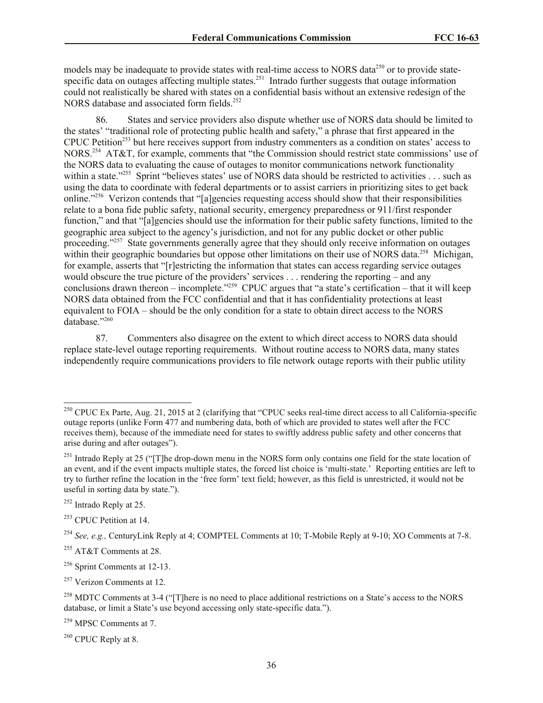models may be inadequate to provide states with real-time access to NORS data<sup>250</sup> or to provide statespecific data on outages affecting multiple states.<sup>251</sup> Intrado further suggests that outage information could not realistically be shared with states on a confidential basis without an extensive redesign of the NORS database and associated form fields.<sup>252</sup>

86. States and service providers also dispute whether use of NORS data should be limited to the states' "traditional role of protecting public health and safety," a phrase that first appeared in the CPUC Petition<sup>253</sup> but here receives support from industry commenters as a condition on states' access to NORS.<sup>254</sup> AT&T, for example, comments that "the Commission should restrict state commissions' use of the NORS data to evaluating the cause of outages to monitor communications network functionality within a state."<sup>255</sup> Sprint "believes states' use of NORS data should be restricted to activities . . . such as using the data to coordinate with federal departments or to assist carriers in prioritizing sites to get back online."<sup>256</sup> Verizon contends that "[a]gencies requesting access should show that their responsibilities relate to a bona fide public safety, national security, emergency preparedness or 911/first responder function," and that "[a]gencies should use the information for their public safety functions, limited to the geographic area subject to the agency's jurisdiction, and not for any public docket or other public proceeding."<sup>257</sup> State governments generally agree that they should only receive information on outages within their geographic boundaries but oppose other limitations on their use of NORS data.<sup>258</sup> Michigan, for example, asserts that "[r]estricting the information that states can access regarding service outages would obscure the true picture of the providers' services . . . rendering the reporting – and any conclusions drawn thereon – incomplete."<sup>259</sup> CPUC argues that "a state's certification – that it will keep NORS data obtained from the FCC confidential and that it has confidentiality protections at least equivalent to FOIA – should be the only condition for a state to obtain direct access to the NORS database."260

87. Commenters also disagree on the extent to which direct access to NORS data should replace state-level outage reporting requirements. Without routine access to NORS data, many states independently require communications providers to file network outage reports with their public utility

 $\overline{\phantom{a}}$ 

<sup>257</sup> Verizon Comments at 12.

 $^{250}$  CPUC Ex Parte, Aug. 21, 2015 at 2 (clarifying that "CPUC seeks real-time direct access to all California-specific outage reports (unlike Form 477 and numbering data, both of which are provided to states well after the FCC receives them), because of the immediate need for states to swiftly address public safety and other concerns that arise during and after outages").

<sup>&</sup>lt;sup>251</sup> Intrado Reply at 25 ("[T]he drop-down menu in the NORS form only contains one field for the state location of an event, and if the event impacts multiple states, the forced list choice is 'multi-state.' Reporting entities are left to try to further refine the location in the 'free form' text field; however, as this field is unrestricted, it would not be useful in sorting data by state.").

 $252$  Intrado Reply at 25.

 $253$  CPUC Petition at 14.

<sup>254</sup> *See, e.g.,* CenturyLink Reply at 4; COMPTEL Comments at 10; T-Mobile Reply at 9-10; XO Comments at 7-8.

<sup>255</sup> AT&T Comments at 28.

<sup>256</sup> Sprint Comments at 12-13.

<sup>&</sup>lt;sup>258</sup> MDTC Comments at 3-4 ("[T]here is no need to place additional restrictions on a State's access to the NORS database, or limit a State's use beyond accessing only state-specific data.").

<sup>259</sup> MPSC Comments at 7.

 $260$  CPUC Reply at 8.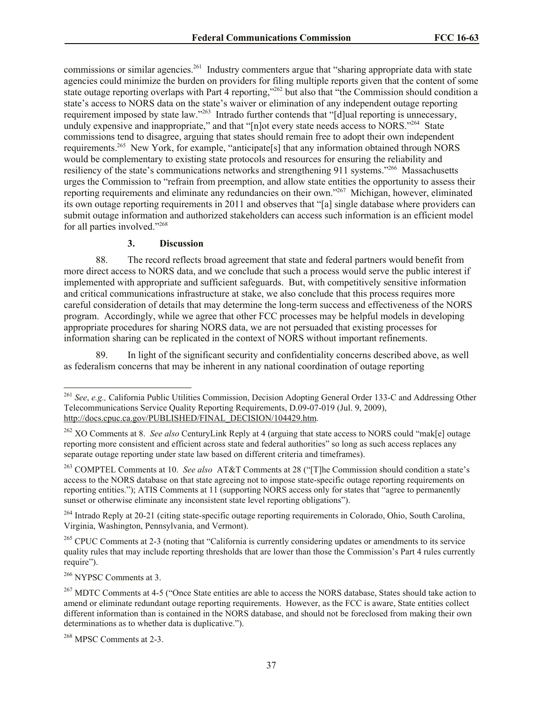commissions or similar agencies.<sup>261</sup> Industry commenters argue that "sharing appropriate data with state agencies could minimize the burden on providers for filing multiple reports given that the content of some state outage reporting overlaps with Part 4 reporting,"<sup>262</sup> but also that "the Commission should condition a state's access to NORS data on the state's waiver or elimination of any independent outage reporting requirement imposed by state law."<sup>263</sup> Intrado further contends that "[d]ual reporting is unnecessary, unduly expensive and inappropriate," and that " $[n]$  ot every state needs access to NORS."<sup>264</sup> State commissions tend to disagree, arguing that states should remain free to adopt their own independent requirements.<sup>265</sup> New York, for example, "anticipate[s] that any information obtained through NORS would be complementary to existing state protocols and resources for ensuring the reliability and resiliency of the state's communications networks and strengthening 911 systems."<sup>266</sup> Massachusetts urges the Commission to "refrain from preemption, and allow state entities the opportunity to assess their reporting requirements and eliminate any redundancies on their own."<sup>267</sup> Michigan, however, eliminated its own outage reporting requirements in 2011 and observes that "[a] single database where providers can submit outage information and authorized stakeholders can access such information is an efficient model for all parties involved."<sup>268</sup>

## **3. Discussion**

88. The record reflects broad agreement that state and federal partners would benefit from more direct access to NORS data, and we conclude that such a process would serve the public interest if implemented with appropriate and sufficient safeguards. But, with competitively sensitive information and critical communications infrastructure at stake, we also conclude that this process requires more careful consideration of details that may determine the long-term success and effectiveness of the NORS program. Accordingly, while we agree that other FCC processes may be helpful models in developing appropriate procedures for sharing NORS data, we are not persuaded that existing processes for information sharing can be replicated in the context of NORS without important refinements.

89. In light of the significant security and confidentiality concerns described above, as well as federalism concerns that may be inherent in any national coordination of outage reporting

<sup>263</sup> COMPTEL Comments at 10. *See also* AT&T Comments at 28 ("[T]he Commission should condition a state's access to the NORS database on that state agreeing not to impose state-specific outage reporting requirements on reporting entities."); ATIS Comments at 11 (supporting NORS access only for states that "agree to permanently sunset or otherwise eliminate any inconsistent state level reporting obligations").

<sup>264</sup> Intrado Reply at 20-21 (citing state-specific outage reporting requirements in Colorado, Ohio, South Carolina, Virginia, Washington, Pennsylvania, and Vermont).

<sup>265</sup> CPUC Comments at 2-3 (noting that "California is currently considering updates or amendments to its service quality rules that may include reporting thresholds that are lower than those the Commission's Part 4 rules currently require").

<sup>266</sup> NYPSC Comments at 3.

 $\overline{\phantom{a}}$ 

<sup>268</sup> MPSC Comments at 2-3.

<sup>261</sup> *See*, *e.g.,* California Public Utilities Commission, Decision Adopting General Order 133-C and Addressing Other Telecommunications Service Quality Reporting Requirements, D.09-07-019 (Jul. 9, 2009), http://docs.cpuc.ca.gov/PUBLISHED/FINAL\_DECISION/104429.htm.

<sup>262</sup> XO Comments at 8. *See also* CenturyLink Reply at 4 (arguing that state access to NORS could "mak[e] outage reporting more consistent and efficient across state and federal authorities" so long as such access replaces any separate outage reporting under state law based on different criteria and timeframes).

<sup>&</sup>lt;sup>267</sup> MDTC Comments at 4-5 ("Once State entities are able to access the NORS database, States should take action to amend or eliminate redundant outage reporting requirements. However, as the FCC is aware, State entities collect different information than is contained in the NORS database, and should not be foreclosed from making their own determinations as to whether data is duplicative.").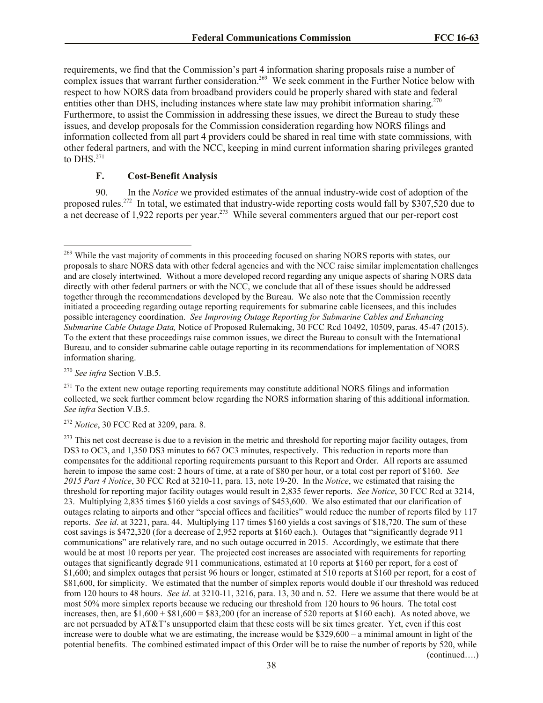requirements, we find that the Commission's part 4 information sharing proposals raise a number of complex issues that warrant further consideration.<sup>269</sup> We seek comment in the Further Notice below with respect to how NORS data from broadband providers could be properly shared with state and federal entities other than DHS, including instances where state law may prohibit information sharing.<sup>270</sup> Furthermore, to assist the Commission in addressing these issues, we direct the Bureau to study these issues, and develop proposals for the Commission consideration regarding how NORS filings and information collected from all part 4 providers could be shared in real time with state commissions, with other federal partners, and with the NCC, keeping in mind current information sharing privileges granted to DHS. $^{271}$ 

### **F. Cost-Benefit Analysis**

90. In the *Notice* we provided estimates of the annual industry-wide cost of adoption of the proposed rules.<sup>272</sup> In total, we estimated that industry-wide reporting costs would fall by \$307,520 due to a net decrease of 1,922 reports per year.<sup>273</sup> While several commenters argued that our per-report cost

<sup>270</sup> *See infra* Section V.B.5.

 $\overline{a}$ <sup>269</sup> While the vast majority of comments in this proceeding focused on sharing NORS reports with states, our proposals to share NORS data with other federal agencies and with the NCC raise similar implementation challenges and are closely intertwined. Without a more developed record regarding any unique aspects of sharing NORS data directly with other federal partners or with the NCC, we conclude that all of these issues should be addressed together through the recommendations developed by the Bureau. We also note that the Commission recently initiated a proceeding regarding outage reporting requirements for submarine cable licensees, and this includes possible interagency coordination. *See Improving Outage Reporting for Submarine Cables and Enhancing Submarine Cable Outage Data,* Notice of Proposed Rulemaking, 30 FCC Rcd 10492, 10509, paras. 45-47 (2015). To the extent that these proceedings raise common issues, we direct the Bureau to consult with the International Bureau, and to consider submarine cable outage reporting in its recommendations for implementation of NORS information sharing.

 $^{271}$  To the extent new outage reporting requirements may constitute additional NORS filings and information collected, we seek further comment below regarding the NORS information sharing of this additional information. *See infra* Section V.B.5.

<sup>272</sup> *Notice*, 30 FCC Rcd at 3209, para. 8.

 $273$  This net cost decrease is due to a revision in the metric and threshold for reporting major facility outages, from DS3 to OC3, and 1,350 DS3 minutes to 667 OC3 minutes, respectively. This reduction in reports more than compensates for the additional reporting requirements pursuant to this Report and Order. All reports are assumed herein to impose the same cost: 2 hours of time, at a rate of \$80 per hour, or a total cost per report of \$160. *See 2015 Part 4 Notice*, 30 FCC Rcd at 3210-11, para. 13, note 19-20. In the *Notice*, we estimated that raising the threshold for reporting major facility outages would result in 2,835 fewer reports. *See Notice*, 30 FCC Rcd at 3214, 23. Multiplying 2,835 times \$160 yields a cost savings of \$453,600. We also estimated that our clarification of outages relating to airports and other "special offices and facilities" would reduce the number of reports filed by 117 reports. *See id*. at 3221, para. 44. Multiplying 117 times \$160 yields a cost savings of \$18,720. The sum of these cost savings is \$472,320 (for a decrease of 2,952 reports at \$160 each.). Outages that "significantly degrade 911 communications" are relatively rare, and no such outage occurred in 2015. Accordingly, we estimate that there would be at most 10 reports per year. The projected cost increases are associated with requirements for reporting outages that significantly degrade 911 communications, estimated at 10 reports at \$160 per report, for a cost of \$1,600; and simplex outages that persist 96 hours or longer, estimated at 510 reports at \$160 per report, for a cost of \$81,600, for simplicity. We estimated that the number of simplex reports would double if our threshold was reduced from 120 hours to 48 hours. *See id*. at 3210-11, 3216, para. 13, 30 and n. 52. Here we assume that there would be at most 50% more simplex reports because we reducing our threshold from 120 hours to 96 hours. The total cost increases, then, are  $$1,600 + $81,600 = $83,200$  (for an increase of 520 reports at \$160 each). As noted above, we are not persuaded by AT&T's unsupported claim that these costs will be six times greater. Yet, even if this cost increase were to double what we are estimating, the increase would be \$329,600 – a minimal amount in light of the potential benefits. The combined estimated impact of this Order will be to raise the number of reports by 520, while (continued….)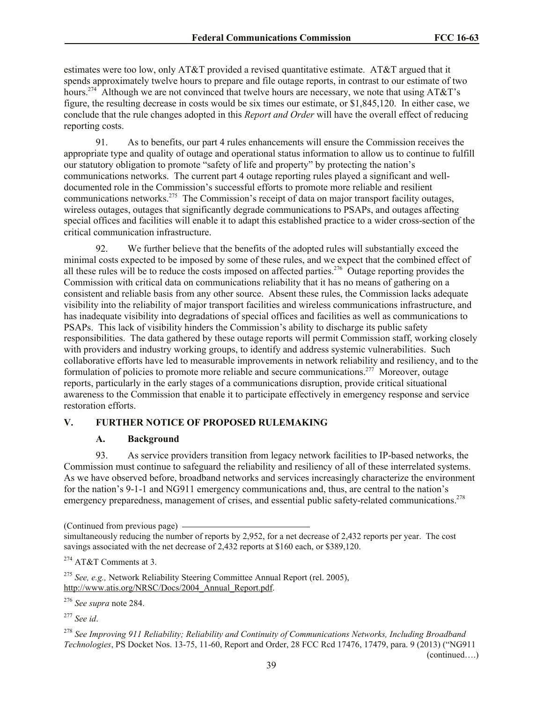estimates were too low, only AT&T provided a revised quantitative estimate. AT&T argued that it spends approximately twelve hours to prepare and file outage reports, in contrast to our estimate of two hours.<sup>274</sup> Although we are not convinced that twelve hours are necessary, we note that using AT&T's figure, the resulting decrease in costs would be six times our estimate, or \$1,845,120. In either case, we conclude that the rule changes adopted in this *Report and Order* will have the overall effect of reducing reporting costs.

91. As to benefits, our part 4 rules enhancements will ensure the Commission receives the appropriate type and quality of outage and operational status information to allow us to continue to fulfill our statutory obligation to promote "safety of life and property" by protecting the nation's communications networks. The current part 4 outage reporting rules played a significant and welldocumented role in the Commission's successful efforts to promote more reliable and resilient communications networks.<sup>275</sup> The Commission's receipt of data on major transport facility outages, wireless outages, outages that significantly degrade communications to PSAPs, and outages affecting special offices and facilities will enable it to adapt this established practice to a wider cross-section of the critical communication infrastructure.

92. We further believe that the benefits of the adopted rules will substantially exceed the minimal costs expected to be imposed by some of these rules, and we expect that the combined effect of all these rules will be to reduce the costs imposed on affected parties.<sup>276</sup> Outage reporting provides the Commission with critical data on communications reliability that it has no means of gathering on a consistent and reliable basis from any other source. Absent these rules, the Commission lacks adequate visibility into the reliability of major transport facilities and wireless communications infrastructure, and has inadequate visibility into degradations of special offices and facilities as well as communications to PSAPs. This lack of visibility hinders the Commission's ability to discharge its public safety responsibilities. The data gathered by these outage reports will permit Commission staff, working closely with providers and industry working groups, to identify and address systemic vulnerabilities. Such collaborative efforts have led to measurable improvements in network reliability and resiliency, and to the formulation of policies to promote more reliable and secure communications.<sup>277</sup> Moreover, outage reports, particularly in the early stages of a communications disruption, provide critical situational awareness to the Commission that enable it to participate effectively in emergency response and service restoration efforts.

## **V. FURTHER NOTICE OF PROPOSED RULEMAKING**

## **A. Background**

93. As service providers transition from legacy network facilities to IP-based networks, the Commission must continue to safeguard the reliability and resiliency of all of these interrelated systems. As we have observed before, broadband networks and services increasingly characterize the environment for the nation's 9-1-1 and NG911 emergency communications and, thus, are central to the nation's emergency preparedness, management of crises, and essential public safety-related communications.<sup>278</sup>

<sup>275</sup> *See, e.g.,* Network Reliability Steering Committee Annual Report (rel. 2005), http://www.atis.org/NRSC/Docs/2004\_Annual\_Report.pdf.

<sup>276</sup> *See supra* note 284.

<sup>277</sup> *See id*.

<sup>278</sup> *See Improving 911 Reliability; Reliability and Continuity of Communications Networks, Including Broadband Technologies*, PS Docket Nos. 13-75, 11-60, Report and Order, 28 FCC Rcd 17476, 17479, para. 9 (2013) ("NG911

(continued….)

<sup>(</sup>Continued from previous page)

simultaneously reducing the number of reports by 2,952, for a net decrease of 2,432 reports per year. The cost savings associated with the net decrease of 2,432 reports at \$160 each, or \$389,120.

<sup>274</sup> AT&T Comments at 3.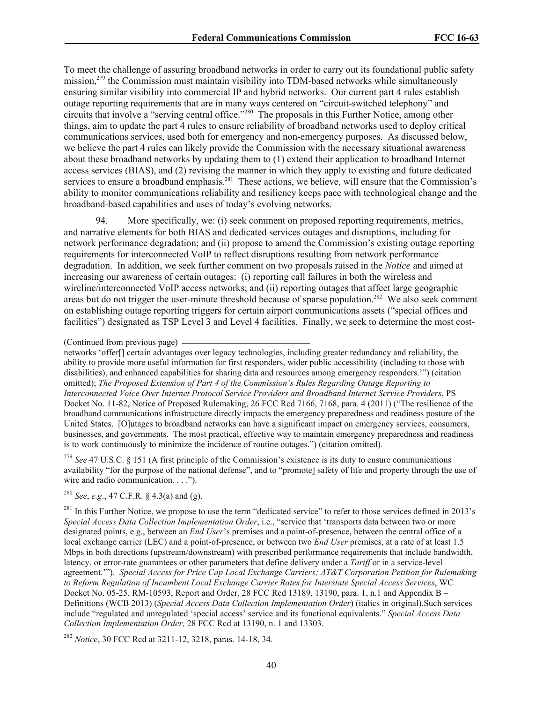To meet the challenge of assuring broadband networks in order to carry out its foundational public safety mission,<sup>279</sup> the Commission must maintain visibility into TDM-based networks while simultaneously ensuring similar visibility into commercial IP and hybrid networks. Our current part 4 rules establish outage reporting requirements that are in many ways centered on "circuit-switched telephony" and circuits that involve a "serving central office."<sup>280</sup> The proposals in this Further Notice, among other things, aim to update the part 4 rules to ensure reliability of broadband networks used to deploy critical communications services, used both for emergency and non-emergency purposes. As discussed below, we believe the part 4 rules can likely provide the Commission with the necessary situational awareness about these broadband networks by updating them to (1) extend their application to broadband Internet access services (BIAS), and (2) revising the manner in which they apply to existing and future dedicated services to ensure a broadband emphasis.<sup>281</sup> These actions, we believe, will ensure that the Commission's ability to monitor communications reliability and resiliency keeps pace with technological change and the broadband-based capabilities and uses of today's evolving networks.

94. More specifically, we: (i) seek comment on proposed reporting requirements, metrics, and narrative elements for both BIAS and dedicated services outages and disruptions, including for network performance degradation; and (ii) propose to amend the Commission's existing outage reporting requirements for interconnected VoIP to reflect disruptions resulting from network performance degradation. In addition, we seek further comment on two proposals raised in the *Notice* and aimed at increasing our awareness of certain outages: (i) reporting call failures in both the wireless and wireline/interconnected VoIP access networks; and (ii) reporting outages that affect large geographic areas but do not trigger the user-minute threshold because of sparse population.<sup>282</sup> We also seek comment on establishing outage reporting triggers for certain airport communications assets ("special offices and facilities") designated as TSP Level 3 and Level 4 facilities. Finally, we seek to determine the most cost-

<sup>279</sup> *See* 47 U.S.C. § 151 (A first principle of the Commission's existence is its duty to ensure communications availability "for the purpose of the national defense", and to "promote] safety of life and property through the use of wire and radio communication. . . .").

<sup>280</sup> *See*, *e.g*., 47 C.F.R. § 4.3(a) and (g).

 $^{281}$  In this Further Notice, we propose to use the term "dedicated service" to refer to those services defined in 2013's *Special Access Data Collection Implementation Order*, i.e., "service that 'transports data between two or more designated points, e.g., between an *End User*'s premises and a point-of-presence, between the central office of a local exchange carrier (LEC) and a point-of-presence, or between two *End User* premises, at a rate of at least 1.5 Mbps in both directions (upstream/downstream) with prescribed performance requirements that include bandwidth, latency, or error-rate guarantees or other parameters that define delivery under a *Tariff* or in a service-level agreement.'"). *Special Access for Price Cap Local Exchange Carriers; AT&T Corporation Petition for Rulemaking to Reform Regulation of Incumbent Local Exchange Carrier Rates for Interstate Special Access Services*, WC Docket No. 05-25, RM-10593, Report and Order, 28 FCC Rcd 13189, 13190, para. 1, n.1 and Appendix B – Definitions (WCB 2013) (*Special Access Data Collection Implementation Order*) (italics in original).Such services include "regulated and unregulated 'special access' service and its functional equivalents." *Special Access Data Collection Implementation Order,* 28 FCC Rcd at 13190, n. 1 and 13303.

<sup>282</sup> *Notice*, 30 FCC Rcd at 3211-12, 3218, paras. 14-18, 34.

<sup>(</sup>Continued from previous page)

networks 'offer[] certain advantages over legacy technologies, including greater redundancy and reliability, the ability to provide more useful information for first responders, wider public accessibility (including to those with disabilities), and enhanced capabilities for sharing data and resources among emergency responders.'") (citation omitted); *The Proposed Extension of Part 4 of the Commission's Rules Regarding Outage Reporting to Interconnected Voice Over Internet Protocol Service Providers and Broadband Internet Service Providers*, PS Docket No. 11-82, Notice of Proposed Rulemaking, 26 FCC Rcd 7166, 7168, para. 4 (2011) ("The resilience of the broadband communications infrastructure directly impacts the emergency preparedness and readiness posture of the United States. [O]utages to broadband networks can have a significant impact on emergency services, consumers, businesses, and governments. The most practical, effective way to maintain emergency preparedness and readiness is to work continuously to minimize the incidence of routine outages.") (citation omitted).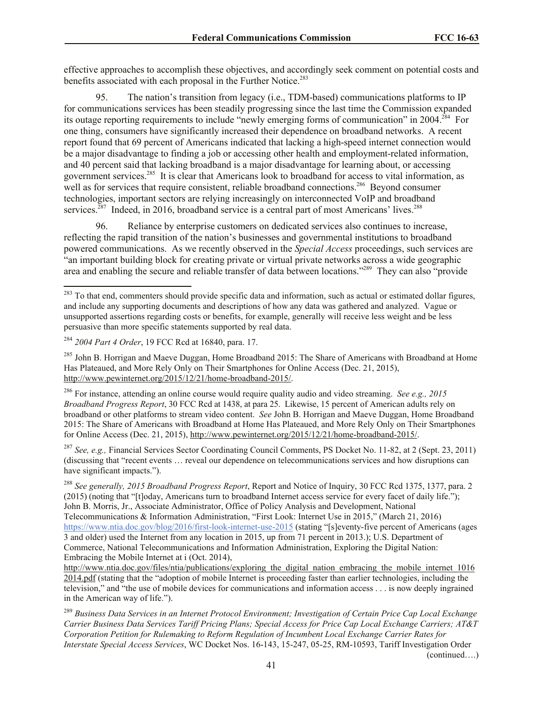effective approaches to accomplish these objectives, and accordingly seek comment on potential costs and benefits associated with each proposal in the Further Notice.<sup>283</sup>

95. The nation's transition from legacy (i.e., TDM-based) communications platforms to IP for communications services has been steadily progressing since the last time the Commission expanded its outage reporting requirements to include "newly emerging forms of communication" in 2004.<sup>284</sup> For one thing, consumers have significantly increased their dependence on broadband networks. A recent report found that 69 percent of Americans indicated that lacking a high-speed internet connection would be a major disadvantage to finding a job or accessing other health and employment-related information, and 40 percent said that lacking broadband is a major disadvantage for learning about, or accessing government services.<sup>285</sup> It is clear that Americans look to broadband for access to vital information, as well as for services that require consistent, reliable broadband connections.<sup>286</sup> Beyond consumer technologies, important sectors are relying increasingly on interconnected VoIP and broadband services.<sup>287</sup> Indeed, in 2016, broadband service is a central part of most Americans' lives.<sup>288</sup>

96. Reliance by enterprise customers on dedicated services also continues to increase, reflecting the rapid transition of the nation's businesses and governmental institutions to broadband powered communications. As we recently observed in the *Special Access* proceedings, such services are "an important building block for creating private or virtual private networks across a wide geographic area and enabling the secure and reliable transfer of data between locations."<sup>289</sup> They can also "provide

 $\overline{a}$ 

<sup>285</sup> John B. Horrigan and Maeve Duggan, Home Broadband 2015: The Share of Americans with Broadband at Home Has Plateaued, and More Rely Only on Their Smartphones for Online Access (Dec. 21, 2015), http://www.pewinternet.org/2015/12/21/home-broadband-2015/.

<sup>286</sup> For instance, attending an online course would require quality audio and video streaming. *See e.g., 2015 Broadband Progress Report*, 30 FCC Rcd at 1438, at para 25. Likewise, 15 percent of American adults rely on broadband or other platforms to stream video content. *See* John B. Horrigan and Maeve Duggan, Home Broadband 2015: The Share of Americans with Broadband at Home Has Plateaued, and More Rely Only on Their Smartphones for Online Access (Dec. 21, 2015), http://www.pewinternet.org/2015/12/21/home-broadband-2015/.

<sup>287</sup> *See, e.g.,* Financial Services Sector Coordinating Council Comments, PS Docket No. 11-82, at 2 (Sept. 23, 2011) (discussing that "recent events … reveal our dependence on telecommunications services and how disruptions can have significant impacts.").

<sup>288</sup> *See generally, 2015 Broadband Progress Report*, Report and Notice of Inquiry, 30 FCC Rcd 1375, 1377, para. 2 (2015) (noting that "[t]oday, Americans turn to broadband Internet access service for every facet of daily life."); John B. Morris, Jr., Associate Administrator, Office of Policy Analysis and Development, National Telecommunications & Information Administration, "First Look: Internet Use in 2015," (March 21, 2016) https://www.ntia.doc.gov/blog/2016/first-look-internet-use-2015 (stating "[s]eventy-five percent of Americans (ages 3 and older) used the Internet from any location in 2015, up from 71 percent in 2013.); U.S. Department of Commerce, National Telecommunications and Information Administration, Exploring the Digital Nation: Embracing the Mobile Internet at i (Oct. 2014),

http://www.ntia.doc.gov/files/ntia/publications/exploring the digital nation embracing the mobile internet 1016 2014.pdf (stating that the "adoption of mobile Internet is proceeding faster than earlier technologies, including the television," and "the use of mobile devices for communications and information access . . . is now deeply ingrained in the American way of life.").

<sup>289</sup> *Business Data Services in an Internet Protocol Environment; Investigation of Certain Price Cap Local Exchange Carrier Business Data Services Tariff Pricing Plans; Special Access for Price Cap Local Exchange Carriers; AT&T Corporation Petition for Rulemaking to Reform Regulation of Incumbent Local Exchange Carrier Rates for Interstate Special Access Services*, WC Docket Nos. 16-143, 15-247, 05-25, RM-10593, Tariff Investigation Order

(continued….)

<sup>&</sup>lt;sup>283</sup> To that end, commenters should provide specific data and information, such as actual or estimated dollar figures, and include any supporting documents and descriptions of how any data was gathered and analyzed. Vague or unsupported assertions regarding costs or benefits, for example, generally will receive less weight and be less persuasive than more specific statements supported by real data.

<sup>284</sup> *2004 Part 4 Order*, 19 FCC Rcd at 16840, para. 17.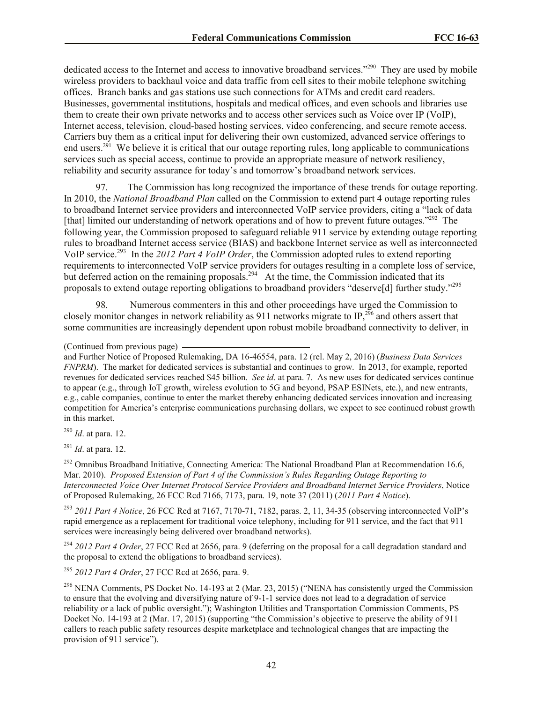dedicated access to the Internet and access to innovative broadband services."<sup>290</sup> They are used by mobile wireless providers to backhaul voice and data traffic from cell sites to their mobile telephone switching offices. Branch banks and gas stations use such connections for ATMs and credit card readers. Businesses, governmental institutions, hospitals and medical offices, and even schools and libraries use them to create their own private networks and to access other services such as Voice over IP (VoIP), Internet access, television, cloud-based hosting services, video conferencing, and secure remote access. Carriers buy them as a critical input for delivering their own customized, advanced service offerings to end users.<sup>291</sup> We believe it is critical that our outage reporting rules, long applicable to communications services such as special access, continue to provide an appropriate measure of network resiliency, reliability and security assurance for today's and tomorrow's broadband network services.

97. The Commission has long recognized the importance of these trends for outage reporting. In 2010, the *National Broadband Plan* called on the Commission to extend part 4 outage reporting rules to broadband Internet service providers and interconnected VoIP service providers, citing a "lack of data [that] limited our understanding of network operations and of how to prevent future outages."<sup>292</sup> The following year, the Commission proposed to safeguard reliable 911 service by extending outage reporting rules to broadband Internet access service (BIAS) and backbone Internet service as well as interconnected VoIP service.<sup>293</sup> In the 2012 Part 4 VoIP Order, the Commission adopted rules to extend reporting requirements to interconnected VoIP service providers for outages resulting in a complete loss of service, but deferred action on the remaining proposals.<sup>294</sup> At the time, the Commission indicated that its proposals to extend outage reporting obligations to broadband providers "deserve[d] further study."<sup>295</sup>

98. Numerous commenters in this and other proceedings have urged the Commission to closely monitor changes in network reliability as 911 networks migrate to IP,<sup>296</sup> and others assert that some communities are increasingly dependent upon robust mobile broadband connectivity to deliver, in

#### (Continued from previous page)

and Further Notice of Proposed Rulemaking, DA 16-46554, para. 12 (rel. May 2, 2016) (*Business Data Services FNPRM*). The market for dedicated services is substantial and continues to grow. In 2013, for example, reported revenues for dedicated services reached \$45 billion. *See id*. at para. 7. As new uses for dedicated services continue to appear (e.g., through IoT growth, wireless evolution to 5G and beyond, PSAP ESINets, etc.), and new entrants, e.g., cable companies, continue to enter the market thereby enhancing dedicated services innovation and increasing competition for America's enterprise communications purchasing dollars, we expect to see continued robust growth in this market.

<sup>290</sup> *Id*. at para. 12.

<sup>291</sup> *Id*. at para. 12.

 $292$  Omnibus Broadband Initiative, Connecting America: The National Broadband Plan at Recommendation 16.6, Mar. 2010). *Proposed Extension of Part 4 of the Commission's Rules Regarding Outage Reporting to Interconnected Voice Over Internet Protocol Service Providers and Broadband Internet Service Providers*, Notice of Proposed Rulemaking, 26 FCC Rcd 7166, 7173, para. 19, note 37 (2011) (*2011 Part 4 Notice*).

<sup>293</sup> *2011 Part 4 Notice*, 26 FCC Rcd at 7167, 7170-71, 7182, paras. 2, 11, 34-35 (observing interconnected VoIP's rapid emergence as a replacement for traditional voice telephony, including for 911 service, and the fact that 911 services were increasingly being delivered over broadband networks).

<sup>294</sup> 2012 Part 4 Order, 27 FCC Rcd at 2656, para. 9 (deferring on the proposal for a call degradation standard and the proposal to extend the obligations to broadband services).

<sup>295</sup> *2012 Part 4 Order*, 27 FCC Rcd at 2656, para. 9.

<sup>296</sup> NENA Comments, PS Docket No. 14-193 at 2 (Mar. 23, 2015) ("NENA has consistently urged the Commission to ensure that the evolving and diversifying nature of 9-1-1 service does not lead to a degradation of service reliability or a lack of public oversight."); Washington Utilities and Transportation Commission Comments, PS Docket No. 14-193 at 2 (Mar. 17, 2015) (supporting "the Commission's objective to preserve the ability of 911 callers to reach public safety resources despite marketplace and technological changes that are impacting the provision of 911 service").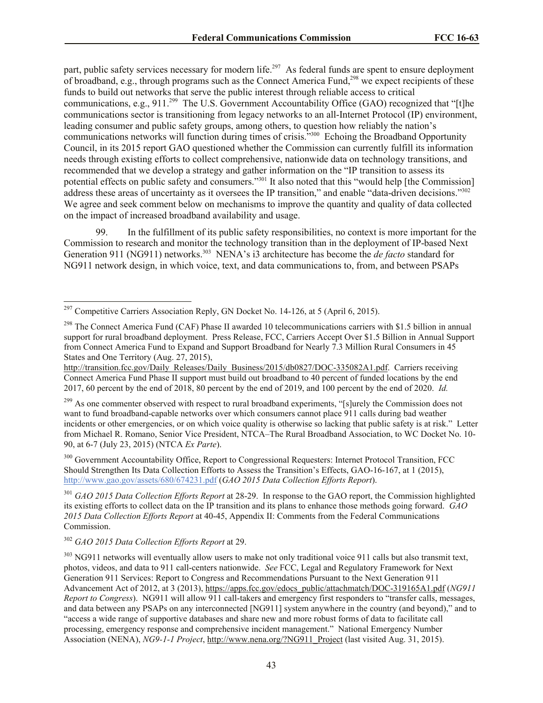part, public safety services necessary for modern life.<sup>297</sup> As federal funds are spent to ensure deployment of broadband, e.g., through programs such as the Connect America Fund,<sup>298</sup> we expect recipients of these funds to build out networks that serve the public interest through reliable access to critical communications, e.g., 911.<sup>299</sup> The U.S. Government Accountability Office (GAO) recognized that "[t]he communications sector is transitioning from legacy networks to an all-Internet Protocol (IP) environment, leading consumer and public safety groups, among others, to question how reliably the nation's communications networks will function during times of crisis."<sup>300</sup> Echoing the Broadband Opportunity Council, in its 2015 report GAO questioned whether the Commission can currently fulfill its information needs through existing efforts to collect comprehensive, nationwide data on technology transitions, and recommended that we develop a strategy and gather information on the "IP transition to assess its potential effects on public safety and consumers."<sup>301</sup> It also noted that this "would help [the Commission] address these areas of uncertainty as it oversees the IP transition," and enable "data-driven decisions."<sup>302</sup> We agree and seek comment below on mechanisms to improve the quantity and quality of data collected on the impact of increased broadband availability and usage.

99. In the fulfillment of its public safety responsibilities, no context is more important for the Commission to research and monitor the technology transition than in the deployment of IP-based Next Generation 911 (NG911) networks. 303 NENA's i3 architecture has become the *de facto* standard for NG911 network design, in which voice, text, and data communications to, from, and between PSAPs

<sup>299</sup> As one commenter observed with respect to rural broadband experiments, "[s]urely the Commission does not want to fund broadband-capable networks over which consumers cannot place 911 calls during bad weather incidents or other emergencies, or on which voice quality is otherwise so lacking that public safety is at risk." Letter from Michael R. Romano, Senior Vice President, NTCA–The Rural Broadband Association, to WC Docket No. 10- 90, at 6-7 (July 23, 2015) (NTCA *Ex Parte*).

<sup>300</sup> Government Accountability Office, Report to Congressional Requesters: Internet Protocol Transition, FCC Should Strengthen Its Data Collection Efforts to Assess the Transition's Effects, GAO-16-167, at 1 (2015), http://www.gao.gov/assets/680/674231.pdf (*GAO 2015 Data Collection Efforts Report*).

<sup>301</sup> *GAO 2015 Data Collection Efforts Report* at 28-29. In response to the GAO report, the Commission highlighted its existing efforts to collect data on the IP transition and its plans to enhance those methods going forward. *GAO 2015 Data Collection Efforts Report* at 40-45, Appendix II: Comments from the Federal Communications Commission.

## <sup>302</sup> *GAO 2015 Data Collection Efforts Report* at 29.

 $\overline{\phantom{a}}$ 

<sup>&</sup>lt;sup>297</sup> Competitive Carriers Association Reply, GN Docket No. 14-126, at 5 (April 6, 2015).

<sup>&</sup>lt;sup>298</sup> The Connect America Fund (CAF) Phase II awarded 10 telecommunications carriers with \$1.5 billion in annual support for rural broadband deployment. Press Release, FCC, Carriers Accept Over \$1.5 Billion in Annual Support from Connect America Fund to Expand and Support Broadband for Nearly 7.3 Million Rural Consumers in 45 States and One Territory (Aug. 27, 2015),

http://transition.fcc.gov/Daily\_Releases/Daily\_Business/2015/db0827/DOC-335082A1.pdf. Carriers receiving Connect America Fund Phase II support must build out broadband to 40 percent of funded locations by the end 2017, 60 percent by the end of 2018, 80 percent by the end of 2019, and 100 percent by the end of 2020. *Id.*

<sup>&</sup>lt;sup>303</sup> NG911 networks will eventually allow users to make not only traditional voice 911 calls but also transmit text, photos, videos, and data to 911 call-centers nationwide. *See* FCC, Legal and Regulatory Framework for Next Generation 911 Services: Report to Congress and Recommendations Pursuant to the Next Generation 911 Advancement Act of 2012, at 3 (2013), https://apps.fcc.gov/edocs\_public/attachmatch/DOC-319165A1.pdf (*NG911 Report to Congress*). NG911 will allow 911 call-takers and emergency first responders to "transfer calls, messages, and data between any PSAPs on any interconnected [NG911] system anywhere in the country (and beyond)," and to "access a wide range of supportive databases and share new and more robust forms of data to facilitate call processing, emergency response and comprehensive incident management." National Emergency Number Association (NENA), *NG9-1-1 Project*, http://www.nena.org/?NG911\_Project (last visited Aug. 31, 2015).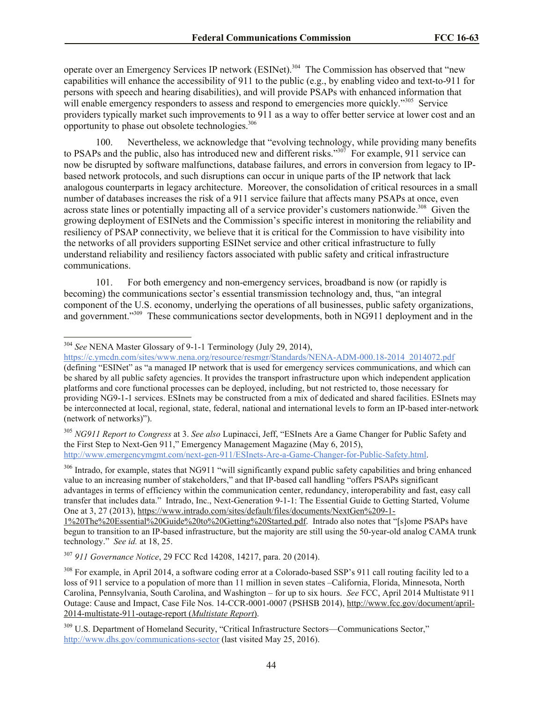operate over an Emergency Services IP network (ESINet).<sup>304</sup> The Commission has observed that "new capabilities will enhance the accessibility of 911 to the public (e.g., by enabling video and text-to-911 for persons with speech and hearing disabilities), and will provide PSAPs with enhanced information that will enable emergency responders to assess and respond to emergencies more quickly."<sup>305</sup> Service providers typically market such improvements to 911 as a way to offer better service at lower cost and an opportunity to phase out obsolete technologies.<sup>306</sup>

100. Nevertheless, we acknowledge that "evolving technology, while providing many benefits to PSAPs and the public, also has introduced new and different risks."<sup>307</sup> For example, 911 service can now be disrupted by software malfunctions, database failures, and errors in conversion from legacy to IPbased network protocols, and such disruptions can occur in unique parts of the IP network that lack analogous counterparts in legacy architecture. Moreover, the consolidation of critical resources in a small number of databases increases the risk of a 911 service failure that affects many PSAPs at once, even across state lines or potentially impacting all of a service provider's customers nationwide.<sup>308</sup> Given the growing deployment of ESINets and the Commission's specific interest in monitoring the reliability and resiliency of PSAP connectivity, we believe that it is critical for the Commission to have visibility into the networks of all providers supporting ESINet service and other critical infrastructure to fully understand reliability and resiliency factors associated with public safety and critical infrastructure communications.

101. For both emergency and non-emergency services, broadband is now (or rapidly is becoming) the communications sector's essential transmission technology and, thus, "an integral component of the U.S. economy, underlying the operations of all businesses, public safety organizations, and government."<sup>309</sup> These communications sector developments, both in NG911 deployment and in the

 $\overline{\phantom{a}}$ 

https://c.ymcdn.com/sites/www.nena.org/resource/resmgr/Standards/NENA-ADM-000.18-2014\_2014072.pdf (defining "ESINet" as "a managed IP network that is used for emergency services communications, and which can be shared by all public safety agencies. It provides the transport infrastructure upon which independent application platforms and core functional processes can be deployed, including, but not restricted to, those necessary for providing NG9-1-1 services. ESInets may be constructed from a mix of dedicated and shared facilities. ESInets may be interconnected at local, regional, state, federal, national and international levels to form an IP-based inter-network (network of networks)").

<sup>305</sup> *NG911 Report to Congress* at 3. *See also* Lupinacci, Jeff, "ESInets Are a Game Changer for Public Safety and the First Step to Next-Gen 911," Emergency Management Magazine (May 6, 2015), http://www.emergencymgmt.com/next-gen-911/ESInets-Are-a-Game-Changer-for-Public-Safety.html.

<sup>306</sup> Intrado, for example, states that NG911 "will significantly expand public safety capabilities and bring enhanced value to an increasing number of stakeholders," and that IP-based call handling "offers PSAPs significant advantages in terms of efficiency within the communication center, redundancy, interoperability and fast, easy call transfer that includes data." Intrado, Inc., Next-Generation 9-1-1: The Essential Guide to Getting Started, Volume One at 3, 27 (2013), https://www.intrado.com/sites/default/files/documents/NextGen%209-1-

1%20The%20Essential%20Guide%20to%20Getting%20Started.pdf. Intrado also notes that "[s]ome PSAPs have begun to transition to an IP-based infrastructure, but the majority are still using the 50-year-old analog CAMA trunk technology." *See id.* at 18, 25.

<sup>307</sup> *911 Governance Notice*, 29 FCC Rcd 14208, 14217, para. 20 (2014).

<sup>308</sup> For example, in April 2014, a software coding error at a Colorado-based SSP's 911 call routing facility led to a loss of 911 service to a population of more than 11 million in seven states –California, Florida, Minnesota, North Carolina, Pennsylvania, South Carolina, and Washington – for up to six hours. *See* FCC, April 2014 Multistate 911 Outage: Cause and Impact, Case File Nos. 14-CCR-0001-0007 (PSHSB 2014), http://www.fcc.gov/document/april-2014-multistate-911-outage-report (*Multistate Report*).

<sup>309</sup> U.S. Department of Homeland Security, "Critical Infrastructure Sectors—Communications Sector," http://www.dhs.gov/communications-sector (last visited May 25, 2016).

<sup>304</sup> *See* NENA Master Glossary of 9-1-1 Terminology (July 29, 2014),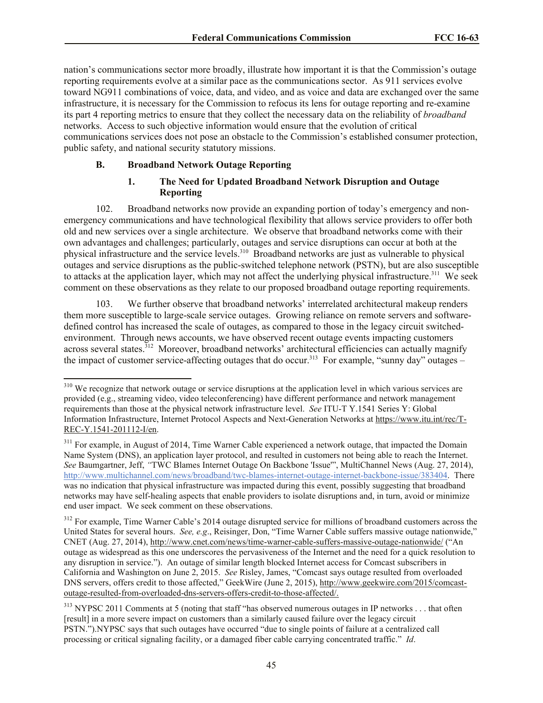nation's communications sector more broadly, illustrate how important it is that the Commission's outage reporting requirements evolve at a similar pace as the communications sector. As 911 services evolve toward NG911 combinations of voice, data, and video, and as voice and data are exchanged over the same infrastructure, it is necessary for the Commission to refocus its lens for outage reporting and re-examine its part 4 reporting metrics to ensure that they collect the necessary data on the reliability of *broadband* networks. Access to such objective information would ensure that the evolution of critical communications services does not pose an obstacle to the Commission's established consumer protection, public safety, and national security statutory missions.

#### **B. Broadband Network Outage Reporting**

 $\overline{\phantom{a}}$ 

## **1. The Need for Updated Broadband Network Disruption and Outage Reporting**

102. Broadband networks now provide an expanding portion of today's emergency and nonemergency communications and have technological flexibility that allows service providers to offer both old and new services over a single architecture. We observe that broadband networks come with their own advantages and challenges; particularly, outages and service disruptions can occur at both at the physical infrastructure and the service levels.<sup>310</sup> Broadband networks are just as vulnerable to physical outages and service disruptions as the public-switched telephone network (PSTN), but are also susceptible to attacks at the application layer, which may not affect the underlying physical infrastructure.<sup>311</sup> We seek comment on these observations as they relate to our proposed broadband outage reporting requirements.

103. We further observe that broadband networks' interrelated architectural makeup renders them more susceptible to large-scale service outages. Growing reliance on remote servers and softwaredefined control has increased the scale of outages, as compared to those in the legacy circuit switchedenvironment. Through news accounts, we have observed recent outage events impacting customers across several states.<sup>312</sup> Moreover, broadband networks' architectural efficiencies can actually magnify the impact of customer service-affecting outages that do occur.<sup>313</sup> For example, "sunny day" outages –

 $310$  We recognize that network outage or service disruptions at the application level in which various services are provided (e.g., streaming video, video teleconferencing) have different performance and network management requirements than those at the physical network infrastructure level. *See* ITU-T Y.1541 Series Y: Global Information Infrastructure, Internet Protocol Aspects and Next-Generation Networks at https://www.itu.int/rec/T-REC-Y.1541-201112-I/en.

<sup>&</sup>lt;sup>311</sup> For example, in August of 2014, Time Warner Cable experienced a network outage, that impacted the Domain Name System (DNS), an application layer protocol, and resulted in customers not being able to reach the Internet. *See* Baumgartner, Jeff, *"*TWC Blames Internet Outage On Backbone 'Issue'", MultiChannel News (Aug. 27, 2014), http://www.multichannel.com/news/broadband/twc-blames-internet-outage-internet-backbone-issue/383404. There was no indication that physical infrastructure was impacted during this event, possibly suggesting that broadband networks may have self-healing aspects that enable providers to isolate disruptions and, in turn, avoid or minimize end user impact. We seek comment on these observations.

<sup>&</sup>lt;sup>312</sup> For example, Time Warner Cable's 2014 outage disrupted service for millions of broadband customers across the United States for several hours. *See, e.g*., Reisinger, Don, "Time Warner Cable suffers massive outage nationwide," CNET (Aug. 27, 2014), http://www.cnet.com/news/time-warner-cable-suffers-massive-outage-nationwide/ ("An outage as widespread as this one underscores the pervasiveness of the Internet and the need for a quick resolution to any disruption in service."). An outage of similar length blocked Internet access for Comcast subscribers in California and Washington on June 2, 2015. *See* Risley, James, "Comcast says outage resulted from overloaded DNS servers, offers credit to those affected," GeekWire (June 2, 2015), http://www.geekwire.com/2015/comcastoutage-resulted-from-overloaded-dns-servers-offers-credit-to-those-affected/.

<sup>&</sup>lt;sup>313</sup> NYPSC 2011 Comments at 5 (noting that staff "has observed numerous outages in IP networks . . . that often [result] in a more severe impact on customers than a similarly caused failure over the legacy circuit PSTN.").NYPSC says that such outages have occurred "due to single points of failure at a centralized call processing or critical signaling facility, or a damaged fiber cable carrying concentrated traffic." *Id*.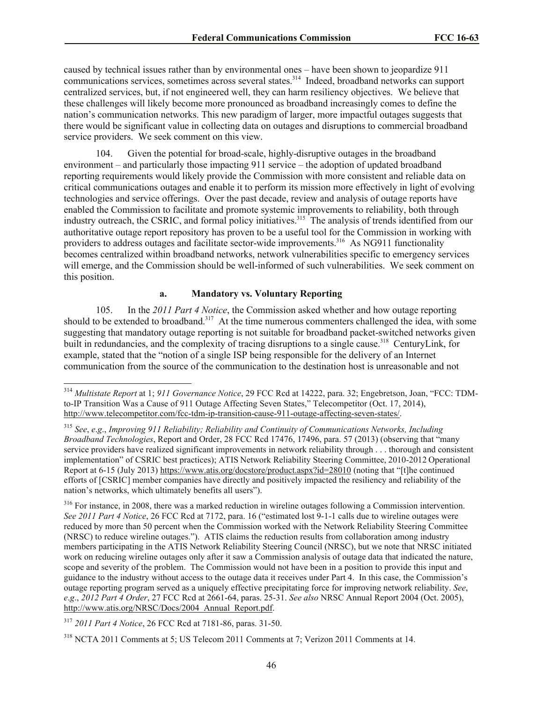caused by technical issues rather than by environmental ones – have been shown to jeopardize 911 communications services, sometimes across several states.<sup>314</sup> Indeed, broadband networks can support centralized services, but, if not engineered well, they can harm resiliency objectives. We believe that these challenges will likely become more pronounced as broadband increasingly comes to define the nation's communication networks. This new paradigm of larger, more impactful outages suggests that there would be significant value in collecting data on outages and disruptions to commercial broadband service providers. We seek comment on this view.

104. Given the potential for broad-scale, highly-disruptive outages in the broadband environment – and particularly those impacting 911 service – the adoption of updated broadband reporting requirements would likely provide the Commission with more consistent and reliable data on critical communications outages and enable it to perform its mission more effectively in light of evolving technologies and service offerings. Over the past decade, review and analysis of outage reports have enabled the Commission to facilitate and promote systemic improvements to reliability, both through industry outreach, the CSRIC, and formal policy initiatives.<sup>315</sup> The analysis of trends identified from our authoritative outage report repository has proven to be a useful tool for the Commission in working with providers to address outages and facilitate sector-wide improvements.<sup>316</sup> As NG911 functionality becomes centralized within broadband networks, network vulnerabilities specific to emergency services will emerge, and the Commission should be well-informed of such vulnerabilities. We seek comment on this position.

## **a. Mandatory vs. Voluntary Reporting**

105. In the *2011 Part 4 Notice*, the Commission asked whether and how outage reporting should to be extended to broadband.<sup>317</sup> At the time numerous commenters challenged the idea, with some suggesting that mandatory outage reporting is not suitable for broadband packet-switched networks given built in redundancies, and the complexity of tracing disruptions to a single cause.<sup>318</sup> CenturyLink, for example, stated that the "notion of a single ISP being responsible for the delivery of an Internet communication from the source of the communication to the destination host is unreasonable and not

<sup>316</sup> For instance, in 2008, there was a marked reduction in wireline outages following a Commission intervention. *See 2011 Part 4 Notice*, 26 FCC Rcd at 7172, para. 16 ("estimated lost 9-1-1 calls due to wireline outages were reduced by more than 50 percent when the Commission worked with the Network Reliability Steering Committee (NRSC) to reduce wireline outages."). ATIS claims the reduction results from collaboration among industry members participating in the ATIS Network Reliability Steering Council (NRSC), but we note that NRSC initiated work on reducing wireline outages only after it saw a Commission analysis of outage data that indicated the nature, scope and severity of the problem. The Commission would not have been in a position to provide this input and guidance to the industry without access to the outage data it receives under Part 4. In this case, the Commission's outage reporting program served as a uniquely effective precipitating force for improving network reliability. *See*, *e*.*g*., *2012 Part 4 Order*, 27 FCC Rcd at 2661-64, paras. 25-31. *See also* NRSC Annual Report 2004 (Oct. 2005), http://www.atis.org/NRSC/Docs/2004\_Annual\_Report.pdf.

<sup>317</sup> *2011 Part 4 Notice*, 26 FCC Rcd at 7181-86, paras. 31-50.

<sup>314</sup> *Multistate Report* at 1; *911 Governance Notice*, 29 FCC Rcd at 14222, para. 32; Engebretson, Joan, "FCC: TDMto-IP Transition Was a Cause of 911 Outage Affecting Seven States," Telecompetitor (Oct. 17, 2014), http://www.telecompetitor.com/fcc-tdm-ip-transition-cause-911-outage-affecting-seven-states/.

<sup>315</sup> *See*, *e*.*g*., *Improving 911 Reliability; Reliability and Continuity of Communications Networks, Including Broadband Technologies*, Report and Order, 28 FCC Rcd 17476, 17496, para. 57 (2013) (observing that "many service providers have realized significant improvements in network reliability through . . . thorough and consistent implementation" of CSRIC best practices); ATIS Network Reliability Steering Committee, 2010-2012 Operational Report at 6-15 (July 2013) https://www.atis.org/docstore/product.aspx?id=28010 (noting that "[t]he continued efforts of [CSRIC] member companies have directly and positively impacted the resiliency and reliability of the nation's networks, which ultimately benefits all users").

<sup>318</sup> NCTA 2011 Comments at 5; US Telecom 2011 Comments at 7; Verizon 2011 Comments at 14.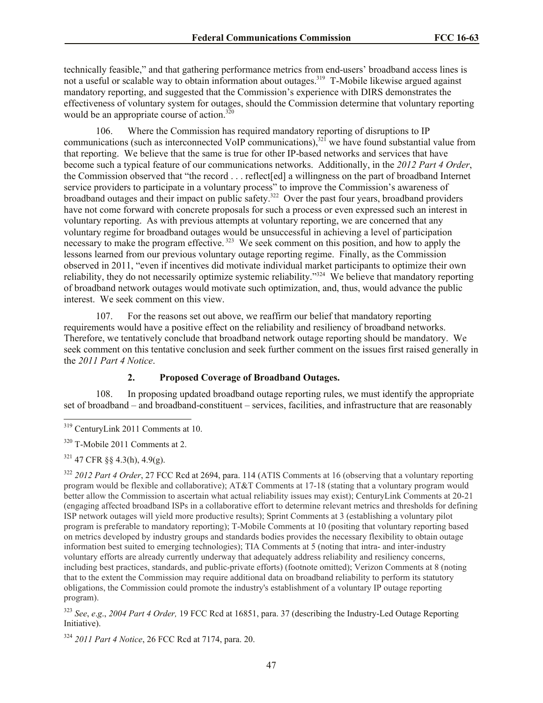technically feasible," and that gathering performance metrics from end-users' broadband access lines is not a useful or scalable way to obtain information about outages.<sup>319</sup> T-Mobile likewise argued against mandatory reporting, and suggested that the Commission's experience with DIRS demonstrates the effectiveness of voluntary system for outages, should the Commission determine that voluntary reporting would be an appropriate course of action. $320$ 

106. Where the Commission has required mandatory reporting of disruptions to IP communications (such as interconnected VoIP communications), $32\hat{i}$  we have found substantial value from that reporting. We believe that the same is true for other IP-based networks and services that have become such a typical feature of our communications networks. Additionally, in the *2012 Part 4 Order*, the Commission observed that "the record . . . reflect[ed] a willingness on the part of broadband Internet service providers to participate in a voluntary process" to improve the Commission's awareness of broadband outages and their impact on public safety.<sup>322</sup> Over the past four years, broadband providers have not come forward with concrete proposals for such a process or even expressed such an interest in voluntary reporting. As with previous attempts at voluntary reporting, we are concerned that any voluntary regime for broadband outages would be unsuccessful in achieving a level of participation necessary to make the program effective.<sup>323</sup> We seek comment on this position, and how to apply the lessons learned from our previous voluntary outage reporting regime. Finally, as the Commission observed in 2011, "even if incentives did motivate individual market participants to optimize their own reliability, they do not necessarily optimize systemic reliability."<sup>324</sup> We believe that mandatory reporting of broadband network outages would motivate such optimization, and, thus, would advance the public interest. We seek comment on this view.

107. For the reasons set out above, we reaffirm our belief that mandatory reporting requirements would have a positive effect on the reliability and resiliency of broadband networks. Therefore, we tentatively conclude that broadband network outage reporting should be mandatory. We seek comment on this tentative conclusion and seek further comment on the issues first raised generally in the *2011 Part 4 Notice*.

## **2. Proposed Coverage of Broadband Outages.**

108. In proposing updated broadband outage reporting rules, we must identify the appropriate set of broadband – and broadband-constituent – services, facilities, and infrastructure that are reasonably

<sup>&</sup>lt;sup>319</sup> CenturyLink 2011 Comments at 10.

<sup>320</sup> T-Mobile 2011 Comments at 2.

<sup>321</sup> 47 CFR §§ 4.3(h), 4.9(g).

<sup>322</sup> *2012 Part 4 Order*, 27 FCC Rcd at 2694, para. 114 (ATIS Comments at 16 (observing that a voluntary reporting program would be flexible and collaborative); AT&T Comments at 17-18 (stating that a voluntary program would better allow the Commission to ascertain what actual reliability issues may exist); CenturyLink Comments at 20-21 (engaging affected broadband ISPs in a collaborative effort to determine relevant metrics and thresholds for defining ISP network outages will yield more productive results); Sprint Comments at 3 (establishing a voluntary pilot program is preferable to mandatory reporting); T-Mobile Comments at 10 (positing that voluntary reporting based on metrics developed by industry groups and standards bodies provides the necessary flexibility to obtain outage information best suited to emerging technologies); TIA Comments at 5 (noting that intra- and inter-industry voluntary efforts are already currently underway that adequately address reliability and resiliency concerns, including best practices, standards, and public-private efforts) (footnote omitted); Verizon Comments at 8 (noting that to the extent the Commission may require additional data on broadband reliability to perform its statutory obligations, the Commission could promote the industry's establishment of a voluntary IP outage reporting program).

<sup>323</sup> *See*, *e*.*g*., *2004 Part 4 Order,* 19 FCC Rcd at 16851, para. 37 (describing the Industry-Led Outage Reporting Initiative).

<sup>324</sup> *2011 Part 4 Notice*, 26 FCC Rcd at 7174, para. 20.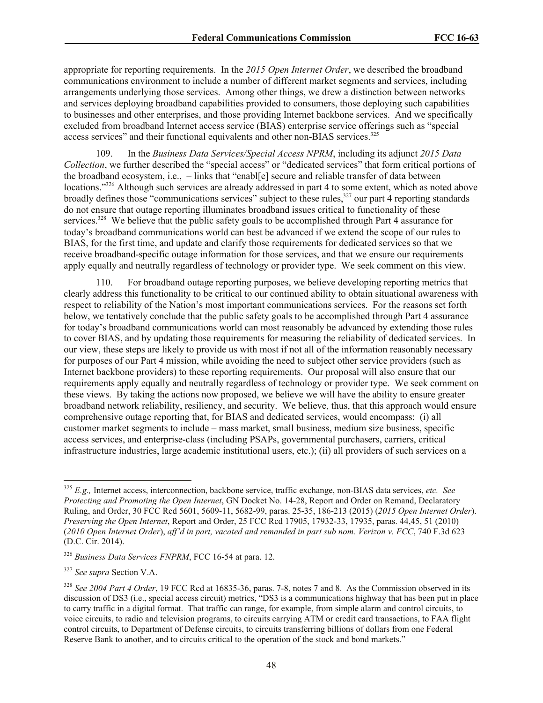appropriate for reporting requirements. In the *2015 Open Internet Order*, we described the broadband communications environment to include a number of different market segments and services, including arrangements underlying those services. Among other things, we drew a distinction between networks and services deploying broadband capabilities provided to consumers, those deploying such capabilities to businesses and other enterprises, and those providing Internet backbone services. And we specifically excluded from broadband Internet access service (BIAS) enterprise service offerings such as "special access services" and their functional equivalents and other non-BIAS services.<sup>325</sup>

109. In the *Business Data Services/Special Access NPRM*, including its adjunct *2015 Data Collection*, we further described the "special access" or "dedicated services" that form critical portions of the broadband ecosystem, i.e., – links that "enabl[e] secure and reliable transfer of data between locations."<sup>326</sup> Although such services are already addressed in part 4 to some extent, which as noted above broadly defines those "communications services" subject to these rules,<sup>327</sup> our part 4 reporting standards do not ensure that outage reporting illuminates broadband issues critical to functionality of these services.<sup>328</sup> We believe that the public safety goals to be accomplished through Part 4 assurance for today's broadband communications world can best be advanced if we extend the scope of our rules to BIAS, for the first time, and update and clarify those requirements for dedicated services so that we receive broadband-specific outage information for those services, and that we ensure our requirements apply equally and neutrally regardless of technology or provider type. We seek comment on this view.

110. For broadband outage reporting purposes, we believe developing reporting metrics that clearly address this functionality to be critical to our continued ability to obtain situational awareness with respect to reliability of the Nation's most important communications services. For the reasons set forth below, we tentatively conclude that the public safety goals to be accomplished through Part 4 assurance for today's broadband communications world can most reasonably be advanced by extending those rules to cover BIAS, and by updating those requirements for measuring the reliability of dedicated services. In our view, these steps are likely to provide us with most if not all of the information reasonably necessary for purposes of our Part 4 mission, while avoiding the need to subject other service providers (such as Internet backbone providers) to these reporting requirements. Our proposal will also ensure that our requirements apply equally and neutrally regardless of technology or provider type. We seek comment on these views. By taking the actions now proposed, we believe we will have the ability to ensure greater broadband network reliability, resiliency, and security. We believe, thus, that this approach would ensure comprehensive outage reporting that, for BIAS and dedicated services, would encompass: (i) all customer market segments to include – mass market, small business, medium size business, specific access services, and enterprise-class (including PSAPs, governmental purchasers, carriers, critical infrastructure industries, large academic institutional users, etc.); (ii) all providers of such services on a

<sup>325</sup> *E.g.,* Internet access, interconnection, backbone service, traffic exchange, non-BIAS data services, *etc. See Protecting and Promoting the Open Internet*, GN Docket No. 14-28, Report and Order on Remand, Declaratory Ruling, and Order, 30 FCC Rcd 5601, 5609-11, 5682-99, paras. 25-35, 186-213 (2015) (*2015 Open Internet Order*). *Preserving the Open Internet*, Report and Order, 25 FCC Rcd 17905, 17932-33, 17935, paras. 44,45, 51 (2010) (*2010 Open Internet Order*), *aff'd in part, vacated and remanded in part sub nom. Verizon v. FCC*, 740 F.3d 623 (D.C. Cir. 2014).

<sup>326</sup> *Business Data Services FNPRM*, FCC 16-54 at para. 12.

<sup>327</sup> *See supra* Section V.A.

<sup>328</sup> *See 2004 Part 4 Order*, 19 FCC Rcd at 16835-36, paras. 7-8, notes 7 and 8. As the Commission observed in its discussion of DS3 (i.e., special access circuit) metrics, "DS3 is a communications highway that has been put in place to carry traffic in a digital format. That traffic can range, for example, from simple alarm and control circuits, to voice circuits, to radio and television programs, to circuits carrying ATM or credit card transactions, to FAA flight control circuits, to Department of Defense circuits, to circuits transferring billions of dollars from one Federal Reserve Bank to another, and to circuits critical to the operation of the stock and bond markets."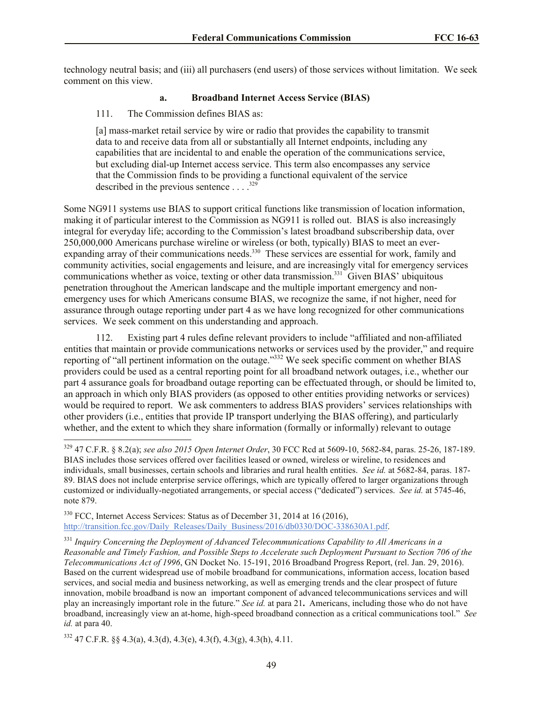technology neutral basis; and (iii) all purchasers (end users) of those services without limitation. We seek comment on this view.

## **a. Broadband Internet Access Service (BIAS)**

## 111. The Commission defines BIAS as:

[a] mass-market retail service by wire or radio that provides the capability to transmit data to and receive data from all or substantially all Internet endpoints, including any capabilities that are incidental to and enable the operation of the communications service, but excluding dial-up Internet access service. This term also encompasses any service that the Commission finds to be providing a functional equivalent of the service described in the previous sentence  $\dots$ <sup>329</sup>

Some NG911 systems use BIAS to support critical functions like transmission of location information, making it of particular interest to the Commission as NG911 is rolled out. BIAS is also increasingly integral for everyday life; according to the Commission's latest broadband subscribership data, over 250,000,000 Americans purchase wireline or wireless (or both, typically) BIAS to meet an everexpanding array of their communications needs.<sup>330</sup> These services are essential for work, family and community activities, social engagements and leisure, and are increasingly vital for emergency services communications whether as voice, texting or other data transmission.<sup>331</sup> Given BIAS' ubiquitous penetration throughout the American landscape and the multiple important emergency and nonemergency uses for which Americans consume BIAS, we recognize the same, if not higher, need for assurance through outage reporting under part 4 as we have long recognized for other communications services. We seek comment on this understanding and approach.

112. Existing part 4 rules define relevant providers to include "affiliated and non-affiliated entities that maintain or provide communications networks or services used by the provider," and require reporting of "all pertinent information on the outage."<sup>332</sup> We seek specific comment on whether BIAS providers could be used as a central reporting point for all broadband network outages, i.e., whether our part 4 assurance goals for broadband outage reporting can be effectuated through, or should be limited to, an approach in which only BIAS providers (as opposed to other entities providing networks or services) would be required to report. We ask commenters to address BIAS providers' services relationships with other providers (i.e., entities that provide IP transport underlying the BIAS offering), and particularly whether, and the extent to which they share information (formally or informally) relevant to outage

<sup>330</sup> FCC, Internet Access Services: Status as of December 31, 2014 at 16 (2016), http://transition.fcc.gov/Daily\_Releases/Daily\_Business/2016/db0330/DOC-338630A1.pdf.

<sup>331</sup> *Inquiry Concerning the Deployment of Advanced Telecommunications Capability to All Americans in a Reasonable and Timely Fashion, and Possible Steps to Accelerate such Deployment Pursuant to Section 706 of the Telecommunications Act of 1996*, GN Docket No. 15-191, 2016 Broadband Progress Report, (rel. Jan. 29, 2016). Based on the current widespread use of mobile broadband for communications, information access, location based services, and social media and business networking, as well as emerging trends and the clear prospect of future innovation, mobile broadband is now an important component of advanced telecommunications services and will play an increasingly important role in the future." *See id.* at para 21**.** Americans, including those who do not have broadband, increasingly view an at-home, high-speed broadband connection as a critical communications tool." *See id.* at para 40.

 $332\,47 \text{ C.F.R. }$  §§ 4.3(a), 4.3(d), 4.3(e), 4.3(f), 4.3(g), 4.3(h), 4.11.

 $\overline{\phantom{a}}$ 

<sup>329</sup> 47 C.F.R. § 8.2(a); *see also 2015 Open Internet Order*, 30 FCC Rcd at 5609-10, 5682-84, paras. 25-26, 187-189. BIAS includes those services offered over facilities leased or owned, wireless or wireline, to residences and individuals, small businesses, certain schools and libraries and rural health entities. *See id.* at 5682-84, paras. 187- 89. BIAS does not include enterprise service offerings, which are typically offered to larger organizations through customized or individually-negotiated arrangements, or special access ("dedicated") services. *See id.* at 5745-46, note 879.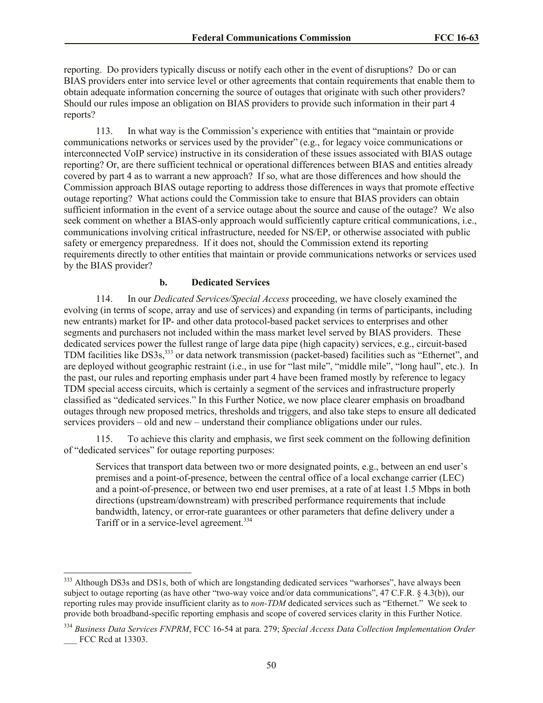reporting. Do providers typically discuss or notify each other in the event of disruptions? Do or can BIAS providers enter into service level or other agreements that contain requirements that enable them to obtain adequate information concerning the source of outages that originate with such other providers? Should our rules impose an obligation on BIAS providers to provide such information in their part 4 reports?

113. In what way is the Commission's experience with entities that "maintain or provide communications networks or services used by the provider" (e.g., for legacy voice communications or interconnected VoIP service) instructive in its consideration of these issues associated with BIAS outage reporting? Or, are there sufficient technical or operational differences between BIAS and entities already covered by part 4 as to warrant a new approach? If so, what are those differences and how should the Commission approach BIAS outage reporting to address those differences in ways that promote effective outage reporting? What actions could the Commission take to ensure that BIAS providers can obtain sufficient information in the event of a service outage about the source and cause of the outage? We also seek comment on whether a BIAS-only approach would sufficiently capture critical communications, i.e., communications involving critical infrastructure, needed for NS/EP, or otherwise associated with public safety or emergency preparedness. If it does not, should the Commission extend its reporting requirements directly to other entities that maintain or provide communications networks or services used by the BIAS provider?

#### **b. Dedicated Services**

114. In our *Dedicated Services/Special Access* proceeding, we have closely examined the evolving (in terms of scope, array and use of services) and expanding (in terms of participants, including new entrants) market for IP- and other data protocol-based packet services to enterprises and other segments and purchasers not included within the mass market level served by BIAS providers. These dedicated services power the fullest range of large data pipe (high capacity) services, e.g., circuit-based TDM facilities like DS3s,<sup>333</sup> or data network transmission (packet-based) facilities such as "Ethernet", and are deployed without geographic restraint (i.e., in use for "last mile", "middle mile", "long haul", etc.). In the past, our rules and reporting emphasis under part 4 have been framed mostly by reference to legacy TDM special access circuits, which is certainly a segment of the services and infrastructure properly classified as "dedicated services." In this Further Notice, we now place clearer emphasis on broadband outages through new proposed metrics, thresholds and triggers, and also take steps to ensure all dedicated services providers – old and new – understand their compliance obligations under our rules.

115. To achieve this clarity and emphasis, we first seek comment on the following definition of "dedicated services" for outage reporting purposes:

Services that transport data between two or more designated points, e.g., between an end user's premises and a point-of-presence, between the central office of a local exchange carrier (LEC) and a point-of-presence, or between two end user premises, at a rate of at least 1.5 Mbps in both directions (upstream/downstream) with prescribed performance requirements that include bandwidth, latency, or error-rate guarantees or other parameters that define delivery under a Tariff or in a service-level agreement.<sup>334</sup>

<sup>&</sup>lt;sup>333</sup> Although DS3s and DS1s, both of which are longstanding dedicated services "warhorses", have always been subject to outage reporting (as have other "two-way voice and/or data communications", 47 C.F.R. § 4.3(b)), our reporting rules may provide insufficient clarity as to *non-TDM* dedicated services such as "Ethernet." We seek to provide both broadband-specific reporting emphasis and scope of covered services clarity in this Further Notice.

<sup>334</sup> *Business Data Services FNPRM*, FCC 16-54 at para. 279; *Special Access Data Collection Implementation Order* FCC Rcd at 13303.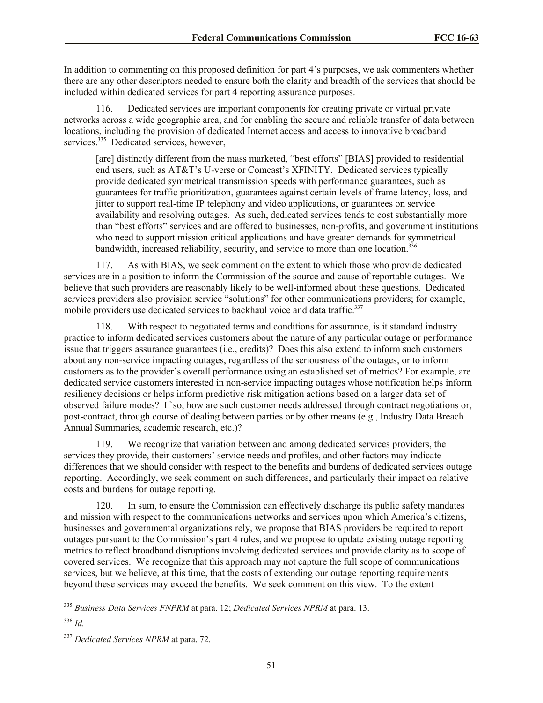In addition to commenting on this proposed definition for part 4's purposes, we ask commenters whether there are any other descriptors needed to ensure both the clarity and breadth of the services that should be included within dedicated services for part 4 reporting assurance purposes.

116. Dedicated services are important components for creating private or virtual private networks across a wide geographic area, and for enabling the secure and reliable transfer of data between locations, including the provision of dedicated Internet access and access to innovative broadband services.<sup>335</sup> Dedicated services, however,

[are] distinctly different from the mass marketed, "best efforts" [BIAS] provided to residential end users, such as AT&T's U-verse or Comcast's XFINITY. Dedicated services typically provide dedicated symmetrical transmission speeds with performance guarantees, such as guarantees for traffic prioritization, guarantees against certain levels of frame latency, loss, and jitter to support real-time IP telephony and video applications, or guarantees on service availability and resolving outages. As such, dedicated services tends to cost substantially more than "best efforts" services and are offered to businesses, non-profits, and government institutions who need to support mission critical applications and have greater demands for symmetrical bandwidth, increased reliability, security, and service to more than one location.<sup>336</sup>

117. As with BIAS, we seek comment on the extent to which those who provide dedicated services are in a position to inform the Commission of the source and cause of reportable outages. We believe that such providers are reasonably likely to be well-informed about these questions. Dedicated services providers also provision service "solutions" for other communications providers; for example, mobile providers use dedicated services to backhaul voice and data traffic.<sup>337</sup>

118. With respect to negotiated terms and conditions for assurance, is it standard industry practice to inform dedicated services customers about the nature of any particular outage or performance issue that triggers assurance guarantees (i.e., credits)? Does this also extend to inform such customers about any non-service impacting outages, regardless of the seriousness of the outages, or to inform customers as to the provider's overall performance using an established set of metrics? For example, are dedicated service customers interested in non-service impacting outages whose notification helps inform resiliency decisions or helps inform predictive risk mitigation actions based on a larger data set of observed failure modes? If so, how are such customer needs addressed through contract negotiations or, post-contract, through course of dealing between parties or by other means (e.g., Industry Data Breach Annual Summaries, academic research, etc.)?

119. We recognize that variation between and among dedicated services providers, the services they provide, their customers' service needs and profiles, and other factors may indicate differences that we should consider with respect to the benefits and burdens of dedicated services outage reporting. Accordingly, we seek comment on such differences, and particularly their impact on relative costs and burdens for outage reporting.

120. In sum, to ensure the Commission can effectively discharge its public safety mandates and mission with respect to the communications networks and services upon which America's citizens, businesses and governmental organizations rely, we propose that BIAS providers be required to report outages pursuant to the Commission's part 4 rules, and we propose to update existing outage reporting metrics to reflect broadband disruptions involving dedicated services and provide clarity as to scope of covered services. We recognize that this approach may not capture the full scope of communications services, but we believe, at this time, that the costs of extending our outage reporting requirements beyond these services may exceed the benefits. We seek comment on this view. To the extent

 $\overline{\phantom{a}}$ 

<sup>335</sup> *Business Data Services FNPRM* at para. 12; *Dedicated Services NPRM* at para. 13.

<sup>336</sup> *Id.*

<sup>337</sup> *Dedicated Services NPRM* at para. 72.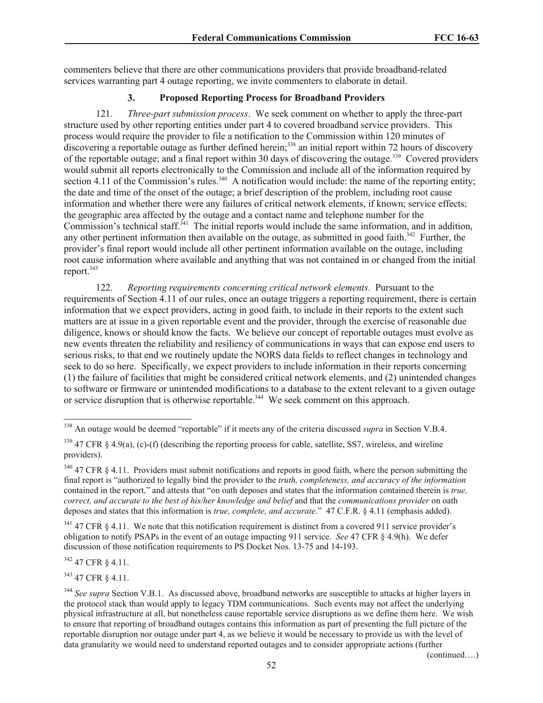commenters believe that there are other communications providers that provide broadband-related services warranting part 4 outage reporting, we invite commenters to elaborate in detail.

## **3. Proposed Reporting Process for Broadband Providers**

121. *Three-part submission process*. We seek comment on whether to apply the three-part structure used by other reporting entities under part 4 to covered broadband service providers. This process would require the provider to file a notification to the Commission within 120 minutes of discovering a reportable outage as further defined herein;<sup>338</sup> an initial report within 72 hours of discovery of the reportable outage; and a final report within 30 days of discovering the outage.<sup>339</sup> Covered providers would submit all reports electronically to the Commission and include all of the information required by section 4.11 of the Commission's rules.<sup>340</sup> A notification would include: the name of the reporting entity; the date and time of the onset of the outage; a brief description of the problem, including root cause information and whether there were any failures of critical network elements, if known; service effects; the geographic area affected by the outage and a contact name and telephone number for the Commission's technical staff.<sup>341</sup> The initial reports would include the same information, and in addition, any other pertinent information then available on the outage, as submitted in good faith. $342$  Further, the provider's final report would include all other pertinent information available on the outage, including root cause information where available and anything that was not contained in or changed from the initial report.<sup>343</sup>

122. *Reporting requirements concerning critical network elements*. Pursuant to the requirements of Section 4.11 of our rules, once an outage triggers a reporting requirement, there is certain information that we expect providers, acting in good faith, to include in their reports to the extent such matters are at issue in a given reportable event and the provider, through the exercise of reasonable due diligence, knows or should know the facts. We believe our concept of reportable outages must evolve as new events threaten the reliability and resiliency of communications in ways that can expose end users to serious risks, to that end we routinely update the NORS data fields to reflect changes in technology and seek to do so here. Specifically, we expect providers to include information in their reports concerning (1) the failure of facilities that might be considered critical network elements, and (2) unintended changes to software or firmware or unintended modifications to a database to the extent relevant to a given outage or service disruption that is otherwise reportable.<sup>344</sup> We seek comment on this approach.

<sup>342</sup> 47 CFR § 4.11.

<sup>343</sup> 47 CFR § 4.11.

(continued….)

l <sup>338</sup> An outage would be deemed "reportable" if it meets any of the criteria discussed *supra* in Section V.B.4.

 $339$  47 CFR § 4.9(a), (c)-(f) (describing the reporting process for cable, satellite, SS7, wireless, and wireline providers).

<sup>&</sup>lt;sup>340</sup> 47 CFR § 4.11. Providers must submit notifications and reports in good faith, where the person submitting the final report is "authorized to legally bind the provider to the *truth, completeness, and accuracy of the information* contained in the report," and attests that "on oath deposes and states that the information contained therein is *true, correct, and accurate to the best of his/her knowledge and belief* and that the *communications provider* on oath deposes and states that this information is *true, complete, and accurate*." 47 C.F.R. § 4.11 (emphasis added).

 $341$  47 CFR § 4.11. We note that this notification requirement is distinct from a covered 911 service provider's obligation to notify PSAPs in the event of an outage impacting 911 service. *See* 47 CFR § 4.9(h). We defer discussion of those notification requirements to PS Docket Nos. 13-75 and 14-193.

<sup>&</sup>lt;sup>344</sup> See supra Section V.B.1. As discussed above, broadband networks are susceptible to attacks at higher layers in the protocol stack than would apply to legacy TDM communications. Such events may not affect the underlying physical infrastructure at all, but nonetheless cause reportable service disruptions as we define them here. We wish to ensure that reporting of broadband outages contains this information as part of presenting the full picture of the reportable disruption nor outage under part 4, as we believe it would be necessary to provide us with the level of data granularity we would need to understand reported outages and to consider appropriate actions (further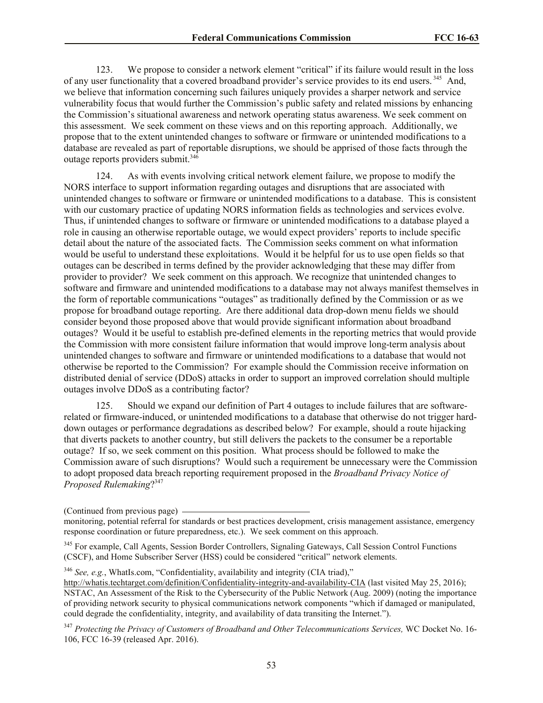123. We propose to consider a network element "critical" if its failure would result in the loss of any user functionality that a covered broadband provider's service provides to its end users.<sup>345</sup> And, we believe that information concerning such failures uniquely provides a sharper network and service vulnerability focus that would further the Commission's public safety and related missions by enhancing the Commission's situational awareness and network operating status awareness. We seek comment on this assessment. We seek comment on these views and on this reporting approach. Additionally, we propose that to the extent unintended changes to software or firmware or unintended modifications to a database are revealed as part of reportable disruptions, we should be apprised of those facts through the outage reports providers submit.<sup>346</sup>

124. As with events involving critical network element failure, we propose to modify the NORS interface to support information regarding outages and disruptions that are associated with unintended changes to software or firmware or unintended modifications to a database. This is consistent with our customary practice of updating NORS information fields as technologies and services evolve. Thus, if unintended changes to software or firmware or unintended modifications to a database played a role in causing an otherwise reportable outage, we would expect providers' reports to include specific detail about the nature of the associated facts. The Commission seeks comment on what information would be useful to understand these exploitations. Would it be helpful for us to use open fields so that outages can be described in terms defined by the provider acknowledging that these may differ from provider to provider? We seek comment on this approach. We recognize that unintended changes to software and firmware and unintended modifications to a database may not always manifest themselves in the form of reportable communications "outages" as traditionally defined by the Commission or as we propose for broadband outage reporting. Are there additional data drop-down menu fields we should consider beyond those proposed above that would provide significant information about broadband outages? Would it be useful to establish pre-defined elements in the reporting metrics that would provide the Commission with more consistent failure information that would improve long-term analysis about unintended changes to software and firmware or unintended modifications to a database that would not otherwise be reported to the Commission? For example should the Commission receive information on distributed denial of service (DDoS) attacks in order to support an improved correlation should multiple outages involve DDoS as a contributing factor?

125. Should we expand our definition of Part 4 outages to include failures that are softwarerelated or firmware-induced, or unintended modifications to a database that otherwise do not trigger harddown outages or performance degradations as described below? For example, should a route hijacking that diverts packets to another country, but still delivers the packets to the consumer be a reportable outage? If so, we seek comment on this position. What process should be followed to make the Commission aware of such disruptions? Would such a requirement be unnecessary were the Commission to adopt proposed data breach reporting requirement proposed in the *Broadband Privacy Notice of Proposed Rulemaking*? 347

<sup>346</sup> *See, e.g.*, WhatIs.com, "Confidentiality, availability and integrity (CIA triad),"

<sup>(</sup>Continued from previous page)

monitoring, potential referral for standards or best practices development, crisis management assistance, emergency response coordination or future preparedness, etc.). We seek comment on this approach.

<sup>&</sup>lt;sup>345</sup> For example, Call Agents, Session Border Controllers, Signaling Gateways, Call Session Control Functions (CSCF), and Home Subscriber Server (HSS) could be considered "critical" network elements.

http://whatis.techtarget.com/definition/Confidentiality-integrity-and-availability-CIA (last visited May 25, 2016); NSTAC, An Assessment of the Risk to the Cybersecurity of the Public Network (Aug. 2009) (noting the importance of providing network security to physical communications network components "which if damaged or manipulated, could degrade the confidentiality, integrity, and availability of data transiting the Internet.").

<sup>347</sup> *Protecting the Privacy of Customers of Broadband and Other Telecommunications Services,* WC Docket No. 16- 106, FCC 16-39 (released Apr. 2016).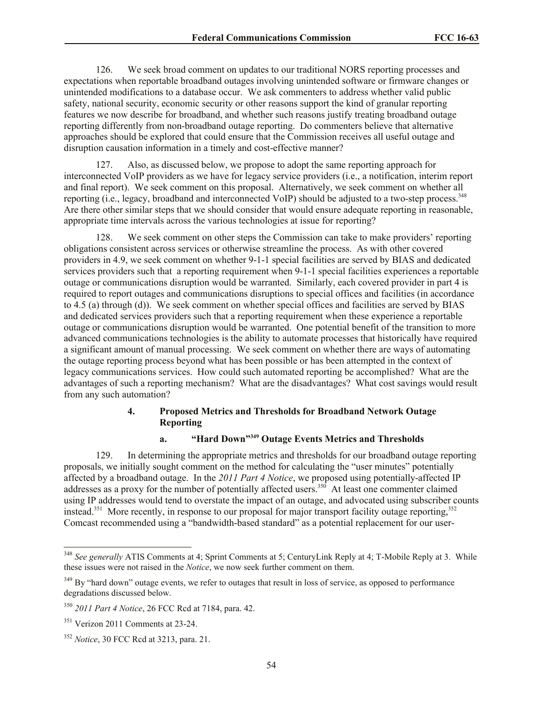126. We seek broad comment on updates to our traditional NORS reporting processes and expectations when reportable broadband outages involving unintended software or firmware changes or unintended modifications to a database occur. We ask commenters to address whether valid public safety, national security, economic security or other reasons support the kind of granular reporting features we now describe for broadband, and whether such reasons justify treating broadband outage reporting differently from non-broadband outage reporting. Do commenters believe that alternative approaches should be explored that could ensure that the Commission receives all useful outage and disruption causation information in a timely and cost-effective manner?

127. Also, as discussed below, we propose to adopt the same reporting approach for interconnected VoIP providers as we have for legacy service providers (i.e., a notification, interim report and final report). We seek comment on this proposal. Alternatively, we seek comment on whether all reporting (i.e., legacy, broadband and interconnected VoIP) should be adjusted to a two-step process.<sup>348</sup> Are there other similar steps that we should consider that would ensure adequate reporting in reasonable, appropriate time intervals across the various technologies at issue for reporting?

128. We seek comment on other steps the Commission can take to make providers' reporting obligations consistent across services or otherwise streamline the process. As with other covered providers in 4.9, we seek comment on whether 9-1-1 special facilities are served by BIAS and dedicated services providers such that a reporting requirement when 9-1-1 special facilities experiences a reportable outage or communications disruption would be warranted. Similarly, each covered provider in part 4 is required to report outages and communications disruptions to special offices and facilities (in accordance to 4.5 (a) through (d)). We seek comment on whether special offices and facilities are served by BIAS and dedicated services providers such that a reporting requirement when these experience a reportable outage or communications disruption would be warranted. One potential benefit of the transition to more advanced communications technologies is the ability to automate processes that historically have required a significant amount of manual processing. We seek comment on whether there are ways of automating the outage reporting process beyond what has been possible or has been attempted in the context of legacy communications services. How could such automated reporting be accomplished? What are the advantages of such a reporting mechanism? What are the disadvantages? What cost savings would result from any such automation?

## **4. Proposed Metrics and Thresholds for Broadband Network Outage Reporting**

### **a. "Hard Down" <sup>349</sup> Outage Events Metrics and Thresholds**

129. In determining the appropriate metrics and thresholds for our broadband outage reporting proposals, we initially sought comment on the method for calculating the "user minutes" potentially affected by a broadband outage. In the *2011 Part 4 Notice*, we proposed using potentially-affected IP addresses as a proxy for the number of potentially affected users.<sup>350</sup> At least one commenter claimed using IP addresses would tend to overstate the impact of an outage, and advocated using subscriber counts instead.<sup>351</sup> More recently, in response to our proposal for major transport facility outage reporting,  $352$ Comcast recommended using a "bandwidth-based standard" as a potential replacement for our user-

<sup>348</sup> *See generally* ATIS Comments at 4; Sprint Comments at 5; CenturyLink Reply at 4; T-Mobile Reply at 3. While these issues were not raised in the *Notice*, we now seek further comment on them.

<sup>&</sup>lt;sup>349</sup> By "hard down" outage events, we refer to outages that result in loss of service, as opposed to performance degradations discussed below.

<sup>350</sup> *2011 Part 4 Notice*, 26 FCC Rcd at 7184, para. 42.

<sup>&</sup>lt;sup>351</sup> Verizon 2011 Comments at 23-24.

<sup>352</sup> *Notice*, 30 FCC Rcd at 3213, para. 21.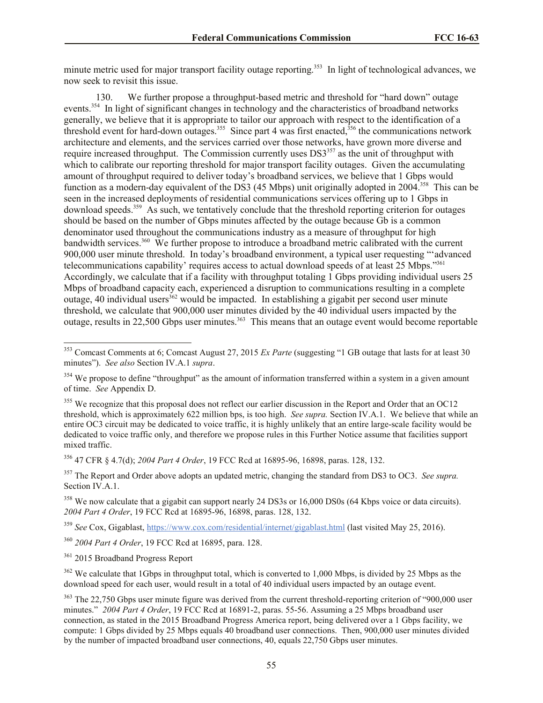minute metric used for major transport facility outage reporting.<sup>353</sup> In light of technological advances, we now seek to revisit this issue.

130. We further propose a throughput-based metric and threshold for "hard down" outage events.<sup>354</sup> In light of significant changes in technology and the characteristics of broadband networks generally, we believe that it is appropriate to tailor our approach with respect to the identification of a threshold event for hard-down outages.<sup>355</sup> Since part 4 was first enacted,<sup>356</sup> the communications network architecture and elements, and the services carried over those networks, have grown more diverse and require increased throughput. The Commission currently uses DS3<sup>357</sup> as the unit of throughput with which to calibrate our reporting threshold for major transport facility outages. Given the accumulating amount of throughput required to deliver today's broadband services, we believe that 1 Gbps would function as a modern-day equivalent of the DS3 (45 Mbps) unit originally adopted in 2004.<sup>358</sup> This can be seen in the increased deployments of residential communications services offering up to 1 Gbps in download speeds.<sup>359</sup> As such, we tentatively conclude that the threshold reporting criterion for outages should be based on the number of Gbps minutes affected by the outage because Gb is a common denominator used throughout the communications industry as a measure of throughput for high bandwidth services.<sup>360</sup> We further propose to introduce a broadband metric calibrated with the current 900,000 user minute threshold. In today's broadband environment, a typical user requesting "'advanced telecommunications capability' requires access to actual download speeds of at least 25 Mbps."<sup>361</sup> Accordingly, we calculate that if a facility with throughput totaling 1 Gbps providing individual users 25 Mbps of broadband capacity each, experienced a disruption to communications resulting in a complete outage, 40 individual users<sup>362</sup> would be impacted. In establishing a gigabit per second user minute threshold, we calculate that 900,000 user minutes divided by the 40 individual users impacted by the outage, results in 22,500 Gbps user minutes.<sup>363</sup> This means that an outage event would become reportable

<sup>356</sup> 47 CFR § 4.7(d); *2004 Part 4 Order*, 19 FCC Rcd at 16895-96, 16898, paras. 128, 132.

<sup>357</sup> The Report and Order above adopts an updated metric, changing the standard from DS3 to OC3. *See supra.* Section IV.A.1.

<sup>358</sup> We now calculate that a gigabit can support nearly 24 DS3s or 16,000 DS0s (64 Kbps voice or data circuits). *2004 Part 4 Order*, 19 FCC Rcd at 16895-96, 16898, paras. 128, 132.

<sup>359</sup> *See* Cox, Gigablast, https://www.cox.com/residential/internet/gigablast.html (last visited May 25, 2016).

<sup>360</sup> *2004 Part 4 Order*, 19 FCC Rcd at 16895, para. 128.

<sup>361</sup> 2015 Broadband Progress Report

l

<sup>362</sup> We calculate that 1Gbps in throughput total, which is converted to 1,000 Mbps, is divided by 25 Mbps as the download speed for each user, would result in a total of 40 individual users impacted by an outage event.

<sup>353</sup> Comcast Comments at 6; Comcast August 27, 2015 *Ex Parte* (suggesting "1 GB outage that lasts for at least 30 minutes"). *See also* Section IV.A.1 *supra*.

<sup>&</sup>lt;sup>354</sup> We propose to define "throughput" as the amount of information transferred within a system in a given amount of time. *See* Appendix D.

<sup>&</sup>lt;sup>355</sup> We recognize that this proposal does not reflect our earlier discussion in the Report and Order that an OC12 threshold, which is approximately 622 million bps, is too high. *See supra.* Section IV.A.1. We believe that while an entire OC3 circuit may be dedicated to voice traffic, it is highly unlikely that an entire large-scale facility would be dedicated to voice traffic only, and therefore we propose rules in this Further Notice assume that facilities support mixed traffic.

<sup>&</sup>lt;sup>363</sup> The 22,750 Gbps user minute figure was derived from the current threshold-reporting criterion of "900,000 user minutes." *2004 Part 4 Order*, 19 FCC Rcd at 16891-2, paras. 55-56. Assuming a 25 Mbps broadband user connection, as stated in the 2015 Broadband Progress America report, being delivered over a 1 Gbps facility, we compute: 1 Gbps divided by 25 Mbps equals 40 broadband user connections. Then, 900,000 user minutes divided by the number of impacted broadband user connections, 40, equals 22,750 Gbps user minutes.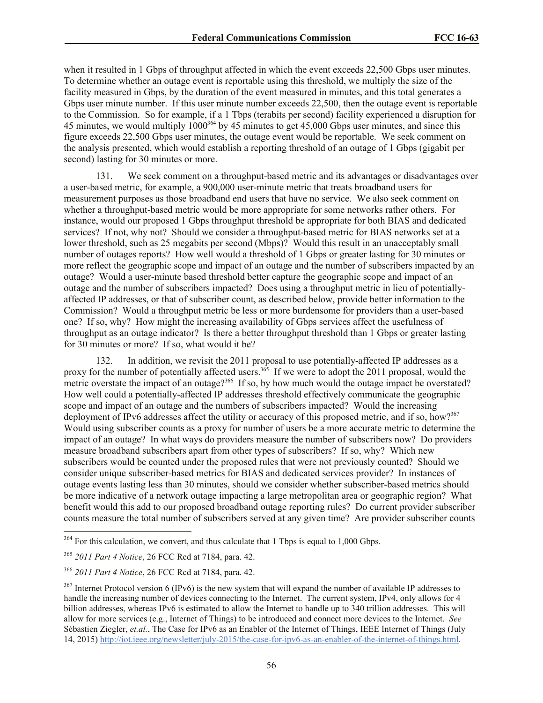when it resulted in 1 Gbps of throughput affected in which the event exceeds 22,500 Gbps user minutes. To determine whether an outage event is reportable using this threshold, we multiply the size of the facility measured in Gbps, by the duration of the event measured in minutes, and this total generates a Gbps user minute number. If this user minute number exceeds 22,500, then the outage event is reportable to the Commission. So for example, if a 1 Tbps (terabits per second) facility experienced a disruption for 45 minutes, we would multiply  $1000^{364}$  by 45 minutes to get 45,000 Gbps user minutes, and since this figure exceeds 22,500 Gbps user minutes, the outage event would be reportable. We seek comment on the analysis presented, which would establish a reporting threshold of an outage of 1 Gbps (gigabit per second) lasting for 30 minutes or more.

131. We seek comment on a throughput-based metric and its advantages or disadvantages over a user-based metric, for example, a 900,000 user-minute metric that treats broadband users for measurement purposes as those broadband end users that have no service. We also seek comment on whether a throughput-based metric would be more appropriate for some networks rather others. For instance, would our proposed 1 Gbps throughput threshold be appropriate for both BIAS and dedicated services? If not, why not? Should we consider a throughput-based metric for BIAS networks set at a lower threshold, such as 25 megabits per second (Mbps)? Would this result in an unacceptably small number of outages reports? How well would a threshold of 1 Gbps or greater lasting for 30 minutes or more reflect the geographic scope and impact of an outage and the number of subscribers impacted by an outage? Would a user-minute based threshold better capture the geographic scope and impact of an outage and the number of subscribers impacted? Does using a throughput metric in lieu of potentiallyaffected IP addresses, or that of subscriber count, as described below, provide better information to the Commission? Would a throughput metric be less or more burdensome for providers than a user-based one? If so, why? How might the increasing availability of Gbps services affect the usefulness of throughput as an outage indicator? Is there a better throughput threshold than 1 Gbps or greater lasting for 30 minutes or more? If so, what would it be?

132. In addition, we revisit the 2011 proposal to use potentially-affected IP addresses as a proxy for the number of potentially affected users.<sup>365</sup> If we were to adopt the 2011 proposal, would the metric overstate the impact of an outage?<sup>366</sup> If so, by how much would the outage impact be overstated? How well could a potentially-affected IP addresses threshold effectively communicate the geographic scope and impact of an outage and the numbers of subscribers impacted? Would the increasing deployment of IPv6 addresses affect the utility or accuracy of this proposed metric, and if so, how?<sup>367</sup> Would using subscriber counts as a proxy for number of users be a more accurate metric to determine the impact of an outage? In what ways do providers measure the number of subscribers now? Do providers measure broadband subscribers apart from other types of subscribers? If so, why? Which new subscribers would be counted under the proposed rules that were not previously counted? Should we consider unique subscriber-based metrics for BIAS and dedicated services provider? In instances of outage events lasting less than 30 minutes, should we consider whether subscriber-based metrics should be more indicative of a network outage impacting a large metropolitan area or geographic region? What benefit would this add to our proposed broadband outage reporting rules? Do current provider subscriber counts measure the total number of subscribers served at any given time? Are provider subscriber counts

 $364$  For this calculation, we convert, and thus calculate that 1 Tbps is equal to 1,000 Gbps.

<sup>365</sup> *2011 Part 4 Notice*, 26 FCC Rcd at 7184, para. 42.

<sup>366</sup> *2011 Part 4 Notice*, 26 FCC Rcd at 7184, para. 42.

 $367$  Internet Protocol version 6 (IPv6) is the new system that will expand the number of available IP addresses to handle the increasing number of devices connecting to the Internet. The current system, IPv4, only allows for 4 billion addresses, whereas IPv6 is estimated to allow the Internet to handle up to 340 trillion addresses. This will allow for more services (e.g., Internet of Things) to be introduced and connect more devices to the Internet. *See*  Sébastien Ziegler, *et.al.*, The Case for IPv6 as an Enabler of the Internet of Things, IEEE Internet of Things (July 14, 2015) http://iot.ieee.org/newsletter/july-2015/the-case-for-ipv6-as-an-enabler-of-the-internet-of-things.html.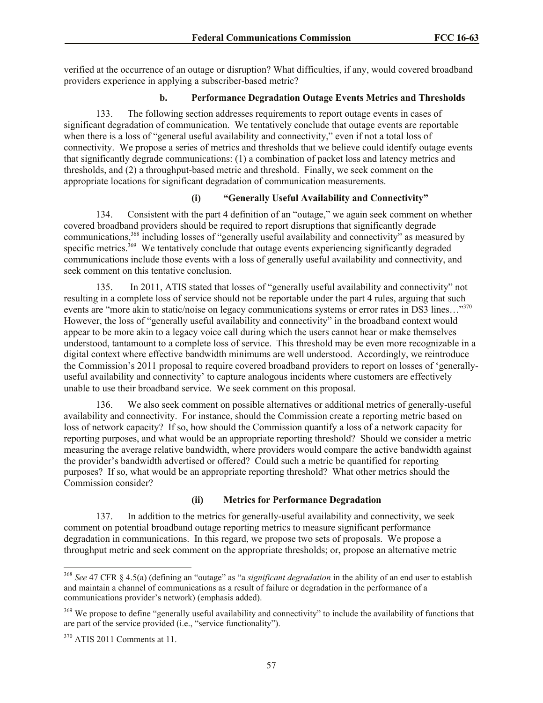verified at the occurrence of an outage or disruption? What difficulties, if any, would covered broadband providers experience in applying a subscriber-based metric?

## **b. Performance Degradation Outage Events Metrics and Thresholds**

133. The following section addresses requirements to report outage events in cases of significant degradation of communication. We tentatively conclude that outage events are reportable when there is a loss of "general useful availability and connectivity," even if not a total loss of connectivity. We propose a series of metrics and thresholds that we believe could identify outage events that significantly degrade communications: (1) a combination of packet loss and latency metrics and thresholds, and (2) a throughput-based metric and threshold. Finally, we seek comment on the appropriate locations for significant degradation of communication measurements.

## **(i) "Generally Useful Availability and Connectivity"**

134. Consistent with the part 4 definition of an "outage," we again seek comment on whether covered broadband providers should be required to report disruptions that significantly degrade communications,<sup>368</sup> including losses of "generally useful availability and connectivity" as measured by specific metrics.<sup>369</sup> We tentatively conclude that outage events experiencing significantly degraded communications include those events with a loss of generally useful availability and connectivity, and seek comment on this tentative conclusion.

135. In 2011, ATIS stated that losses of "generally useful availability and connectivity" not resulting in a complete loss of service should not be reportable under the part 4 rules, arguing that such events are "more akin to static/noise on legacy communications systems or error rates in DS3 lines..."<sup>370</sup> However, the loss of "generally useful availability and connectivity" in the broadband context would appear to be more akin to a legacy voice call during which the users cannot hear or make themselves understood, tantamount to a complete loss of service. This threshold may be even more recognizable in a digital context where effective bandwidth minimums are well understood. Accordingly, we reintroduce the Commission's 2011 proposal to require covered broadband providers to report on losses of 'generallyuseful availability and connectivity' to capture analogous incidents where customers are effectively unable to use their broadband service. We seek comment on this proposal.

136. We also seek comment on possible alternatives or additional metrics of generally-useful availability and connectivity. For instance, should the Commission create a reporting metric based on loss of network capacity? If so, how should the Commission quantify a loss of a network capacity for reporting purposes, and what would be an appropriate reporting threshold? Should we consider a metric measuring the average relative bandwidth, where providers would compare the active bandwidth against the provider's bandwidth advertised or offered? Could such a metric be quantified for reporting purposes? If so, what would be an appropriate reporting threshold? What other metrics should the Commission consider?

## **(ii) Metrics for Performance Degradation**

137. In addition to the metrics for generally-useful availability and connectivity, we seek comment on potential broadband outage reporting metrics to measure significant performance degradation in communications. In this regard, we propose two sets of proposals. We propose a throughput metric and seek comment on the appropriate thresholds; or, propose an alternative metric

<sup>368</sup> *See* 47 CFR § 4.5(a) (defining an "outage" as "a *significant degradation* in the ability of an end user to establish and maintain a channel of communications as a result of failure or degradation in the performance of a communications provider's network) (emphasis added).

<sup>&</sup>lt;sup>369</sup> We propose to define "generally useful availability and connectivity" to include the availability of functions that are part of the service provided (i.e., "service functionality").

<sup>370</sup> ATIS 2011 Comments at 11.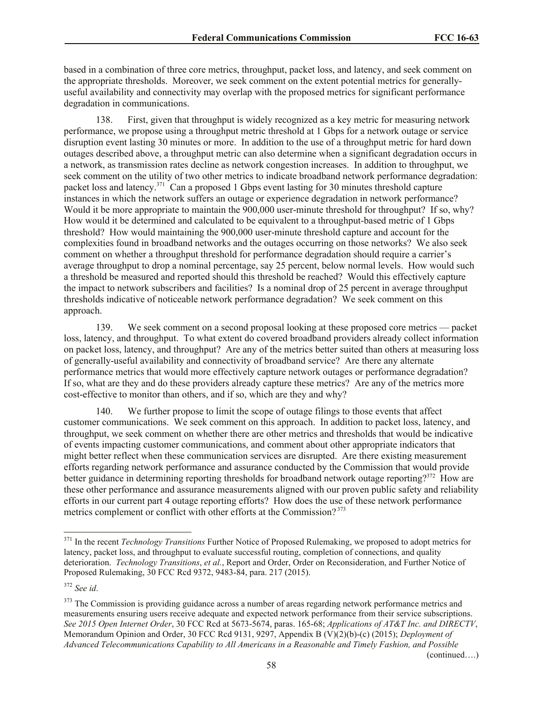based in a combination of three core metrics, throughput, packet loss, and latency, and seek comment on the appropriate thresholds. Moreover, we seek comment on the extent potential metrics for generallyuseful availability and connectivity may overlap with the proposed metrics for significant performance degradation in communications.

138. First, given that throughput is widely recognized as a key metric for measuring network performance, we propose using a throughput metric threshold at 1 Gbps for a network outage or service disruption event lasting 30 minutes or more. In addition to the use of a throughput metric for hard down outages described above, a throughput metric can also determine when a significant degradation occurs in a network, as transmission rates decline as network congestion increases. In addition to throughput, we seek comment on the utility of two other metrics to indicate broadband network performance degradation: packet loss and latency.<sup>371</sup> Can a proposed 1 Gbps event lasting for 30 minutes threshold capture instances in which the network suffers an outage or experience degradation in network performance? Would it be more appropriate to maintain the 900,000 user-minute threshold for throughput? If so, why? How would it be determined and calculated to be equivalent to a throughput-based metric of 1 Gbps threshold? How would maintaining the 900,000 user-minute threshold capture and account for the complexities found in broadband networks and the outages occurring on those networks? We also seek comment on whether a throughput threshold for performance degradation should require a carrier's average throughput to drop a nominal percentage, say 25 percent, below normal levels. How would such a threshold be measured and reported should this threshold be reached? Would this effectively capture the impact to network subscribers and facilities? Is a nominal drop of 25 percent in average throughput thresholds indicative of noticeable network performance degradation? We seek comment on this approach.

139. We seek comment on a second proposal looking at these proposed core metrics — packet loss, latency, and throughput. To what extent do covered broadband providers already collect information on packet loss, latency, and throughput? Are any of the metrics better suited than others at measuring loss of generally-useful availability and connectivity of broadband service? Are there any alternate performance metrics that would more effectively capture network outages or performance degradation? If so, what are they and do these providers already capture these metrics? Are any of the metrics more cost-effective to monitor than others, and if so, which are they and why?

140. We further propose to limit the scope of outage filings to those events that affect customer communications. We seek comment on this approach. In addition to packet loss, latency, and throughput, we seek comment on whether there are other metrics and thresholds that would be indicative of events impacting customer communications, and comment about other appropriate indicators that might better reflect when these communication services are disrupted. Are there existing measurement efforts regarding network performance and assurance conducted by the Commission that would provide better guidance in determining reporting thresholds for broadband network outage reporting?<sup>372</sup> How are these other performance and assurance measurements aligned with our proven public safety and reliability efforts in our current part 4 outage reporting efforts? How does the use of these network performance metrics complement or conflict with other efforts at the Commission? <sup>373</sup>

l

(continued….)

<sup>371</sup> In the recent *Technology Transitions* Further Notice of Proposed Rulemaking, we proposed to adopt metrics for latency, packet loss, and throughput to evaluate successful routing, completion of connections, and quality deterioration. *Technology Transitions*, *et al.*, Report and Order, Order on Reconsideration, and Further Notice of Proposed Rulemaking, 30 FCC Rcd 9372, 9483-84, para. 217 (2015).

<sup>372</sup> *See id*.

<sup>&</sup>lt;sup>373</sup> The Commission is providing guidance across a number of areas regarding network performance metrics and measurements ensuring users receive adequate and expected network performance from their service subscriptions. *See 2015 Open Internet Order*, 30 FCC Rcd at 5673-5674, paras. 165-68; *Applications of AT&T Inc. and DIRECTV*, Memorandum Opinion and Order, 30 FCC Rcd 9131, 9297, Appendix B (V)(2)(b)-(c) (2015); *Deployment of Advanced Telecommunications Capability to All Americans in a Reasonable and Timely Fashion, and Possible*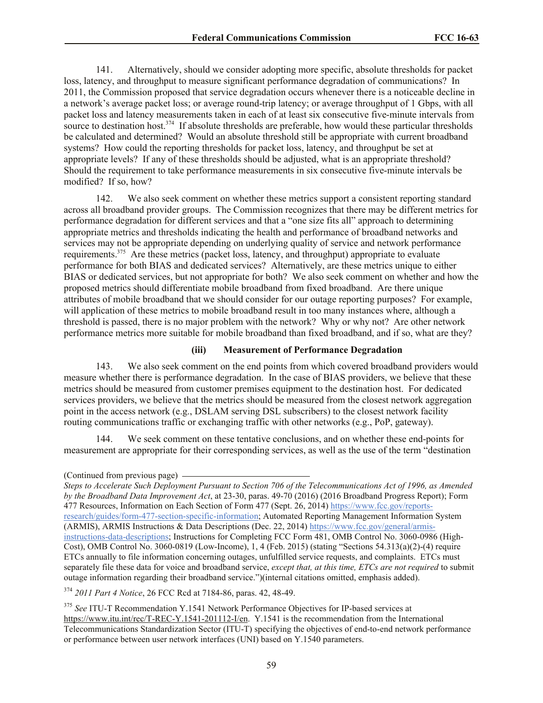141. Alternatively, should we consider adopting more specific, absolute thresholds for packet loss, latency, and throughput to measure significant performance degradation of communications? In 2011, the Commission proposed that service degradation occurs whenever there is a noticeable decline in a network's average packet loss; or average round-trip latency; or average throughput of 1 Gbps, with all packet loss and latency measurements taken in each of at least six consecutive five-minute intervals from source to destination host.<sup>374</sup> If absolute thresholds are preferable, how would these particular thresholds be calculated and determined? Would an absolute threshold still be appropriate with current broadband systems? How could the reporting thresholds for packet loss, latency, and throughput be set at appropriate levels? If any of these thresholds should be adjusted, what is an appropriate threshold? Should the requirement to take performance measurements in six consecutive five-minute intervals be modified? If so, how?

142. We also seek comment on whether these metrics support a consistent reporting standard across all broadband provider groups. The Commission recognizes that there may be different metrics for performance degradation for different services and that a "one size fits all" approach to determining appropriate metrics and thresholds indicating the health and performance of broadband networks and services may not be appropriate depending on underlying quality of service and network performance requirements.<sup>375</sup> Are these metrics (packet loss, latency, and throughput) appropriate to evaluate performance for both BIAS and dedicated services? Alternatively, are these metrics unique to either BIAS or dedicated services, but not appropriate for both? We also seek comment on whether and how the proposed metrics should differentiate mobile broadband from fixed broadband. Are there unique attributes of mobile broadband that we should consider for our outage reporting purposes? For example, will application of these metrics to mobile broadband result in too many instances where, although a threshold is passed, there is no major problem with the network? Why or why not? Are other network performance metrics more suitable for mobile broadband than fixed broadband, and if so, what are they?

#### **(iii) Measurement of Performance Degradation**

143. We also seek comment on the end points from which covered broadband providers would measure whether there is performance degradation. In the case of BIAS providers, we believe that these metrics should be measured from customer premises equipment to the destination host. For dedicated services providers, we believe that the metrics should be measured from the closest network aggregation point in the access network (e.g., DSLAM serving DSL subscribers) to the closest network facility routing communications traffic or exchanging traffic with other networks (e.g., PoP, gateway).

144. We seek comment on these tentative conclusions, and on whether these end-points for measurement are appropriate for their corresponding services, as well as the use of the term "destination

<sup>374</sup> *2011 Part 4 Notice*, 26 FCC Rcd at 7184-86, paras. 42, 48-49.

<sup>375</sup> *See* ITU-T Recommendation Y.1541 Network Performance Objectives for IP-based services at https://www.itu.int/rec/T-REC-Y.1541-201112-I/en. Y.1541 is the recommendation from the International Telecommunications Standardization Sector (ITU-T) specifying the objectives of end-to-end network performance or performance between user network interfaces (UNI) based on Y.1540 parameters.

<sup>(</sup>Continued from previous page)

*Steps to Accelerate Such Deployment Pursuant to Section 706 of the Telecommunications Act of 1996, as Amended by the Broadband Data Improvement Act*, at 23-30, paras. 49-70 (2016) (2016 Broadband Progress Report); Form 477 Resources, Information on Each Section of Form 477 (Sept. 26, 2014) https://www.fcc.gov/reportsresearch/guides/form-477-section-specific-information; Automated Reporting Management Information System (ARMIS), ARMIS Instructions & Data Descriptions (Dec. 22, 2014) https://www.fcc.gov/general/armisinstructions-data-descriptions; Instructions for Completing FCC Form 481, OMB Control No. 3060-0986 (High-Cost), OMB Control No. 3060-0819 (Low-Income), 1, 4 (Feb. 2015) (stating "Sections 54.313(a)(2)-(4) require ETCs annually to file information concerning outages, unfulfilled service requests, and complaints. ETCs must separately file these data for voice and broadband service, *except that, at this time, ETCs are not required* to submit outage information regarding their broadband service.")(internal citations omitted, emphasis added).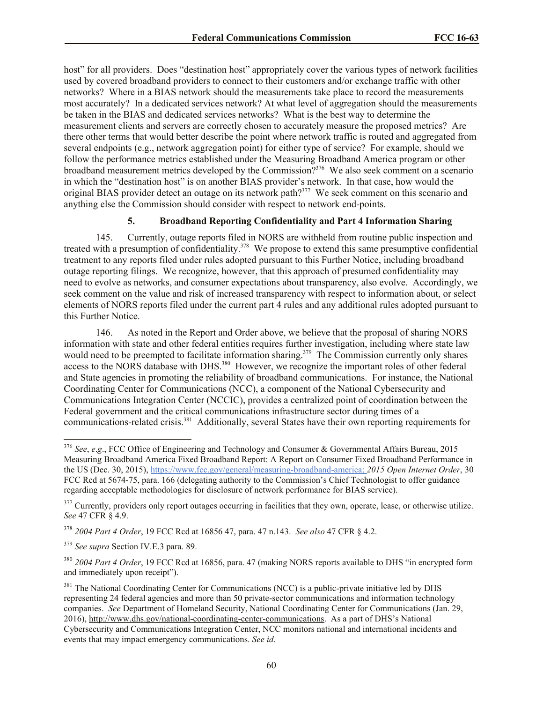host" for all providers. Does "destination host" appropriately cover the various types of network facilities used by covered broadband providers to connect to their customers and/or exchange traffic with other networks? Where in a BIAS network should the measurements take place to record the measurements most accurately? In a dedicated services network? At what level of aggregation should the measurements be taken in the BIAS and dedicated services networks? What is the best way to determine the measurement clients and servers are correctly chosen to accurately measure the proposed metrics? Are there other terms that would better describe the point where network traffic is routed and aggregated from several endpoints (e.g., network aggregation point) for either type of service? For example, should we follow the performance metrics established under the Measuring Broadband America program or other broadband measurement metrics developed by the Commission?<sup>376</sup> We also seek comment on a scenario in which the "destination host" is on another BIAS provider's network. In that case, how would the original BIAS provider detect an outage on its network path?<sup>377</sup> We seek comment on this scenario and anything else the Commission should consider with respect to network end-points.

### **5. Broadband Reporting Confidentiality and Part 4 Information Sharing**

145. Currently, outage reports filed in NORS are withheld from routine public inspection and treated with a presumption of confidentiality.<sup>378</sup> We propose to extend this same presumptive confidential treatment to any reports filed under rules adopted pursuant to this Further Notice, including broadband outage reporting filings. We recognize, however, that this approach of presumed confidentiality may need to evolve as networks, and consumer expectations about transparency, also evolve. Accordingly, we seek comment on the value and risk of increased transparency with respect to information about, or select elements of NORS reports filed under the current part 4 rules and any additional rules adopted pursuant to this Further Notice.

146. As noted in the Report and Order above, we believe that the proposal of sharing NORS information with state and other federal entities requires further investigation, including where state law would need to be preempted to facilitate information sharing.<sup>379</sup> The Commission currently only shares access to the NORS database with DHS.<sup>380</sup> However, we recognize the important roles of other federal and State agencies in promoting the reliability of broadband communications. For instance, the National Coordinating Center for Communications (NCC), a component of the National Cybersecurity and Communications Integration Center (NCCIC), provides a centralized point of coordination between the Federal government and the critical communications infrastructure sector during times of a communications-related crisis.<sup>381</sup> Additionally, several States have their own reporting requirements for

<sup>376</sup> *See*, *e*.*g*., FCC Office of Engineering and Technology and Consumer & Governmental Affairs Bureau, 2015 Measuring Broadband America Fixed Broadband Report: A Report on Consumer Fixed Broadband Performance in the US (Dec. 30, 2015), https://www.fcc.gov/general/measuring-broadband-america; *2015 Open Internet Order*, 30 FCC Rcd at 5674-75, para. 166 (delegating authority to the Commission's Chief Technologist to offer guidance regarding acceptable methodologies for disclosure of network performance for BIAS service).

<sup>&</sup>lt;sup>377</sup> Currently, providers only report outages occurring in facilities that they own, operate, lease, or otherwise utilize. *See* 47 CFR § 4.9.

<sup>378</sup> *2004 Part 4 Order*, 19 FCC Rcd at 16856 47, para. 47 n.143. *See also* 47 CFR § 4.2.

<sup>379</sup> *See supra* Section IV.E.3 para. 89.

<sup>380</sup> *2004 Part 4 Order*, 19 FCC Rcd at 16856, para. 47 (making NORS reports available to DHS "in encrypted form and immediately upon receipt").

 $381$  The National Coordinating Center for Communications (NCC) is a public-private initiative led by DHS representing 24 federal agencies and more than 50 private-sector communications and information technology companies. *See* Department of Homeland Security, National Coordinating Center for Communications (Jan. 29, 2016), http://www.dhs.gov/national-coordinating-center-communications. As a part of DHS's National Cybersecurity and Communications Integration Center, NCC monitors national and international incidents and events that may impact emergency communications. *See id*.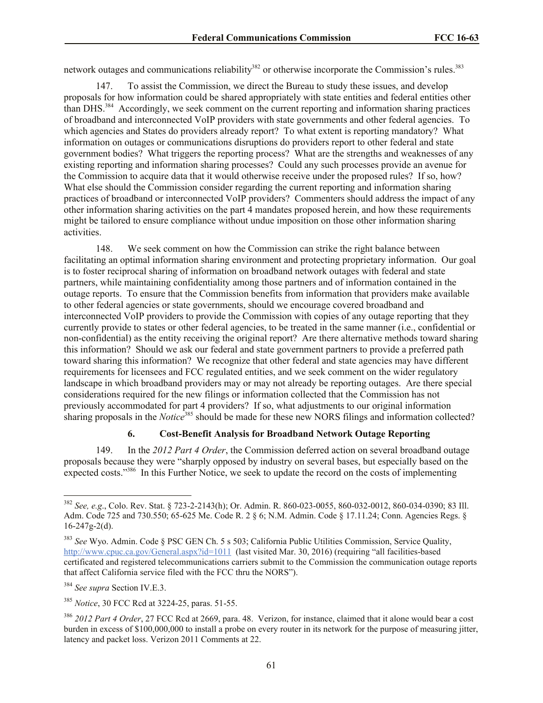network outages and communications reliability<sup>382</sup> or otherwise incorporate the Commission's rules.<sup>383</sup>

147. To assist the Commission, we direct the Bureau to study these issues, and develop proposals for how information could be shared appropriately with state entities and federal entities other than DHS.<sup>384</sup> Accordingly, we seek comment on the current reporting and information sharing practices of broadband and interconnected VoIP providers with state governments and other federal agencies. To which agencies and States do providers already report? To what extent is reporting mandatory? What information on outages or communications disruptions do providers report to other federal and state government bodies? What triggers the reporting process? What are the strengths and weaknesses of any existing reporting and information sharing processes? Could any such processes provide an avenue for the Commission to acquire data that it would otherwise receive under the proposed rules? If so, how? What else should the Commission consider regarding the current reporting and information sharing practices of broadband or interconnected VoIP providers? Commenters should address the impact of any other information sharing activities on the part 4 mandates proposed herein, and how these requirements might be tailored to ensure compliance without undue imposition on those other information sharing activities.

148. We seek comment on how the Commission can strike the right balance between facilitating an optimal information sharing environment and protecting proprietary information. Our goal is to foster reciprocal sharing of information on broadband network outages with federal and state partners, while maintaining confidentiality among those partners and of information contained in the outage reports. To ensure that the Commission benefits from information that providers make available to other federal agencies or state governments, should we encourage covered broadband and interconnected VoIP providers to provide the Commission with copies of any outage reporting that they currently provide to states or other federal agencies, to be treated in the same manner (i.e., confidential or non-confidential) as the entity receiving the original report? Are there alternative methods toward sharing this information? Should we ask our federal and state government partners to provide a preferred path toward sharing this information? We recognize that other federal and state agencies may have different requirements for licensees and FCC regulated entities, and we seek comment on the wider regulatory landscape in which broadband providers may or may not already be reporting outages. Are there special considerations required for the new filings or information collected that the Commission has not previously accommodated for part 4 providers? If so, what adjustments to our original information sharing proposals in the *Notice*<sup>385</sup> should be made for these new NORS filings and information collected?

### **6. Cost-Benefit Analysis for Broadband Network Outage Reporting**

149. In the *2012 Part 4 Order*, the Commission deferred action on several broadband outage proposals because they were "sharply opposed by industry on several bases, but especially based on the expected costs."<sup>386</sup> In this Further Notice, we seek to update the record on the costs of implementing

<sup>382</sup> *See, e.g*., Colo. Rev. Stat. § 723-2-2143(h); Or. Admin. R. 860-023-0055, 860-032-0012, 860-034-0390; 83 Ill. Adm. Code 725 and 730.550; 65-625 Me. Code R. 2 § 6; N.M. Admin. Code § 17.11.24; Conn. Agencies Regs. § 16-247g-2(d).

<sup>383</sup> *See* Wyo. Admin. Code § PSC GEN Ch. 5 s 503; California Public Utilities Commission, Service Quality, http://www.cpuc.ca.gov/General.aspx?id=1011 (last visited Mar. 30, 2016) (requiring "all facilities-based certificated and registered telecommunications carriers submit to the Commission the communication outage reports that affect California service filed with the FCC thru the NORS").

<sup>384</sup> *See supra* Section IV.E.3.

<sup>385</sup> *Notice*, 30 FCC Rcd at 3224-25, paras. 51-55.

<sup>386</sup> *2012 Part 4 Order*, 27 FCC Rcd at 2669, para. 48. Verizon, for instance, claimed that it alone would bear a cost burden in excess of \$100,000,000 to install a probe on every router in its network for the purpose of measuring jitter, latency and packet loss. Verizon 2011 Comments at 22.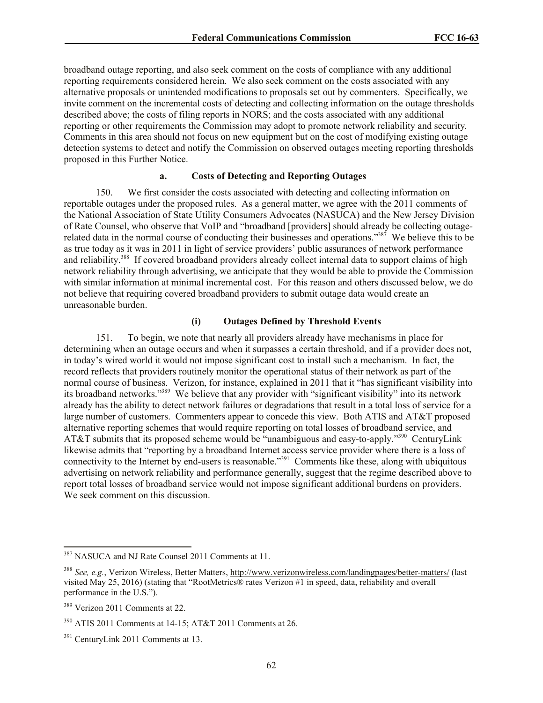broadband outage reporting, and also seek comment on the costs of compliance with any additional reporting requirements considered herein. We also seek comment on the costs associated with any alternative proposals or unintended modifications to proposals set out by commenters. Specifically, we invite comment on the incremental costs of detecting and collecting information on the outage thresholds described above; the costs of filing reports in NORS; and the costs associated with any additional reporting or other requirements the Commission may adopt to promote network reliability and security*.*  Comments in this area should not focus on new equipment but on the cost of modifying existing outage detection systems to detect and notify the Commission on observed outages meeting reporting thresholds proposed in this Further Notice.

## **a. Costs of Detecting and Reporting Outages**

150. We first consider the costs associated with detecting and collecting information on reportable outages under the proposed rules. As a general matter, we agree with the 2011 comments of the National Association of State Utility Consumers Advocates (NASUCA) and the New Jersey Division of Rate Counsel, who observe that VoIP and "broadband [providers] should already be collecting outagerelated data in the normal course of conducting their businesses and operations."<sup>387</sup> We believe this to be as true today as it was in 2011 in light of service providers' public assurances of network performance and reliability.<sup>388</sup> If covered broadband providers already collect internal data to support claims of high network reliability through advertising, we anticipate that they would be able to provide the Commission with similar information at minimal incremental cost. For this reason and others discussed below, we do not believe that requiring covered broadband providers to submit outage data would create an unreasonable burden.

## **(i) Outages Defined by Threshold Events**

151. To begin, we note that nearly all providers already have mechanisms in place for determining when an outage occurs and when it surpasses a certain threshold, and if a provider does not, in today's wired world it would not impose significant cost to install such a mechanism. In fact, the record reflects that providers routinely monitor the operational status of their network as part of the normal course of business. Verizon, for instance, explained in 2011 that it "has significant visibility into its broadband networks."<sup>389</sup> We believe that any provider with "significant visibility" into its network already has the ability to detect network failures or degradations that result in a total loss of service for a large number of customers. Commenters appear to concede this view. Both ATIS and AT&T proposed alternative reporting schemes that would require reporting on total losses of broadband service, and AT&T submits that its proposed scheme would be "unambiguous and easy-to-apply."<sup>390</sup> CenturyLink likewise admits that "reporting by a broadband Internet access service provider where there is a loss of connectivity to the Internet by end-users is reasonable."<sup>391</sup> Comments like these, along with ubiquitous advertising on network reliability and performance generally, suggest that the regime described above to report total losses of broadband service would not impose significant additional burdens on providers. We seek comment on this discussion.

<sup>387</sup> NASUCA and NJ Rate Counsel 2011 Comments at 11.

<sup>388</sup> *See, e.g.*, Verizon Wireless, Better Matters, http://www.verizonwireless.com/landingpages/better-matters/ (last visited May 25, 2016) (stating that "RootMetrics® rates Verizon #1 in speed, data, reliability and overall performance in the U.S.").

<sup>389</sup> Verizon 2011 Comments at 22.

<sup>390</sup> ATIS 2011 Comments at 14-15; AT&T 2011 Comments at 26.

<sup>&</sup>lt;sup>391</sup> CenturyLink 2011 Comments at 13.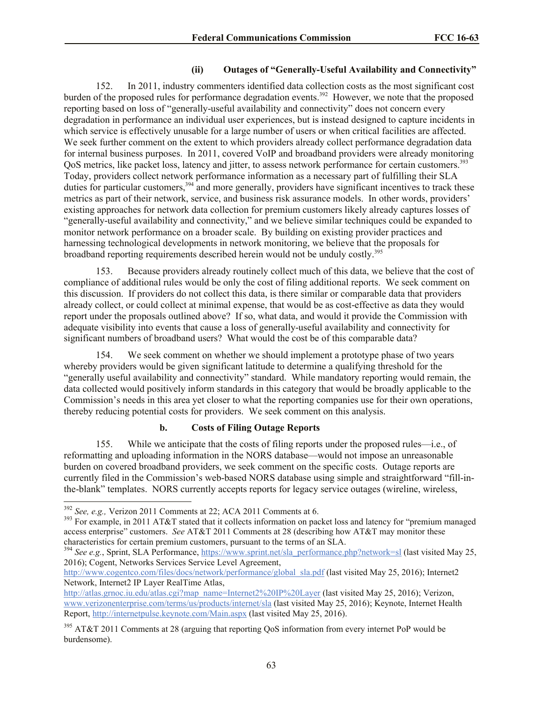## **(ii) Outages of "Generally-Useful Availability and Connectivity"**

152. In 2011, industry commenters identified data collection costs as the most significant cost burden of the proposed rules for performance degradation events.<sup>392</sup> However, we note that the proposed reporting based on loss of "generally-useful availability and connectivity" does not concern every degradation in performance an individual user experiences, but is instead designed to capture incidents in which service is effectively unusable for a large number of users or when critical facilities are affected. We seek further comment on the extent to which providers already collect performance degradation data for internal business purposes. In 2011, covered VoIP and broadband providers were already monitoring QoS metrics, like packet loss, latency and jitter, to assess network performance for certain customers.<sup>393</sup> Today, providers collect network performance information as a necessary part of fulfilling their SLA duties for particular customers,<sup>394</sup> and more generally, providers have significant incentives to track these metrics as part of their network, service, and business risk assurance models. In other words, providers' existing approaches for network data collection for premium customers likely already captures losses of "generally-useful availability and connectivity," and we believe similar techniques could be expanded to monitor network performance on a broader scale. By building on existing provider practices and harnessing technological developments in network monitoring, we believe that the proposals for broadband reporting requirements described herein would not be unduly costly.<sup>395</sup>

153. Because providers already routinely collect much of this data, we believe that the cost of compliance of additional rules would be only the cost of filing additional reports. We seek comment on this discussion. If providers do not collect this data, is there similar or comparable data that providers already collect, or could collect at minimal expense, that would be as cost-effective as data they would report under the proposals outlined above? If so, what data, and would it provide the Commission with adequate visibility into events that cause a loss of generally-useful availability and connectivity for significant numbers of broadband users? What would the cost be of this comparable data?

154. We seek comment on whether we should implement a prototype phase of two years whereby providers would be given significant latitude to determine a qualifying threshold for the "generally useful availability and connectivity" standard. While mandatory reporting would remain, the data collected would positively inform standards in this category that would be broadly applicable to the Commission's needs in this area yet closer to what the reporting companies use for their own operations, thereby reducing potential costs for providers. We seek comment on this analysis.

## **b. Costs of Filing Outage Reports**

155. While we anticipate that the costs of filing reports under the proposed rules—i.e., of reformatting and uploading information in the NORS database—would not impose an unreasonable burden on covered broadband providers, we seek comment on the specific costs. Outage reports are currently filed in the Commission's web-based NORS database using simple and straightforward "fill-inthe-blank" templates. NORS currently accepts reports for legacy service outages (wireline, wireless,

l

<sup>394</sup> See e.g., Sprint, SLA Performance, https://www.sprint.net/sla\_performance.php?network=sl (last visited May 25, 2016); Cogent, Networks Services Service Level Agreement,

<sup>392</sup> *See, e.g.,* Verizon 2011 Comments at 22; ACA 2011 Comments at 6.

<sup>&</sup>lt;sup>393</sup> For example, in 2011 AT&T stated that it collects information on packet loss and latency for "premium managed access enterprise" customers. *See* AT&T 2011 Comments at 28 (describing how AT&T may monitor these characteristics for certain premium customers, pursuant to the terms of an SLA.

http://www.cogentco.com/files/docs/network/performance/global\_sla.pdf (last visited May 25, 2016); Internet2 Network, Internet2 IP Layer RealTime Atlas,

http://atlas.grnoc.iu.edu/atlas.cgi?map\_name=Internet2%20IP%20Layer (last visited May 25, 2016); Verizon, www.verizonenterprise.com/terms/us/products/internet/sla (last visited May 25, 2016); Keynote, Internet Health Report, http://internetpulse.keynote.com/Main.aspx (last visited May 25, 2016).

<sup>&</sup>lt;sup>395</sup> AT&T 2011 Comments at 28 (arguing that reporting QoS information from every internet PoP would be burdensome).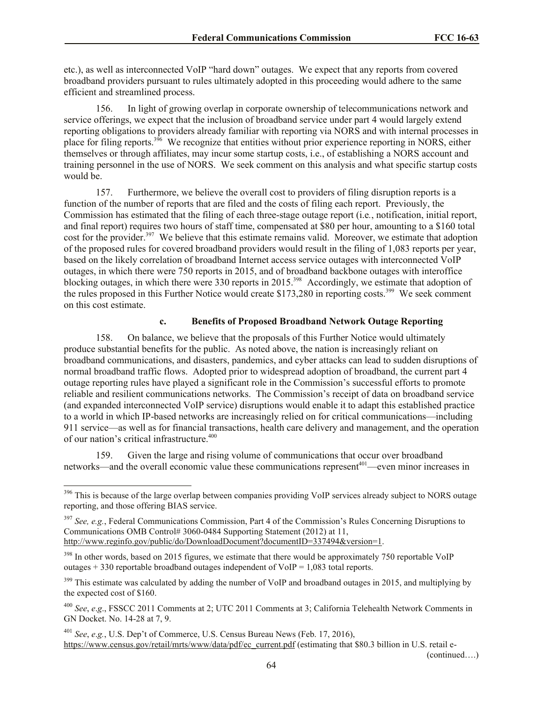etc.), as well as interconnected VoIP "hard down" outages. We expect that any reports from covered broadband providers pursuant to rules ultimately adopted in this proceeding would adhere to the same efficient and streamlined process.

156. In light of growing overlap in corporate ownership of telecommunications network and service offerings, we expect that the inclusion of broadband service under part 4 would largely extend reporting obligations to providers already familiar with reporting via NORS and with internal processes in place for filing reports.<sup>396</sup> We recognize that entities without prior experience reporting in NORS, either themselves or through affiliates, may incur some startup costs, i.e., of establishing a NORS account and training personnel in the use of NORS. We seek comment on this analysis and what specific startup costs would be.

157. Furthermore, we believe the overall cost to providers of filing disruption reports is a function of the number of reports that are filed and the costs of filing each report. Previously, the Commission has estimated that the filing of each three-stage outage report (i.e*.*, notification, initial report, and final report) requires two hours of staff time, compensated at \$80 per hour, amounting to a \$160 total cost for the provider.<sup>397</sup> We believe that this estimate remains valid. Moreover, we estimate that adoption of the proposed rules for covered broadband providers would result in the filing of 1,083 reports per year, based on the likely correlation of broadband Internet access service outages with interconnected VoIP outages, in which there were 750 reports in 2015, and of broadband backbone outages with interoffice blocking outages, in which there were 330 reports in 2015.<sup>398</sup> Accordingly, we estimate that adoption of the rules proposed in this Further Notice would create  $$173,280$  in reporting costs.<sup>399</sup> We seek comment on this cost estimate.

## **c. Benefits of Proposed Broadband Network Outage Reporting**

158. On balance, we believe that the proposals of this Further Notice would ultimately produce substantial benefits for the public. As noted above, the nation is increasingly reliant on broadband communications, and disasters, pandemics, and cyber attacks can lead to sudden disruptions of normal broadband traffic flows. Adopted prior to widespread adoption of broadband, the current part 4 outage reporting rules have played a significant role in the Commission's successful efforts to promote reliable and resilient communications networks. The Commission's receipt of data on broadband service (and expanded interconnected VoIP service) disruptions would enable it to adapt this established practice to a world in which IP-based networks are increasingly relied on for critical communications—including 911 service—as well as for financial transactions, health care delivery and management, and the operation of our nation's critical infrastructure.<sup>400</sup>

159. Given the large and rising volume of communications that occur over broadband networks—and the overall economic value these communications represent<sup>401</sup>—even minor increases in

(continued….)

l <sup>396</sup> This is because of the large overlap between companies providing VoIP services already subject to NORS outage reporting, and those offering BIAS service.

<sup>397</sup> *See, e.g.*, Federal Communications Commission, Part 4 of the Commission's Rules Concerning Disruptions to Communications OMB Control# 3060-0484 Supporting Statement (2012) at 11, http://www.reginfo.gov/public/do/DownloadDocument?documentID=337494&version=1.

<sup>&</sup>lt;sup>398</sup> In other words, based on 2015 figures, we estimate that there would be approximately 750 reportable VoIP outages  $+330$  reportable broadband outages independent of VoIP = 1,083 total reports.

<sup>&</sup>lt;sup>399</sup> This estimate was calculated by adding the number of VoIP and broadband outages in 2015, and multiplying by the expected cost of \$160.

<sup>400</sup> *See*, *e*.*g*., FSSCC 2011 Comments at 2; UTC 2011 Comments at 3; California Telehealth Network Comments in GN Docket. No. 14-28 at 7, 9.

<sup>401</sup> *See*, *e*.*g.*, U.S. Dep't of Commerce, U.S. Census Bureau News (Feb. 17, 2016), https://www.census.gov/retail/mrts/www/data/pdf/ec\_current.pdf (estimating that \$80.3 billion in U.S. retail e-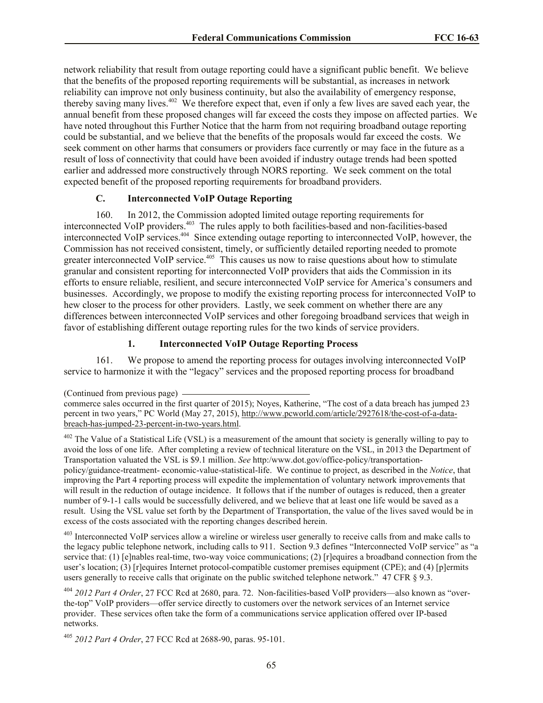network reliability that result from outage reporting could have a significant public benefit. We believe that the benefits of the proposed reporting requirements will be substantial, as increases in network reliability can improve not only business continuity, but also the availability of emergency response, thereby saving many lives.<sup>402</sup> We therefore expect that, even if only a few lives are saved each year, the annual benefit from these proposed changes will far exceed the costs they impose on affected parties. We have noted throughout this Further Notice that the harm from not requiring broadband outage reporting could be substantial, and we believe that the benefits of the proposals would far exceed the costs. We seek comment on other harms that consumers or providers face currently or may face in the future as a result of loss of connectivity that could have been avoided if industry outage trends had been spotted earlier and addressed more constructively through NORS reporting. We seek comment on the total expected benefit of the proposed reporting requirements for broadband providers.

## **C. Interconnected VoIP Outage Reporting**

160. In 2012, the Commission adopted limited outage reporting requirements for interconnected VoIP providers.<sup>403</sup> The rules apply to both facilities-based and non-facilities-based interconnected VoIP services.<sup>404</sup> Since extending outage reporting to interconnected VoIP, however, the Commission has not received consistent, timely, or sufficiently detailed reporting needed to promote greater interconnected VoIP service.<sup>405</sup> This causes us now to raise questions about how to stimulate granular and consistent reporting for interconnected VoIP providers that aids the Commission in its efforts to ensure reliable, resilient, and secure interconnected VoIP service for America's consumers and businesses. Accordingly, we propose to modify the existing reporting process for interconnected VoIP to hew closer to the process for other providers. Lastly, we seek comment on whether there are any differences between interconnected VoIP services and other foregoing broadband services that weigh in favor of establishing different outage reporting rules for the two kinds of service providers.

### **1. Interconnected VoIP Outage Reporting Process**

161. We propose to amend the reporting process for outages involving interconnected VoIP service to harmonize it with the "legacy" services and the proposed reporting process for broadband

<sup>402</sup> The Value of a Statistical Life (VSL) is a measurement of the amount that society is generally willing to pay to avoid the loss of one life. After completing a review of technical literature on the VSL, in 2013 the Department of Transportation valuated the VSL is \$9.1 million. *See* http:/www.dot.gov/office-policy/transportationpolicy/guidance-treatment- economic-value-statistical-life. We continue to project, as described in the *Notice*, that improving the Part 4 reporting process will expedite the implementation of voluntary network improvements that will result in the reduction of outage incidence. It follows that if the number of outages is reduced, then a greater number of 9-1-1 calls would be successfully delivered, and we believe that at least one life would be saved as a result. Using the VSL value set forth by the Department of Transportation, the value of the lives saved would be in excess of the costs associated with the reporting changes described herein.

<sup>403</sup> Interconnected VoIP services allow a wireline or wireless user generally to receive calls from and make calls to the legacy public telephone network, including calls to 911. Section 9.3 defines "Interconnected VoIP service" as "a service that: (1) [e]nables real-time, two-way voice communications; (2) [r]equires a broadband connection from the user's location; (3) [r]equires Internet protocol-compatible customer premises equipment (CPE); and (4) [p]ermits users generally to receive calls that originate on the public switched telephone network." 47 CFR § 9.3.

<sup>405</sup> *2012 Part 4 Order*, 27 FCC Rcd at 2688-90, paras. 95-101.

<sup>(</sup>Continued from previous page)

commerce sales occurred in the first quarter of 2015); Noyes, Katherine, "The cost of a data breach has jumped 23 percent in two years," PC World (May 27, 2015), http://www.pcworld.com/article/2927618/the-cost-of-a-databreach-has-jumped-23-percent-in-two-years.html.

<sup>404</sup> *2012 Part 4 Order*, 27 FCC Rcd at 2680, para. 72. Non-facilities-based VoIP providers—also known as "overthe-top" VoIP providers—offer service directly to customers over the network services of an Internet service provider. These services often take the form of a communications service application offered over IP-based networks.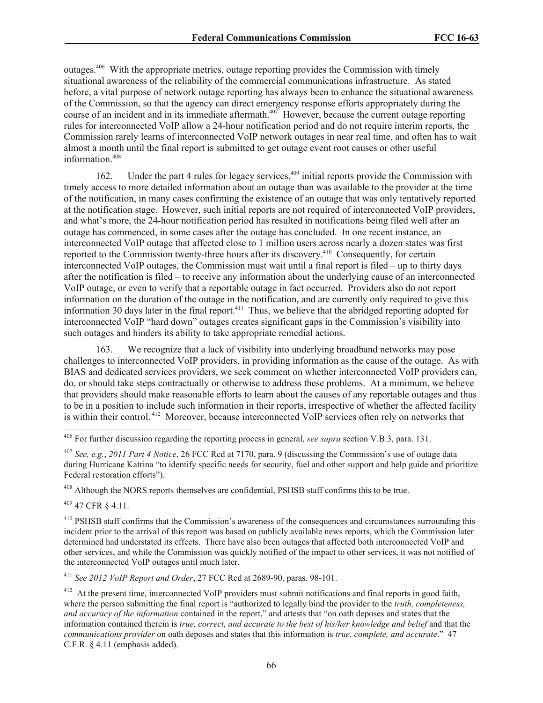outages.<sup>406</sup> With the appropriate metrics, outage reporting provides the Commission with timely situational awareness of the reliability of the commercial communications infrastructure. As stated before, a vital purpose of network outage reporting has always been to enhance the situational awareness of the Commission, so that the agency can direct emergency response efforts appropriately during the course of an incident and in its immediate aftermath.<sup>407</sup> However, because the current outage reporting rules for interconnected VoIP allow a 24-hour notification period and do not require interim reports, the Commission rarely learns of interconnected VoIP network outages in near real time, and often has to wait almost a month until the final report is submitted to get outage event root causes or other useful information. 408

162. Under the part 4 rules for legacy services,<sup>409</sup> initial reports provide the Commission with timely access to more detailed information about an outage than was available to the provider at the time of the notification, in many cases confirming the existence of an outage that was only tentatively reported at the notification stage. However, such initial reports are not required of interconnected VoIP providers, and what's more, the 24-hour notification period has resulted in notifications being filed well after an outage has commenced, in some cases after the outage has concluded. In one recent instance, an interconnected VoIP outage that affected close to 1 million users across nearly a dozen states was first reported to the Commission twenty-three hours after its discovery.<sup>410</sup> Consequently, for certain interconnected VoIP outages, the Commission must wait until a final report is filed – up to thirty days after the notification is filed – to receive any information about the underlying cause of an interconnected VoIP outage, or even to verify that a reportable outage in fact occurred. Providers also do not report information on the duration of the outage in the notification, and are currently only required to give this information 30 days later in the final report.<sup>411</sup> Thus, we believe that the abridged reporting adopted for interconnected VoIP "hard down" outages creates significant gaps in the Commission's visibility into such outages and hinders its ability to take appropriate remedial actions.

163. We recognize that a lack of visibility into underlying broadband networks may pose challenges to interconnected VoIP providers, in providing information as the cause of the outage. As with BIAS and dedicated services providers, we seek comment on whether interconnected VoIP providers can, do, or should take steps contractually or otherwise to address these problems. At a minimum, we believe that providers should make reasonable efforts to learn about the causes of any reportable outages and thus to be in a position to include such information in their reports, irrespective of whether the affected facility is within their control.<sup>412</sup> Moreover, because interconnected VoIP services often rely on networks that

<sup>408</sup> Although the NORS reports themselves are confidential, PSHSB staff confirms this to be true.

 $409$  47 CFR  $8$  4.11.

 $\overline{a}$ 

<sup>411</sup> *See 2012 VoIP Report and Order*, 27 FCC Rcd at 2689-90, paras. 98-101.

<sup>406</sup> For further discussion regarding the reporting process in general, *see supra* section V.B.3, para. 131.

<sup>407</sup> *See, e.g.*, *2011 Part 4 Notice*, 26 FCC Rcd at 7170, para. 9 (discussing the Commission's use of outage data during Hurricane Katrina "to identify specific needs for security, fuel and other support and help guide and prioritize Federal restoration efforts").

<sup>&</sup>lt;sup>410</sup> PSHSB staff confirms that the Commission's awareness of the consequences and circumstances surrounding this incident prior to the arrival of this report was based on publicly available news reports, which the Commission later determined had understated its effects. There have also been outages that affected both interconnected VoIP and other services, and while the Commission was quickly notified of the impact to other services, it was not notified of the interconnected VoIP outages until much later.

<sup>&</sup>lt;sup>412</sup> At the present time, interconnected VoIP providers must submit notifications and final reports in good faith, where the person submitting the final report is "authorized to legally bind the provider to the *truth, completeness, and accuracy of the information* contained in the report," and attests that "on oath deposes and states that the information contained therein is *true, correct, and accurate to the best of his/her knowledge and belief* and that the *communications provider* on oath deposes and states that this information is *true, complete, and accurate*." 47 C.F.R. § 4.11 (emphasis added).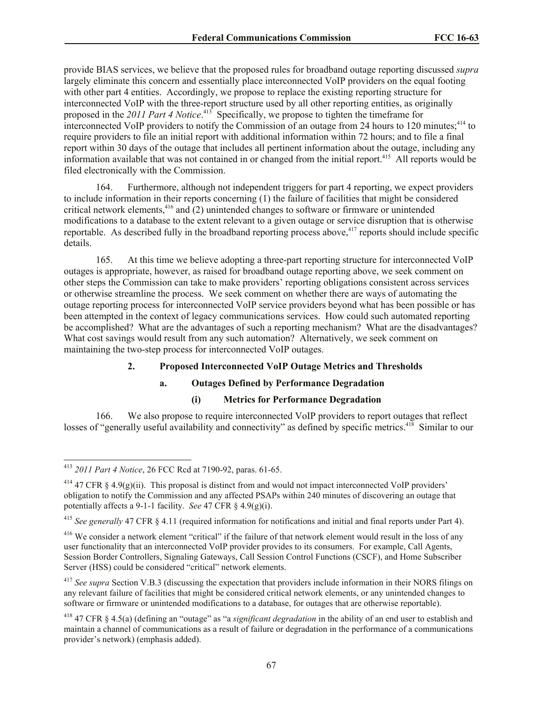provide BIAS services, we believe that the proposed rules for broadband outage reporting discussed *supra* largely eliminate this concern and essentially place interconnected VoIP providers on the equal footing with other part 4 entities. Accordingly, we propose to replace the existing reporting structure for interconnected VoIP with the three-report structure used by all other reporting entities, as originally proposed in the *2011 Part 4 Notice*. 413 Specifically, we propose to tighten the timeframe for interconnected VoIP providers to notify the Commission of an outage from 24 hours to 120 minutes;<sup>414</sup> to require providers to file an initial report with additional information within 72 hours; and to file a final report within 30 days of the outage that includes all pertinent information about the outage, including any information available that was not contained in or changed from the initial report.<sup>415</sup> All reports would be filed electronically with the Commission.

164. Furthermore, although not independent triggers for part 4 reporting, we expect providers to include information in their reports concerning (1) the failure of facilities that might be considered critical network elements,<sup>416</sup> and  $\overline{c}$ ) unintended changes to software or firmware or unintended modifications to a database to the extent relevant to a given outage or service disruption that is otherwise reportable. As described fully in the broadband reporting process above,<sup>417</sup> reports should include specific details.

165. At this time we believe adopting a three-part reporting structure for interconnected VoIP outages is appropriate, however, as raised for broadband outage reporting above, we seek comment on other steps the Commission can take to make providers' reporting obligations consistent across services or otherwise streamline the process. We seek comment on whether there are ways of automating the outage reporting process for interconnected VoIP service providers beyond what has been possible or has been attempted in the context of legacy communications services. How could such automated reporting be accomplished? What are the advantages of such a reporting mechanism? What are the disadvantages? What cost savings would result from any such automation? Alternatively, we seek comment on maintaining the two-step process for interconnected VoIP outages.

## **2. Proposed Interconnected VoIP Outage Metrics and Thresholds**

# **a. Outages Defined by Performance Degradation**

### **(i) Metrics for Performance Degradation**

166. We also propose to require interconnected VoIP providers to report outages that reflect losses of "generally useful availability and connectivity" as defined by specific metrics.<sup>418</sup> Similar to our

<sup>413</sup> *2011 Part 4 Notice*, 26 FCC Rcd at 7190-92, paras. 61-65.

<sup>&</sup>lt;sup>414</sup> 47 CFR § 4.9(g)(ii). This proposal is distinct from and would not impact interconnected VoIP providers' obligation to notify the Commission and any affected PSAPs within 240 minutes of discovering an outage that potentially affects a 9-1-1 facility. *See* 47 CFR § 4.9(g)(i).

<sup>415</sup> *See generally* 47 CFR § 4.11 (required information for notifications and initial and final reports under Part 4).

<sup>&</sup>lt;sup>416</sup> We consider a network element "critical" if the failure of that network element would result in the loss of any user functionality that an interconnected VoIP provider provides to its consumers. For example, Call Agents, Session Border Controllers, Signaling Gateways, Call Session Control Functions (CSCF), and Home Subscriber Server (HSS) could be considered "critical" network elements.

<sup>417</sup> *See supra* Section V.B.3 (discussing the expectation that providers include information in their NORS filings on any relevant failure of facilities that might be considered critical network elements, or any unintended changes to software or firmware or unintended modifications to a database, for outages that are otherwise reportable).

<sup>418</sup> 47 CFR § 4.5(a) (defining an "outage" as "a *significant degradation* in the ability of an end user to establish and maintain a channel of communications as a result of failure or degradation in the performance of a communications provider's network) (emphasis added).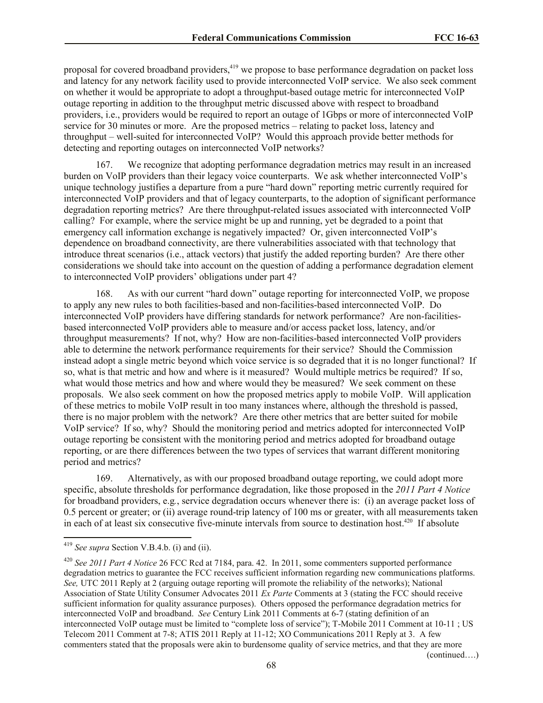proposal for covered broadband providers,<sup>419</sup> we propose to base performance degradation on packet loss and latency for any network facility used to provide interconnected VoIP service. We also seek comment on whether it would be appropriate to adopt a throughput-based outage metric for interconnected VoIP outage reporting in addition to the throughput metric discussed above with respect to broadband providers, i.e., providers would be required to report an outage of 1Gbps or more of interconnected VoIP service for 30 minutes or more. Are the proposed metrics – relating to packet loss, latency and throughput ‒ well-suited for interconnected VoIP? Would this approach provide better methods for detecting and reporting outages on interconnected VoIP networks?

167. We recognize that adopting performance degradation metrics may result in an increased burden on VoIP providers than their legacy voice counterparts. We ask whether interconnected VoIP's unique technology justifies a departure from a pure "hard down" reporting metric currently required for interconnected VoIP providers and that of legacy counterparts, to the adoption of significant performance degradation reporting metrics? Are there throughput-related issues associated with interconnected VoIP calling? For example, where the service might be up and running, yet be degraded to a point that emergency call information exchange is negatively impacted? Or, given interconnected VoIP's dependence on broadband connectivity, are there vulnerabilities associated with that technology that introduce threat scenarios (i.e., attack vectors) that justify the added reporting burden? Are there other considerations we should take into account on the question of adding a performance degradation element to interconnected VoIP providers' obligations under part 4?

168. As with our current "hard down" outage reporting for interconnected VoIP, we propose to apply any new rules to both facilities-based and non-facilities-based interconnected VoIP. Do interconnected VoIP providers have differing standards for network performance? Are non-facilitiesbased interconnected VoIP providers able to measure and/or access packet loss, latency, and/or throughput measurements? If not, why? How are non-facilities-based interconnected VoIP providers able to determine the network performance requirements for their service? Should the Commission instead adopt a single metric beyond which voice service is so degraded that it is no longer functional? If so, what is that metric and how and where is it measured? Would multiple metrics be required? If so, what would those metrics and how and where would they be measured? We seek comment on these proposals. We also seek comment on how the proposed metrics apply to mobile VoIP. Will application of these metrics to mobile VoIP result in too many instances where, although the threshold is passed, there is no major problem with the network? Are there other metrics that are better suited for mobile VoIP service? If so, why? Should the monitoring period and metrics adopted for interconnected VoIP outage reporting be consistent with the monitoring period and metrics adopted for broadband outage reporting, or are there differences between the two types of services that warrant different monitoring period and metrics?

169. Alternatively, as with our proposed broadband outage reporting, we could adopt more specific, absolute thresholds for performance degradation, like those proposed in the *2011 Part 4 Notice* for broadband providers, e.g*.*, service degradation occurs whenever there is: (i) an average packet loss of 0.5 percent or greater; or (ii) average round-trip latency of 100 ms or greater, with all measurements taken in each of at least six consecutive five-minute intervals from source to destination host.<sup>420</sup> If absolute

l

(continued….)

<sup>419</sup> *See supra* Section V.B.4.b. (i) and (ii).

<sup>420</sup> *See 2011 Part 4 Notice* 26 FCC Rcd at 7184, para. 42. In 2011, some commenters supported performance degradation metrics to guarantee the FCC receives sufficient information regarding new communications platforms. *See,* UTC 2011 Reply at 2 (arguing outage reporting will promote the reliability of the networks); National Association of State Utility Consumer Advocates 2011 *Ex Parte* Comments at 3 (stating the FCC should receive sufficient information for quality assurance purposes). Others opposed the performance degradation metrics for interconnected VoIP and broadband. *See* Century Link 2011 Comments at 6-7 (stating definition of an interconnected VoIP outage must be limited to "complete loss of service"); T-Mobile 2011 Comment at 10-11 ; US Telecom 2011 Comment at 7-8; ATIS 2011 Reply at 11-12; XO Communications 2011 Reply at 3. A few commenters stated that the proposals were akin to burdensome quality of service metrics, and that they are more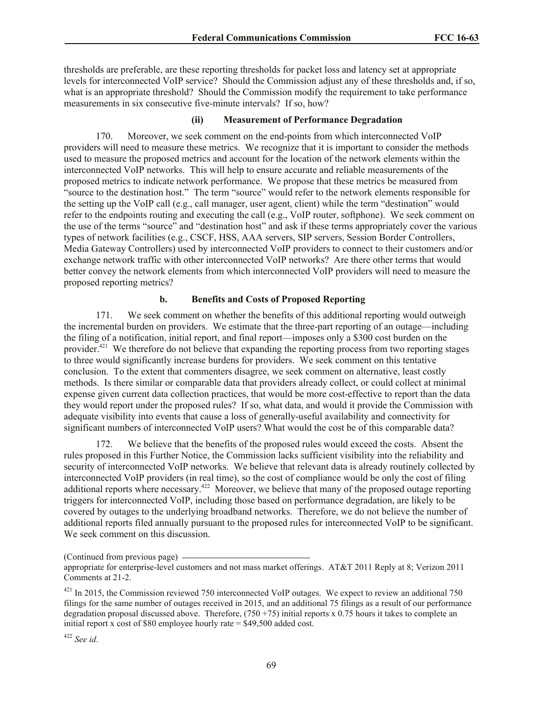thresholds are preferable, are these reporting thresholds for packet loss and latency set at appropriate levels for interconnected VoIP service? Should the Commission adjust any of these thresholds and, if so, what is an appropriate threshold? Should the Commission modify the requirement to take performance measurements in six consecutive five-minute intervals? If so, how?

## **(ii) Measurement of Performance Degradation**

170. Moreover, we seek comment on the end-points from which interconnected VoIP providers will need to measure these metrics. We recognize that it is important to consider the methods used to measure the proposed metrics and account for the location of the network elements within the interconnected VoIP networks. This will help to ensure accurate and reliable measurements of the proposed metrics to indicate network performance. We propose that these metrics be measured from "source to the destination host." The term "source" would refer to the network elements responsible for the setting up the VoIP call (e.g., call manager, user agent, client) while the term "destination" would refer to the endpoints routing and executing the call (e.g., VoIP router, softphone). We seek comment on the use of the terms "source" and "destination host" and ask if these terms appropriately cover the various types of network facilities (e.g., CSCF, HSS, AAA servers, SIP servers, Session Border Controllers, Media Gateway Controllers) used by interconnected VoIP providers to connect to their customers and/or exchange network traffic with other interconnected VoIP networks? Are there other terms that would better convey the network elements from which interconnected VoIP providers will need to measure the proposed reporting metrics?

## **b. Benefits and Costs of Proposed Reporting**

171. We seek comment on whether the benefits of this additional reporting would outweigh the incremental burden on providers. We estimate that the three-part reporting of an outage—including the filing of a notification, initial report, and final report—imposes only a \$300 cost burden on the provider.<sup>421</sup> We therefore do not believe that expanding the reporting process from two reporting stages to three would significantly increase burdens for providers. We seek comment on this tentative conclusion. To the extent that commenters disagree, we seek comment on alternative, least costly methods. Is there similar or comparable data that providers already collect, or could collect at minimal expense given current data collection practices, that would be more cost-effective to report than the data they would report under the proposed rules? If so, what data, and would it provide the Commission with adequate visibility into events that cause a loss of generally-useful availability and connectivity for significant numbers of interconnected VoIP users? What would the cost be of this comparable data?

172. We believe that the benefits of the proposed rules would exceed the costs. Absent the rules proposed in this Further Notice, the Commission lacks sufficient visibility into the reliability and security of interconnected VoIP networks. We believe that relevant data is already routinely collected by interconnected VoIP providers (in real time), so the cost of compliance would be only the cost of filing additional reports where necessary.<sup>422</sup> Moreover, we believe that many of the proposed outage reporting triggers for interconnected VoIP, including those based on performance degradation, are likely to be covered by outages to the underlying broadband networks. Therefore, we do not believe the number of additional reports filed annually pursuant to the proposed rules for interconnected VoIP to be significant. We seek comment on this discussion.

<sup>(</sup>Continued from previous page)

appropriate for enterprise-level customers and not mass market offerings. AT&T 2011 Reply at 8; Verizon 2011 Comments at 21-2.

<sup>&</sup>lt;sup>421</sup> In 2015, the Commission reviewed 750 interconnected VoIP outages. We expect to review an additional 750 filings for the same number of outages received in 2015, and an additional 75 filings as a result of our performance degradation proposal discussed above. Therefore,  $(750 + 75)$  initial reports x 0.75 hours it takes to complete an initial report x cost of \$80 employee hourly rate = \$49,500 added cost.

<sup>422</sup> *See id*.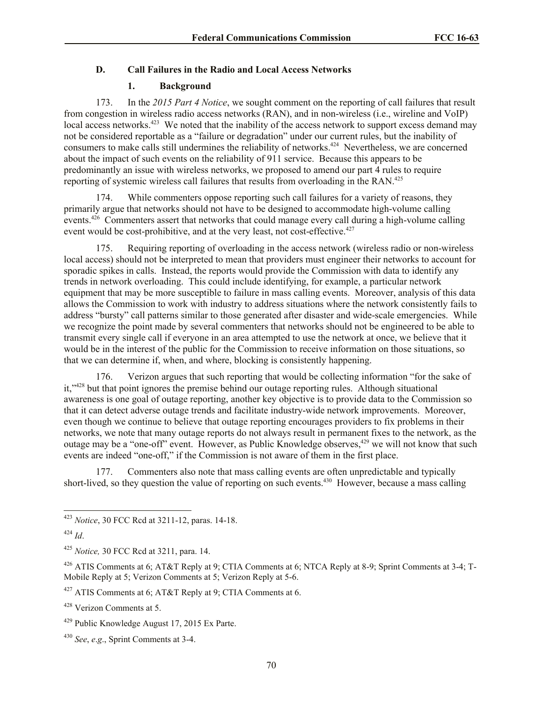## **D. Call Failures in the Radio and Local Access Networks**

## **1. Background**

173. In the *2015 Part 4 Notice*, we sought comment on the reporting of call failures that result from congestion in wireless radio access networks (RAN), and in non-wireless (i.e., wireline and VoIP) local access networks.<sup>423</sup> We noted that the inability of the access network to support excess demand may not be considered reportable as a "failure or degradation" under our current rules, but the inability of consumers to make calls still undermines the reliability of networks.<sup>424</sup> Nevertheless, we are concerned about the impact of such events on the reliability of 911 service. Because this appears to be predominantly an issue with wireless networks, we proposed to amend our part 4 rules to require reporting of systemic wireless call failures that results from overloading in the RAN.<sup>425</sup>

174. While commenters oppose reporting such call failures for a variety of reasons, they primarily argue that networks should not have to be designed to accommodate high-volume calling events.<sup>426</sup> Commenters assert that networks that could manage every call during a high-volume calling event would be cost-prohibitive, and at the very least, not cost-effective.<sup>427</sup>

175. Requiring reporting of overloading in the access network (wireless radio or non-wireless local access) should not be interpreted to mean that providers must engineer their networks to account for sporadic spikes in calls. Instead, the reports would provide the Commission with data to identify any trends in network overloading. This could include identifying, for example, a particular network equipment that may be more susceptible to failure in mass calling events. Moreover, analysis of this data allows the Commission to work with industry to address situations where the network consistently fails to address "bursty" call patterns similar to those generated after disaster and wide-scale emergencies. While we recognize the point made by several commenters that networks should not be engineered to be able to transmit every single call if everyone in an area attempted to use the network at once, we believe that it would be in the interest of the public for the Commission to receive information on those situations, so that we can determine if, when, and where, blocking is consistently happening.

176. Verizon argues that such reporting that would be collecting information "for the sake of it,"<sup>428</sup> but that point ignores the premise behind our outage reporting rules. Although situational awareness is one goal of outage reporting, another key objective is to provide data to the Commission so that it can detect adverse outage trends and facilitate industry-wide network improvements. Moreover, even though we continue to believe that outage reporting encourages providers to fix problems in their networks, we note that many outage reports do not always result in permanent fixes to the network, as the outage may be a "one-off" event. However, as Public Knowledge observes,<sup>429</sup> we will not know that such events are indeed "one-off," if the Commission is not aware of them in the first place.

177. Commenters also note that mass calling events are often unpredictable and typically short-lived, so they question the value of reporting on such events.<sup>430</sup> However, because a mass calling

<sup>423</sup> *Notice*, 30 FCC Rcd at 3211-12, paras. 14-18.

<sup>424</sup> *Id*.

<sup>425</sup> *Notice,* 30 FCC Rcd at 3211, para. 14.

<sup>426</sup> ATIS Comments at 6; AT&T Reply at 9; CTIA Comments at 6; NTCA Reply at 8-9; Sprint Comments at 3-4; T-Mobile Reply at 5; Verizon Comments at 5; Verizon Reply at 5-6.

<sup>427</sup> ATIS Comments at 6; AT&T Reply at 9; CTIA Comments at 6.

<sup>428</sup> Verizon Comments at 5.

<sup>429</sup> Public Knowledge August 17, 2015 Ex Parte.

<sup>430</sup> *See*, *e*.*g*., Sprint Comments at 3-4.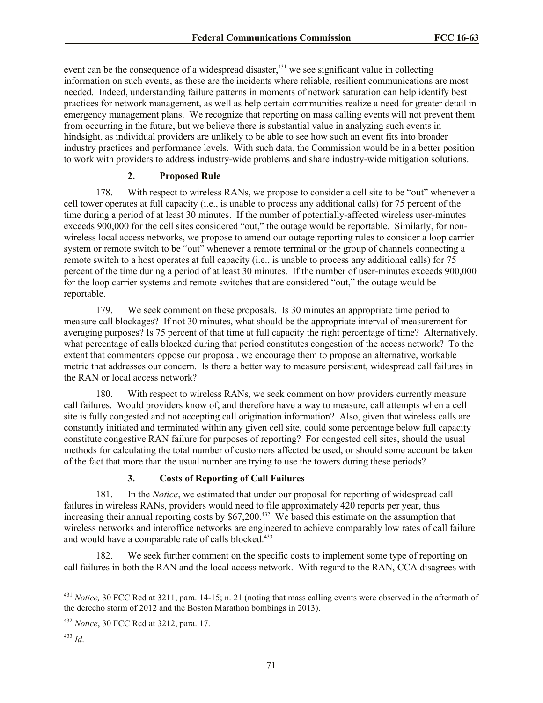event can be the consequence of a widespread disaster,<sup>431</sup> we see significant value in collecting information on such events, as these are the incidents where reliable, resilient communications are most needed. Indeed, understanding failure patterns in moments of network saturation can help identify best practices for network management, as well as help certain communities realize a need for greater detail in emergency management plans. We recognize that reporting on mass calling events will not prevent them from occurring in the future, but we believe there is substantial value in analyzing such events in hindsight, as individual providers are unlikely to be able to see how such an event fits into broader industry practices and performance levels. With such data, the Commission would be in a better position to work with providers to address industry-wide problems and share industry-wide mitigation solutions.

## **2. Proposed Rule**

178. With respect to wireless RANs, we propose to consider a cell site to be "out" whenever a cell tower operates at full capacity (i.e., is unable to process any additional calls) for 75 percent of the time during a period of at least 30 minutes. If the number of potentially-affected wireless user-minutes exceeds 900,000 for the cell sites considered "out," the outage would be reportable. Similarly, for nonwireless local access networks, we propose to amend our outage reporting rules to consider a loop carrier system or remote switch to be "out" whenever a remote terminal or the group of channels connecting a remote switch to a host operates at full capacity (i.e., is unable to process any additional calls) for 75 percent of the time during a period of at least 30 minutes. If the number of user-minutes exceeds 900,000 for the loop carrier systems and remote switches that are considered "out," the outage would be reportable.

179. We seek comment on these proposals. Is 30 minutes an appropriate time period to measure call blockages? If not 30 minutes, what should be the appropriate interval of measurement for averaging purposes? Is 75 percent of that time at full capacity the right percentage of time? Alternatively, what percentage of calls blocked during that period constitutes congestion of the access network? To the extent that commenters oppose our proposal, we encourage them to propose an alternative, workable metric that addresses our concern. Is there a better way to measure persistent, widespread call failures in the RAN or local access network?

180. With respect to wireless RANs, we seek comment on how providers currently measure call failures. Would providers know of, and therefore have a way to measure, call attempts when a cell site is fully congested and not accepting call origination information? Also, given that wireless calls are constantly initiated and terminated within any given cell site, could some percentage below full capacity constitute congestive RAN failure for purposes of reporting? For congested cell sites, should the usual methods for calculating the total number of customers affected be used, or should some account be taken of the fact that more than the usual number are trying to use the towers during these periods?

## **3. Costs of Reporting of Call Failures**

181. In the *Notice*, we estimated that under our proposal for reporting of widespread call failures in wireless RANs, providers would need to file approximately 420 reports per year, thus increasing their annual reporting costs by \$67,200.<sup>432</sup> We based this estimate on the assumption that wireless networks and interoffice networks are engineered to achieve comparably low rates of call failure and would have a comparable rate of calls blocked.<sup>433</sup>

182. We seek further comment on the specific costs to implement some type of reporting on call failures in both the RAN and the local access network. With regard to the RAN, CCA disagrees with

<sup>431</sup> *Notice,* 30 FCC Rcd at 3211, para. 14-15; n. 21 (noting that mass calling events were observed in the aftermath of the derecho storm of 2012 and the Boston Marathon bombings in 2013).

<sup>432</sup> *Notice*, 30 FCC Rcd at 3212, para. 17.

<sup>433</sup> *Id*.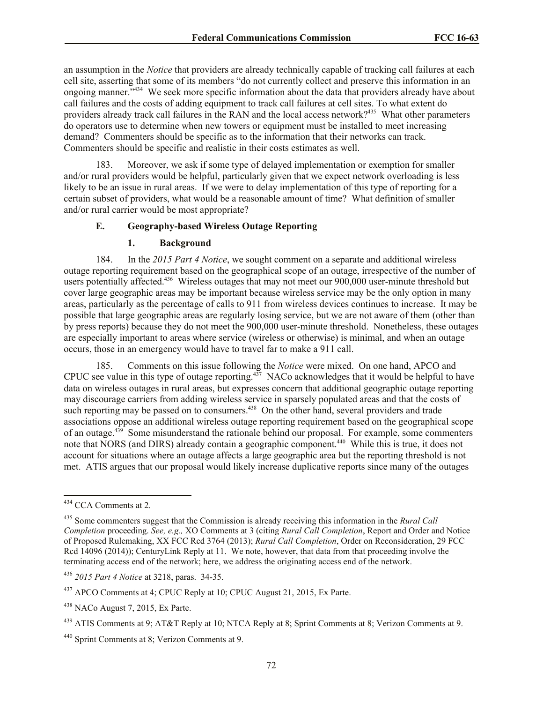an assumption in the *Notice* that providers are already technically capable of tracking call failures at each cell site, asserting that some of its members "do not currently collect and preserve this information in an ongoing manner."<sup>434</sup> We seek more specific information about the data that providers already have about call failures and the costs of adding equipment to track call failures at cell sites. To what extent do providers already track call failures in the RAN and the local access network?<sup>435</sup> What other parameters do operators use to determine when new towers or equipment must be installed to meet increasing demand? Commenters should be specific as to the information that their networks can track. Commenters should be specific and realistic in their costs estimates as well.

183. Moreover, we ask if some type of delayed implementation or exemption for smaller and/or rural providers would be helpful, particularly given that we expect network overloading is less likely to be an issue in rural areas. If we were to delay implementation of this type of reporting for a certain subset of providers, what would be a reasonable amount of time? What definition of smaller and/or rural carrier would be most appropriate?

### **E. Geography-based Wireless Outage Reporting**

#### **1. Background**

184. In the *2015 Part 4 Notice*, we sought comment on a separate and additional wireless outage reporting requirement based on the geographical scope of an outage, irrespective of the number of users potentially affected.<sup>436</sup> Wireless outages that may not meet our 900,000 user-minute threshold but cover large geographic areas may be important because wireless service may be the only option in many areas, particularly as the percentage of calls to 911 from wireless devices continues to increase. It may be possible that large geographic areas are regularly losing service, but we are not aware of them (other than by press reports) because they do not meet the 900,000 user-minute threshold. Nonetheless, these outages are especially important to areas where service (wireless or otherwise) is minimal, and when an outage occurs, those in an emergency would have to travel far to make a 911 call.

185. Comments on this issue following the *Notice* were mixed. On one hand, APCO and CPUC see value in this type of outage reporting. $437$  NACo acknowledges that it would be helpful to have data on wireless outages in rural areas, but expresses concern that additional geographic outage reporting may discourage carriers from adding wireless service in sparsely populated areas and that the costs of such reporting may be passed on to consumers.<sup>438</sup> On the other hand, several providers and trade associations oppose an additional wireless outage reporting requirement based on the geographical scope of an outage.<sup>439</sup> Some misunderstand the rationale behind our proposal. For example, some commenters note that NORS (and DIRS) already contain a geographic component.<sup>440</sup> While this is true, it does not account for situations where an outage affects a large geographic area but the reporting threshold is not met. ATIS argues that our proposal would likely increase duplicative reports since many of the outages

<sup>&</sup>lt;sup>434</sup> CCA Comments at 2.

<sup>435</sup> Some commenters suggest that the Commission is already receiving this information in the *Rural Call Completion* proceeding. *See, e.g.,* XO Comments at 3 (citing *Rural Call Completion*, Report and Order and Notice of Proposed Rulemaking, XX FCC Rcd 3764 (2013); *Rural Call Completion*, Order on Reconsideration, 29 FCC Rcd 14096 (2014)); CenturyLink Reply at 11. We note, however, that data from that proceeding involve the terminating access end of the network; here, we address the originating access end of the network.

<sup>436</sup> *2015 Part 4 Notice* at 3218, paras. 34-35.

<sup>437</sup> APCO Comments at 4; CPUC Reply at 10; CPUC August 21, 2015, Ex Parte.

 $438$  NACo August 7, 2015, Ex Parte.

<sup>439</sup> ATIS Comments at 9; AT&T Reply at 10; NTCA Reply at 8; Sprint Comments at 8; Verizon Comments at 9.

<sup>440</sup> Sprint Comments at 8; Verizon Comments at 9.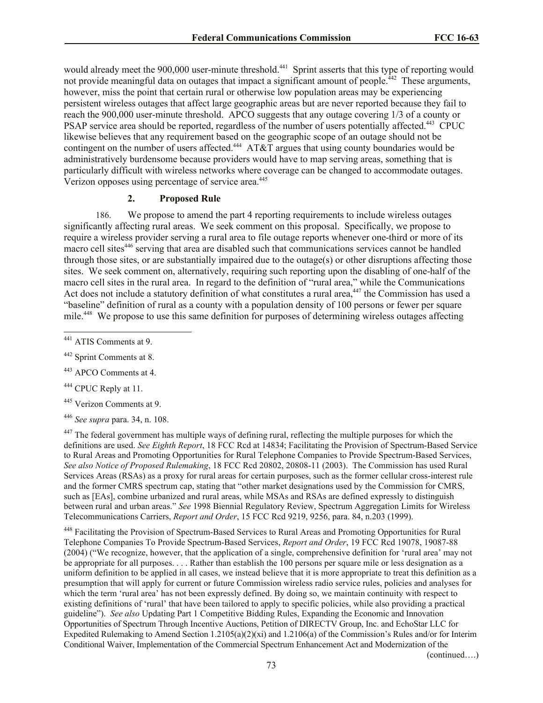would already meet the 900,000 user-minute threshold.<sup>441</sup> Sprint asserts that this type of reporting would not provide meaningful data on outages that impact a significant amount of people.<sup>442</sup> These arguments, however, miss the point that certain rural or otherwise low population areas may be experiencing persistent wireless outages that affect large geographic areas but are never reported because they fail to reach the 900,000 user-minute threshold.APCO suggests that any outage covering 1/3 of a county or PSAP service area should be reported, regardless of the number of users potentially affected.<sup>443</sup> CPUC likewise believes that any requirement based on the geographic scope of an outage should not be contingent on the number of users affected.<sup>444</sup> AT&T argues that using county boundaries would be administratively burdensome because providers would have to map serving areas, something that is particularly difficult with wireless networks where coverage can be changed to accommodate outages. Verizon opposes using percentage of service area.<sup>445</sup>

#### **2. Proposed Rule**

186. We propose to amend the part 4 reporting requirements to include wireless outages significantly affecting rural areas. We seek comment on this proposal. Specifically, we propose to require a wireless provider serving a rural area to file outage reports whenever one-third or more of its macro cell sites<sup>446</sup> serving that area are disabled such that communications services cannot be handled through those sites, or are substantially impaired due to the outage(s) or other disruptions affecting those sites. We seek comment on, alternatively, requiring such reporting upon the disabling of one-half of the macro cell sites in the rural area. In regard to the definition of "rural area," while the Communications Act does not include a statutory definition of what constitutes a rural area,<sup>447</sup> the Commission has used a "baseline" definition of rural as a county with a population density of 100 persons or fewer per square mile.<sup>448</sup> We propose to use this same definition for purposes of determining wireless outages affecting

 $\overline{\phantom{a}}$ 

<sup>443</sup> APCO Comments at 4.

<sup>444</sup> CPUC Reply at 11.

<sup>445</sup> Verizon Comments at 9.

<sup>446</sup> *See supra* para. 34, n. 108.

<sup>447</sup> The federal government has multiple ways of defining rural, reflecting the multiple purposes for which the definitions are used. *See Eighth Report*, 18 FCC Rcd at 14834; Facilitating the Provision of Spectrum-Based Service to Rural Areas and Promoting Opportunities for Rural Telephone Companies to Provide Spectrum-Based Services, *See also Notice of Proposed Rulemaking*, 18 FCC Rcd 20802, 20808-11 (2003). The Commission has used Rural Services Areas (RSAs) as a proxy for rural areas for certain purposes, such as the former cellular cross-interest rule and the former CMRS spectrum cap, stating that "other market designations used by the Commission for CMRS, such as [EAs], combine urbanized and rural areas, while MSAs and RSAs are defined expressly to distinguish between rural and urban areas." *See* 1998 Biennial Regulatory Review, Spectrum Aggregation Limits for Wireless Telecommunications Carriers, *Report and Order*, 15 FCC Rcd 9219, 9256, para. 84, n.203 (1999).

<sup>448</sup> Facilitating the Provision of Spectrum-Based Services to Rural Areas and Promoting Opportunities for Rural Telephone Companies To Provide Spectrum-Based Services, *Report and Order*, 19 FCC Rcd 19078, 19087-88 (2004) ("We recognize, however, that the application of a single, comprehensive definition for 'rural area' may not be appropriate for all purposes. . . . Rather than establish the 100 persons per square mile or less designation as a uniform definition to be applied in all cases, we instead believe that it is more appropriate to treat this definition as a presumption that will apply for current or future Commission wireless radio service rules, policies and analyses for which the term 'rural area' has not been expressly defined. By doing so, we maintain continuity with respect to existing definitions of 'rural' that have been tailored to apply to specific policies, while also providing a practical guideline"). *See also* Updating Part 1 Competitive Bidding Rules, Expanding the Economic and Innovation Opportunities of Spectrum Through Incentive Auctions, Petition of DIRECTV Group, Inc. and EchoStar LLC for Expedited Rulemaking to Amend Section 1.2105(a)(2)(xi) and 1.2106(a) of the Commission's Rules and/or for Interim Conditional Waiver, Implementation of the Commercial Spectrum Enhancement Act and Modernization of the

(continued….)

<sup>&</sup>lt;sup>441</sup> ATIS Comments at 9.

<sup>442</sup> Sprint Comments at 8.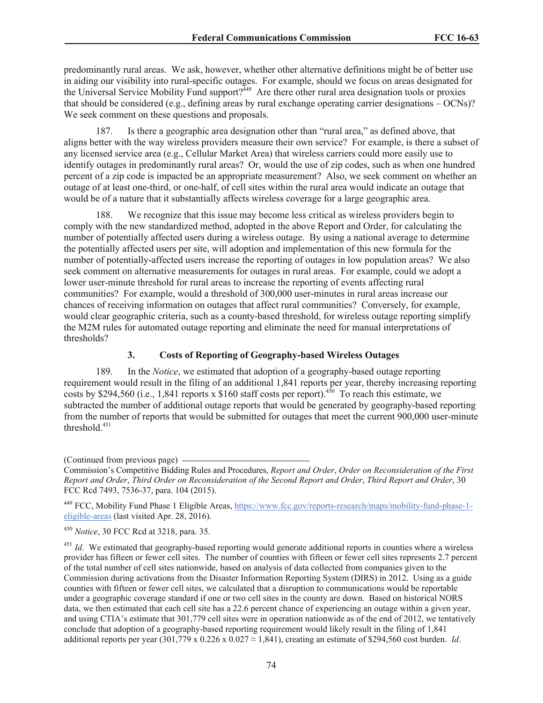predominantly rural areas. We ask, however, whether other alternative definitions might be of better use in aiding our visibility into rural-specific outages. For example, should we focus on areas designated for the Universal Service Mobility Fund support?<sup>449</sup> Are there other rural area designation tools or proxies that should be considered (e.g., defining areas by rural exchange operating carrier designations – OCNs)? We seek comment on these questions and proposals.

187. Is there a geographic area designation other than "rural area," as defined above, that aligns better with the way wireless providers measure their own service? For example, is there a subset of any licensed service area (e.g., Cellular Market Area) that wireless carriers could more easily use to identify outages in predominantly rural areas? Or, would the use of zip codes, such as when one hundred percent of a zip code is impacted be an appropriate measurement? Also, we seek comment on whether an outage of at least one-third, or one-half, of cell sites within the rural area would indicate an outage that would be of a nature that it substantially affects wireless coverage for a large geographic area.

188. We recognize that this issue may become less critical as wireless providers begin to comply with the new standardized method, adopted in the above Report and Order, for calculating the number of potentially affected users during a wireless outage. By using a national average to determine the potentially affected users per site, will adoption and implementation of this new formula for the number of potentially-affected users increase the reporting of outages in low population areas? We also seek comment on alternative measurements for outages in rural areas. For example, could we adopt a lower user-minute threshold for rural areas to increase the reporting of events affecting rural communities? For example, would a threshold of 300,000 user-minutes in rural areas increase our chances of receiving information on outages that affect rural communities? Conversely, for example, would clear geographic criteria, such as a county-based threshold, for wireless outage reporting simplify the M2M rules for automated outage reporting and eliminate the need for manual interpretations of thresholds?

## **3. Costs of Reporting of Geography-based Wireless Outages**

189. In the *Notice*, we estimated that adoption of a geography-based outage reporting requirement would result in the filing of an additional 1,841 reports per year, thereby increasing reporting costs by \$294,560 (i.e., 1,841 reports x \$160 staff costs per report).<sup>450</sup> To reach this estimate, we subtracted the number of additional outage reports that would be generated by geography-based reporting from the number of reports that would be submitted for outages that meet the current 900,000 user-minute threshold $451$ 

<sup>449</sup> FCC, Mobility Fund Phase 1 Eligible Areas, https://www.fcc.gov/reports-research/maps/mobility-fund-phase-1 eligible-areas (last visited Apr. 28, 2016).

<sup>451</sup> *Id.* We estimated that geography-based reporting would generate additional reports in counties where a wireless provider has fifteen or fewer cell sites. The number of counties with fifteen or fewer cell sites represents 2.7 percent of the total number of cell sites nationwide, based on analysis of data collected from companies given to the Commission during activations from the Disaster Information Reporting System (DIRS) in 2012. Using as a guide counties with fifteen or fewer cell sites, we calculated that a disruption to communications would be reportable under a geographic coverage standard if one or two cell sites in the county are down. Based on historical NORS data, we then estimated that each cell site has a 22.6 percent chance of experiencing an outage within a given year, and using CTIA's estimate that 301,779 cell sites were in operation nationwide as of the end of 2012, we tentatively conclude that adoption of a geography-based reporting requirement would likely result in the filing of 1,841 additional reports per year  $(301,779 \times 0.226 \times 0.027 \approx 1,841)$ , creating an estimate of \$294,560 cost burden. *Id*.

<sup>(</sup>Continued from previous page)

Commission's Competitive Bidding Rules and Procedures, *Report and Order*, *Order on Reconsideration of the First Report and Order*, *Third Order on Reconsideration of the Second Report and Order*, *Third Report and Order*, 30 FCC Rcd 7493, 7536-37, para. 104 (2015).

<sup>450</sup> *Notice*, 30 FCC Rcd at 3218, para. 35.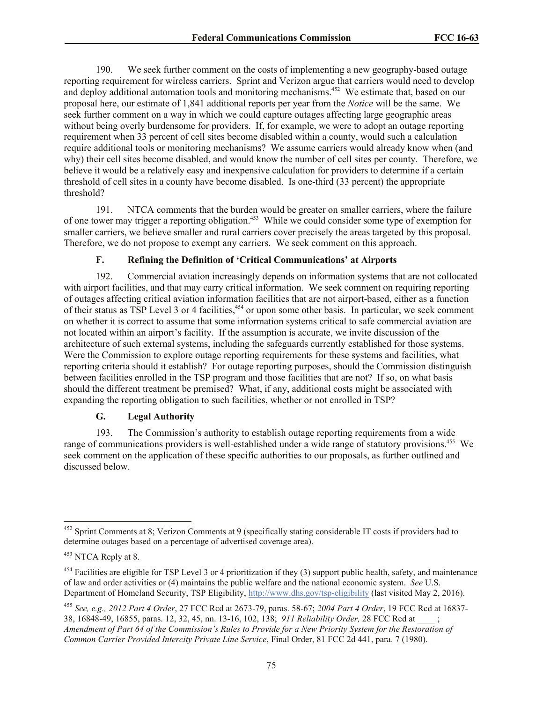190. We seek further comment on the costs of implementing a new geography-based outage reporting requirement for wireless carriers. Sprint and Verizon argue that carriers would need to develop and deploy additional automation tools and monitoring mechanisms.<sup>452</sup> We estimate that, based on our proposal here, our estimate of 1,841 additional reports per year from the *Notice* will be the same. We seek further comment on a way in which we could capture outages affecting large geographic areas without being overly burdensome for providers. If, for example, we were to adopt an outage reporting requirement when 33 percent of cell sites become disabled within a county, would such a calculation require additional tools or monitoring mechanisms? We assume carriers would already know when (and why) their cell sites become disabled, and would know the number of cell sites per county. Therefore, we believe it would be a relatively easy and inexpensive calculation for providers to determine if a certain threshold of cell sites in a county have become disabled. Is one-third (33 percent) the appropriate threshold?

191. NTCA comments that the burden would be greater on smaller carriers, where the failure of one tower may trigger a reporting obligation.<sup>453</sup> While we could consider some type of exemption for smaller carriers, we believe smaller and rural carriers cover precisely the areas targeted by this proposal. Therefore, we do not propose to exempt any carriers. We seek comment on this approach.

## **F. Refining the Definition of 'Critical Communications' at Airports**

192. Commercial aviation increasingly depends on information systems that are not collocated with airport facilities, and that may carry critical information. We seek comment on requiring reporting of outages affecting critical aviation information facilities that are not airport-based, either as a function of their status as TSP Level 3 or 4 facilities,<sup>454</sup> or upon some other basis. In particular, we seek comment on whether it is correct to assume that some information systems critical to safe commercial aviation are not located within an airport's facility. If the assumption is accurate, we invite discussion of the architecture of such external systems, including the safeguards currently established for those systems. Were the Commission to explore outage reporting requirements for these systems and facilities, what reporting criteria should it establish? For outage reporting purposes, should the Commission distinguish between facilities enrolled in the TSP program and those facilities that are not? If so, on what basis should the different treatment be premised? What, if any, additional costs might be associated with expanding the reporting obligation to such facilities, whether or not enrolled in TSP?

## **G. Legal Authority**

193. The Commission's authority to establish outage reporting requirements from a wide range of communications providers is well-established under a wide range of statutory provisions.<sup>455</sup> We seek comment on the application of these specific authorities to our proposals, as further outlined and discussed below.

 $\overline{a}$ 

 $452$  Sprint Comments at 8; Verizon Comments at 9 (specifically stating considerable IT costs if providers had to determine outages based on a percentage of advertised coverage area).

<sup>453</sup> NTCA Reply at 8.

 $454$  Facilities are eligible for TSP Level 3 or 4 prioritization if they (3) support public health, safety, and maintenance of law and order activities or (4) maintains the public welfare and the national economic system. *See* U.S. Department of Homeland Security, TSP Eligibility, http://www.dhs.gov/tsp-eligibility (last visited May 2, 2016).

<sup>455</sup> *See, e.g., 2012 Part 4 Order*, 27 FCC Rcd at 2673-79, paras. 58-67; *2004 Part 4 Order*, 19 FCC Rcd at 16837- 38, 16848-49, 16855, paras. 12, 32, 45, nn. 13-16, 102, 138; *911 Reliability Order,* 28 FCC Rcd at \_\_\_\_ ; *Amendment of Part 64 of the Commission's Rules to Provide for a New Priority System for the Restoration of Common Carrier Provided Intercity Private Line Service*, Final Order, 81 FCC 2d 441, para. 7 (1980).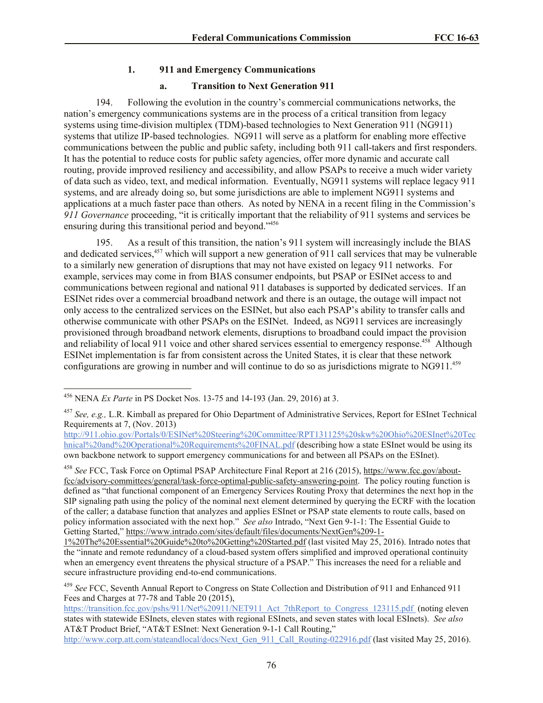# **1. 911 and Emergency Communications**

## **a. Transition to Next Generation 911**

194. Following the evolution in the country's commercial communications networks, the nation's emergency communications systems are in the process of a critical transition from legacy systems using time-division multiplex (TDM)-based technologies to Next Generation 911 (NG911) systems that utilize IP-based technologies. NG911 will serve as a platform for enabling more effective communications between the public and public safety, including both 911 call-takers and first responders. It has the potential to reduce costs for public safety agencies, offer more dynamic and accurate call routing, provide improved resiliency and accessibility, and allow PSAPs to receive a much wider variety of data such as video, text, and medical information. Eventually, NG911 systems will replace legacy 911 systems, and are already doing so, but some jurisdictions are able to implement NG911 systems and applications at a much faster pace than others. As noted by NENA in a recent filing in the Commission's *911 Governance* proceeding, "it is critically important that the reliability of 911 systems and services be ensuring during this transitional period and beyond."<sup>456</sup>

195. As a result of this transition, the nation's 911 system will increasingly include the BIAS and dedicated services,<sup>457</sup> which will support a new generation of 911 call services that may be vulnerable to a similarly new generation of disruptions that may not have existed on legacy 911 networks. For example, services may come in from BIAS consumer endpoints, but PSAP or ESINet access to and communications between regional and national 911 databases is supported by dedicated services. If an ESINet rides over a commercial broadband network and there is an outage, the outage will impact not only access to the centralized services on the ESINet, but also each PSAP's ability to transfer calls and otherwise communicate with other PSAPs on the ESINet. Indeed, as NG911 services are increasingly provisioned through broadband network elements, disruptions to broadband could impact the provision and reliability of local 911 voice and other shared services essential to emergency response.<sup>458</sup> Although ESINet implementation is far from consistent across the United States, it is clear that these network configurations are growing in number and will continue to do so as jurisdictions migrate to NG911.<sup>459</sup>

l <sup>456</sup> NENA *Ex Parte* in PS Docket Nos. 13-75 and 14-193 (Jan. 29, 2016) at 3.

<sup>457</sup> *See, e.g.,* L.R. Kimball as prepared for Ohio Department of Administrative Services, Report for ESInet Technical Requirements at 7, (Nov. 2013)

http://911.ohio.gov/Portals/0/ESINet%20Steering%20Committee/RPT131125%20skw%20Ohio%20ESInet%20Tec hnical%20and%20Operational%20Requirements%20FINAL.pdf (describing how a state ESInet would be using its own backbone network to support emergency communications for and between all PSAPs on the ESInet).

<sup>458</sup> *See* FCC, Task Force on Optimal PSAP Architecture Final Report at 216 (2015), https://www.fcc.gov/aboutfcc/advisory-committees/general/task-force-optimal-public-safety-answering-point. The policy routing function is defined as "that functional component of an Emergency Services Routing Proxy that determines the next hop in the SIP signaling path using the policy of the nominal next element determined by querying the ECRF with the location of the caller; a database function that analyzes and applies ESInet or PSAP state elements to route calls, based on policy information associated with the next hop." *See also* Intrado, "Next Gen 9-1-1: The Essential Guide to Getting Started," https://www.intrado.com/sites/default/files/documents/NextGen%209-1-

<sup>1%20</sup>The%20Essential%20Guide%20to%20Getting%20Started.pdf (last visited May 25, 2016). Intrado notes that the "innate and remote redundancy of a cloud-based system offers simplified and improved operational continuity when an emergency event threatens the physical structure of a PSAP." This increases the need for a reliable and secure infrastructure providing end-to-end communications.

<sup>459</sup> *See* FCC, Seventh Annual Report to Congress on State Collection and Distribution of 911 and Enhanced 911 Fees and Charges at 77-78 and Table 20 (2015),

https://transition.fcc.gov/pshs/911/Net%20911/NET911\_Act\_7thReport\_to\_Congress\_123115.pdf (noting eleven states with statewide ESInets, eleven states with regional ESInets, and seven states with local ESInets). *See also* AT&T Product Brief, "AT&T ESInet: Next Generation 9-1-1 Call Routing,"

http://www.corp.att.com/stateandlocal/docs/Next\_Gen\_911\_Call\_Routing-022916.pdf (last visited May 25, 2016).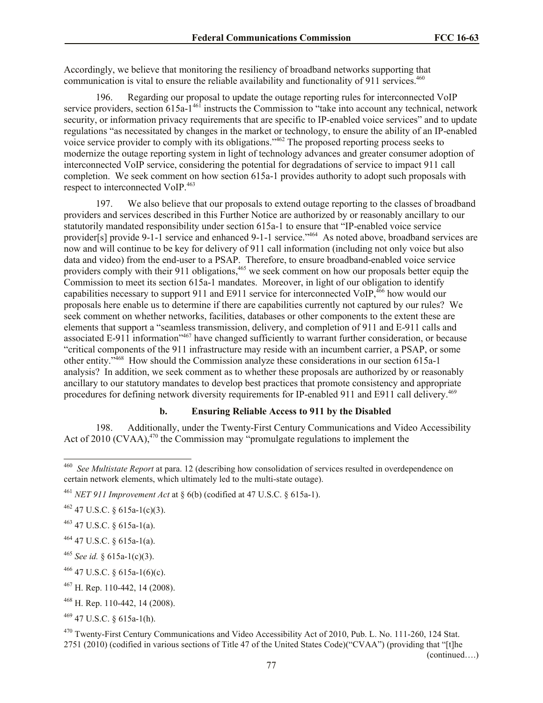Accordingly, we believe that monitoring the resiliency of broadband networks supporting that communication is vital to ensure the reliable availability and functionality of 911 services.<sup>460</sup>

196. Regarding our proposal to update the outage reporting rules for interconnected VoIP service providers, section 615a-1<sup>461</sup> instructs the Commission to "take into account any technical, network security, or information privacy requirements that are specific to IP-enabled voice services" and to update regulations "as necessitated by changes in the market or technology, to ensure the ability of an IP-enabled voice service provider to comply with its obligations."<sup>462</sup> The proposed reporting process seeks to modernize the outage reporting system in light of technology advances and greater consumer adoption of interconnected VoIP service, considering the potential for degradations of service to impact 911 call completion. We seek comment on how section 615a-1 provides authority to adopt such proposals with respect to interconnected VoIP. 463

197. We also believe that our proposals to extend outage reporting to the classes of broadband providers and services described in this Further Notice are authorized by or reasonably ancillary to our statutorily mandated responsibility under section 615a-1 to ensure that "IP-enabled voice service provider[s] provide 9-1-1 service and enhanced 9-1-1 service."<sup>464</sup> As noted above, broadband services are now and will continue to be key for delivery of 911 call information (including not only voice but also data and video) from the end-user to a PSAP. Therefore, to ensure broadband-enabled voice service providers comply with their 911 obligations,<sup>465</sup> we seek comment on how our proposals better equip the Commission to meet its section 615a-1 mandates. Moreover, in light of our obligation to identify capabilities necessary to support 911 and E911 service for interconnected VoIP,<sup>466</sup> how would our proposals here enable us to determine if there are capabilities currently not captured by our rules? We seek comment on whether networks, facilities, databases or other components to the extent these are elements that support a "seamless transmission, delivery, and completion of 911 and E-911 calls and associated E-911 information"<sup>467</sup> have changed sufficiently to warrant further consideration, or because "critical components of the 911 infrastructure may reside with an incumbent carrier, a PSAP, or some other entity."<sup>468</sup> How should the Commission analyze these considerations in our section 615a-1 analysis? In addition, we seek comment as to whether these proposals are authorized by or reasonably ancillary to our statutory mandates to develop best practices that promote consistency and appropriate procedures for defining network diversity requirements for IP-enabled 911 and E911 call delivery.<sup>469</sup>

# **b. Ensuring Reliable Access to 911 by the Disabled**

198. Additionally, under the Twenty-First Century Communications and Video Accessibility Act of 2010 (CVAA),<sup>470</sup> the Commission may "promulgate regulations to implement the

<sup>462</sup> 47 U.S.C. § 615a-1(c)(3).

 $463$  47 U.S.C. § 615a-1(a).

 $464$  47 U.S.C. § 615a-1(a).

 $^{465}$  *See id.* § 615a-1(c)(3).

 $466$  47 U.S.C. § 615a-1(6)(c).

<sup>467</sup> H. Rep. 110-442, 14 (2008).

<sup>468</sup> H. Rep. 110-442, 14 (2008).

 $469$  47 U.S.C. § 615a-1(h).

<sup>470</sup> Twenty-First Century Communications and Video Accessibility Act of 2010, Pub. L. No. 111-260, 124 Stat. 2751 (2010) (codified in various sections of Title 47 of the United States Code)("CVAA") (providing that "[t]he

(continued….)

 460 *See Multistate Report* at para. 12 (describing how consolidation of services resulted in overdependence on certain network elements, which ultimately led to the multi-state outage).

<sup>461</sup> *NET 911 Improvement Act* at § 6(b) (codified at 47 U.S.C. § 615a-1).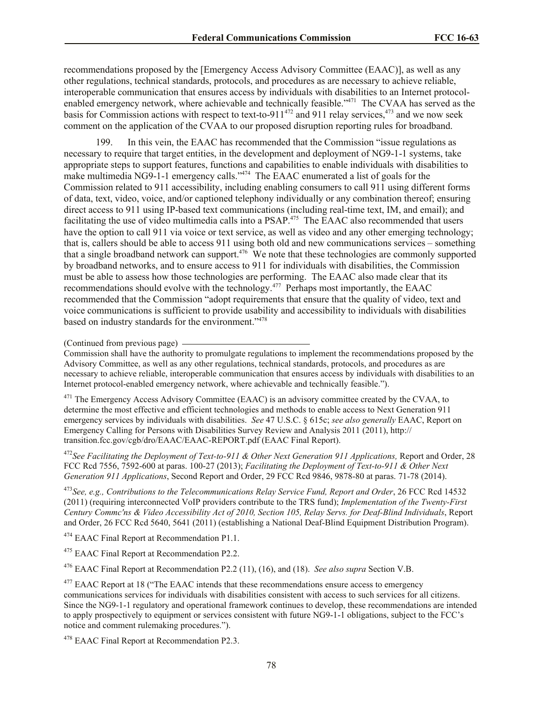recommendations proposed by the [Emergency Access Advisory Committee (EAAC)], as well as any other regulations, technical standards, protocols, and procedures as are necessary to achieve reliable, interoperable communication that ensures access by individuals with disabilities to an Internet protocolenabled emergency network, where achievable and technically feasible."<sup>471</sup> The CVAA has served as the basis for Commission actions with respect to text-to-911<sup>472</sup> and 911 relay services,<sup>473</sup> and we now seek comment on the application of the CVAA to our proposed disruption reporting rules for broadband.

199. In this vein, the EAAC has recommended that the Commission "issue regulations as necessary to require that target entities, in the development and deployment of NG9-1-1 systems, take appropriate steps to support features, functions and capabilities to enable individuals with disabilities to make multimedia NG9-1-1 emergency calls."<sup>474</sup> The EAAC enumerated a list of goals for the Commission related to 911 accessibility, including enabling consumers to call 911 using different forms of data, text, video, voice, and/or captioned telephony individually or any combination thereof; ensuring direct access to 911 using IP-based text communications (including real-time text, IM, and email); and facilitating the use of video multimedia calls into a PSAP.<sup>475</sup> The EAAC also recommended that users have the option to call 911 via voice or text service, as well as video and any other emerging technology; that is, callers should be able to access 911 using both old and new communications services – something that a single broadband network can support. $476$  We note that these technologies are commonly supported by broadband networks, and to ensure access to 911 for individuals with disabilities, the Commission must be able to assess how those technologies are performing. The EAAC also made clear that its recommendations should evolve with the technology.<sup>477</sup> Perhaps most importantly, the EAAC recommended that the Commission "adopt requirements that ensure that the quality of video, text and voice communications is sufficient to provide usability and accessibility to individuals with disabilities based on industry standards for the environment."<sup>478</sup>

Commission shall have the authority to promulgate regulations to implement the recommendations proposed by the Advisory Committee, as well as any other regulations, technical standards, protocols, and procedures as are necessary to achieve reliable, interoperable communication that ensures access by individuals with disabilities to an Internet protocol-enabled emergency network, where achievable and technically feasible.").

<sup>471</sup> The Emergency Access Advisory Committee (EAAC) is an advisory committee created by the CVAA, to determine the most effective and efficient technologies and methods to enable access to Next Generation 911 emergency services by individuals with disabilities. *See* 47 U.S.C. § 615c; *see also generally* EAAC, Report on Emergency Calling for Persons with Disabilities Survey Review and Analysis 2011 (2011), http:// transition.fcc.gov/cgb/dro/EAAC/EAAC-REPORT.pdf (EAAC Final Report).

<sup>472</sup>See Facilitating the Deployment of Text-to-911 & Other Next Generation 911 Applications, Report and Order, 28 FCC Rcd 7556, 7592-600 at paras. 100-27 (2013); *Facilitating the Deployment of Text-to-911 & Other Next Generation 911 Applications*, Second Report and Order, 29 FCC Rcd 9846, 9878-80 at paras. 71-78 (2014).

<sup>473</sup>*See, e.g., Contributions to the Telecommunications Relay Service Fund, Report and Order*, 26 FCC Rcd 14532 (2011) (requiring interconnected VoIP providers contribute to the TRS fund); *Implementation of the Twenty-First Century Commc'ns & Video Accessibility Act of 2010, Section 105, Relay Servs. for Deaf-Blind Individuals*, Report and Order, 26 FCC Rcd 5640, 5641 (2011) (establishing a National Deaf-Blind Equipment Distribution Program).

<sup>474</sup> EAAC Final Report at Recommendation P1.1.

<sup>475</sup> EAAC Final Report at Recommendation P2.2.

<sup>476</sup> EAAC Final Report at Recommendation P2.2 (11), (16), and (18). *See also supra* Section V.B.

<sup>477</sup> EAAC Report at 18 ("The EAAC intends that these recommendations ensure access to emergency communications services for individuals with disabilities consistent with access to such services for all citizens. Since the NG9-1-1 regulatory and operational framework continues to develop, these recommendations are intended to apply prospectively to equipment or services consistent with future NG9-1-1 obligations, subject to the FCC's notice and comment rulemaking procedures.").

<sup>478</sup> EAAC Final Report at Recommendation P2.3.

<sup>(</sup>Continued from previous page)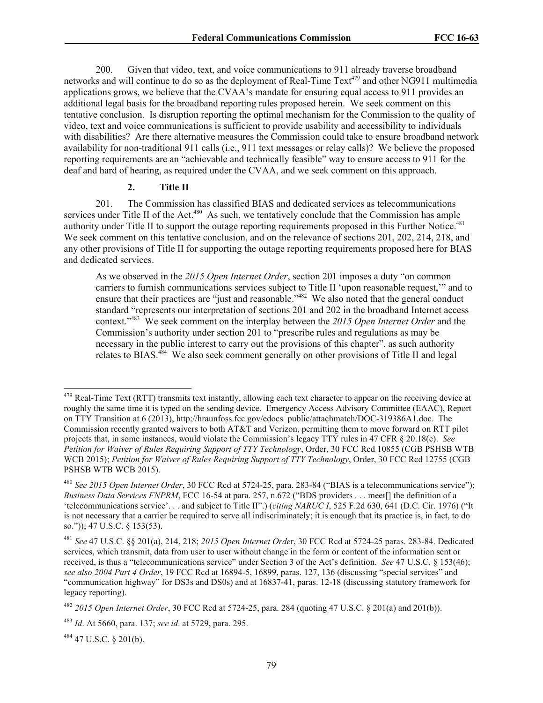200. Given that video, text, and voice communications to 911 already traverse broadband networks and will continue to do so as the deployment of Real-Time Text<sup>479</sup> and other NG911 multimedia applications grows, we believe that the CVAA's mandate for ensuring equal access to 911 provides an additional legal basis for the broadband reporting rules proposed herein. We seek comment on this tentative conclusion. Is disruption reporting the optimal mechanism for the Commission to the quality of video, text and voice communications is sufficient to provide usability and accessibility to individuals with disabilities? Are there alternative measures the Commission could take to ensure broadband network availability for non-traditional 911 calls (i.e., 911 text messages or relay calls)? We believe the proposed reporting requirements are an "achievable and technically feasible" way to ensure access to 911 for the deaf and hard of hearing, as required under the CVAA, and we seek comment on this approach.

#### **2. Title II**

201. The Commission has classified BIAS and dedicated services as telecommunications services under Title II of the Act.<sup>480</sup> As such, we tentatively conclude that the Commission has ample authority under Title II to support the outage reporting requirements proposed in this Further Notice.<sup>481</sup> We seek comment on this tentative conclusion, and on the relevance of sections 201, 202, 214, 218, and any other provisions of Title II for supporting the outage reporting requirements proposed here for BIAS and dedicated services.

As we observed in the *2015 Open Internet Order*, section 201 imposes a duty "on common carriers to furnish communications services subject to Title II 'upon reasonable request,'" and to ensure that their practices are "just and reasonable."<sup>482</sup> We also noted that the general conduct standard "represents our interpretation of sections 201 and 202 in the broadband Internet access context."<sup>483</sup> We seek comment on the interplay between the *2015 Open Internet Order* and the Commission's authority under section 201 to "prescribe rules and regulations as may be necessary in the public interest to carry out the provisions of this chapter", as such authority relates to BIAS.<sup>484</sup> We also seek comment generally on other provisions of Title II and legal

<sup>484</sup> 47 U.S.C. § 201(b).

l

 $479$  Real-Time Text (RTT) transmits text instantly, allowing each text character to appear on the receiving device at roughly the same time it is typed on the sending device. Emergency Access Advisory Committee (EAAC), Report on TTY Transition at 6 (2013), http://hraunfoss.fcc.gov/edocs\_public/attachmatch/DOC-319386A1.doc. The Commission recently granted waivers to both AT&T and Verizon, permitting them to move forward on RTT pilot projects that, in some instances, would violate the Commission's legacy TTY rules in 47 CFR § 20.18(c). *See Petition for Waiver of Rules Requiring Support of TTY Technology*, Order, 30 FCC Rcd 10855 (CGB PSHSB WTB WCB 2015); *Petition for Waiver of Rules Requiring Support of TTY Technology*, Order, 30 FCC Rcd 12755 (CGB PSHSB WTB WCB 2015).

<sup>480</sup> *See 2015 Open Internet Order*, 30 FCC Rcd at 5724-25, para. 283-84 ("BIAS is a telecommunications service"); *Business Data Services FNPRM*, FCC 16-54 at para. 257, n.672 ("BDS providers . . . meet[] the definition of a 'telecommunications service'. . . and subject to Title II".) (*citing NARUC I*, 525 F.2d 630, 641 (D.C. Cir. 1976) ("It is not necessary that a carrier be required to serve all indiscriminately; it is enough that its practice is, in fact, to do so.")); 47 U.S.C. § 153(53).

<sup>481</sup> *See* 47 U.S.C. §§ 201(a), 214, 218; *2015 Open Internet Orde*r, 30 FCC Rcd at 5724-25 paras. 283-84. Dedicated services, which transmit, data from user to user without change in the form or content of the information sent or received, is thus a "telecommunications service" under Section 3 of the Act's definition. *See* 47 U.S.C. § 153(46); *see also 2004 Part 4 Order*, 19 FCC Rcd at 16894-5, 16899, paras. 127, 136 (discussing "special services" and "communication highway" for DS3s and DS0s) and at 16837-41, paras. 12-18 (discussing statutory framework for legacy reporting).

<sup>482</sup> *2015 Open Internet Order*, 30 FCC Rcd at 5724-25, para. 284 (quoting 47 U.S.C. § 201(a) and 201(b)).

<sup>483</sup> *Id*. At 5660, para. 137; *see id*. at 5729, para. 295.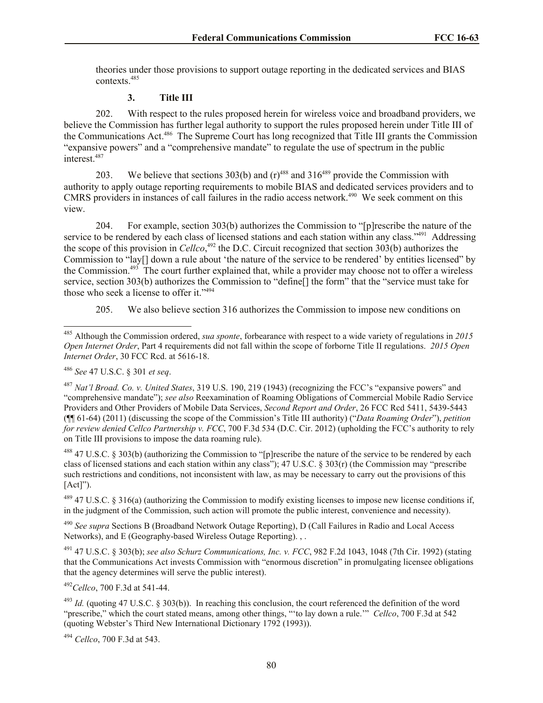theories under those provisions to support outage reporting in the dedicated services and BIAS contexts.<sup>485</sup>

# **3. Title III**

202. With respect to the rules proposed herein for wireless voice and broadband providers, we believe the Commission has further legal authority to support the rules proposed herein under Title III of the Communications Act.<sup>486</sup> The Supreme Court has long recognized that Title III grants the Commission "expansive powers" and a "comprehensive mandate" to regulate the use of spectrum in the public interest.<sup>487</sup>

203. We believe that sections 303(b) and  $(r)^{488}$  and 316<sup>489</sup> provide the Commission with authority to apply outage reporting requirements to mobile BIAS and dedicated services providers and to CMRS providers in instances of call failures in the radio access network.<sup>490</sup> We seek comment on this view.

204. For example, section 303(b) authorizes the Commission to "[p]rescribe the nature of the service to be rendered by each class of licensed stations and each station within any class."<sup>491</sup> Addressing the scope of this provision in *Cellco*, <sup>492</sup> the D.C. Circuit recognized that section 303(b) authorizes the Commission to "lay[] down a rule about 'the nature of the service to be rendered' by entities licensed" by the Commission.<sup>493</sup> The court further explained that, while a provider may choose not to offer a wireless service, section 303(b) authorizes the Commission to "define[] the form" that the "service must take for those who seek a license to offer it."<sup>494</sup>

205. We also believe section 316 authorizes the Commission to impose new conditions on

l

 $488$  47 U.S.C. § 303(b) (authorizing the Commission to "[p]rescribe the nature of the service to be rendered by each class of licensed stations and each station within any class"); 47 U.S.C. § 303(r) (the Commission may "prescribe such restrictions and conditions, not inconsistent with law, as may be necessary to carry out the provisions of this  $[Act]$ ").

 $^{489}$  47 U.S.C. § 316(a) (authorizing the Commission to modify existing licenses to impose new license conditions if, in the judgment of the Commission, such action will promote the public interest, convenience and necessity).

<sup>490</sup> *See supra* Sections B (Broadband Network Outage Reporting), D (Call Failures in Radio and Local Access Networks), and E (Geography-based Wireless Outage Reporting). , .

<sup>491</sup> 47 U.S.C. § 303(b); *see also Schurz Communications, Inc. v. FCC*, 982 F.2d 1043, 1048 (7th Cir. 1992) (stating that the Communications Act invests Commission with "enormous discretion" in promulgating licensee obligations that the agency determines will serve the public interest).

<sup>492</sup>*Cellco*, 700 F.3d at 541-44.

 $^{493}$  *Id.* (quoting 47 U.S.C. § 303(b)). In reaching this conclusion, the court referenced the definition of the word "prescribe," which the court stated means, among other things, "'to lay down a rule.'" *Cellco*, 700 F.3d at 542 (quoting Webster's Third New International Dictionary 1792 (1993)).

<sup>494</sup> *Cellco*, 700 F.3d at 543.

<sup>485</sup> Although the Commission ordered, *sua sponte*, forbearance with respect to a wide variety of regulations in *2015 Open Internet Order*, Part 4 requirements did not fall within the scope of forborne Title II regulations. *2015 Open Internet Order*, 30 FCC Rcd. at 5616-18.

<sup>486</sup> *See* 47 U.S.C. § 301 *et seq*.

<sup>487</sup> *Nat'l Broad. Co. v. United States*, 319 U.S. 190, 219 (1943) (recognizing the FCC's "expansive powers" and "comprehensive mandate"); *see also* Reexamination of Roaming Obligations of Commercial Mobile Radio Service Providers and Other Providers of Mobile Data Services, *Second Report and Order*, 26 FCC Rcd 5411, 5439-5443 (¶¶ 61-64) (2011) (discussing the scope of the Commission's Title III authority) ("*Data Roaming Order*"), *petition for review denied Cellco Partnership v. FCC*, 700 F.3d 534 (D.C. Cir. 2012) (upholding the FCC's authority to rely on Title III provisions to impose the data roaming rule).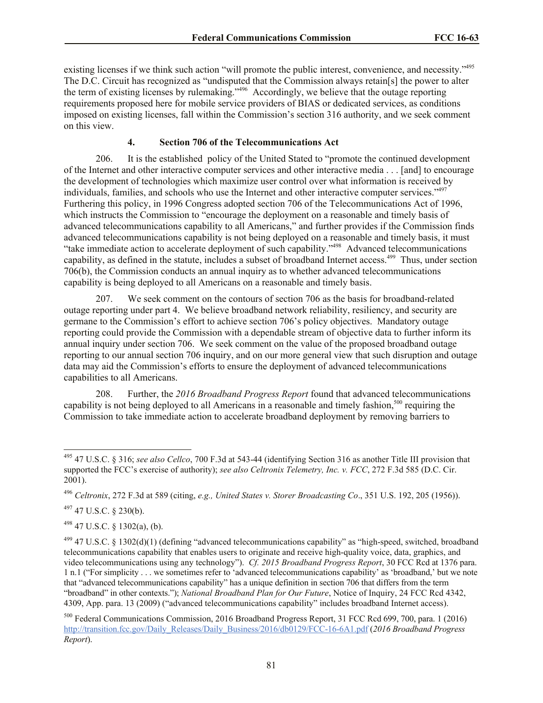existing licenses if we think such action "will promote the public interest, convenience, and necessity."<sup>495</sup> The D.C. Circuit has recognized as "undisputed that the Commission always retain[s] the power to alter the term of existing licenses by rulemaking."<sup>496</sup> Accordingly, we believe that the outage reporting requirements proposed here for mobile service providers of BIAS or dedicated services, as conditions imposed on existing licenses, fall within the Commission's section 316 authority, and we seek comment on this view.

## **4. Section 706 of the Telecommunications Act**

206. It is the established policy of the United Stated to "promote the continued development of the Internet and other interactive computer services and other interactive media . . . [and] to encourage the development of technologies which maximize user control over what information is received by individuals, families, and schools who use the Internet and other interactive computer services."<sup>497</sup> Furthering this policy, in 1996 Congress adopted section 706 of the Telecommunications Act of 1996, which instructs the Commission to "encourage the deployment on a reasonable and timely basis of advanced telecommunications capability to all Americans," and further provides if the Commission finds advanced telecommunications capability is not being deployed on a reasonable and timely basis, it must "take immediate action to accelerate deployment of such capability."<sup>498</sup> Advanced telecommunications capability, as defined in the statute, includes a subset of broadband Internet access.<sup>499</sup> Thus, under section 706(b), the Commission conducts an annual inquiry as to whether advanced telecommunications capability is being deployed to all Americans on a reasonable and timely basis.

207. We seek comment on the contours of section 706 as the basis for broadband-related outage reporting under part 4. We believe broadband network reliability, resiliency, and security are germane to the Commission's effort to achieve section 706's policy objectives. Mandatory outage reporting could provide the Commission with a dependable stream of objective data to further inform its annual inquiry under section 706. We seek comment on the value of the proposed broadband outage reporting to our annual section 706 inquiry, and on our more general view that such disruption and outage data may aid the Commission's efforts to ensure the deployment of advanced telecommunications capabilities to all Americans.

208. Further, the *2016 Broadband Progress Report* found that advanced telecommunications capability is not being deployed to all Americans in a reasonable and timely fashion,<sup>500</sup> requiring the Commission to take immediate action to accelerate broadband deployment by removing barriers to

<sup>497</sup> 47 U.S.C. § 230(b).

l

 $498$  47 U.S.C. § 1302(a), (b).

<sup>495</sup> 47 U.S.C. § 316; *see also Cellco*, 700 F.3d at 543-44 (identifying Section 316 as another Title III provision that supported the FCC's exercise of authority); *see also Celtronix Telemetry, Inc. v. FCC*, 272 F.3d 585 (D.C. Cir. 2001).

<sup>496</sup> *Celtronix*, 272 F.3d at 589 (citing, *e.g., United States v. Storer Broadcasting Co*., 351 U.S. 192, 205 (1956)).

 $499$  47 U.S.C. § 1302(d)(1) (defining "advanced telecommunications capability" as "high-speed, switched, broadband telecommunications capability that enables users to originate and receive high-quality voice, data, graphics, and video telecommunications using any technology"). *Cf. 2015 Broadband Progress Report*, 30 FCC Rcd at 1376 para. 1 n.1 ("For simplicity . . . we sometimes refer to 'advanced telecommunications capability' as 'broadband,' but we note that "advanced telecommunications capability" has a unique definition in section 706 that differs from the term "broadband" in other contexts."); *National Broadband Plan for Our Future*, Notice of Inquiry, 24 FCC Rcd 4342, 4309, App. para. 13 (2009) ("advanced telecommunications capability" includes broadband Internet access).

<sup>500</sup> Federal Communications Commission, 2016 Broadband Progress Report, 31 FCC Rcd 699, 700, para. 1 (2016) http://transition.fcc.gov/Daily\_Releases/Daily\_Business/2016/db0129/FCC-16-6A1.pdf (*2016 Broadband Progress Report*).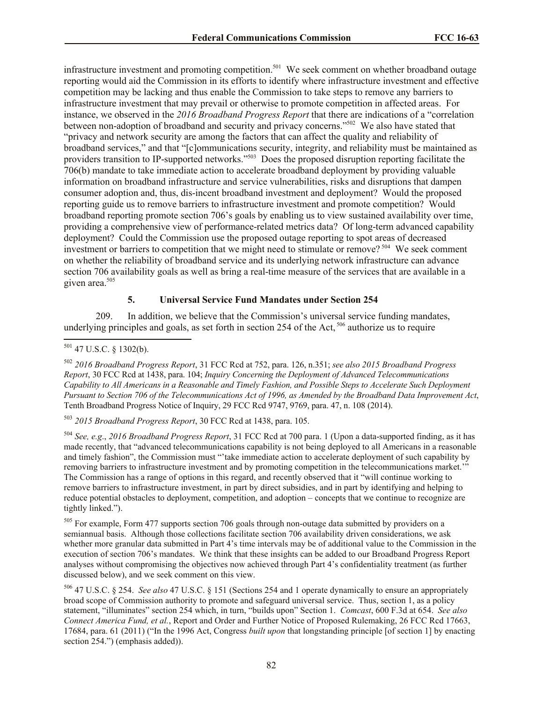infrastructure investment and promoting competition.<sup>501</sup> We seek comment on whether broadband outage reporting would aid the Commission in its efforts to identify where infrastructure investment and effective competition may be lacking and thus enable the Commission to take steps to remove any barriers to infrastructure investment that may prevail or otherwise to promote competition in affected areas. For instance, we observed in the *2016 Broadband Progress Report* that there are indications of a "correlation between non-adoption of broadband and security and privacy concerns."<sup>502</sup> We also have stated that "privacy and network security are among the factors that can affect the quality and reliability of broadband services," and that "[c]ommunications security, integrity, and reliability must be maintained as providers transition to IP-supported networks."<sup>503</sup> Does the proposed disruption reporting facilitate the 706(b) mandate to take immediate action to accelerate broadband deployment by providing valuable information on broadband infrastructure and service vulnerabilities, risks and disruptions that dampen consumer adoption and, thus, dis-incent broadband investment and deployment? Would the proposed reporting guide us to remove barriers to infrastructure investment and promote competition? Would broadband reporting promote section 706's goals by enabling us to view sustained availability over time, providing a comprehensive view of performance-related metrics data? Of long-term advanced capability deployment? Could the Commission use the proposed outage reporting to spot areas of decreased investment or barriers to competition that we might need to stimulate or remove?<sup>504</sup> We seek comment on whether the reliability of broadband service and its underlying network infrastructure can advance section 706 availability goals as well as bring a real-time measure of the services that are available in a given area. 505

## **5. Universal Service Fund Mandates under Section 254**

209. In addition, we believe that the Commission's universal service funding mandates, underlying principles and goals, as set forth in section 254 of the Act,  $^{506}$  authorize us to require

<sup>503</sup> *2015 Broadband Progress Report*, 30 FCC Rcd at 1438, para. 105.

<sup>504</sup> *See, e.g*., *2016 Broadband Progress Report*, 31 FCC Rcd at 700 para. 1 (Upon a data-supported finding, as it has made recently, that "advanced telecommunications capability is not being deployed to all Americans in a reasonable and timely fashion", the Commission must "'take immediate action to accelerate deployment of such capability by removing barriers to infrastructure investment and by promoting competition in the telecommunications market.'" The Commission has a range of options in this regard, and recently observed that it "will continue working to remove barriers to infrastructure investment, in part by direct subsidies, and in part by identifying and helping to reduce potential obstacles to deployment, competition, and adoption – concepts that we continue to recognize are tightly linked.").

<sup>505</sup> For example, Form 477 supports section 706 goals through non-outage data submitted by providers on a semiannual basis. Although those collections facilitate section 706 availability driven considerations, we ask whether more granular data submitted in Part 4's time intervals may be of additional value to the Commission in the execution of section 706's mandates. We think that these insights can be added to our Broadband Progress Report analyses without compromising the objectives now achieved through Part 4's confidentiality treatment (as further discussed below), and we seek comment on this view.

<sup>506</sup> 47 U.S.C. § 254. *See also* 47 U.S.C. § 151 (Sections 254 and 1 operate dynamically to ensure an appropriately broad scope of Commission authority to promote and safeguard universal service. Thus, section 1, as a policy statement, "illuminates" section 254 which, in turn, "builds upon" Section 1. *Comcast*, 600 F.3d at 654. *See also Connect America Fund, et al.*, Report and Order and Further Notice of Proposed Rulemaking, 26 FCC Rcd 17663, 17684, para. 61 (2011) ("In the 1996 Act, Congress *built upon* that longstanding principle [of section 1] by enacting section 254.") (emphasis added)).

l  $501$  47 U.S.C. § 1302(b).

<sup>502</sup> *2016 Broadband Progress Report*, 31 FCC Rcd at 752, para. 126, n.351; *see also 2015 Broadband Progress Report*, 30 FCC Rcd at 1438, para. 104; *Inquiry Concerning the Deployment of Advanced Telecommunications Capability to All Americans in a Reasonable and Timely Fashion, and Possible Steps to Accelerate Such Deployment Pursuant to Section 706 of the Telecommunications Act of 1996, as Amended by the Broadband Data Improvement Act*, Tenth Broadband Progress Notice of Inquiry, 29 FCC Rcd 9747, 9769, para. 47, n. 108 (2014).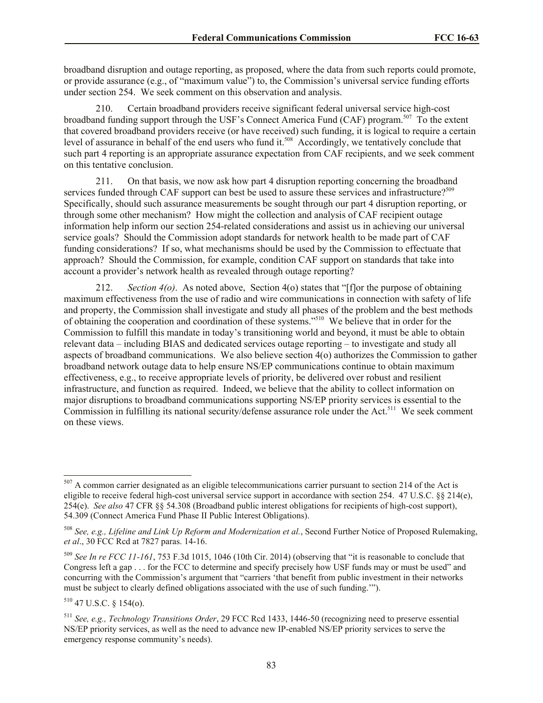broadband disruption and outage reporting, as proposed, where the data from such reports could promote, or provide assurance (e.g., of "maximum value") to, the Commission's universal service funding efforts under section 254. We seek comment on this observation and analysis.

210. Certain broadband providers receive significant federal universal service high-cost broadband funding support through the USF's Connect America Fund (CAF) program.<sup>507</sup> To the extent that covered broadband providers receive (or have received) such funding, it is logical to require a certain level of assurance in behalf of the end users who fund it.<sup>508</sup> Accordingly, we tentatively conclude that such part 4 reporting is an appropriate assurance expectation from CAF recipients, and we seek comment on this tentative conclusion.

211. On that basis, we now ask how part 4 disruption reporting concerning the broadband services funded through CAF support can best be used to assure these services and infrastructure?<sup>509</sup> Specifically, should such assurance measurements be sought through our part 4 disruption reporting, or through some other mechanism? How might the collection and analysis of CAF recipient outage information help inform our section 254-related considerations and assist us in achieving our universal service goals? Should the Commission adopt standards for network health to be made part of CAF funding considerations? If so, what mechanisms should be used by the Commission to effectuate that approach? Should the Commission, for example, condition CAF support on standards that take into account a provider's network health as revealed through outage reporting?

212. *Section 4(o)*. As noted above, Section 4(o) states that "[f]or the purpose of obtaining maximum effectiveness from the use of radio and wire communications in connection with safety of life and property, the Commission shall investigate and study all phases of the problem and the best methods of obtaining the cooperation and coordination of these systems."<sup>510</sup> We believe that in order for the Commission to fulfill this mandate in today's transitioning world and beyond, it must be able to obtain relevant data – including BIAS and dedicated services outage reporting – to investigate and study all aspects of broadband communications. We also believe section 4(o) authorizes the Commission to gather broadband network outage data to help ensure NS/EP communications continue to obtain maximum effectiveness, e.g., to receive appropriate levels of priority, be delivered over robust and resilient infrastructure, and function as required. Indeed, we believe that the ability to collect information on major disruptions to broadband communications supporting NS/EP priority services is essential to the Commission in fulfilling its national security/defense assurance role under the Act.<sup>511</sup> We seek comment on these views.

 $510$  47 U.S.C.  $\delta$  154(o).

l

 $507$  A common carrier designated as an eligible telecommunications carrier pursuant to section 214 of the Act is eligible to receive federal high-cost universal service support in accordance with section 254. 47 U.S.C. §§ 214(e), 254(e). *See also* 47 CFR §§ 54.308 (Broadband public interest obligations for recipients of high-cost support), 54.309 (Connect America Fund Phase II Public Interest Obligations).

<sup>508</sup> *See, e.g., Lifeline and Link Up Reform and Modernization et al.*, Second Further Notice of Proposed Rulemaking, *et al*., 30 FCC Rcd at 7827 paras. 14-16.

<sup>509</sup> *See In re FCC 11-161*, 753 F.3d 1015, 1046 (10th Cir. 2014) (observing that "it is reasonable to conclude that Congress left a gap . . . for the FCC to determine and specify precisely how USF funds may or must be used" and concurring with the Commission's argument that "carriers 'that benefit from public investment in their networks must be subject to clearly defined obligations associated with the use of such funding.'").

<sup>511</sup> *See, e.g., Technology Transitions Order*, 29 FCC Rcd 1433, 1446-50 (recognizing need to preserve essential NS/EP priority services, as well as the need to advance new IP-enabled NS/EP priority services to serve the emergency response community's needs).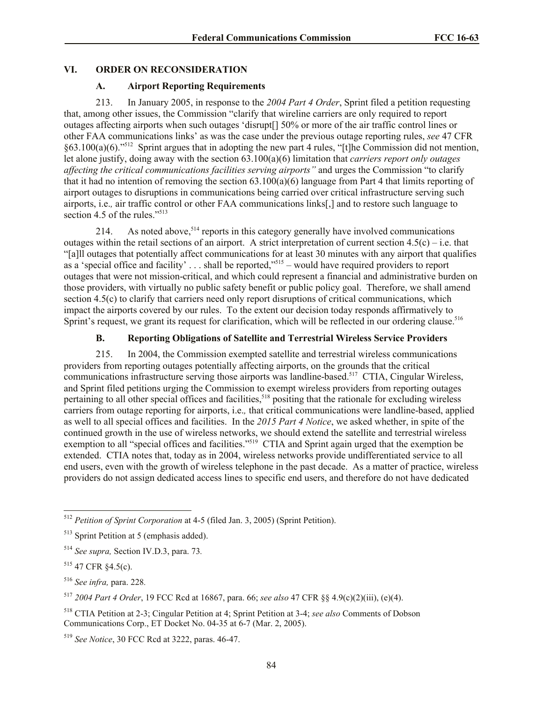## **VI. ORDER ON RECONSIDERATION**

#### **A. Airport Reporting Requirements**

213. In January 2005, in response to the *2004 Part 4 Order*, Sprint filed a petition requesting that, among other issues, the Commission "clarify that wireline carriers are only required to report outages affecting airports when such outages 'disrupt[] 50% or more of the air traffic control lines or other FAA communications links' as was the case under the previous outage reporting rules, *see* 47 CFR §63.100(a)(6)."<sup>512</sup> Sprint argues that in adopting the new part 4 rules, "[t]he Commission did not mention, let alone justify, doing away with the section 63.100(a)(6) limitation that *carriers report only outages affecting the critical communications facilities serving airports"* and urges the Commission "to clarify that it had no intention of removing the section  $63.100(a)(6)$  language from Part 4 that limits reporting of airport outages to disruptions in communications being carried over critical infrastructure serving such airports, i.e.*,* air traffic control or other FAA communications links[,] and to restore such language to section 4.5 of the rules."<sup>513</sup>

214. As noted above,  $514$  reports in this category generally have involved communications outages within the retail sections of an airport. A strict interpretation of current section  $4.5(c) - i.e.$  that "[a]ll outages that potentially affect communications for at least 30 minutes with any airport that qualifies as a 'special office and facility'  $\dots$  shall be reported,"<sup>515</sup> – would have required providers to report outages that were not mission-critical, and which could represent a financial and administrative burden on those providers, with virtually no public safety benefit or public policy goal. Therefore, we shall amend section 4.5(c) to clarify that carriers need only report disruptions of critical communications, which impact the airports covered by our rules. To the extent our decision today responds affirmatively to Sprint's request, we grant its request for clarification, which will be reflected in our ordering clause.<sup>516</sup>

# **B. Reporting Obligations of Satellite and Terrestrial Wireless Service Providers**

215. In 2004, the Commission exempted satellite and terrestrial wireless communications providers from reporting outages potentially affecting airports, on the grounds that the critical communications infrastructure serving those airports was landline-based.<sup>517</sup> CTIA, Cingular Wireless, and Sprint filed petitions urging the Commission to exempt wireless providers from reporting outages pertaining to all other special offices and facilities,<sup>518</sup> positing that the rationale for excluding wireless carriers from outage reporting for airports, i.e.*,* that critical communications were landline-based, applied as well to all special offices and facilities. In the *2015 Part 4 Notice*, we asked whether, in spite of the continued growth in the use of wireless networks, we should extend the satellite and terrestrial wireless exemption to all "special offices and facilities."<sup>519</sup> CTIA and Sprint again urged that the exemption be extended. CTIA notes that, today as in 2004, wireless networks provide undifferentiated service to all end users, even with the growth of wireless telephone in the past decade. As a matter of practice, wireless providers do not assign dedicated access lines to specific end users, and therefore do not have dedicated

 $\overline{\phantom{a}}$ 

<sup>512</sup> *Petition of Sprint Corporation* at 4-5 (filed Jan. 3, 2005) (Sprint Petition).

<sup>513</sup> Sprint Petition at 5 (emphasis added).

<sup>514</sup> *See supra,* Section IV.D.3, para. 73*.*

<sup>515</sup> 47 CFR §4.5(c).

<sup>516</sup> *See infra,* para. 228*.*

<sup>517</sup> *2004 Part 4 Order*, 19 FCC Rcd at 16867, para. 66; *see also* 47 CFR §§ 4.9(c)(2)(iii), (e)(4).

<sup>518</sup> CTIA Petition at 2-3; Cingular Petition at 4; Sprint Petition at 3-4; *see also* Comments of Dobson Communications Corp., ET Docket No. 04-35 at 6-7 (Mar. 2, 2005).

<sup>519</sup> *See Notice*, 30 FCC Rcd at 3222, paras. 46-47.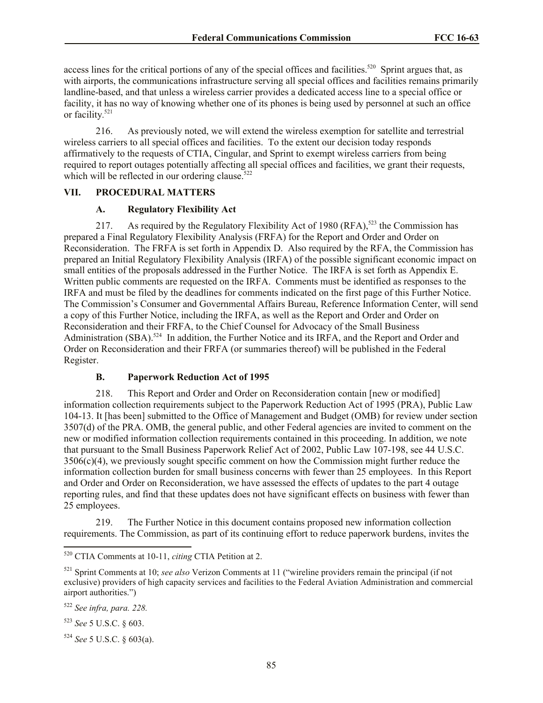access lines for the critical portions of any of the special offices and facilities.<sup>520</sup> Sprint argues that, as with airports, the communications infrastructure serving all special offices and facilities remains primarily landline-based, and that unless a wireless carrier provides a dedicated access line to a special office or facility, it has no way of knowing whether one of its phones is being used by personnel at such an office or facility. 521

216. As previously noted, we will extend the wireless exemption for satellite and terrestrial wireless carriers to all special offices and facilities. To the extent our decision today responds affirmatively to the requests of CTIA, Cingular, and Sprint to exempt wireless carriers from being required to report outages potentially affecting all special offices and facilities, we grant their requests, which will be reflected in our ordering clause. $522$ 

# **VII. PROCEDURAL MATTERS**

## **A. Regulatory Flexibility Act**

217. As required by the Regulatory Flexibility Act of 1980 (RFA),<sup>523</sup> the Commission has prepared a Final Regulatory Flexibility Analysis (FRFA) for the Report and Order and Order on Reconsideration. The FRFA is set forth in Appendix D. Also required by the RFA, the Commission has prepared an Initial Regulatory Flexibility Analysis (IRFA) of the possible significant economic impact on small entities of the proposals addressed in the Further Notice. The IRFA is set forth as Appendix E. Written public comments are requested on the IRFA. Comments must be identified as responses to the IRFA and must be filed by the deadlines for comments indicated on the first page of this Further Notice. The Commission's Consumer and Governmental Affairs Bureau, Reference Information Center, will send a copy of this Further Notice, including the IRFA, as well as the Report and Order and Order on Reconsideration and their FRFA, to the Chief Counsel for Advocacy of the Small Business Administration (SBA).<sup>524</sup> In addition, the Further Notice and its IRFA, and the Report and Order and Order on Reconsideration and their FRFA (or summaries thereof) will be published in the Federal Register.

## **B. Paperwork Reduction Act of 1995**

218. This Report and Order and Order on Reconsideration contain [new or modified] information collection requirements subject to the Paperwork Reduction Act of 1995 (PRA), Public Law 104-13. It [has been] submitted to the Office of Management and Budget (OMB) for review under section 3507(d) of the PRA. OMB, the general public, and other Federal agencies are invited to comment on the new or modified information collection requirements contained in this proceeding. In addition, we note that pursuant to the Small Business Paperwork Relief Act of 2002, Public Law 107-198, see 44 U.S.C.  $3506(c)(4)$ , we previously sought specific comment on how the Commission might further reduce the information collection burden for small business concerns with fewer than 25 employees. In this Report and Order and Order on Reconsideration, we have assessed the effects of updates to the part 4 outage reporting rules, and find that these updates does not have significant effects on business with fewer than 25 employees.

219. The Further Notice in this document contains proposed new information collection requirements. The Commission, as part of its continuing effort to reduce paperwork burdens, invites the

<sup>523</sup> *See* 5 U.S.C. § 603.

l <sup>520</sup> CTIA Comments at 10-11, *citing* CTIA Petition at 2.

<sup>521</sup> Sprint Comments at 10; *see also* Verizon Comments at 11 ("wireline providers remain the principal (if not exclusive) providers of high capacity services and facilities to the Federal Aviation Administration and commercial airport authorities.")

<sup>522</sup> *See infra, para. 228.*

<sup>524</sup> *See* 5 U.S.C. § 603(a).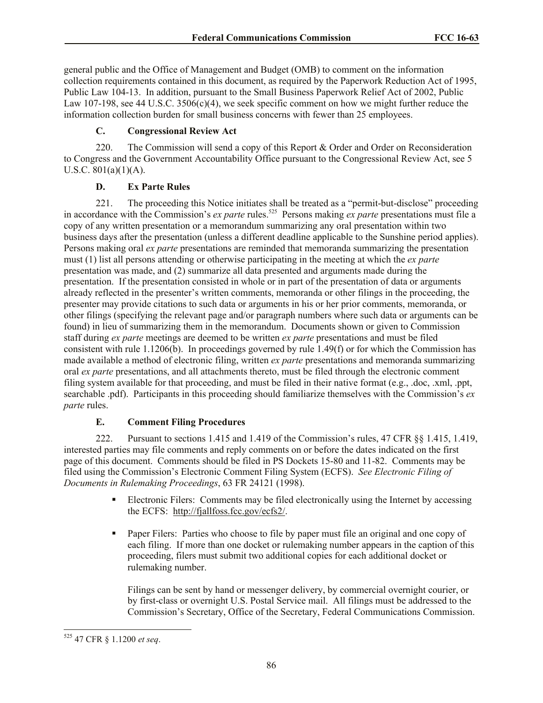general public and the Office of Management and Budget (OMB) to comment on the information collection requirements contained in this document, as required by the Paperwork Reduction Act of 1995, Public Law 104-13. In addition, pursuant to the Small Business Paperwork Relief Act of 2002, Public Law 107-198, see 44 U.S.C. 3506(c)(4), we seek specific comment on how we might further reduce the information collection burden for small business concerns with fewer than 25 employees.

## **C. Congressional Review Act**

220. The Commission will send a copy of this Report  $\&$  Order and Order on Reconsideration to Congress and the Government Accountability Office pursuant to the Congressional Review Act, see 5 U.S.C.  $801(a)(1)(A)$ .

## **D. Ex Parte Rules**

221. The proceeding this Notice initiates shall be treated as a "permit-but-disclose" proceeding in accordance with the Commission's *ex parte* rules.<sup>525</sup> Persons making *ex parte* presentations must file a copy of any written presentation or a memorandum summarizing any oral presentation within two business days after the presentation (unless a different deadline applicable to the Sunshine period applies). Persons making oral *ex parte* presentations are reminded that memoranda summarizing the presentation must (1) list all persons attending or otherwise participating in the meeting at which the *ex parte*  presentation was made, and (2) summarize all data presented and arguments made during the presentation. If the presentation consisted in whole or in part of the presentation of data or arguments already reflected in the presenter's written comments, memoranda or other filings in the proceeding, the presenter may provide citations to such data or arguments in his or her prior comments, memoranda, or other filings (specifying the relevant page and/or paragraph numbers where such data or arguments can be found) in lieu of summarizing them in the memorandum. Documents shown or given to Commission staff during *ex parte* meetings are deemed to be written *ex parte* presentations and must be filed consistent with rule 1.1206(b). In proceedings governed by rule 1.49(f) or for which the Commission has made available a method of electronic filing, written *ex parte* presentations and memoranda summarizing oral *ex parte* presentations, and all attachments thereto, must be filed through the electronic comment filing system available for that proceeding, and must be filed in their native format (e.g., .doc, .xml, .ppt, searchable .pdf). Participants in this proceeding should familiarize themselves with the Commission's *ex parte* rules.

## **E. Comment Filing Procedures**

222. Pursuant to sections 1.415 and 1.419 of the Commission's rules, 47 CFR §§ 1.415, 1.419, interested parties may file comments and reply comments on or before the dates indicated on the first page of this document. Comments should be filed in PS Dockets 15-80 and 11-82. Comments may be filed using the Commission's Electronic Comment Filing System (ECFS). *See Electronic Filing of Documents in Rulemaking Proceedings*, 63 FR 24121 (1998).

- Electronic Filers: Comments may be filed electronically using the Internet by accessing the ECFS: http://fjallfoss.fcc.gov/ecfs2/.
- Paper Filers: Parties who choose to file by paper must file an original and one copy of each filing. If more than one docket or rulemaking number appears in the caption of this proceeding, filers must submit two additional copies for each additional docket or rulemaking number.

Filings can be sent by hand or messenger delivery, by commercial overnight courier, or by first-class or overnight U.S. Postal Service mail. All filings must be addressed to the Commission's Secretary, Office of the Secretary, Federal Communications Commission.

l

<sup>525</sup> 47 CFR § 1.1200 *et seq*.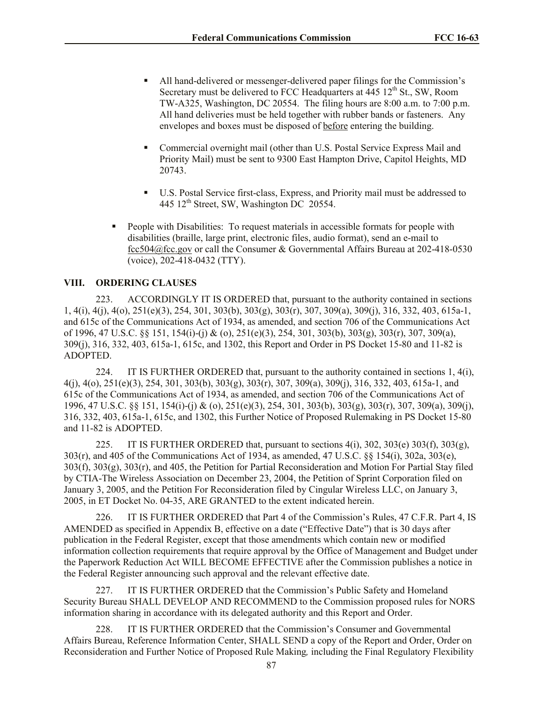- All hand-delivered or messenger-delivered paper filings for the Commission's Secretary must be delivered to FCC Headquarters at  $445 \frac{12^{\text{th}}}{\text{St.}}$  SW, Room TW-A325, Washington, DC 20554. The filing hours are 8:00 a.m. to 7:00 p.m. All hand deliveries must be held together with rubber bands or fasteners. Any envelopes and boxes must be disposed of before entering the building.
- Commercial overnight mail (other than U.S. Postal Service Express Mail and Priority Mail) must be sent to 9300 East Hampton Drive, Capitol Heights, MD 20743.
- U.S. Postal Service first-class, Express, and Priority mail must be addressed to 445 12<sup>th</sup> Street, SW, Washington DC 20554.
- People with Disabilities: To request materials in accessible formats for people with disabilities (braille, large print, electronic files, audio format), send an e-mail to fcc504@fcc.gov or call the Consumer & Governmental Affairs Bureau at 202-418-0530 (voice), 202-418-0432 (TTY).

## **VIII. ORDERING CLAUSES**

223. ACCORDINGLY IT IS ORDERED that, pursuant to the authority contained in sections 1, 4(i), 4(j), 4(o), 251(e)(3), 254, 301, 303(b), 303(g), 303(r), 307, 309(a), 309(j), 316, 332, 403, 615a-1, and 615c of the Communications Act of 1934, as amended, and section 706 of the Communications Act of 1996, 47 U.S.C. §§ 151, 154(i)-(j) & (o), 251(e)(3), 254, 301, 303(b), 303(g), 303(r), 307, 309(a), 309(j), 316, 332, 403, 615a-1, 615c, and 1302, this Report and Order in PS Docket 15-80 and 11-82 is ADOPTED.

224. IT IS FURTHER ORDERED that, pursuant to the authority contained in sections 1, 4(i), 4(j), 4(o), 251(e)(3), 254, 301, 303(b), 303(g), 303(r), 307, 309(a), 309(j), 316, 332, 403, 615a-1, and 615c of the Communications Act of 1934, as amended, and section 706 of the Communications Act of 1996, 47 U.S.C. §§ 151, 154(i)-(j) & (o), 251(e)(3), 254, 301, 303(b), 303(g), 303(r), 307, 309(a), 309(j), 316, 332, 403, 615a-1, 615c, and 1302, this Further Notice of Proposed Rulemaking in PS Docket 15-80 and 11-82 is ADOPTED.

225. IT IS FURTHER ORDERED that, pursuant to sections  $4(i)$ ,  $302$ ,  $303(e)$ ,  $303(f)$ ,  $303(g)$ , 303(r), and 405 of the Communications Act of 1934, as amended, 47 U.S.C. §§ 154(i), 302a, 303(e), 303(f), 303(g), 303(r), and 405, the Petition for Partial Reconsideration and Motion For Partial Stay filed by CTIA-The Wireless Association on December 23, 2004, the Petition of Sprint Corporation filed on January 3, 2005, and the Petition For Reconsideration filed by Cingular Wireless LLC, on January 3, 2005, in ET Docket No. 04-35, ARE GRANTED to the extent indicated herein.

226. IT IS FURTHER ORDERED that Part 4 of the Commission's Rules, 47 C.F.R. Part 4, IS AMENDED as specified in Appendix B, effective on a date ("Effective Date") that is 30 days after publication in the Federal Register, except that those amendments which contain new or modified information collection requirements that require approval by the Office of Management and Budget under the Paperwork Reduction Act WILL BECOME EFFECTIVE after the Commission publishes a notice in the Federal Register announcing such approval and the relevant effective date.

227. IT IS FURTHER ORDERED that the Commission's Public Safety and Homeland Security Bureau SHALL DEVELOP AND RECOMMEND to the Commission proposed rules for NORS information sharing in accordance with its delegated authority and this Report and Order.

228. IT IS FURTHER ORDERED that the Commission's Consumer and Governmental Affairs Bureau, Reference Information Center, SHALL SEND a copy of the Report and Order, Order on Reconsideration and Further Notice of Proposed Rule Making*,* including the Final Regulatory Flexibility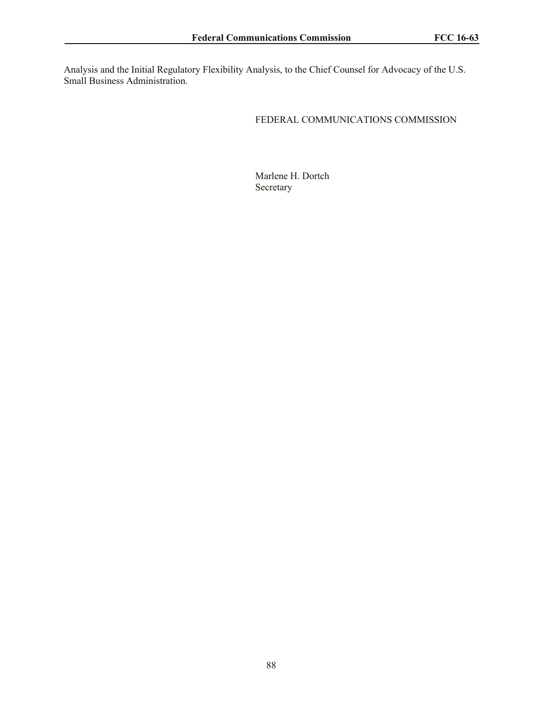Analysis and the Initial Regulatory Flexibility Analysis, to the Chief Counsel for Advocacy of the U.S. Small Business Administration.

# FEDERAL COMMUNICATIONS COMMISSION

Marlene H. Dortch Secretary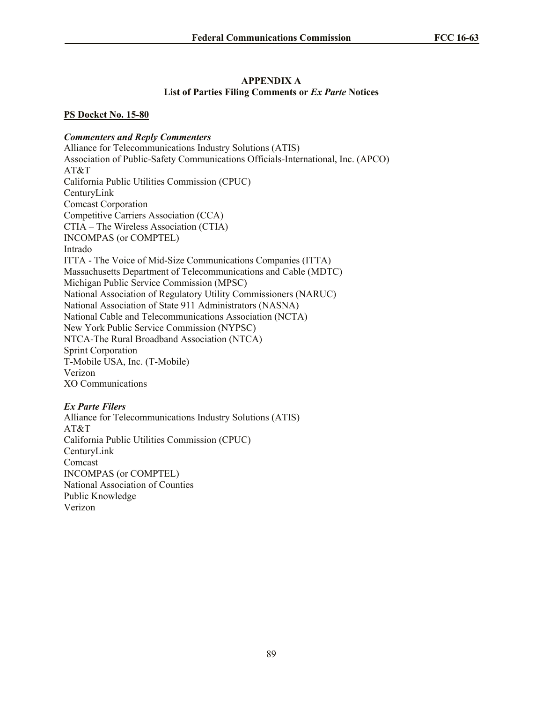## **APPENDIX A List of Parties Filing Comments or** *Ex Parte* **Notices**

# **PS Docket No. 15-80**

# *Commenters and Reply Commenters*

Alliance for Telecommunications Industry Solutions (ATIS) Association of Public-Safety Communications Officials-International, Inc. (APCO) AT&T California Public Utilities Commission (CPUC) CenturyLink Comcast Corporation Competitive Carriers Association (CCA) CTIA – The Wireless Association (CTIA) INCOMPAS (or COMPTEL) Intrado ITTA - The Voice of Mid-Size Communications Companies (ITTA) Massachusetts Department of Telecommunications and Cable (MDTC) Michigan Public Service Commission (MPSC) National Association of Regulatory Utility Commissioners (NARUC) National Association of State 911 Administrators (NASNA) National Cable and Telecommunications Association (NCTA) New York Public Service Commission (NYPSC) NTCA-The Rural Broadband Association (NTCA) Sprint Corporation T-Mobile USA, Inc. (T-Mobile) Verizon XO Communications

# *Ex Parte Filers*

Alliance for Telecommunications Industry Solutions (ATIS) AT&T California Public Utilities Commission (CPUC) CenturyLink Comcast INCOMPAS (or COMPTEL) National Association of Counties Public Knowledge Verizon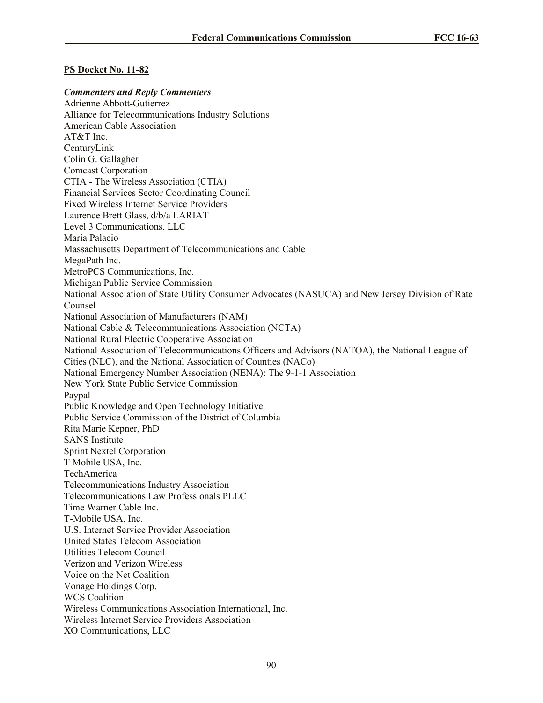#### **PS Docket No. 11-82**

#### *Commenters and Reply Commenters*

Adrienne Abbott-Gutierrez Alliance for Telecommunications Industry Solutions American Cable Association AT&T Inc. CenturyLink Colin G. Gallagher Comcast Corporation CTIA - The Wireless Association (CTIA) Financial Services Sector Coordinating Council Fixed Wireless Internet Service Providers Laurence Brett Glass, d/b/a LARIAT Level 3 Communications, LLC Maria Palacio Massachusetts Department of Telecommunications and Cable MegaPath Inc. MetroPCS Communications, Inc. Michigan Public Service Commission National Association of State Utility Consumer Advocates (NASUCA) and New Jersey Division of Rate Counsel National Association of Manufacturers (NAM) National Cable & Telecommunications Association (NCTA) National Rural Electric Cooperative Association National Association of Telecommunications Officers and Advisors (NATOA), the National League of Cities (NLC), and the National Association of Counties (NACo) National Emergency Number Association (NENA): The 9-1-1 Association New York State Public Service Commission Paypal Public Knowledge and Open Technology Initiative Public Service Commission of the District of Columbia Rita Marie Kepner, PhD SANS Institute Sprint Nextel Corporation T Mobile USA, Inc. TechAmerica Telecommunications Industry Association Telecommunications Law Professionals PLLC Time Warner Cable Inc. T-Mobile USA, Inc. U.S. Internet Service Provider Association United States Telecom Association Utilities Telecom Council Verizon and Verizon Wireless Voice on the Net Coalition Vonage Holdings Corp. WCS Coalition Wireless Communications Association International, Inc. Wireless Internet Service Providers Association XO Communications, LLC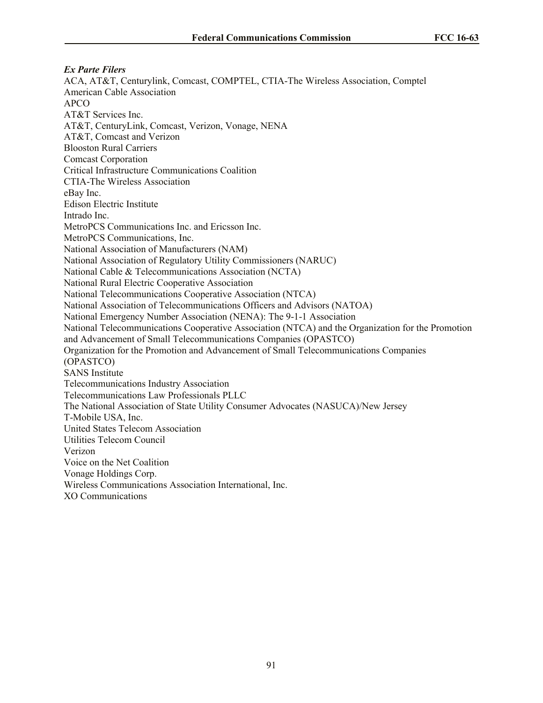*Ex Parte Filers* ACA, AT&T, Centurylink, Comcast, COMPTEL, CTIA-The Wireless Association, Comptel American Cable Association APCO AT&T Services Inc. AT&T, CenturyLink, Comcast, Verizon, Vonage, NENA AT&T, Comcast and Verizon Blooston Rural Carriers Comcast Corporation Critical Infrastructure Communications Coalition CTIA-The Wireless Association eBay Inc. Edison Electric Institute Intrado Inc. MetroPCS Communications Inc. and Ericsson Inc. MetroPCS Communications, Inc. National Association of Manufacturers (NAM) National Association of Regulatory Utility Commissioners (NARUC) National Cable & Telecommunications Association (NCTA) National Rural Electric Cooperative Association National Telecommunications Cooperative Association (NTCA) National Association of Telecommunications Officers and Advisors (NATOA) National Emergency Number Association (NENA): The 9-1-1 Association National Telecommunications Cooperative Association (NTCA) and the Organization for the Promotion and Advancement of Small Telecommunications Companies (OPASTCO) Organization for the Promotion and Advancement of Small Telecommunications Companies (OPASTCO) SANS Institute Telecommunications Industry Association Telecommunications Law Professionals PLLC The National Association of State Utility Consumer Advocates (NASUCA)/New Jersey T-Mobile USA, Inc. United States Telecom Association Utilities Telecom Council Verizon Voice on the Net Coalition Vonage Holdings Corp. Wireless Communications Association International, Inc. XO Communications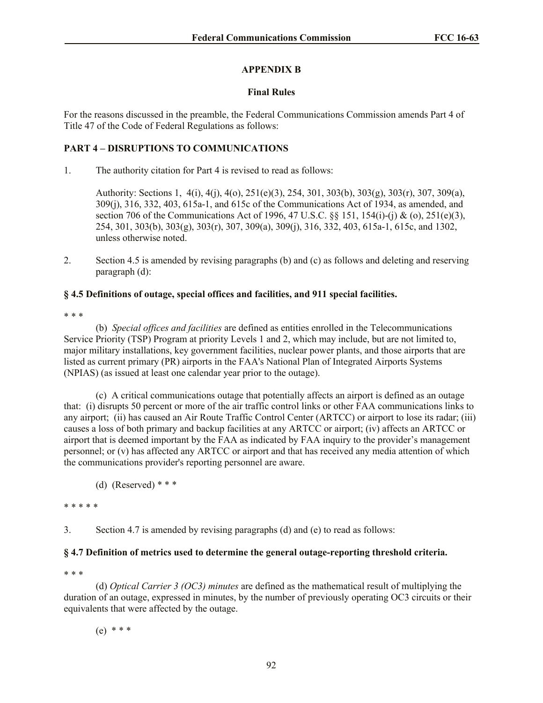## **APPENDIX B**

#### **Final Rules**

For the reasons discussed in the preamble, the Federal Communications Commission amends Part 4 of Title 47 of the Code of Federal Regulations as follows:

## **PART 4 – DISRUPTIONS TO COMMUNICATIONS**

1. The authority citation for Part 4 is revised to read as follows:

Authority: Sections 1, 4(i), 4(j), 4(o), 251(e)(3), 254, 301, 303(b), 303(g), 303(r), 307, 309(a), 309(j), 316, 332, 403, 615a-1, and 615c of the Communications Act of 1934, as amended, and section 706 of the Communications Act of 1996, 47 U.S.C. §§ 151, 154(i)-(j) & (o), 251(e)(3), 254, 301, 303(b), 303(g), 303(r), 307, 309(a), 309(j), 316, 332, 403, 615a-1, 615c, and 1302, unless otherwise noted.

2. Section 4.5 is amended by revising paragraphs (b) and (c) as follows and deleting and reserving paragraph (d):

## **§ 4.5 Definitions of outage, special offices and facilities, and 911 special facilities.**

\* \* \*

(b) *Special offices and facilities* are defined as entities enrolled in the Telecommunications Service Priority (TSP) Program at priority Levels 1 and 2, which may include, but are not limited to, major military installations, key government facilities, nuclear power plants, and those airports that are listed as current primary (PR) airports in the FAA's National Plan of Integrated Airports Systems (NPIAS) (as issued at least one calendar year prior to the outage).

(c) A critical communications outage that potentially affects an airport is defined as an outage that: (i) disrupts 50 percent or more of the air traffic control links or other FAA communications links to any airport; (ii) has caused an Air Route Traffic Control Center (ARTCC) or airport to lose its radar; (iii) causes a loss of both primary and backup facilities at any ARTCC or airport; (iv) affects an ARTCC or airport that is deemed important by the FAA as indicated by FAA inquiry to the provider's management personnel; or (v) has affected any ARTCC or airport and that has received any media attention of which the communications provider's reporting personnel are aware.

#### \* \* \* \* \*

3. Section 4.7 is amended by revising paragraphs (d) and (e) to read as follows:

## **§ 4.7 Definition of metrics used to determine the general outage-reporting threshold criteria.**

\* \* \*

(d) *Optical Carrier 3 (OC3) minutes* are defined as the mathematical result of multiplying the duration of an outage, expressed in minutes, by the number of previously operating OC3 circuits or their equivalents that were affected by the outage.

(e) \* \* \*

<sup>(</sup>d) (Reserved)  $***$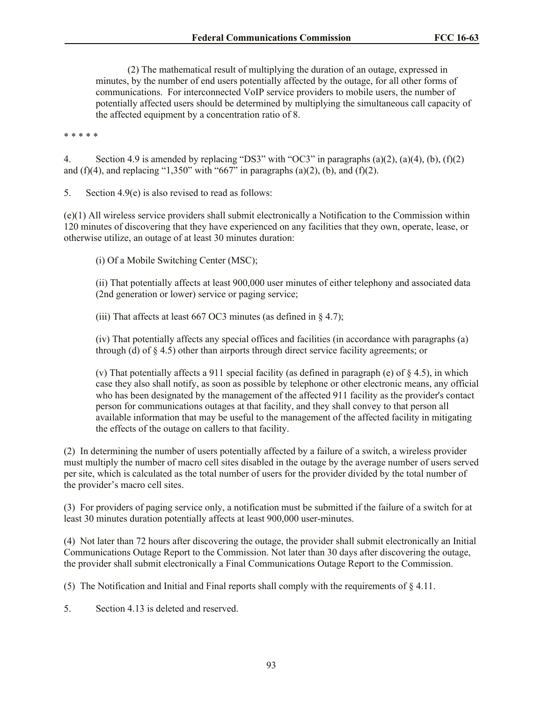(2) The mathematical result of multiplying the duration of an outage, expressed in minutes, by the number of end users potentially affected by the outage, for all other forms of communications. For interconnected VoIP service providers to mobile users, the number of potentially affected users should be determined by multiplying the simultaneous call capacity of the affected equipment by a concentration ratio of 8.

\* \* \* \* \*

4. Section 4.9 is amended by replacing "DS3" with "OC3" in paragraphs (a)(2), (a)(4), (b), (f)(2) and (f)(4), and replacing "1,350" with "667" in paragraphs (a)(2), (b), and (f)(2).

5. Section 4.9(e) is also revised to read as follows:

(e)(1) All wireless service providers shall submit electronically a Notification to the Commission within 120 minutes of discovering that they have experienced on any facilities that they own, operate, lease, or otherwise utilize, an outage of at least 30 minutes duration:

(i) Of a Mobile Switching Center (MSC);

(ii) That potentially affects at least 900,000 user minutes of either telephony and associated data (2nd generation or lower) service or paging service;

(iii) That affects at least  $667 \text{ OC}$ 3 minutes (as defined in  $\S$  4.7);

(iv) That potentially affects any special offices and facilities (in accordance with paragraphs (a) through (d) of § 4.5) other than airports through direct service facility agreements; or

(v) That potentially affects a 911 special facility (as defined in paragraph (e) of  $\S$  4.5), in which case they also shall notify, as soon as possible by telephone or other electronic means, any official who has been designated by the management of the affected 911 facility as the provider's contact person for communications outages at that facility, and they shall convey to that person all available information that may be useful to the management of the affected facility in mitigating the effects of the outage on callers to that facility.

(2) In determining the number of users potentially affected by a failure of a switch, a wireless provider must multiply the number of macro cell sites disabled in the outage by the average number of users served per site, which is calculated as the total number of users for the provider divided by the total number of the provider's macro cell sites.

(3) For providers of paging service only, a notification must be submitted if the failure of a switch for at least 30 minutes duration potentially affects at least 900,000 user-minutes.

(4) Not later than 72 hours after discovering the outage, the provider shall submit electronically an Initial Communications Outage Report to the Commission. Not later than 30 days after discovering the outage, the provider shall submit electronically a Final Communications Outage Report to the Commission.

(5) The Notification and Initial and Final reports shall comply with the requirements of § 4.11.

5. Section 4.13 is deleted and reserved.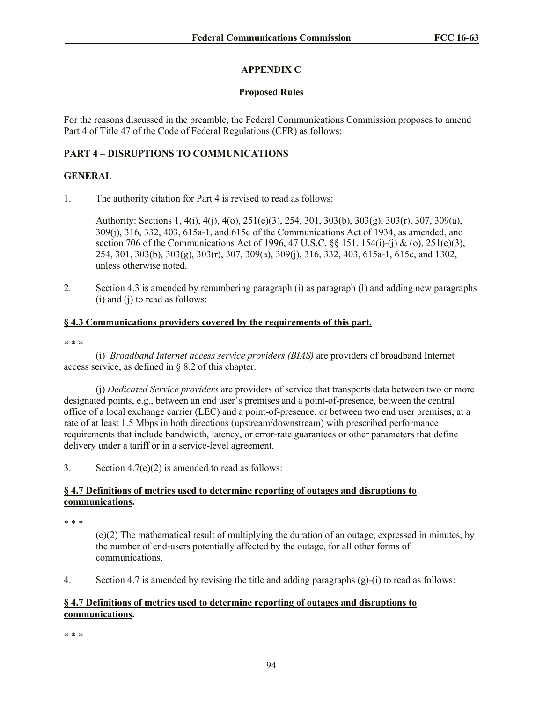# **APPENDIX C**

## **Proposed Rules**

For the reasons discussed in the preamble, the Federal Communications Commission proposes to amend Part 4 of Title 47 of the Code of Federal Regulations (CFR) as follows:

# **PART 4 – DISRUPTIONS TO COMMUNICATIONS**

## **GENERAL**

1. The authority citation for Part 4 is revised to read as follows:

Authority: Sections 1, 4(i), 4(j), 4(o), 251(e)(3), 254, 301, 303(b), 303(g), 303(r), 307, 309(a), 309(j), 316, 332, 403, 615a-1, and 615c of the Communications Act of 1934, as amended, and section 706 of the Communications Act of 1996, 47 U.S.C.  $\S$  151, 154(i)-(j) & (o), 251(e)(3), 254, 301, 303(b), 303(g), 303(r), 307, 309(a), 309(j), 316, 332, 403, 615a-1, 615c, and 1302, unless otherwise noted.

2. Section 4.3 is amended by renumbering paragraph (i) as paragraph (l) and adding new paragraphs (i) and (j) to read as follows:

# **§ 4.3 Communications providers covered by the requirements of this part.**

#### \* \* \*

(i) *Broadband Internet access service providers (BIAS)* are providers of broadband Internet access service, as defined in § 8.2 of this chapter.

(j) *Dedicated Service providers* are providers of service that transports data between two or more designated points, e.g., between an end user's premises and a point-of-presence, between the central office of a local exchange carrier (LEC) and a point-of-presence, or between two end user premises, at a rate of at least 1.5 Mbps in both directions (upstream/downstream) with prescribed performance requirements that include bandwidth, latency, or error-rate guarantees or other parameters that define delivery under a tariff or in a service-level agreement.

3. Section  $4.7(e)(2)$  is amended to read as follows:

## **§ 4.7 Definitions of metrics used to determine reporting of outages and disruptions to communications.**

\* \* \*

(e)(2) The mathematical result of multiplying the duration of an outage, expressed in minutes, by the number of end-users potentially affected by the outage, for all other forms of communications.

4. Section 4.7 is amended by revising the title and adding paragraphs (g)-(i) to read as follows:

# **§ 4.7 Definitions of metrics used to determine reporting of outages and disruptions to communications.**

\* \* \*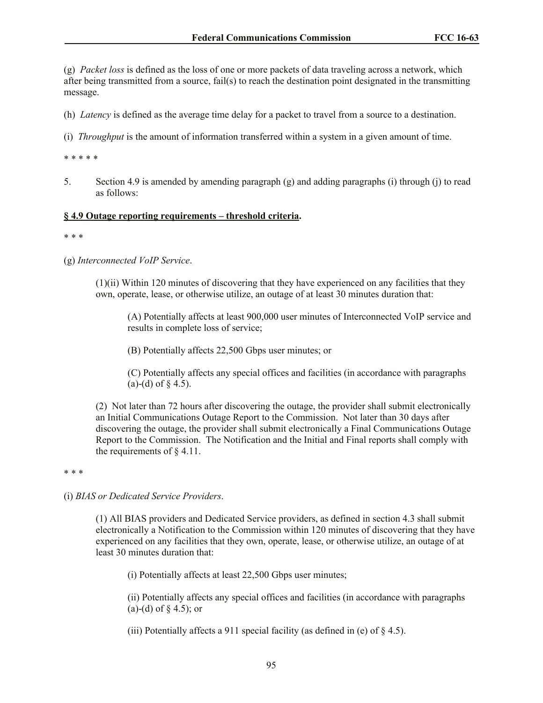(g) *Packet loss* is defined as the loss of one or more packets of data traveling across a network, which after being transmitted from a source, fail(s) to reach the destination point designated in the transmitting message.

(h) *Latency* is defined as the average time delay for a packet to travel from a source to a destination.

(i) *Throughput* is the amount of information transferred within a system in a given amount of time.

\* \* \* \* \*

5. Section 4.9 is amended by amending paragraph (g) and adding paragraphs (i) through (j) to read as follows:

#### **§ 4.9 Outage reporting requirements – threshold criteria.**

\* \* \*

(g) *Interconnected VoIP Service*.

(1)(ii) Within 120 minutes of discovering that they have experienced on any facilities that they own, operate, lease, or otherwise utilize, an outage of at least 30 minutes duration that:

(A) Potentially affects at least 900,000 user minutes of Interconnected VoIP service and results in complete loss of service;

(B) Potentially affects 22,500 Gbps user minutes; or

(C) Potentially affects any special offices and facilities (in accordance with paragraphs (a)-(d) of  $\S$  4.5).

(2) Not later than 72 hours after discovering the outage, the provider shall submit electronically an Initial Communications Outage Report to the Commission. Not later than 30 days after discovering the outage, the provider shall submit electronically a Final Communications Outage Report to the Commission. The Notification and the Initial and Final reports shall comply with the requirements of  $\S$  4.11.

\* \* \*

(i) *BIAS or Dedicated Service Providers*.

(1) All BIAS providers and Dedicated Service providers, as defined in section 4.3 shall submit electronically a Notification to the Commission within 120 minutes of discovering that they have experienced on any facilities that they own, operate, lease, or otherwise utilize, an outage of at least 30 minutes duration that:

(i) Potentially affects at least 22,500 Gbps user minutes;

(ii) Potentially affects any special offices and facilities (in accordance with paragraphs (a)-(d) of § 4.5); or

(iii) Potentially affects a 911 special facility (as defined in (e) of  $\S$  4.5).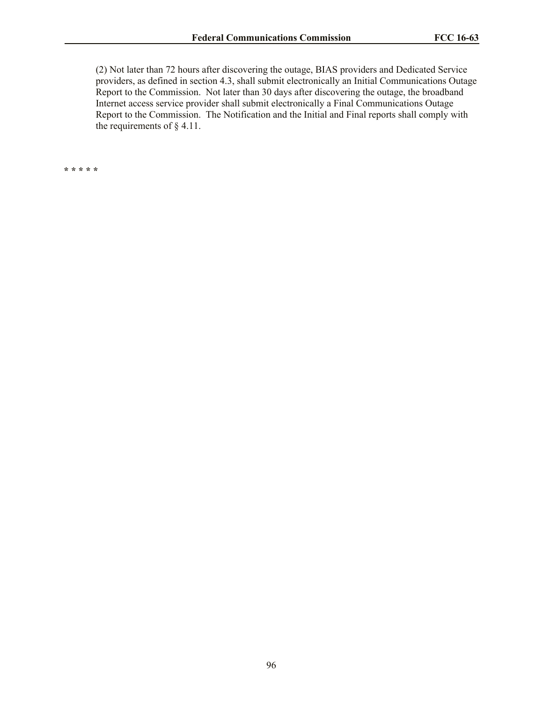(2) Not later than 72 hours after discovering the outage, BIAS providers and Dedicated Service providers, as defined in section 4.3, shall submit electronically an Initial Communications Outage Report to the Commission. Not later than 30 days after discovering the outage, the broadband Internet access service provider shall submit electronically a Final Communications Outage Report to the Commission. The Notification and the Initial and Final reports shall comply with the requirements of § 4.11.

**\* \* \* \* \***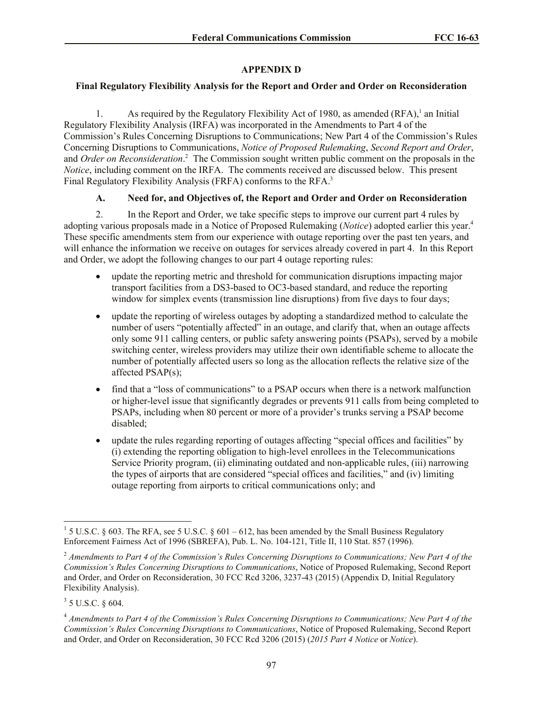# **APPENDIX D**

# **Final Regulatory Flexibility Analysis for the Report and Order and Order on Reconsideration**

1. As required by the Regulatory Flexibility Act of 1980, as amended  $(RFA)$ ,<sup>1</sup> an Initial Regulatory Flexibility Analysis (IRFA) was incorporated in the Amendments to Part 4 of the Commission's Rules Concerning Disruptions to Communications; New Part 4 of the Commission's Rules Concerning Disruptions to Communications, *Notice of Proposed Rulemaking*, *Second Report and Order*, and *Order on Reconsideration*. 2 The Commission sought written public comment on the proposals in the *Notice*, including comment on the IRFA. The comments received are discussed below. This present Final Regulatory Flexibility Analysis (FRFA) conforms to the RFA.<sup>3</sup>

# **A. Need for, and Objectives of, the Report and Order and Order on Reconsideration**

2. In the Report and Order, we take specific steps to improve our current part 4 rules by adopting various proposals made in a Notice of Proposed Rulemaking (*Notice*) adopted earlier this year.<sup>4</sup> These specific amendments stem from our experience with outage reporting over the past ten years, and will enhance the information we receive on outages for services already covered in part 4. In this Report and Order, we adopt the following changes to our part 4 outage reporting rules:

- update the reporting metric and threshold for communication disruptions impacting major transport facilities from a DS3-based to OC3-based standard, and reduce the reporting window for simplex events (transmission line disruptions) from five days to four days:
- update the reporting of wireless outages by adopting a standardized method to calculate the number of users "potentially affected" in an outage, and clarify that, when an outage affects only some 911 calling centers, or public safety answering points (PSAPs), served by a mobile switching center, wireless providers may utilize their own identifiable scheme to allocate the number of potentially affected users so long as the allocation reflects the relative size of the affected PSAP(s);
- find that a "loss of communications" to a PSAP occurs when there is a network malfunction or higher-level issue that significantly degrades or prevents 911 calls from being completed to PSAPs, including when 80 percent or more of a provider's trunks serving a PSAP become disabled;
- update the rules regarding reporting of outages affecting "special offices and facilities" by (i) extending the reporting obligation to high-level enrollees in the Telecommunications Service Priority program, (ii) eliminating outdated and non-applicable rules, (iii) narrowing the types of airports that are considered "special offices and facilities," and (iv) limiting outage reporting from airports to critical communications only; and

l

<sup>&</sup>lt;sup>1</sup> 5 U.S.C. § 603. The RFA, see 5 U.S.C. § 601 – 612, has been amended by the Small Business Regulatory Enforcement Fairness Act of 1996 (SBREFA), Pub. L. No. 104-121, Title II, 110 Stat. 857 (1996).

<sup>2</sup> *Amendments to Part 4 of the Commission's Rules Concerning Disruptions to Communications; New Part 4 of the Commission's Rules Concerning Disruptions to Communications*, Notice of Proposed Rulemaking, Second Report and Order, and Order on Reconsideration, 30 FCC Rcd 3206, 3237-43 (2015) (Appendix D, Initial Regulatory Flexibility Analysis).

 $3$  5 U.S.C. § 604.

<sup>4</sup> *Amendments to Part 4 of the Commission's Rules Concerning Disruptions to Communications; New Part 4 of the Commission's Rules Concerning Disruptions to Communications*, Notice of Proposed Rulemaking, Second Report and Order, and Order on Reconsideration, 30 FCC Rcd 3206 (2015) (*2015 Part 4 Notice* or *Notice*).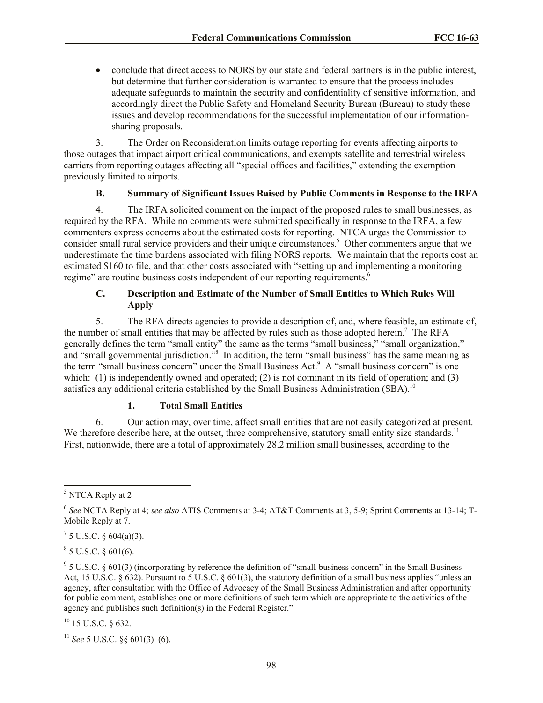conclude that direct access to NORS by our state and federal partners is in the public interest, but determine that further consideration is warranted to ensure that the process includes adequate safeguards to maintain the security and confidentiality of sensitive information, and accordingly direct the Public Safety and Homeland Security Bureau (Bureau) to study these issues and develop recommendations for the successful implementation of our informationsharing proposals.

3. The Order on Reconsideration limits outage reporting for events affecting airports to those outages that impact airport critical communications, and exempts satellite and terrestrial wireless carriers from reporting outages affecting all "special offices and facilities," extending the exemption previously limited to airports.

## **B. Summary of Significant Issues Raised by Public Comments in Response to the IRFA**

4. The IRFA solicited comment on the impact of the proposed rules to small businesses, as required by the RFA. While no comments were submitted specifically in response to the IRFA, a few commenters express concerns about the estimated costs for reporting. NTCA urges the Commission to consider small rural service providers and their unique circumstances.<sup>5</sup> Other commenters argue that we underestimate the time burdens associated with filing NORS reports. We maintain that the reports cost an estimated \$160 to file, and that other costs associated with "setting up and implementing a monitoring regime" are routine business costs independent of our reporting requirements.<sup>6</sup>

# **C. Description and Estimate of the Number of Small Entities to Which Rules Will Apply**

5. The RFA directs agencies to provide a description of, and, where feasible, an estimate of, the number of small entities that may be affected by rules such as those adopted herein.<sup>7</sup> The RFA generally defines the term "small entity" the same as the terms "small business," "small organization," and "small governmental jurisdiction."<sup>8</sup> In addition, the term "small business" has the same meaning as the term "small business concern" under the Small Business Act.<sup>9</sup> A "small business concern" is one which: (1) is independently owned and operated; (2) is not dominant in its field of operation; and (3) satisfies any additional criteria established by the Small Business Administration (SBA).<sup>10</sup>

# **1. Total Small Entities**

6. Our action may, over time, affect small entities that are not easily categorized at present. We therefore describe here, at the outset, three comprehensive, statutory small entity size standards.<sup>11</sup> First, nationwide, there are a total of approximately 28.2 million small businesses, according to the

 $8$  5 U.S.C. § 601(6).

 $10$  15 U.S.C. § 632.

<sup>11</sup> *See* 5 U.S.C. §§ 601(3)–(6).

 $\overline{a}$ <sup>5</sup> NTCA Reply at 2

<sup>6</sup> *See* NCTA Reply at 4; *see also* ATIS Comments at 3-4; AT&T Comments at 3, 5-9; Sprint Comments at 13-14; T-Mobile Reply at 7.

 $^7$  5 U.S.C. § 604(a)(3).

 $9^9$  5 U.S.C. § 601(3) (incorporating by reference the definition of "small-business concern" in the Small Business Act, 15 U.S.C. § 632). Pursuant to 5 U.S.C. § 601(3), the statutory definition of a small business applies "unless an agency, after consultation with the Office of Advocacy of the Small Business Administration and after opportunity for public comment, establishes one or more definitions of such term which are appropriate to the activities of the agency and publishes such definition(s) in the Federal Register."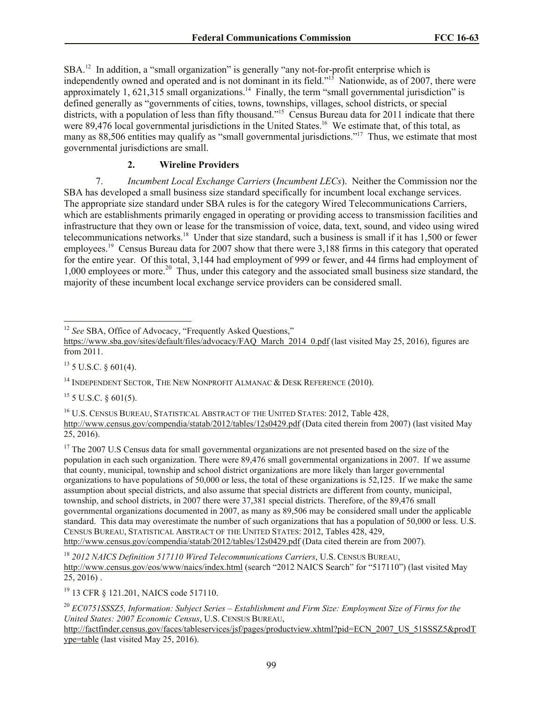SBA.<sup>12</sup> In addition, a "small organization" is generally "any not-for-profit enterprise which is independently owned and operated and is not dominant in its field."<sup>13</sup> Nationwide, as of 2007, there were approximately 1, 621,315 small organizations.<sup>14</sup> Finally, the term "small governmental jurisdiction" is defined generally as "governments of cities, towns, townships, villages, school districts, or special districts, with a population of less than fifty thousand."<sup>15</sup> Census Bureau data for 2011 indicate that there were 89,476 local governmental jurisdictions in the United States.<sup>16</sup> We estimate that, of this total, as many as 88,506 entities may qualify as "small governmental jurisdictions."<sup>17</sup> Thus, we estimate that most governmental jurisdictions are small.

## **2. Wireline Providers**

7. *Incumbent Local Exchange Carriers* (*Incumbent LECs*). Neither the Commission nor the SBA has developed a small business size standard specifically for incumbent local exchange services. The appropriate size standard under SBA rules is for the category Wired Telecommunications Carriers, which are establishments primarily engaged in operating or providing access to transmission facilities and infrastructure that they own or lease for the transmission of voice, data, text, sound, and video using wired telecommunications networks.<sup>18</sup> Under that size standard, such a business is small if it has 1,500 or fewer employees.<sup>19</sup> Census Bureau data for 2007 show that there were 3,188 firms in this category that operated for the entire year. Of this total, 3,144 had employment of 999 or fewer, and 44 firms had employment of 1,000 employees or more.<sup>20</sup> Thus, under this category and the associated small business size standard, the majority of these incumbent local exchange service providers can be considered small.

 $13$  5 U.S.C. § 601(4).

<sup>14</sup> INDEPENDENT SECTOR, THE NEW NONPROFIT ALMANAC & DESK REFERENCE (2010).

 $15$  5 U.S.C. § 601(5).

<sup>16</sup> U.S. CENSUS BUREAU, STATISTICAL ABSTRACT OF THE UNITED STATES: 2012, Table 428, http://www.census.gov/compendia/statab/2012/tables/12s0429.pdf (Data cited therein from 2007) (last visited May 25, 2016).

<sup>17</sup> The 2007 U.S Census data for small governmental organizations are not presented based on the size of the population in each such organization. There were 89,476 small governmental organizations in 2007. If we assume that county, municipal, township and school district organizations are more likely than larger governmental organizations to have populations of 50,000 or less, the total of these organizations is 52,125. If we make the same assumption about special districts, and also assume that special districts are different from county, municipal, township, and school districts, in 2007 there were 37,381 special districts. Therefore, of the 89,476 small governmental organizations documented in 2007, as many as 89,506 may be considered small under the applicable standard. This data may overestimate the number of such organizations that has a population of 50,000 or less. U.S. CENSUS BUREAU, STATISTICAL ABSTRACT OF THE UNITED STATES: 2012, Tables 428, 429, http://www.census.gov/compendia/statab/2012/tables/12s0429.pdf (Data cited therein are from 2007)*.*

<sup>18</sup> *2012 NAICS Definition 517110 Wired Telecommunications Carriers*, U.S. CENSUS BUREAU, http://www.census.gov/eos/www/naics/index.html (search "2012 NAICS Search" for "517110") (last visited May 25, 2016) .

<sup>19</sup> 13 CFR § 121.201, NAICS code 517110.

 $\overline{\phantom{a}}$ <sup>12</sup> *See* SBA, Office of Advocacy, "Frequently Asked Questions,"

https://www.sba.gov/sites/default/files/advocacy/FAQ\_March\_2014\_0.pdf (last visited May 25, 2016), figures are from 2011.

<sup>20</sup> *EC0751SSSZ5, Information: Subject Series – Establishment and Firm Size: Employment Size of Firms for the United States: 2007 Economic Census*, U.S. CENSUS BUREAU,

http://factfinder.census.gov/faces/tableservices/jsf/pages/productview.xhtml?pid=ECN\_2007\_US\_51SSSZ5&prodT ype=table (last visited May 25, 2016).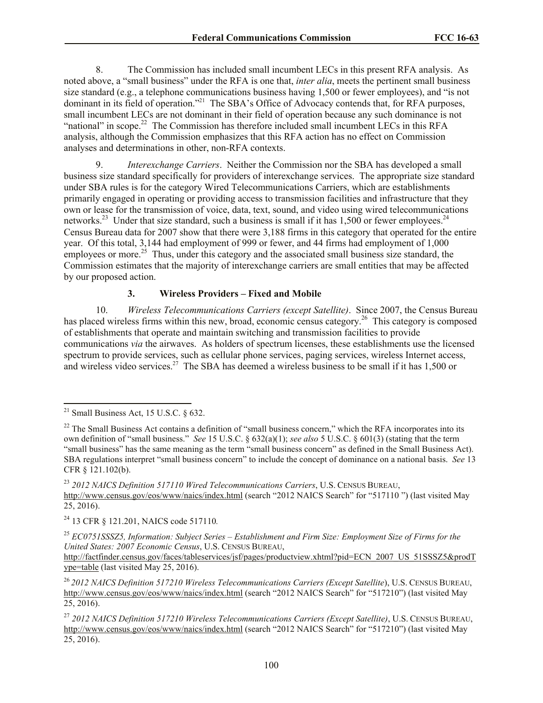8. The Commission has included small incumbent LECs in this present RFA analysis. As noted above, a "small business" under the RFA is one that, *inter alia*, meets the pertinent small business size standard (e.g., a telephone communications business having 1,500 or fewer employees), and "is not dominant in its field of operation."<sup>21</sup> The SBA's Office of Advocacy contends that, for RFA purposes, small incumbent LECs are not dominant in their field of operation because any such dominance is not "national" in scope.<sup>22</sup> The Commission has therefore included small incumbent LECs in this RFA analysis, although the Commission emphasizes that this RFA action has no effect on Commission analyses and determinations in other, non-RFA contexts.

9. *Interexchange Carriers*. Neither the Commission nor the SBA has developed a small business size standard specifically for providers of interexchange services. The appropriate size standard under SBA rules is for the category Wired Telecommunications Carriers, which are establishments primarily engaged in operating or providing access to transmission facilities and infrastructure that they own or lease for the transmission of voice, data, text, sound, and video using wired telecommunications networks.<sup>23</sup> Under that size standard, such a business is small if it has  $1,500$  or fewer employees.<sup>24</sup> Census Bureau data for 2007 show that there were 3,188 firms in this category that operated for the entire year. Of this total, 3,144 had employment of 999 or fewer, and 44 firms had employment of 1,000 employees or more.<sup>25</sup> Thus, under this category and the associated small business size standard, the Commission estimates that the majority of interexchange carriers are small entities that may be affected by our proposed action.

## **3. Wireless Providers – Fixed and Mobile**

10. *Wireless Telecommunications Carriers (except Satellite)*. Since 2007, the Census Bureau has placed wireless firms within this new, broad, economic census category.<sup>26</sup> This category is composed of establishments that operate and maintain switching and transmission facilities to provide communications *via* the airwaves. As holders of spectrum licenses, these establishments use the licensed spectrum to provide services, such as cellular phone services, paging services, wireless Internet access, and wireless video services.<sup>27</sup> The SBA has deemed a wireless business to be small if it has 1,500 or

l

<sup>23</sup> *2012 NAICS Definition 517110 Wired Telecommunications Carriers*, U.S. CENSUS BUREAU, http://www.census.gov/eos/www/naics/index.html (search "2012 NAICS Search" for "517110") (last visited May 25, 2016).

<sup>24</sup> 13 CFR § 121.201, NAICS code 517110*.*

<sup>25</sup> *EC0751SSSZ5, Information: Subject Series – Establishment and Firm Size: Employment Size of Firms for the United States: 2007 Economic Census*, U.S. CENSUS BUREAU,

http://factfinder.census.gov/faces/tableservices/jsf/pages/productview.xhtml?pid=ECN\_2007\_US\_51SSSZ5&prodT ype=table (last visited May 25, 2016).

<sup>26</sup> *2012 NAICS Definition 517210 Wireless Telecommunications Carriers (Except Satellite*), U.S. CENSUS BUREAU, http://www.census.gov/eos/www/naics/index.html (search "2012 NAICS Search" for "517210") (last visited May 25, 2016).

 $21$  Small Business Act, 15 U.S.C. § 632.

 $22$  The Small Business Act contains a definition of "small business concern," which the RFA incorporates into its own definition of "small business." *See* 15 U.S.C. § 632(a)(1); *see also* 5 U.S.C. § 601(3) (stating that the term "small business" has the same meaning as the term "small business concern" as defined in the Small Business Act). SBA regulations interpret "small business concern" to include the concept of dominance on a national basis. *See* 13 CFR § 121.102(b).

<sup>27</sup> *2012 NAICS Definition 517210 Wireless Telecommunications Carriers (Except Satellite)*, U.S. CENSUS BUREAU, http://www.census.gov/eos/www/naics/index.html (search "2012 NAICS Search" for "517210") (last visited May 25, 2016).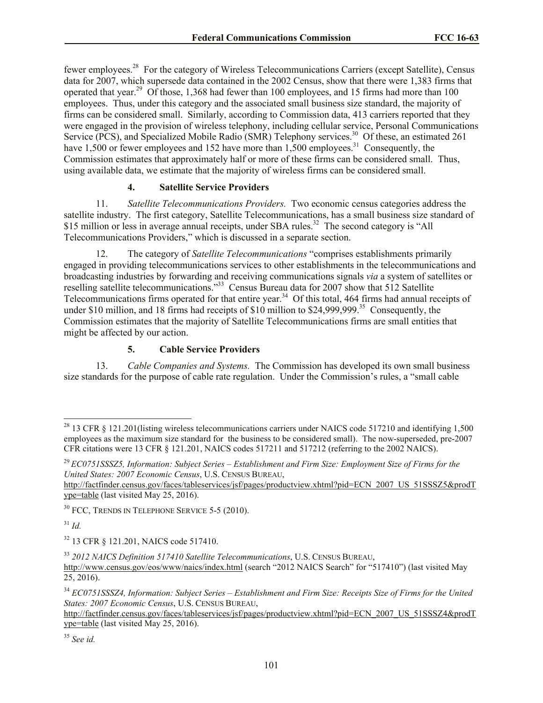fewer employees.<sup>28</sup> For the category of Wireless Telecommunications Carriers (except Satellite), Census data for 2007, which supersede data contained in the 2002 Census, show that there were 1,383 firms that operated that year.<sup>29</sup> Of those, 1,368 had fewer than 100 employees, and 15 firms had more than 100 employees. Thus, under this category and the associated small business size standard, the majority of firms can be considered small. Similarly, according to Commission data, 413 carriers reported that they were engaged in the provision of wireless telephony, including cellular service, Personal Communications Service (PCS), and Specialized Mobile Radio (SMR) Telephony services.<sup>30</sup> Of these, an estimated 261 have 1,500 or fewer employees and 152 have more than  $1,500$  employees.<sup>31</sup> Consequently, the Commission estimates that approximately half or more of these firms can be considered small. Thus, using available data, we estimate that the majority of wireless firms can be considered small.

#### **4. Satellite Service Providers**

11. *Satellite Telecommunications Providers.* Two economic census categories address the satellite industry. The first category, Satellite Telecommunications, has a small business size standard of \$15 million or less in average annual receipts, under SBA rules.<sup>32</sup> The second category is "All Telecommunications Providers," which is discussed in a separate section.

12. The category of *Satellite Telecommunications* "comprises establishments primarily engaged in providing telecommunications services to other establishments in the telecommunications and broadcasting industries by forwarding and receiving communications signals *via* a system of satellites or reselling satellite telecommunications."<sup>33</sup> Census Bureau data for 2007 show that 512 Satellite Telecommunications firms operated for that entire year.<sup>34</sup> Of this total, 464 firms had annual receipts of under \$10 million, and 18 firms had receipts of \$10 million to \$24,999,999.<sup>35</sup> Consequently, the Commission estimates that the majority of Satellite Telecommunications firms are small entities that might be affected by our action.

#### **5. Cable Service Providers**

13. *Cable Companies and Systems.* The Commission has developed its own small business size standards for the purpose of cable rate regulation. Under the Commission's rules, a "small cable

<sup>31</sup> *Id.*

 $\overline{\phantom{a}}$ 

<sup>35</sup> *See id.*

<sup>&</sup>lt;sup>28</sup> 13 CFR § 121.201(listing wireless telecommunications carriers under NAICS code 517210 and identifying 1,500 employees as the maximum size standard for the business to be considered small). The now-superseded, pre-2007 CFR citations were 13 CFR § 121.201, NAICS codes 517211 and 517212 (referring to the 2002 NAICS).

<sup>29</sup> *EC0751SSSZ5, Information: Subject Series – Establishment and Firm Size: Employment Size of Firms for the United States: 2007 Economic Census*, U.S. CENSUS BUREAU,

http://factfinder.census.gov/faces/tableservices/jsf/pages/productview.xhtml?pid=ECN\_2007\_US\_51SSSZ5&prodT ype=table (last visited May 25, 2016).

 $30$  FCC, TRENDS IN TELEPHONE SERVICE 5-5 (2010).

<sup>32</sup> 13 CFR § 121.201, NAICS code 517410.

<sup>33</sup> *2012 NAICS Definition 517410 Satellite Telecommunications*, U.S. CENSUS BUREAU,

http://www.census.gov/eos/www/naics/index.html (search "2012 NAICS Search" for "517410") (last visited May  $25, 2016$ ).

<sup>34</sup> *EC0751SSSZ4, Information: Subject Series – Establishment and Firm Size: Receipts Size of Firms for the United States: 2007 Economic Census*, U.S. CENSUS BUREAU,

http://factfinder.census.gov/faces/tableservices/jsf/pages/productview.xhtml?pid=ECN\_2007\_US\_51SSSZ4&prodT ype=table (last visited May 25, 2016).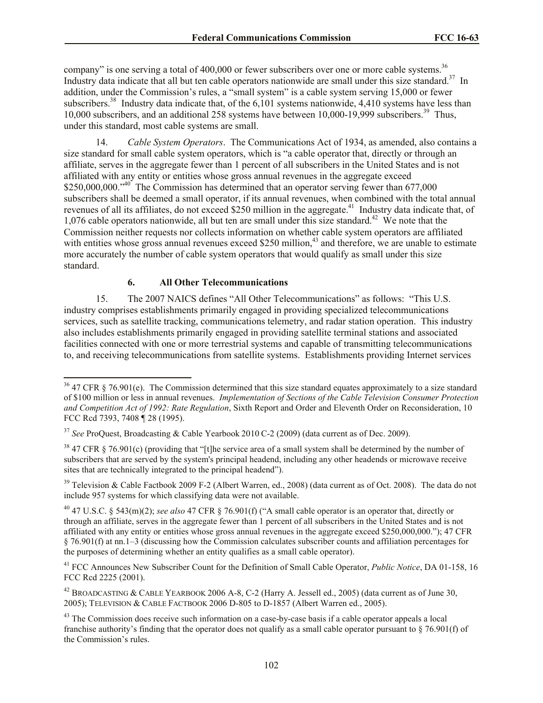company" is one serving a total of 400,000 or fewer subscribers over one or more cable systems.<sup>36</sup> Industry data indicate that all but ten cable operators nationwide are small under this size standard.<sup>37</sup> In addition, under the Commission's rules, a "small system" is a cable system serving 15,000 or fewer subscribers.<sup>38</sup> Industry data indicate that, of the 6,101 systems nationwide, 4,410 systems have less than 10,000 subscribers, and an additional 258 systems have between 10,000-19,999 subscribers.<sup>39</sup> Thus, under this standard, most cable systems are small.

14. *Cable System Operators*. The Communications Act of 1934, as amended, also contains a size standard for small cable system operators, which is "a cable operator that, directly or through an affiliate, serves in the aggregate fewer than 1 percent of all subscribers in the United States and is not affiliated with any entity or entities whose gross annual revenues in the aggregate exceed \$250,000,000."<sup>40</sup> The Commission has determined that an operator serving fewer than 677,000 subscribers shall be deemed a small operator, if its annual revenues, when combined with the total annual revenues of all its affiliates, do not exceed \$250 million in the aggregate.<sup>41</sup> Industry data indicate that, of 1,076 cable operators nationwide, all but ten are small under this size standard.<sup>42</sup> We note that the Commission neither requests nor collects information on whether cable system operators are affiliated with entities whose gross annual revenues exceed \$250 million, $43$  and therefore, we are unable to estimate more accurately the number of cable system operators that would qualify as small under this size standard.

## **6. All Other Telecommunications**

l

15. The 2007 NAICS defines "All Other Telecommunications" as follows: "This U.S. industry comprises establishments primarily engaged in providing specialized telecommunications services, such as satellite tracking, communications telemetry, and radar station operation. This industry also includes establishments primarily engaged in providing satellite terminal stations and associated facilities connected with one or more terrestrial systems and capable of transmitting telecommunications to, and receiving telecommunications from satellite systems. Establishments providing Internet services

 $36$  47 CFR § 76.901(e). The Commission determined that this size standard equates approximately to a size standard of \$100 million or less in annual revenues. *Implementation of Sections of the Cable Television Consumer Protection and Competition Act of 1992: Rate Regulation*, Sixth Report and Order and Eleventh Order on Reconsideration, 10 FCC Rcd 7393, 7408 ¶ 28 (1995).

<sup>37</sup> *See* ProQuest, Broadcasting & Cable Yearbook 2010 C-2 (2009) (data current as of Dec. 2009).

<sup>&</sup>lt;sup>38</sup> 47 CFR § 76.901(c) (providing that "[t]he service area of a small system shall be determined by the number of subscribers that are served by the system's principal headend, including any other headends or microwave receive sites that are technically integrated to the principal headend").

<sup>&</sup>lt;sup>39</sup> Television & Cable Factbook 2009 F-2 (Albert Warren, ed., 2008) (data current as of Oct. 2008). The data do not include 957 systems for which classifying data were not available.

<sup>40</sup> 47 U.S.C. § 543(m)(2); *see also* 47 CFR § 76.901(f) ("A small cable operator is an operator that, directly or through an affiliate, serves in the aggregate fewer than 1 percent of all subscribers in the United States and is not affiliated with any entity or entities whose gross annual revenues in the aggregate exceed \$250,000,000."); 47 CFR § 76.901(f) at nn.1–3 (discussing how the Commission calculates subscriber counts and affiliation percentages for the purposes of determining whether an entity qualifies as a small cable operator).

<sup>41</sup> FCC Announces New Subscriber Count for the Definition of Small Cable Operator, *Public Notice*, DA 01-158, 16 FCC Rcd 2225 (2001).

<sup>42</sup> BROADCASTING & CABLE YEARBOOK 2006 A-8, C-2 (Harry A. Jessell ed., 2005) (data current as of June 30, 2005); TELEVISION & CABLE FACTBOOK 2006 D-805 to D-1857 (Albert Warren ed., 2005).

<sup>&</sup>lt;sup>43</sup> The Commission does receive such information on a case-by-case basis if a cable operator appeals a local franchise authority's finding that the operator does not qualify as a small cable operator pursuant to § 76.901(f) of the Commission's rules.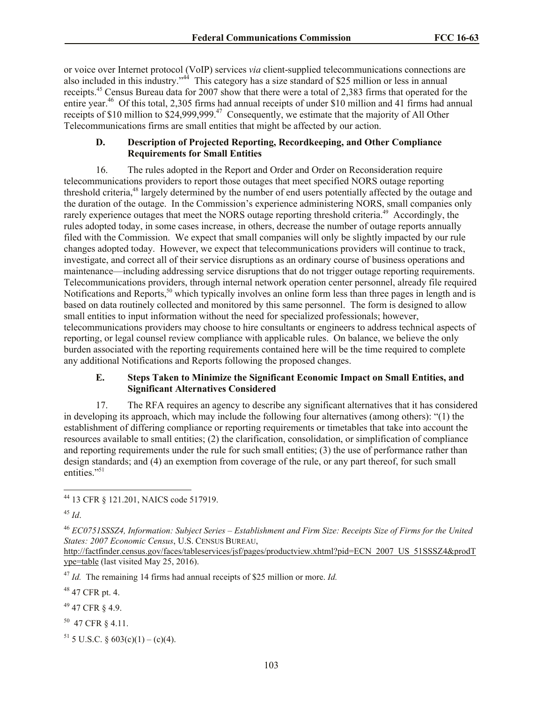or voice over Internet protocol (VoIP) services *via* client-supplied telecommunications connections are also included in this industry."<sup>44</sup> This category has a size standard of \$25 million or less in annual receipts.<sup>45</sup> Census Bureau data for 2007 show that there were a total of 2,383 firms that operated for the entire year.<sup>46</sup> Of this total, 2,305 firms had annual receipts of under \$10 million and 41 firms had annual receipts of \$10 million to \$24,999,999.<sup>47</sup> Consequently, we estimate that the majority of All Other Telecommunications firms are small entities that might be affected by our action.

### **D. Description of Projected Reporting, Recordkeeping, and Other Compliance Requirements for Small Entities**

16. The rules adopted in the Report and Order and Order on Reconsideration require telecommunications providers to report those outages that meet specified NORS outage reporting threshold criteria,<sup>48</sup> largely determined by the number of end users potentially affected by the outage and the duration of the outage. In the Commission's experience administering NORS, small companies only rarely experience outages that meet the NORS outage reporting threshold criteria.<sup>49</sup> Accordingly, the rules adopted today, in some cases increase, in others, decrease the number of outage reports annually filed with the Commission. We expect that small companies will only be slightly impacted by our rule changes adopted today. However, we expect that telecommunications providers will continue to track, investigate, and correct all of their service disruptions as an ordinary course of business operations and maintenance—including addressing service disruptions that do not trigger outage reporting requirements. Telecommunications providers, through internal network operation center personnel, already file required Notifications and Reports,<sup>50</sup> which typically involves an online form less than three pages in length and is based on data routinely collected and monitored by this same personnel. The form is designed to allow small entities to input information without the need for specialized professionals; however, telecommunications providers may choose to hire consultants or engineers to address technical aspects of reporting, or legal counsel review compliance with applicable rules. On balance, we believe the only burden associated with the reporting requirements contained here will be the time required to complete any additional Notifications and Reports following the proposed changes.

#### **E. Steps Taken to Minimize the Significant Economic Impact on Small Entities, and Significant Alternatives Considered**

17. The RFA requires an agency to describe any significant alternatives that it has considered in developing its approach, which may include the following four alternatives (among others): "(1) the establishment of differing compliance or reporting requirements or timetables that take into account the resources available to small entities; (2) the clarification, consolidation, or simplification of compliance and reporting requirements under the rule for such small entities; (3) the use of performance rather than design standards; and (4) an exemption from coverage of the rule, or any part thereof, for such small entities."<sup>51</sup>

<sup>47</sup> *Id.* The remaining 14 firms had annual receipts of \$25 million or more. *Id.*

 $48$  47 CFR pt. 4.

 $49$  47 CFR  $8$  4.9.

 $50$  47 CFR § 4.11.

<sup>51</sup> 5 U.S.C. § 603(c)(1) – (c)(4).

l <sup>44</sup> 13 CFR § 121.201, NAICS code 517919.

<sup>45</sup> *Id*.

<sup>46</sup> *EC0751SSSZ4, Information: Subject Series – Establishment and Firm Size: Receipts Size of Firms for the United States: 2007 Economic Census*, U.S. CENSUS BUREAU,

http://factfinder.census.gov/faces/tableservices/jsf/pages/productview.xhtml?pid=ECN\_2007\_US\_51SSSZ4&prodT ype=table (last visited May 25, 2016).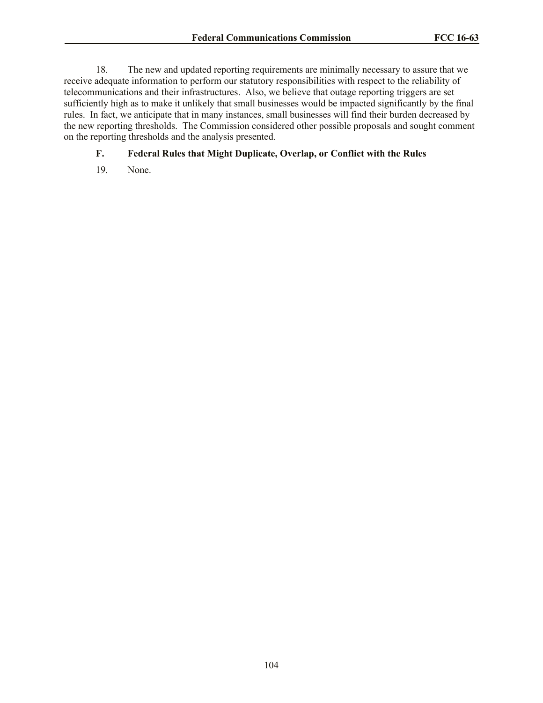18. The new and updated reporting requirements are minimally necessary to assure that we receive adequate information to perform our statutory responsibilities with respect to the reliability of telecommunications and their infrastructures. Also, we believe that outage reporting triggers are set sufficiently high as to make it unlikely that small businesses would be impacted significantly by the final rules. In fact, we anticipate that in many instances, small businesses will find their burden decreased by the new reporting thresholds. The Commission considered other possible proposals and sought comment on the reporting thresholds and the analysis presented.

#### **F. Federal Rules that Might Duplicate, Overlap, or Conflict with the Rules**

19. None.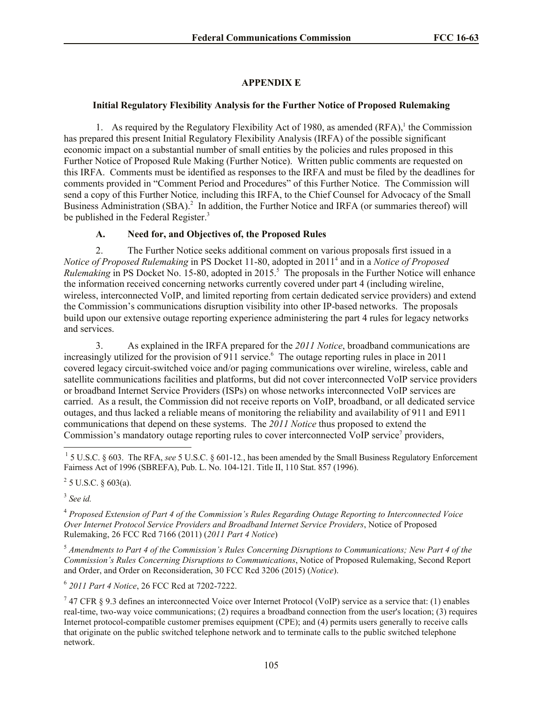# **APPENDIX E**

## **Initial Regulatory Flexibility Analysis for the Further Notice of Proposed Rulemaking**

1. As required by the Regulatory Flexibility Act of 1980, as amended  $(RFA)$ , the Commission has prepared this present Initial Regulatory Flexibility Analysis (IRFA) of the possible significant economic impact on a substantial number of small entities by the policies and rules proposed in this Further Notice of Proposed Rule Making (Further Notice). Written public comments are requested on this IRFA. Comments must be identified as responses to the IRFA and must be filed by the deadlines for comments provided in "Comment Period and Procedures" of this Further Notice. The Commission will send a copy of this Further Notice*,* including this IRFA, to the Chief Counsel for Advocacy of the Small Business Administration (SBA).<sup>2</sup> In addition, the Further Notice and IRFA (or summaries thereof) will be published in the Federal Register.<sup>3</sup>

## **A. Need for, and Objectives of, the Proposed Rules**

2. The Further Notice seeks additional comment on various proposals first issued in a *Notice of Proposed Rulemaking* in PS Docket 11-80, adopted in 2011<sup>4</sup> and in a *Notice of Proposed Rulemaking* in PS Docket No. 15-80, adopted in 2015.<sup>5</sup> The proposals in the Further Notice will enhance the information received concerning networks currently covered under part 4 (including wireline, wireless, interconnected VoIP, and limited reporting from certain dedicated service providers) and extend the Commission's communications disruption visibility into other IP-based networks. The proposals build upon our extensive outage reporting experience administering the part 4 rules for legacy networks and services.

3. As explained in the IRFA prepared for the *2011 Notice*, broadband communications are increasingly utilized for the provision of 911 service.<sup>6</sup> The outage reporting rules in place in 2011 covered legacy circuit-switched voice and/or paging communications over wireline, wireless, cable and satellite communications facilities and platforms, but did not cover interconnected VoIP service providers or broadband Internet Service Providers (ISPs) on whose networks interconnected VoIP services are carried. As a result, the Commission did not receive reports on VoIP, broadband, or all dedicated service outages, and thus lacked a reliable means of monitoring the reliability and availability of 911 and E911 communications that depend on these systems. The *2011 Notice* thus proposed to extend the Commission's mandatory outage reporting rules to cover interconnected VoIP service<sup>7</sup> providers,

<sup>1</sup> 5 U.S.C. § 603. The RFA, *see* 5 U.S.C. § 601-12., has been amended by the Small Business Regulatory Enforcement Fairness Act of 1996 (SBREFA), Pub. L. No. 104-121. Title II, 110 Stat. 857 (1996).

 $2^2$  5 U.S.C. § 603(a).

3 *See id.*

 $\overline{a}$ 

<sup>4</sup> *Proposed Extension of Part 4 of the Commission's Rules Regarding Outage Reporting to Interconnected Voice Over Internet Protocol Service Providers and Broadband Internet Service Providers*, Notice of Proposed Rulemaking, 26 FCC Rcd 7166 (2011) (*2011 Part 4 Notice*)

<sup>5</sup> *Amendments to Part 4 of the Commission's Rules Concerning Disruptions to Communications; New Part 4 of the Commission's Rules Concerning Disruptions to Communications*, Notice of Proposed Rulemaking, Second Report and Order, and Order on Reconsideration, 30 FCC Rcd 3206 (2015) (*Notice*).

6 *2011 Part 4 Notice*, 26 FCC Rcd at 7202-7222.

<sup>7</sup> 47 CFR § 9.3 defines an interconnected Voice over Internet Protocol (VoIP) service as a service that: (1) enables real-time, two-way voice communications; (2) requires a broadband connection from the user's location; (3) requires Internet protocol-compatible customer premises equipment (CPE); and (4) permits users generally to receive calls that originate on the public switched telephone network and to terminate calls to the public switched telephone network.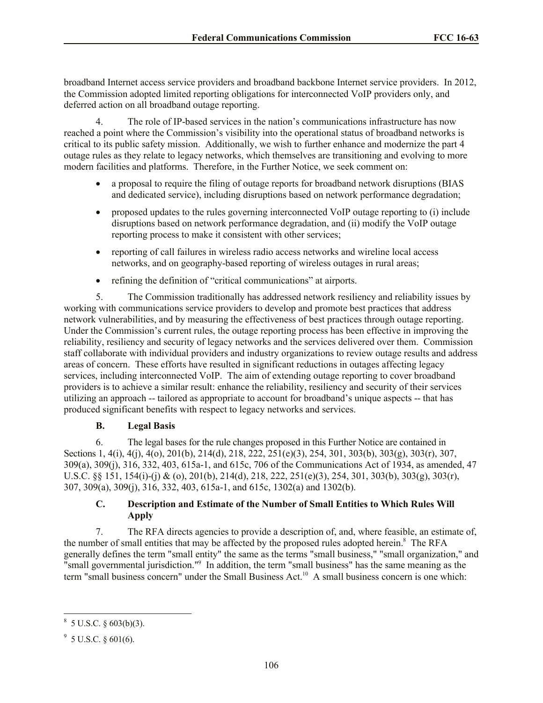broadband Internet access service providers and broadband backbone Internet service providers. In 2012, the Commission adopted limited reporting obligations for interconnected VoIP providers only, and deferred action on all broadband outage reporting.

4. The role of IP-based services in the nation's communications infrastructure has now reached a point where the Commission's visibility into the operational status of broadband networks is critical to its public safety mission. Additionally, we wish to further enhance and modernize the part 4 outage rules as they relate to legacy networks, which themselves are transitioning and evolving to more modern facilities and platforms. Therefore, in the Further Notice, we seek comment on:

- a proposal to require the filing of outage reports for broadband network disruptions (BIAS and dedicated service), including disruptions based on network performance degradation;
- proposed updates to the rules governing interconnected VoIP outage reporting to (i) include disruptions based on network performance degradation, and (ii) modify the VoIP outage reporting process to make it consistent with other services;
- reporting of call failures in wireless radio access networks and wireline local access networks, and on geography-based reporting of wireless outages in rural areas;
- refining the definition of "critical communications" at airports.

5. The Commission traditionally has addressed network resiliency and reliability issues by working with communications service providers to develop and promote best practices that address network vulnerabilities, and by measuring the effectiveness of best practices through outage reporting. Under the Commission's current rules, the outage reporting process has been effective in improving the reliability, resiliency and security of legacy networks and the services delivered over them. Commission staff collaborate with individual providers and industry organizations to review outage results and address areas of concern. These efforts have resulted in significant reductions in outages affecting legacy services, including interconnected VoIP. The aim of extending outage reporting to cover broadband providers is to achieve a similar result: enhance the reliability, resiliency and security of their services utilizing an approach -- tailored as appropriate to account for broadband's unique aspects -- that has produced significant benefits with respect to legacy networks and services.

# **B. Legal Basis**

6. The legal bases for the rule changes proposed in this Further Notice are contained in Sections 1, 4(i), 4(j), 4(o), 201(b), 214(d), 218, 222, 251(e)(3), 254, 301, 303(b), 303(g), 303(r), 307, 309(a), 309(j), 316, 332, 403, 615a-1, and 615c, 706 of the Communications Act of 1934, as amended, 47 U.S.C. §§ 151, 154(i)-(j) & (o), 201(b), 214(d), 218, 222, 251(e)(3), 254, 301, 303(b), 303(g), 303(r), 307, 309(a), 309(j), 316, 332, 403, 615a-1, and 615c, 1302(a) and 1302(b).

# **C. Description and Estimate of the Number of Small Entities to Which Rules Will Apply**

7. The RFA directs agencies to provide a description of, and, where feasible, an estimate of, the number of small entities that may be affected by the proposed rules adopted herein.<sup>8</sup> The RFA generally defines the term "small entity" the same as the terms "small business," "small organization," and "small governmental jurisdiction."<sup>9</sup> In addition, the term "small business" has the same meaning as the term "small business concern" under the Small Business Act.<sup>10</sup> A small business concern is one which:

 $8\,$  5 U.S.C. § 603(b)(3).

 $9^9$  5 U.S.C. § 601(6).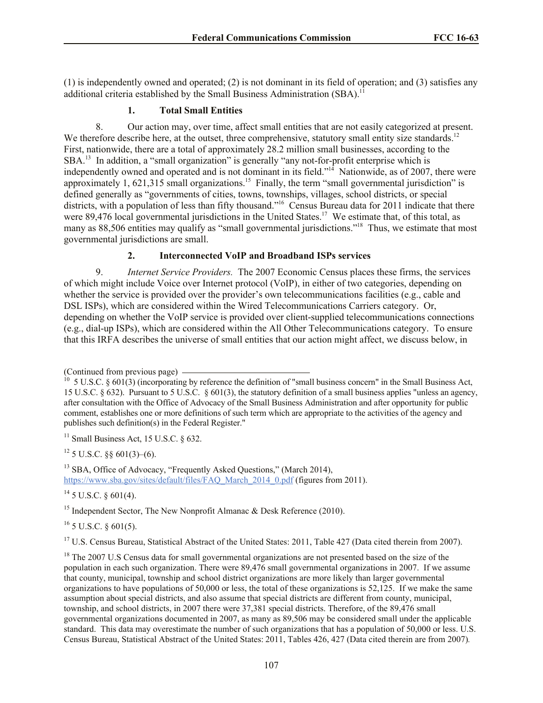(1) is independently owned and operated; (2) is not dominant in its field of operation; and (3) satisfies any additional criteria established by the Small Business Administration (SBA).<sup>11</sup>

## **1. Total Small Entities**

8. Our action may, over time, affect small entities that are not easily categorized at present. We therefore describe here, at the outset, three comprehensive, statutory small entity size standards.<sup>12</sup> First, nationwide, there are a total of approximately 28.2 million small businesses, according to the SBA.<sup>13</sup> In addition, a "small organization" is generally "any not-for-profit enterprise which is independently owned and operated and is not dominant in its field."<sup>14</sup> Nationwide, as of 2007, there were approximately  $1, 621, 315$  small organizations.<sup>15</sup> Finally, the term "small governmental jurisdiction" is defined generally as "governments of cities, towns, townships, villages, school districts, or special districts, with a population of less than fifty thousand."<sup>16</sup> Census Bureau data for 2011 indicate that there were 89,476 local governmental jurisdictions in the United States.<sup>17</sup> We estimate that, of this total, as many as 88,506 entities may qualify as "small governmental jurisdictions."<sup>18</sup> Thus, we estimate that most governmental jurisdictions are small.

# **2. Interconnected VoIP and Broadband ISPs services**

9. *Internet Service Providers.*The 2007 Economic Census places these firms, the services of which might include Voice over Internet protocol (VoIP), in either of two categories, depending on whether the service is provided over the provider's own telecommunications facilities (e.g., cable and DSL ISPs), which are considered within the Wired Telecommunications Carriers category. Or, depending on whether the VoIP service is provided over client-supplied telecommunications connections (e.g., dial-up ISPs), which are considered within the All Other Telecommunications category. To ensure that this IRFA describes the universe of small entities that our action might affect, we discuss below, in

 $11$  Small Business Act, 15 U.S.C.  $\delta$  632.

 $12$  5 U.S.C. §§ 601(3)–(6).

<sup>13</sup> SBA, Office of Advocacy, "Frequently Asked Questions," (March 2014), https://www.sba.gov/sites/default/files/FAQ\_March\_2014\_0.pdf (figures from 2011).

 $^{14}$  5 U.S.C.  $\delta$  601(4).

<sup>15</sup> Independent Sector, The New Nonprofit Almanac & Desk Reference (2010).

 $16$  5 U.S.C. § 601(5).

<sup>17</sup> U.S. Census Bureau, Statistical Abstract of the United States: 2011, Table 427 (Data cited therein from 2007).

<sup>18</sup> The 2007 U.S Census data for small governmental organizations are not presented based on the size of the population in each such organization. There were 89,476 small governmental organizations in 2007. If we assume that county, municipal, township and school district organizations are more likely than larger governmental organizations to have populations of 50,000 or less, the total of these organizations is 52,125. If we make the same assumption about special districts, and also assume that special districts are different from county, municipal, township, and school districts, in 2007 there were 37,381 special districts. Therefore, of the 89,476 small governmental organizations documented in 2007, as many as 89,506 may be considered small under the applicable standard. This data may overestimate the number of such organizations that has a population of 50,000 or less. U.S. Census Bureau, Statistical Abstract of the United States: 2011, Tables 426, 427 (Data cited therein are from 2007)*.*

<sup>(</sup>Continued from previous page)<br> $^{10}$  5 U S G  $^{8}$  601(2) (incorporative

 <sup>5</sup> U.S.C. § 601(3) (incorporating by reference the definition of "small business concern" in the Small Business Act, 15 U.S.C. § 632). Pursuant to 5 U.S.C. § 601(3), the statutory definition of a small business applies "unless an agency, after consultation with the Office of Advocacy of the Small Business Administration and after opportunity for public comment, establishes one or more definitions of such term which are appropriate to the activities of the agency and publishes such definition(s) in the Federal Register."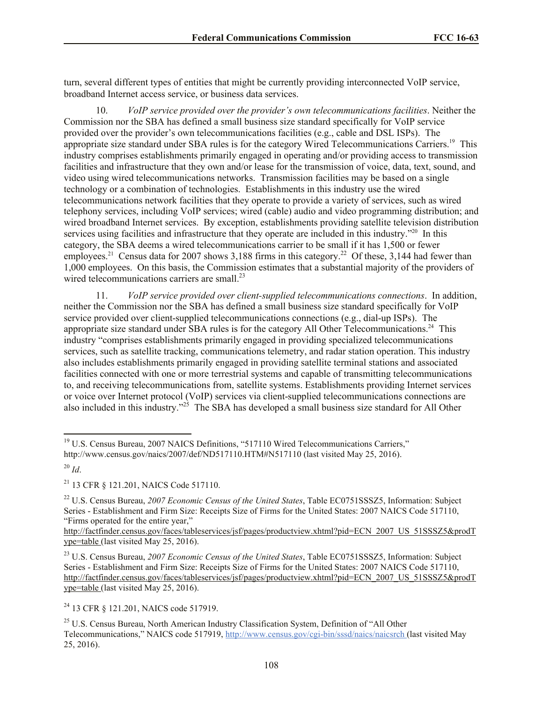turn, several different types of entities that might be currently providing interconnected VoIP service, broadband Internet access service, or business data services.

10. *VoIP service provided over the provider's own telecommunications facilities*. Neither the Commission nor the SBA has defined a small business size standard specifically for VoIP service provided over the provider's own telecommunications facilities (e.g., cable and DSL ISPs). The appropriate size standard under SBA rules is for the category Wired Telecommunications Carriers.<sup>19</sup> This industry comprises establishments primarily engaged in operating and/or providing access to transmission facilities and infrastructure that they own and/or lease for the transmission of voice, data, text, sound, and video using wired telecommunications networks. Transmission facilities may be based on a single technology or a combination of technologies. Establishments in this industry use the wired telecommunications network facilities that they operate to provide a variety of services, such as wired telephony services, including VoIP services; wired (cable) audio and video programming distribution; and wired broadband Internet services. By exception, establishments providing satellite television distribution services using facilities and infrastructure that they operate are included in this industry."<sup>20</sup> In this category, the SBA deems a wired telecommunications carrier to be small if it has 1,500 or fewer employees.<sup>21</sup> Census data for 2007 shows 3,188 firms in this category.<sup>22</sup> Of these, 3,144 had fewer than 1,000 employees. On this basis, the Commission estimates that a substantial majority of the providers of wired telecommunications carriers are small.<sup>23</sup>

11. *VoIP service provided over client-supplied telecommunications connections*. In addition, neither the Commission nor the SBA has defined a small business size standard specifically for VoIP service provided over client-supplied telecommunications connections (e.g., dial-up ISPs). The appropriate size standard under SBA rules is for the category All Other Telecommunications.<sup>24</sup> This industry "comprises establishments primarily engaged in providing specialized telecommunications services, such as satellite tracking, communications telemetry, and radar station operation. This industry also includes establishments primarily engaged in providing satellite terminal stations and associated facilities connected with one or more terrestrial systems and capable of transmitting telecommunications to, and receiving telecommunications from, satellite systems. Establishments providing Internet services or voice over Internet protocol (VoIP) services via client-supplied telecommunications connections are also included in this industry.<sup> $25$ </sup> The SBA has developed a small business size standard for All Other

l

<sup>&</sup>lt;sup>19</sup> U.S. Census Bureau, 2007 NAICS Definitions, "517110 Wired Telecommunications Carriers," http://www.census.gov/naics/2007/def/ND517110.HTM#N517110 (last visited May 25, 2016).

 $^{20}$  *Id.* 

<sup>21</sup> 13 CFR § 121.201, NAICS Code 517110.

<sup>22</sup> U.S. Census Bureau, *2007 Economic Census of the United States*, Table EC0751SSSZ5, Information: Subject Series - Establishment and Firm Size: Receipts Size of Firms for the United States: 2007 NAICS Code 517110, "Firms operated for the entire year,"

http://factfinder.census.gov/faces/tableservices/jsf/pages/productview.xhtml?pid=ECN\_2007\_US\_51SSSZ5&prodT ype=table (last visited May 25, 2016).

<sup>23</sup> U.S. Census Bureau, *2007 Economic Census of the United States*, Table EC0751SSSZ5, Information: Subject Series - Establishment and Firm Size: Receipts Size of Firms for the United States: 2007 NAICS Code 517110, http://factfinder.census.gov/faces/tableservices/jsf/pages/productview.xhtml?pid=ECN\_2007\_US\_51SSSZ5&prodT ype=table (last visited May 25, 2016).

<sup>24</sup> 13 CFR § 121.201, NAICS code 517919.

<sup>&</sup>lt;sup>25</sup> U.S. Census Bureau, North American Industry Classification System, Definition of "All Other Telecommunications," NAICS code 517919, http://www.census.gov/cgi-bin/sssd/naics/naicsrch (last visited May 25, 2016).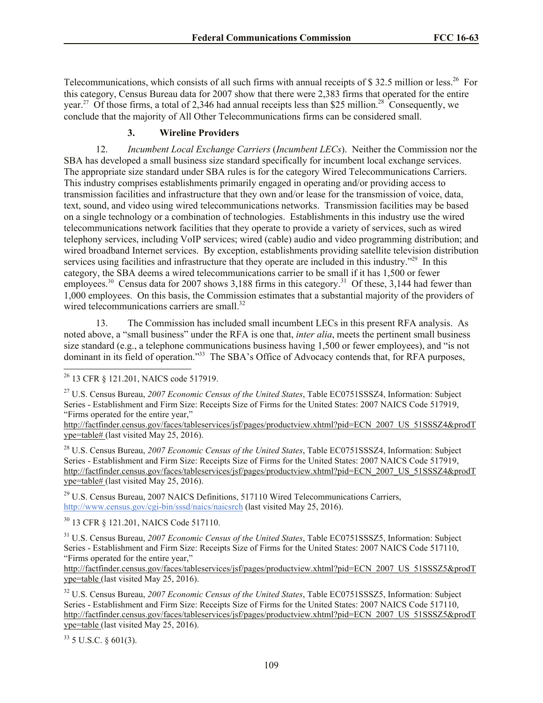Telecommunications, which consists of all such firms with annual receipts of \$32.5 million or less.<sup>26</sup> For this category, Census Bureau data for 2007 show that there were 2,383 firms that operated for the entire year.<sup>27</sup> Of those firms, a total of 2,346 had annual receipts less than \$25 million.<sup>28</sup> Consequently, we conclude that the majority of All Other Telecommunications firms can be considered small.

# **3. Wireline Providers**

12. *Incumbent Local Exchange Carriers* (*Incumbent LECs*). Neither the Commission nor the SBA has developed a small business size standard specifically for incumbent local exchange services. The appropriate size standard under SBA rules is for the category Wired Telecommunications Carriers. This industry comprises establishments primarily engaged in operating and/or providing access to transmission facilities and infrastructure that they own and/or lease for the transmission of voice, data, text, sound, and video using wired telecommunications networks. Transmission facilities may be based on a single technology or a combination of technologies. Establishments in this industry use the wired telecommunications network facilities that they operate to provide a variety of services, such as wired telephony services, including VoIP services; wired (cable) audio and video programming distribution; and wired broadband Internet services. By exception, establishments providing satellite television distribution services using facilities and infrastructure that they operate are included in this industry."<sup>29</sup> In this category, the SBA deems a wired telecommunications carrier to be small if it has 1,500 or fewer employees.<sup>30</sup> Census data for 2007 shows 3,188 firms in this category.<sup>31</sup> Of these, 3,144 had fewer than 1,000 employees. On this basis, the Commission estimates that a substantial majority of the providers of wired telecommunications carriers are small.<sup>32</sup>

13. The Commission has included small incumbent LECs in this present RFA analysis. As noted above, a "small business" under the RFA is one that, *inter alia*, meets the pertinent small business size standard (e.g., a telephone communications business having 1,500 or fewer employees), and "is not dominant in its field of operation."<sup>33</sup> The SBA's Office of Advocacy contends that, for RFA purposes,

l  $26$  13 CFR § 121.201, NAICS code 517919.

<sup>27</sup> U.S. Census Bureau, *2007 Economic Census of the United States*, Table EC0751SSSZ4, Information: Subject Series - Establishment and Firm Size: Receipts Size of Firms for the United States: 2007 NAICS Code 517919, "Firms operated for the entire year,"

http://factfinder.census.gov/faces/tableservices/jsf/pages/productview.xhtml?pid=ECN\_2007\_US\_51SSSZ4&prodT ype=table# (last visited May 25, 2016).

<sup>28</sup> U.S. Census Bureau, *2007 Economic Census of the United States*, Table EC0751SSSZ4, Information: Subject Series - Establishment and Firm Size: Receipts Size of Firms for the United States: 2007 NAICS Code 517919, http://factfinder.census.gov/faces/tableservices/jsf/pages/productview.xhtml?pid=ECN\_2007\_US\_51SSSZ4&prodT ype=table# (last visited May 25, 2016).

 $29$  U.S. Census Bureau, 2007 NAICS Definitions, 517110 Wired Telecommunications Carriers, http://www.census.gov/cgi-bin/sssd/naics/naicsrch (last visited May 25, 2016).

<sup>30</sup> 13 CFR § 121.201, NAICS Code 517110.

<sup>31</sup> U.S. Census Bureau, *2007 Economic Census of the United States*, Table EC0751SSSZ5, Information: Subject Series - Establishment and Firm Size: Receipts Size of Firms for the United States: 2007 NAICS Code 517110, "Firms operated for the entire year,"

http://factfinder.census.gov/faces/tableservices/jsf/pages/productview.xhtml?pid=ECN\_2007\_US\_51SSSZ5&prodT ype=table (last visited May 25, 2016).

<sup>32</sup> U.S. Census Bureau, *2007 Economic Census of the United States*, Table EC0751SSSZ5, Information: Subject Series - Establishment and Firm Size: Receipts Size of Firms for the United States: 2007 NAICS Code 517110, http://factfinder.census.gov/faces/tableservices/jsf/pages/productview.xhtml?pid=ECN\_2007\_US\_51SSSZ5&prodT ype=table (last visited May 25, 2016).

 $33$  5 U.S.C. § 601(3).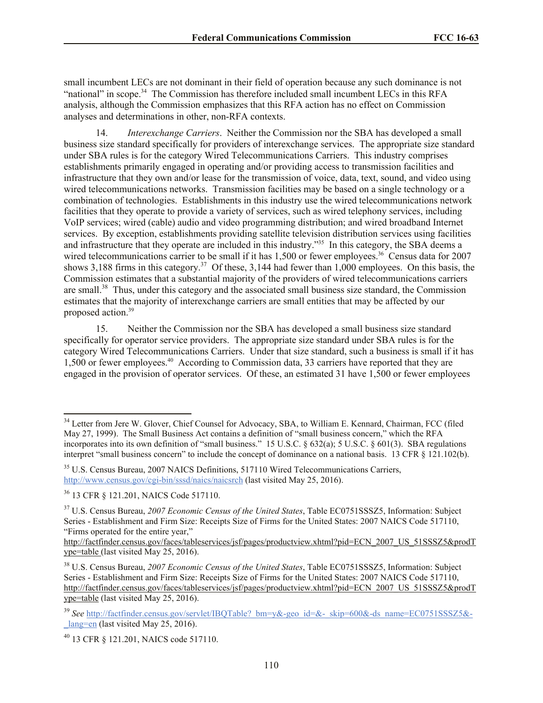small incumbent LECs are not dominant in their field of operation because any such dominance is not "national" in scope.<sup>34</sup> The Commission has therefore included small incumbent LECs in this RFA analysis, although the Commission emphasizes that this RFA action has no effect on Commission analyses and determinations in other, non-RFA contexts.

14. *Interexchange Carriers*. Neither the Commission nor the SBA has developed a small business size standard specifically for providers of interexchange services. The appropriate size standard under SBA rules is for the category Wired Telecommunications Carriers. This industry comprises establishments primarily engaged in operating and/or providing access to transmission facilities and infrastructure that they own and/or lease for the transmission of voice, data, text, sound, and video using wired telecommunications networks. Transmission facilities may be based on a single technology or a combination of technologies. Establishments in this industry use the wired telecommunications network facilities that they operate to provide a variety of services, such as wired telephony services, including VoIP services; wired (cable) audio and video programming distribution; and wired broadband Internet services. By exception, establishments providing satellite television distribution services using facilities and infrastructure that they operate are included in this industry."<sup>35</sup> In this category, the SBA deems a wired telecommunications carrier to be small if it has  $1,500$  or fewer employees.<sup>36</sup> Census data for 2007 shows 3,188 firms in this category.<sup>37</sup> Of these, 3,144 had fewer than  $1,000$  employees. On this basis, the Commission estimates that a substantial majority of the providers of wired telecommunications carriers are small.<sup>38</sup> Thus, under this category and the associated small business size standard, the Commission estimates that the majority of interexchange carriers are small entities that may be affected by our proposed action.<sup>39</sup>

15. Neither the Commission nor the SBA has developed a small business size standard specifically for operator service providers. The appropriate size standard under SBA rules is for the category Wired Telecommunications Carriers. Under that size standard, such a business is small if it has 1,500 or fewer employees.<sup>40</sup> According to Commission data, 33 carriers have reported that they are engaged in the provision of operator services. Of these, an estimated 31 have 1,500 or fewer employees

<sup>&</sup>lt;sup>34</sup> Letter from Jere W. Glover, Chief Counsel for Advocacy, SBA, to William E. Kennard, Chairman, FCC (filed May 27, 1999). The Small Business Act contains a definition of "small business concern," which the RFA incorporates into its own definition of "small business." 15 U.S.C. § 632(a); 5 U.S.C. § 601(3). SBA regulations interpret "small business concern" to include the concept of dominance on a national basis. 13 CFR § 121.102(b).

<sup>&</sup>lt;sup>35</sup> U.S. Census Bureau, 2007 NAICS Definitions, 517110 Wired Telecommunications Carriers, http://www.census.gov/cgi-bin/sssd/naics/naicsrch (last visited May 25, 2016).

<sup>36</sup> 13 CFR § 121.201, NAICS Code 517110.

<sup>37</sup> U.S. Census Bureau, *2007 Economic Census of the United States*, Table EC0751SSSZ5, Information: Subject Series - Establishment and Firm Size: Receipts Size of Firms for the United States: 2007 NAICS Code 517110, "Firms operated for the entire year,"

http://factfinder.census.gov/faces/tableservices/jsf/pages/productview.xhtml?pid=ECN\_2007\_US\_51SSSZ5&prodT ype=table (last visited May 25, 2016).

<sup>38</sup> U.S. Census Bureau, *2007 Economic Census of the United States*, Table EC0751SSSZ5, Information: Subject Series - Establishment and Firm Size: Receipts Size of Firms for the United States: 2007 NAICS Code 517110, http://factfinder.census.gov/faces/tableservices/jsf/pages/productview.xhtml?pid=ECN\_2007\_US\_51SSSZ5&prodT ype=table (last visited May 25, 2016).

<sup>&</sup>lt;sup>39</sup> See http://factfinder.census.gov/servlet/IBQTable? bm=y&-geo\_id=&-\_skip=600&-ds\_name=EC0751SSSZ5&- $\frac{\text{lang}}{\text{eng}}$  (last visited May 25, 2016).

<sup>40</sup> 13 CFR § 121.201, NAICS code 517110.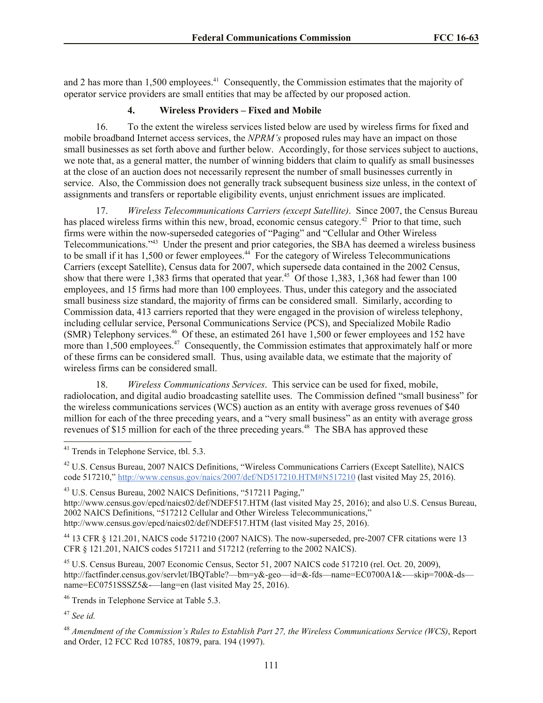and 2 has more than  $1,500$  employees.<sup>41</sup> Consequently, the Commission estimates that the majority of operator service providers are small entities that may be affected by our proposed action.

#### **4. Wireless Providers – Fixed and Mobile**

16. To the extent the wireless services listed below are used by wireless firms for fixed and mobile broadband Internet access services, the *NPRM's* proposed rules may have an impact on those small businesses as set forth above and further below. Accordingly, for those services subject to auctions, we note that, as a general matter, the number of winning bidders that claim to qualify as small businesses at the close of an auction does not necessarily represent the number of small businesses currently in service. Also, the Commission does not generally track subsequent business size unless, in the context of assignments and transfers or reportable eligibility events, unjust enrichment issues are implicated.

17. *Wireless Telecommunications Carriers (except Satellite)*. Since 2007, the Census Bureau has placed wireless firms within this new, broad, economic census category.<sup>42</sup> Prior to that time, such firms were within the now-superseded categories of "Paging" and "Cellular and Other Wireless Telecommunications."<sup>43</sup> Under the present and prior categories, the SBA has deemed a wireless business to be small if it has 1,500 or fewer employees.<sup>44</sup> For the category of Wireless Telecommunications Carriers (except Satellite), Census data for 2007, which supersede data contained in the 2002 Census, show that there were 1,383 firms that operated that year.<sup>45</sup> Of those 1,383, 1,368 had fewer than 100 employees, and 15 firms had more than 100 employees. Thus, under this category and the associated small business size standard, the majority of firms can be considered small. Similarly, according to Commission data, 413 carriers reported that they were engaged in the provision of wireless telephony, including cellular service, Personal Communications Service (PCS), and Specialized Mobile Radio (SMR) Telephony services.<sup>46</sup> Of these, an estimated 261 have 1,500 or fewer employees and 152 have more than 1,500 employees.<sup>47</sup> Consequently, the Commission estimates that approximately half or more of these firms can be considered small. Thus, using available data, we estimate that the majority of wireless firms can be considered small.

18. *Wireless Communications Services*. This service can be used for fixed, mobile, radiolocation, and digital audio broadcasting satellite uses. The Commission defined "small business" for the wireless communications services (WCS) auction as an entity with average gross revenues of \$40 million for each of the three preceding years, and a "very small business" as an entity with average gross revenues of \$15 million for each of the three preceding years.<sup>48</sup> The SBA has approved these

<sup>42</sup> U.S. Census Bureau, 2007 NAICS Definitions, "Wireless Communications Carriers (Except Satellite), NAICS code 517210," http://www.census.gov/naics/2007/def/ND517210.HTM#N517210 (last visited May 25, 2016).

<sup>43</sup> U.S. Census Bureau, 2002 NAICS Definitions, "517211 Paging,"

http://www.census.gov/epcd/naics02/def/NDEF517.HTM (last visited May 25, 2016); and also U.S. Census Bureau, 2002 NAICS Definitions, "517212 Cellular and Other Wireless Telecommunications," http://www.census.gov/epcd/naics02/def/NDEF517.HTM (last visited May 25, 2016).

<sup>44</sup> 13 CFR § 121.201, NAICS code 517210 (2007 NAICS). The now-superseded, pre-2007 CFR citations were 13 CFR § 121.201, NAICS codes 517211 and 517212 (referring to the 2002 NAICS).

<sup>45</sup> U.S. Census Bureau, 2007 Economic Census, Sector 51, 2007 NAICS code 517210 (rel. Oct. 20, 2009), http://factfinder.census.gov/servlet/IBQTable?—bm=y&-geo—id=&-fds—name=EC0700A1&-—skip=700&-ds name=EC0751SSSZ5&-----lang=en (last visited May 25, 2016).

<sup>46</sup> Trends in Telephone Service at Table 5.3.

<sup>47</sup> *See id.*

<sup>&</sup>lt;sup>41</sup> Trends in Telephone Service, tbl. 5.3.

<sup>48</sup> *Amendment of the Commission's Rules to Establish Part 27, the Wireless Communications Service (WCS)*, Report and Order, 12 FCC Rcd 10785, 10879, para. 194 (1997).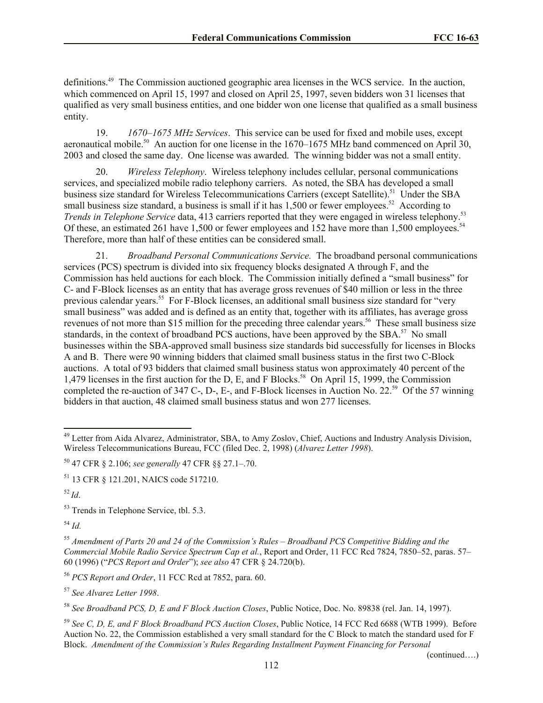definitions.<sup>49</sup> The Commission auctioned geographic area licenses in the WCS service. In the auction, which commenced on April 15, 1997 and closed on April 25, 1997, seven bidders won 31 licenses that qualified as very small business entities, and one bidder won one license that qualified as a small business entity.

19. *1670–1675 MHz Services*. This service can be used for fixed and mobile uses, except aeronautical mobile.<sup>50</sup> An auction for one license in the  $1670-1675$  MHz band commenced on April 30, 2003 and closed the same day. One license was awarded. The winning bidder was not a small entity.

20. *Wireless Telephony*. Wireless telephony includes cellular, personal communications services, and specialized mobile radio telephony carriers. As noted, the SBA has developed a small business size standard for Wireless Telecommunications Carriers (except Satellite).<sup>51</sup> Under the SBA small business size standard, a business is small if it has  $1,500$  or fewer employees.<sup>52</sup> According to *Trends in Telephone Service* data, 413 carriers reported that they were engaged in wireless telephony.<sup>53</sup> Of these, an estimated 261 have 1,500 or fewer employees and 152 have more than 1,500 employees.<sup>54</sup> Therefore, more than half of these entities can be considered small.

21. *Broadband Personal Communications Service.* The broadband personal communications services (PCS) spectrum is divided into six frequency blocks designated A through F, and the Commission has held auctions for each block. The Commission initially defined a "small business" for C- and F-Block licenses as an entity that has average gross revenues of \$40 million or less in the three previous calendar years.<sup>55</sup> For F-Block licenses, an additional small business size standard for "very small business" was added and is defined as an entity that, together with its affiliates, has average gross revenues of not more than \$15 million for the preceding three calendar years.<sup>56</sup> These small business size standards, in the context of broadband PCS auctions, have been approved by the SBA.<sup>57</sup> No small businesses within the SBA-approved small business size standards bid successfully for licenses in Blocks A and B. There were 90 winning bidders that claimed small business status in the first two C-Block auctions. A total of 93 bidders that claimed small business status won approximately 40 percent of the 1,479 licenses in the first auction for the D, E, and F Blocks.<sup>58</sup> On April 15, 1999, the Commission completed the re-auction of 347 C-, D-, E-, and F-Block licenses in Auction No. 22.<sup>59</sup> Of the 57 winning bidders in that auction, 48 claimed small business status and won 277 licenses.

<sup>52</sup> *Id*.

l

<sup>57</sup> *See Alvarez Letter 1998*.

(continued….)

<sup>&</sup>lt;sup>49</sup> Letter from Aida Alvarez, Administrator, SBA, to Amy Zoslov, Chief, Auctions and Industry Analysis Division, Wireless Telecommunications Bureau, FCC (filed Dec. 2, 1998) (*Alvarez Letter 1998*).

<sup>50</sup> 47 CFR § 2.106; *see generally* 47 CFR §§ 27.1–.70.

<sup>51</sup> 13 CFR § 121.201, NAICS code 517210.

<sup>53</sup> Trends in Telephone Service, tbl. 5.3.

<sup>54</sup> *Id.*

<sup>55</sup> *Amendment of Parts 20 and 24 of the Commission's Rules – Broadband PCS Competitive Bidding and the Commercial Mobile Radio Service Spectrum Cap et al.*, Report and Order, 11 FCC Rcd 7824, 7850–52, paras. 57– 60 (1996) ("*PCS Report and Order*"); *see also* 47 CFR § 24.720(b).

<sup>56</sup> *PCS Report and Order*, 11 FCC Rcd at 7852, para. 60.

<sup>58</sup> *See Broadband PCS, D, E and F Block Auction Closes*, Public Notice, Doc. No. 89838 (rel. Jan. 14, 1997).

<sup>59</sup> *See C, D, E, and F Block Broadband PCS Auction Closes*, Public Notice, 14 FCC Rcd 6688 (WTB 1999). Before Auction No. 22, the Commission established a very small standard for the C Block to match the standard used for F Block. *Amendment of the Commission's Rules Regarding Installment Payment Financing for Personal*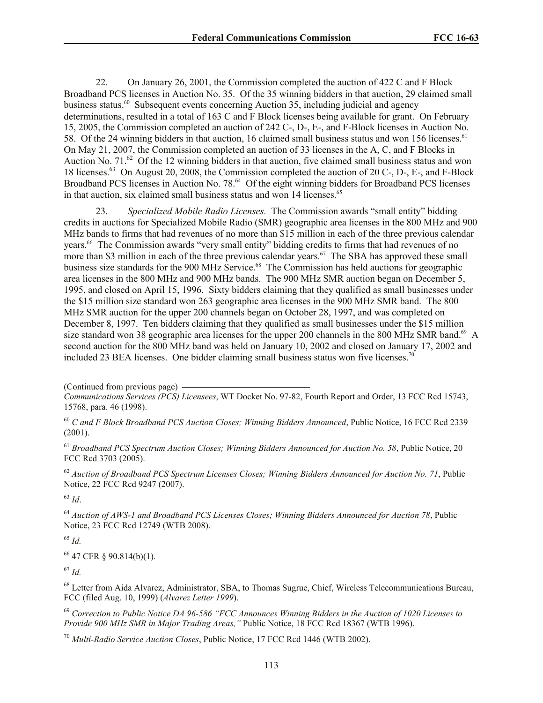22. On January 26, 2001, the Commission completed the auction of 422 C and F Block Broadband PCS licenses in Auction No. 35. Of the 35 winning bidders in that auction, 29 claimed small business status.<sup>60</sup> Subsequent events concerning Auction 35, including judicial and agency determinations, resulted in a total of 163 C and F Block licenses being available for grant. On February 15, 2005, the Commission completed an auction of 242 C-, D-, E-, and F-Block licenses in Auction No. 58. Of the 24 winning bidders in that auction, 16 claimed small business status and won 156 licenses.<sup>61</sup> On May 21, 2007, the Commission completed an auction of 33 licenses in the A, C, and F Blocks in Auction No.  $71<sup>62</sup>$  Of the 12 winning bidders in that auction, five claimed small business status and won 18 licenses.<sup>63</sup> On August 20, 2008, the Commission completed the auction of 20 C-, D-, E-, and F-Block Broadband PCS licenses in Auction No. 78.<sup>64</sup> Of the eight winning bidders for Broadband PCS licenses in that auction, six claimed small business status and won 14 licenses.<sup>65</sup>

23. *Specialized Mobile Radio Licenses.* The Commission awards "small entity" bidding credits in auctions for Specialized Mobile Radio (SMR) geographic area licenses in the 800 MHz and 900 MHz bands to firms that had revenues of no more than \$15 million in each of the three previous calendar years.<sup>66</sup> The Commission awards "very small entity" bidding credits to firms that had revenues of no more than \$3 million in each of the three previous calendar years.<sup>67</sup> The SBA has approved these small business size standards for the 900 MHz Service. 68 The Commission has held auctions for geographic area licenses in the 800 MHz and 900 MHz bands. The 900 MHz SMR auction began on December 5, 1995, and closed on April 15, 1996. Sixty bidders claiming that they qualified as small businesses under the \$15 million size standard won 263 geographic area licenses in the 900 MHz SMR band. The 800 MHz SMR auction for the upper 200 channels began on October 28, 1997, and was completed on December 8, 1997. Ten bidders claiming that they qualified as small businesses under the \$15 million size standard won 38 geographic area licenses for the upper 200 channels in the 800 MHz SMR band.<sup>69</sup> A second auction for the 800 MHz band was held on January 10, 2002 and closed on January 17, 2002 and included 23 BEA licenses. One bidder claiming small business status won five licenses.<sup>70</sup>

(Continued from previous page)

<sup>60</sup> *C and F Block Broadband PCS Auction Closes; Winning Bidders Announced*, Public Notice, 16 FCC Rcd 2339 (2001).

<sup>61</sup> *Broadband PCS Spectrum Auction Closes; Winning Bidders Announced for Auction No. 58*, Public Notice, 20 FCC Rcd 3703 (2005).

<sup>62</sup> *Auction of Broadband PCS Spectrum Licenses Closes; Winning Bidders Announced for Auction No. 71*, Public Notice, 22 FCC Rcd 9247 (2007).

<sup>63</sup> *Id*.

<sup>64</sup> *Auction of AWS-1 and Broadband PCS Licenses Closes; Winning Bidders Announced for Auction 78*, Public Notice, 23 FCC Rcd 12749 (WTB 2008).

<sup>65</sup> *Id.*

<sup>66</sup> 47 CFR § 90.814(b)(1).

<sup>67</sup> *Id.*

<sup>68</sup> Letter from Aida Alvarez, Administrator, SBA, to Thomas Sugrue, Chief, Wireless Telecommunications Bureau, FCC (filed Aug. 10, 1999) (*Alvarez Letter 1999*).

<sup>69</sup> *Correction to Public Notice DA 96-586 "FCC Announces Winning Bidders in the Auction of 1020 Licenses to Provide 900 MHz SMR in Major Trading Areas,*" Public Notice, 18 FCC Rcd 18367 (WTB 1996).

<sup>70</sup> *Multi-Radio Service Auction Closes*, Public Notice, 17 FCC Rcd 1446 (WTB 2002).

*Communications Services (PCS) Licensees*, WT Docket No. 97-82, Fourth Report and Order, 13 FCC Rcd 15743, 15768, para. 46 (1998).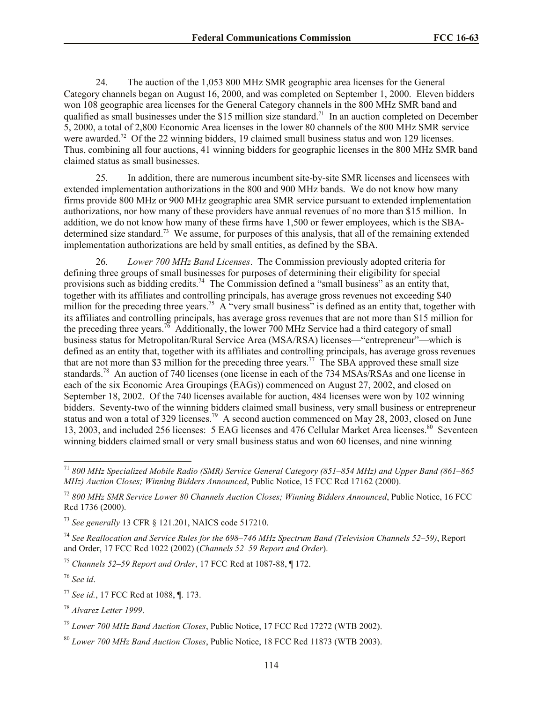24. The auction of the 1,053 800 MHz SMR geographic area licenses for the General Category channels began on August 16, 2000, and was completed on September 1, 2000. Eleven bidders won 108 geographic area licenses for the General Category channels in the 800 MHz SMR band and qualified as small businesses under the \$15 million size standard.<sup>71</sup> In an auction completed on December 5, 2000, a total of 2,800 Economic Area licenses in the lower 80 channels of the 800 MHz SMR service were awarded.<sup>72</sup> Of the 22 winning bidders, 19 claimed small business status and won 129 licenses. Thus, combining all four auctions, 41 winning bidders for geographic licenses in the 800 MHz SMR band claimed status as small businesses.

25. In addition, there are numerous incumbent site-by-site SMR licenses and licensees with extended implementation authorizations in the 800 and 900 MHz bands. We do not know how many firms provide 800 MHz or 900 MHz geographic area SMR service pursuant to extended implementation authorizations, nor how many of these providers have annual revenues of no more than \$15 million. In addition, we do not know how many of these firms have 1,500 or fewer employees, which is the SBAdetermined size standard.<sup>73</sup> We assume, for purposes of this analysis, that all of the remaining extended implementation authorizations are held by small entities, as defined by the SBA.

26. *Lower 700 MHz Band Licenses*. The Commission previously adopted criteria for defining three groups of small businesses for purposes of determining their eligibility for special provisions such as bidding credits.<sup>74</sup> The Commission defined a "small business" as an entity that, together with its affiliates and controlling principals, has average gross revenues not exceeding \$40 million for the preceding three years.<sup>75</sup> A "very small business" is defined as an entity that, together with its affiliates and controlling principals, has average gross revenues that are not more than \$15 million for the preceding three years.<sup>76</sup> Additionally, the lower 700 MHz Service had a third category of small business status for Metropolitan/Rural Service Area (MSA/RSA) licenses—"entrepreneur"—which is defined as an entity that, together with its affiliates and controlling principals, has average gross revenues that are not more than \$3 million for the preceding three years.<sup>77</sup> The SBA approved these small size standards.<sup>78</sup> An auction of 740 licenses (one license in each of the 734 MSAs/RSAs and one license in each of the six Economic Area Groupings (EAGs)) commenced on August 27, 2002, and closed on September 18, 2002. Of the 740 licenses available for auction, 484 licenses were won by 102 winning bidders. Seventy-two of the winning bidders claimed small business, very small business or entrepreneur status and won a total of 329 licenses.<sup>79</sup> A second auction commenced on May 28, 2003, closed on June 13, 2003, and included 256 licenses: 5 EAG licenses and 476 Cellular Market Area licenses.<sup>80</sup> Seventeen winning bidders claimed small or very small business status and won 60 licenses, and nine winning

<sup>75</sup> *Channels 52–59 Report and Order*, 17 FCC Rcd at 1087-88, ¶ 172.

<sup>76</sup> *See id*.

l

<sup>78</sup> *Alvarez Letter 1999*.

<sup>71</sup> *800 MHz Specialized Mobile Radio (SMR) Service General Category (851–854 MHz) and Upper Band (861–865 MHz) Auction Closes; Winning Bidders Announced*, Public Notice, 15 FCC Rcd 17162 (2000).

<sup>72</sup> *800 MHz SMR Service Lower 80 Channels Auction Closes; Winning Bidders Announced*, Public Notice, 16 FCC Rcd 1736 (2000).

<sup>73</sup> *See generally* 13 CFR § 121.201, NAICS code 517210.

<sup>74</sup> *See Reallocation and Service Rules for the 698*–*746 MHz Spectrum Band (Television Channels 52*–*59)*, Report and Order, 17 FCC Rcd 1022 (2002) (*Channels 52*–*59 Report and Order*).

<sup>77</sup> *See id.*, 17 FCC Rcd at 1088, ¶. 173.

<sup>79</sup> *Lower 700 MHz Band Auction Closes*, Public Notice, 17 FCC Rcd 17272 (WTB 2002).

<sup>80</sup> *Lower 700 MHz Band Auction Closes*, Public Notice, 18 FCC Rcd 11873 (WTB 2003).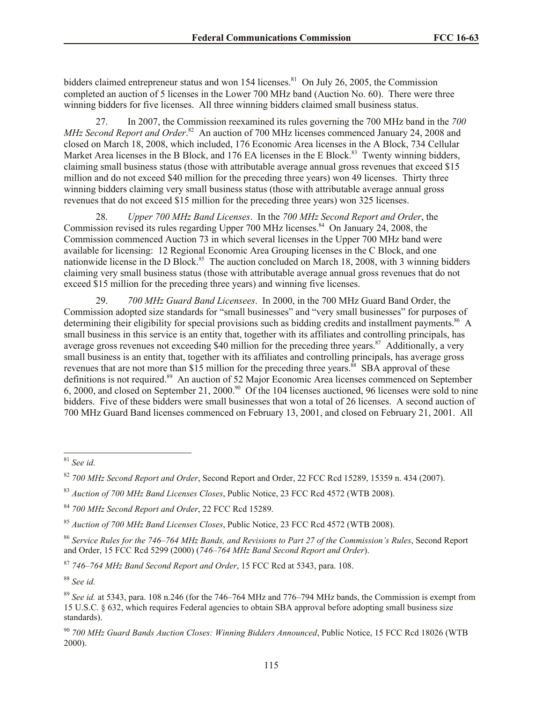bidders claimed entrepreneur status and won 154 licenses.<sup>81</sup> On July 26, 2005, the Commission completed an auction of 5 licenses in the Lower 700 MHz band (Auction No. 60). There were three winning bidders for five licenses. All three winning bidders claimed small business status.

27. In 2007, the Commission reexamined its rules governing the 700 MHz band in the *700*  MHz Second Report and Order.<sup>82</sup> An auction of 700 MHz licenses commenced January 24, 2008 and closed on March 18, 2008, which included, 176 Economic Area licenses in the A Block, 734 Cellular Market Area licenses in the B Block, and 176 EA licenses in the E Block.<sup>83</sup> Twenty winning bidders, claiming small business status (those with attributable average annual gross revenues that exceed \$15 million and do not exceed \$40 million for the preceding three years) won 49 licenses. Thirty three winning bidders claiming very small business status (those with attributable average annual gross revenues that do not exceed \$15 million for the preceding three years) won 325 licenses.

28. *Upper 700 MHz Band Licenses*. In the *700 MHz Second Report and Order*, the Commission revised its rules regarding Upper 700 MHz licenses.<sup>84</sup> On January 24, 2008, the Commission commenced Auction 73 in which several licenses in the Upper 700 MHz band were available for licensing: 12 Regional Economic Area Grouping licenses in the C Block, and one nationwide license in the D Block.<sup>85</sup> The auction concluded on March 18, 2008, with 3 winning bidders claiming very small business status (those with attributable average annual gross revenues that do not exceed \$15 million for the preceding three years) and winning five licenses.

29. *700 MHz Guard Band Licensees*. In 2000, in the 700 MHz Guard Band Order, the Commission adopted size standards for "small businesses" and "very small businesses" for purposes of determining their eligibility for special provisions such as bidding credits and installment payments.<sup>86</sup> A small business in this service is an entity that, together with its affiliates and controlling principals, has average gross revenues not exceeding \$40 million for the preceding three years.<sup>87</sup> Additionally, a very small business is an entity that, together with its affiliates and controlling principals, has average gross revenues that are not more than \$15 million for the preceding three years.<sup>88</sup> SBA approval of these definitions is not required.<sup>89</sup> An auction of 52 Major Economic Area licenses commenced on September  $6, 2000$ , and closed on September 21, 2000.<sup>90</sup> Of the 104 licenses auctioned, 96 licenses were sold to nine bidders. Five of these bidders were small businesses that won a total of 26 licenses. A second auction of 700 MHz Guard Band licenses commenced on February 13, 2001, and closed on February 21, 2001. All

<sup>88</sup> *See id.*

 $\overline{a}$ <sup>81</sup> *See id.*

<sup>82</sup> *700 MHz Second Report and Order*, Second Report and Order, 22 FCC Rcd 15289, 15359 n. 434 (2007).

<sup>83</sup> *Auction of 700 MHz Band Licenses Closes*, Public Notice, 23 FCC Rcd 4572 (WTB 2008).

<sup>84</sup> *700 MHz Second Report and Order*, 22 FCC Rcd 15289.

<sup>85</sup> *Auction of 700 MHz Band Licenses Closes*, Public Notice, 23 FCC Rcd 4572 (WTB 2008).

<sup>86</sup> *Service Rules for the 746–764 MHz Bands, and Revisions to Part 27 of the Commission's Rules*, Second Report and Order, 15 FCC Rcd 5299 (2000) (*746–764 MHz Band Second Report and Order*).

<sup>87</sup> *746–764 MHz Band Second Report and Order*, 15 FCC Rcd at 5343, para. 108.

<sup>89</sup> *See id.* at 5343, para. 108 n.246 (for the 746–764 MHz and 776–794 MHz bands, the Commission is exempt from 15 U.S.C. § 632, which requires Federal agencies to obtain SBA approval before adopting small business size standards).

<sup>90</sup> *700 MHz Guard Bands Auction Closes: Winning Bidders Announced*, Public Notice, 15 FCC Rcd 18026 (WTB 2000).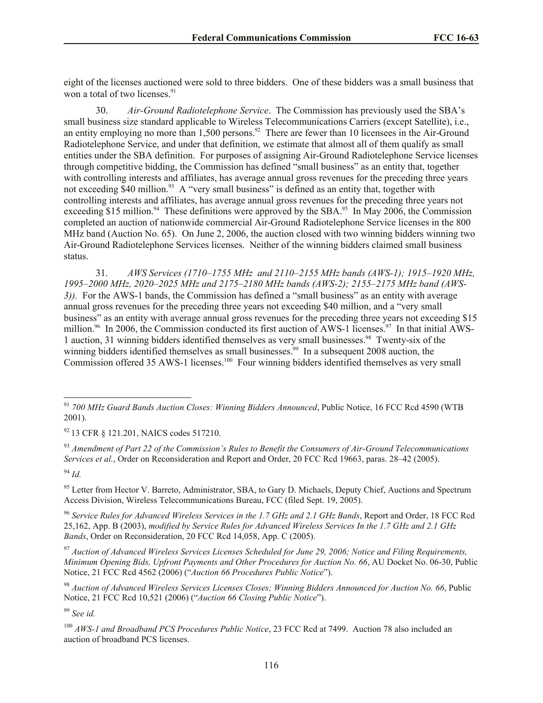eight of the licenses auctioned were sold to three bidders. One of these bidders was a small business that won a total of two licenses. $91$ 

30. *Air-Ground Radiotelephone Service*. The Commission has previously used the SBA's small business size standard applicable to Wireless Telecommunications Carriers (except Satellite), i.e., an entity employing no more than  $1,500$  persons.<sup>92</sup> There are fewer than 10 licensees in the Air-Ground Radiotelephone Service, and under that definition, we estimate that almost all of them qualify as small entities under the SBA definition. For purposes of assigning Air-Ground Radiotelephone Service licenses through competitive bidding, the Commission has defined "small business" as an entity that, together with controlling interests and affiliates, has average annual gross revenues for the preceding three years not exceeding \$40 million.<sup>93</sup> A "very small business" is defined as an entity that, together with controlling interests and affiliates, has average annual gross revenues for the preceding three years not exceeding \$15 million.<sup>94</sup> These definitions were approved by the SBA.<sup>95</sup> In May 2006, the Commission completed an auction of nationwide commercial Air-Ground Radiotelephone Service licenses in the 800 MHz band (Auction No. 65). On June 2, 2006, the auction closed with two winning bidders winning two Air-Ground Radiotelephone Services licenses. Neither of the winning bidders claimed small business status.

31. *AWS Services (1710–1755 MHz and 2110–2155 MHz bands (AWS-1); 1915–1920 MHz, 1995–2000 MHz, 2020–2025 MHz and 2175–2180 MHz bands (AWS-2); 2155–2175 MHz band (AWS-3)).* For the AWS-1 bands, the Commission has defined a "small business" as an entity with average annual gross revenues for the preceding three years not exceeding \$40 million, and a "very small business" as an entity with average annual gross revenues for the preceding three years not exceeding \$15 million.<sup>96</sup> In 2006, the Commission conducted its first auction of AWS-1 licenses.<sup>97</sup> In that initial AWS-1 auction, 31 winning bidders identified themselves as very small businesses.<sup>98</sup> Twenty-six of the winning bidders identified themselves as small businesses.<sup>99</sup> In a subsequent 2008 auction, the Commission offered 35 AWS-1 licenses.<sup>100</sup> Four winning bidders identified themselves as very small

<sup>92</sup> 13 CFR § 121.201, NAICS codes 517210.

<sup>93</sup> *Amendment of Part 22 of the Commission's Rules to Benefit the Consumers of Air-Ground Telecommunications Services et al.*, Order on Reconsideration and Report and Order, 20 FCC Rcd 19663, paras. 28*–*42 (2005).

<sup>94</sup> *Id.*

l

<sup>95</sup> Letter from Hector V. Barreto, Administrator, SBA, to Gary D. Michaels, Deputy Chief, Auctions and Spectrum Access Division, Wireless Telecommunications Bureau, FCC (filed Sept. 19, 2005).

<sup>96</sup> *Service Rules for Advanced Wireless Services in the 1.7 GHz and 2.1 GHz Bands*, Report and Order, 18 FCC Rcd 25,162, App. B (2003), *modified by Service Rules for Advanced Wireless Services In the 1.7 GHz and 2.1 GHz Bands*, Order on Reconsideration, 20 FCC Rcd 14,058, App. C (2005).

<sup>97</sup> *Auction of Advanced Wireless Services Licenses Scheduled for June 29, 2006; Notice and Filing Requirements, Minimum Opening Bids, Upfront Payments and Other Procedures for Auction No. 66*, AU Docket No. 06-30, Public Notice, 21 FCC Rcd 4562 (2006) ("*Auction 66 Procedures Public Notice*").

<sup>98</sup> *Auction of Advanced Wireless Services Licenses Closes; Winning Bidders Announced for Auction No. 66*, Public Notice, 21 FCC Rcd 10,521 (2006) ("*Auction 66 Closing Public Notice*").

<sup>99</sup> *See id.*

<sup>91</sup> *700 MHz Guard Bands Auction Closes: Winning Bidders Announced*, Public Notice, 16 FCC Rcd 4590 (WTB 2001).

<sup>100</sup> *AWS-1 and Broadband PCS Procedures Public Notice*, 23 FCC Rcd at 7499. Auction 78 also included an auction of broadband PCS licenses.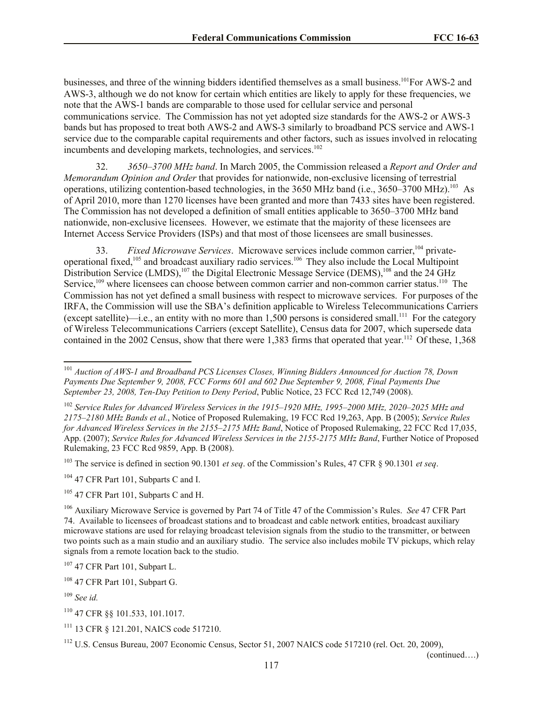businesses, and three of the winning bidders identified themselves as a small business.<sup>101</sup>For AWS-2 and AWS-3, although we do not know for certain which entities are likely to apply for these frequencies, we note that the AWS-1 bands are comparable to those used for cellular service and personal communications service. The Commission has not yet adopted size standards for the AWS-2 or AWS-3 bands but has proposed to treat both AWS-2 and AWS-3 similarly to broadband PCS service and AWS-1 service due to the comparable capital requirements and other factors, such as issues involved in relocating incumbents and developing markets, technologies, and services.<sup>102</sup>

32. *3650–3700 MHz band*. In March 2005, the Commission released a *Report and Order and Memorandum Opinion and Order* that provides for nationwide, non-exclusive licensing of terrestrial operations, utilizing contention-based technologies, in the 3650 MHz band (i.e., 3650–3700 MHz).<sup>103</sup> As of April 2010, more than 1270 licenses have been granted and more than 7433 sites have been registered. The Commission has not developed a definition of small entities applicable to 3650–3700 MHz band nationwide, non-exclusive licensees. However, we estimate that the majority of these licensees are Internet Access Service Providers (ISPs) and that most of those licensees are small businesses.

33. *Fixed Microwave Services*. Microwave services include common carrier,<sup>104</sup> privateoperational fixed,<sup>105</sup> and broadcast auxiliary radio services.<sup>106</sup> They also include the Local Multipoint Distribution Service (LMDS),<sup>107</sup> the Digital Electronic Message Service (DEMS),<sup>108</sup> and the 24 GHz Service,<sup>109</sup> where licensees can choose between common carrier and non-common carrier status.<sup>110</sup> The Commission has not yet defined a small business with respect to microwave services. For purposes of the IRFA, the Commission will use the SBA's definition applicable to Wireless Telecommunications Carriers (except satellite)—i.e., an entity with no more than  $1,500$  persons is considered small.<sup>111</sup> For the category of Wireless Telecommunications Carriers (except Satellite), Census data for 2007, which supersede data contained in the 2002 Census, show that there were 1,383 firms that operated that year.<sup>112</sup> Of these, 1,368

l

(continued….)

<sup>101</sup> *Auction of AWS-1 and Broadband PCS Licenses Closes, Winning Bidders Announced for Auction 78, Down Payments Due September 9, 2008, FCC Forms 601 and 602 Due September 9, 2008, Final Payments Due September 23, 2008, Ten-Day Petition to Deny Period*, Public Notice, 23 FCC Rcd 12,749 (2008).

<sup>102</sup> *Service Rules for Advanced Wireless Services in the 1915–1920 MHz, 1995–2000 MHz, 2020–2025 MHz and 2175–2180 MHz Bands et al.*, Notice of Proposed Rulemaking, 19 FCC Rcd 19,263, App. B (2005); *Service Rules for Advanced Wireless Services in the 2155–2175 MHz Band*, Notice of Proposed Rulemaking, 22 FCC Rcd 17,035, App. (2007); *Service Rules for Advanced Wireless Services in the 2155-2175 MHz Band*, Further Notice of Proposed Rulemaking, 23 FCC Rcd 9859, App. B (2008).

<sup>103</sup> The service is defined in section 90.1301 *et seq*. of the Commission's Rules, 47 CFR § 90.1301 *et seq*.

<sup>&</sup>lt;sup>104</sup> 47 CFR Part 101, Subparts C and I.

 $105$  47 CFR Part 101, Subparts C and H.

<sup>106</sup> Auxiliary Microwave Service is governed by Part 74 of Title 47 of the Commission's Rules. *See* 47 CFR Part 74. Available to licensees of broadcast stations and to broadcast and cable network entities, broadcast auxiliary microwave stations are used for relaying broadcast television signals from the studio to the transmitter, or between two points such as a main studio and an auxiliary studio. The service also includes mobile TV pickups, which relay signals from a remote location back to the studio.

<sup>107</sup> 47 CFR Part 101, Subpart L.

<sup>108</sup> 47 CFR Part 101, Subpart G.

<sup>109</sup> *See id.*

<sup>110</sup> 47 CFR §§ 101.533, 101.1017.

<sup>111</sup> 13 CFR § 121.201, NAICS code 517210.

<sup>112</sup> U.S. Census Bureau, 2007 Economic Census, Sector 51, 2007 NAICS code 517210 (rel. Oct. 20, 2009),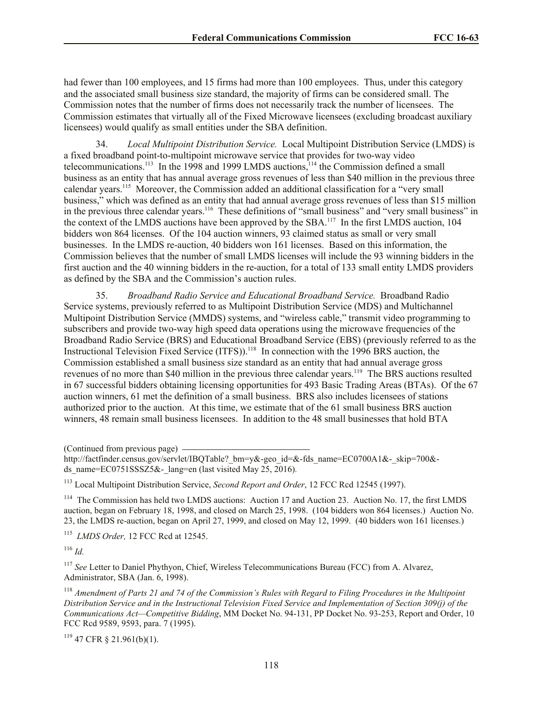had fewer than 100 employees, and 15 firms had more than 100 employees. Thus, under this category and the associated small business size standard, the majority of firms can be considered small. The Commission notes that the number of firms does not necessarily track the number of licensees. The Commission estimates that virtually all of the Fixed Microwave licensees (excluding broadcast auxiliary licensees) would qualify as small entities under the SBA definition.

34. *Local Multipoint Distribution Service.* Local Multipoint Distribution Service (LMDS) is a fixed broadband point-to-multipoint microwave service that provides for two-way video telecommunications.<sup>113</sup> In the 1998 and 1999 LMDS auctions,<sup>114</sup> the Commission defined a small business as an entity that has annual average gross revenues of less than \$40 million in the previous three calendar years.<sup>115</sup> Moreover, the Commission added an additional classification for a "very small business," which was defined as an entity that had annual average gross revenues of less than \$15 million in the previous three calendar years.<sup>116</sup> These definitions of "small business" and "very small business" in the context of the LMDS auctions have been approved by the SBA.<sup>117</sup> In the first LMDS auction, 104 bidders won 864 licenses. Of the 104 auction winners, 93 claimed status as small or very small businesses. In the LMDS re-auction, 40 bidders won 161 licenses. Based on this information, the Commission believes that the number of small LMDS licenses will include the 93 winning bidders in the first auction and the 40 winning bidders in the re-auction, for a total of 133 small entity LMDS providers as defined by the SBA and the Commission's auction rules.

35. *Broadband Radio Service and Educational Broadband Service.* Broadband Radio Service systems, previously referred to as Multipoint Distribution Service (MDS) and Multichannel Multipoint Distribution Service (MMDS) systems, and "wireless cable," transmit video programming to subscribers and provide two-way high speed data operations using the microwave frequencies of the Broadband Radio Service (BRS) and Educational Broadband Service (EBS) (previously referred to as the Instructional Television Fixed Service (ITFS)).<sup>118</sup> In connection with the 1996 BRS auction, the Commission established a small business size standard as an entity that had annual average gross revenues of no more than \$40 million in the previous three calendar years.<sup>119</sup> The BRS auctions resulted in 67 successful bidders obtaining licensing opportunities for 493 Basic Trading Areas (BTAs). Of the 67 auction winners, 61 met the definition of a small business. BRS also includes licensees of stations authorized prior to the auction. At this time, we estimate that of the 61 small business BRS auction winners, 48 remain small business licensees. In addition to the 48 small businesses that hold BTA

(Continued from previous page)

<sup>114</sup> The Commission has held two LMDS auctions: Auction 17 and Auction 23. Auction No. 17, the first LMDS auction, began on February 18, 1998, and closed on March 25, 1998. (104 bidders won 864 licenses.) Auction No. 23, the LMDS re-auction, began on April 27, 1999, and closed on May 12, 1999. (40 bidders won 161 licenses.)

115 *LMDS Order,* 12 FCC Rcd at 12545.

<sup>116</sup> *Id.*

<sup>117</sup> *See* Letter to Daniel Phythyon, Chief, Wireless Telecommunications Bureau (FCC) from A. Alvarez, Administrator, SBA (Jan. 6, 1998).

<sup>118</sup> *Amendment of Parts 21 and 74 of the Commission's Rules with Regard to Filing Procedures in the Multipoint Distribution Service and in the Instructional Television Fixed Service and Implementation of Section 309(j) of the Communications Act—Competitive Bidding*, MM Docket No. 94-131, PP Docket No. 93-253, Report and Order, 10 FCC Rcd 9589, 9593, para. 7 (1995).

 $119$  47 CFR § 21.961(b)(1).

http://factfinder.census.gov/servlet/IBQTable? bm=y&-geo\_id=&-fds\_name=EC0700A1&-\_skip=700&ds\_name=EC0751SSSZ5&-\_lang=en (last visited May 25, 2016).

<sup>113</sup> Local Multipoint Distribution Service, *Second Report and Order*, 12 FCC Rcd 12545 (1997).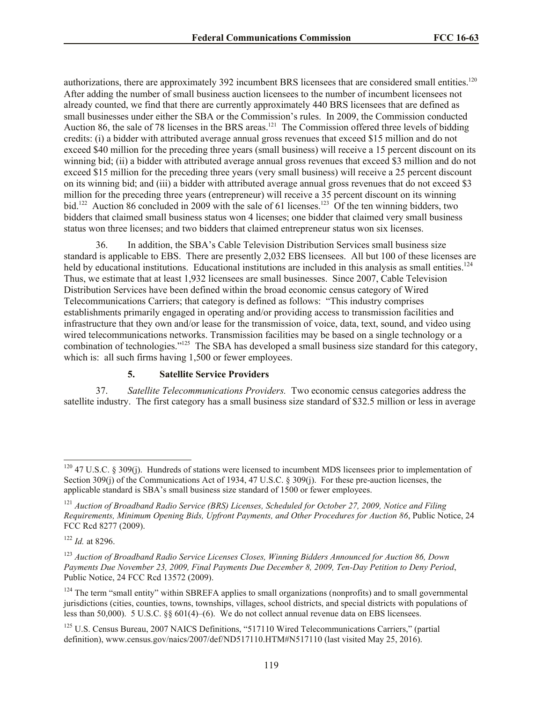authorizations, there are approximately 392 incumbent BRS licensees that are considered small entities.<sup>120</sup> After adding the number of small business auction licensees to the number of incumbent licensees not already counted, we find that there are currently approximately 440 BRS licensees that are defined as small businesses under either the SBA or the Commission's rules. In 2009, the Commission conducted Auction 86, the sale of 78 licenses in the BRS areas.<sup>121</sup> The Commission offered three levels of bidding credits: (i) a bidder with attributed average annual gross revenues that exceed \$15 million and do not exceed \$40 million for the preceding three years (small business) will receive a 15 percent discount on its winning bid; (ii) a bidder with attributed average annual gross revenues that exceed \$3 million and do not exceed \$15 million for the preceding three years (very small business) will receive a 25 percent discount on its winning bid; and (iii) a bidder with attributed average annual gross revenues that do not exceed \$3 million for the preceding three years (entrepreneur) will receive a 35 percent discount on its winning bid.<sup>122</sup> Auction 86 concluded in 2009 with the sale of 61 licenses.<sup>123</sup> Of the ten winning bidders, two bidders that claimed small business status won 4 licenses; one bidder that claimed very small business status won three licenses; and two bidders that claimed entrepreneur status won six licenses.

36. In addition, the SBA's Cable Television Distribution Services small business size standard is applicable to EBS. There are presently 2,032 EBS licensees. All but 100 of these licenses are held by educational institutions. Educational institutions are included in this analysis as small entities.<sup>124</sup> Thus, we estimate that at least 1,932 licensees are small businesses. Since 2007, Cable Television Distribution Services have been defined within the broad economic census category of Wired Telecommunications Carriers; that category is defined as follows: "This industry comprises establishments primarily engaged in operating and/or providing access to transmission facilities and infrastructure that they own and/or lease for the transmission of voice, data, text, sound, and video using wired telecommunications networks. Transmission facilities may be based on a single technology or a combination of technologies."<sup>125</sup> The SBA has developed a small business size standard for this category, which is: all such firms having 1,500 or fewer employees.

# **5. Satellite Service Providers**

37. *Satellite Telecommunications Providers.* Two economic census categories address the satellite industry. The first category has a small business size standard of \$32.5 million or less in average

 $120$  47 U.S.C. § 309(j). Hundreds of stations were licensed to incumbent MDS licensees prior to implementation of Section 309(j) of the Communications Act of 1934, 47 U.S.C. § 309(j). For these pre-auction licenses, the applicable standard is SBA's small business size standard of 1500 or fewer employees.

<sup>121</sup> *Auction of Broadband Radio Service (BRS) Licenses, Scheduled for October 27, 2009, Notice and Filing Requirements, Minimum Opening Bids, Upfront Payments, and Other Procedures for Auction 86*, Public Notice, 24 FCC Rcd 8277 (2009).

<sup>122</sup> *Id.* at 8296.

<sup>123</sup> *Auction of Broadband Radio Service Licenses Closes, Winning Bidders Announced for Auction 86, Down Payments Due November 23, 2009, Final Payments Due December 8, 2009, Ten-Day Petition to Deny Period*, Public Notice, 24 FCC Rcd 13572 (2009).

<sup>&</sup>lt;sup>124</sup> The term "small entity" within SBREFA applies to small organizations (nonprofits) and to small governmental jurisdictions (cities, counties, towns, townships, villages, school districts, and special districts with populations of less than 50,000). 5 U.S.C. §§ 601(4)–(6). We do not collect annual revenue data on EBS licensees.

<sup>&</sup>lt;sup>125</sup> U.S. Census Bureau, 2007 NAICS Definitions, "517110 Wired Telecommunications Carriers," (partial definition), www.census.gov/naics/2007/def/ND517110.HTM#N517110 (last visited May 25, 2016).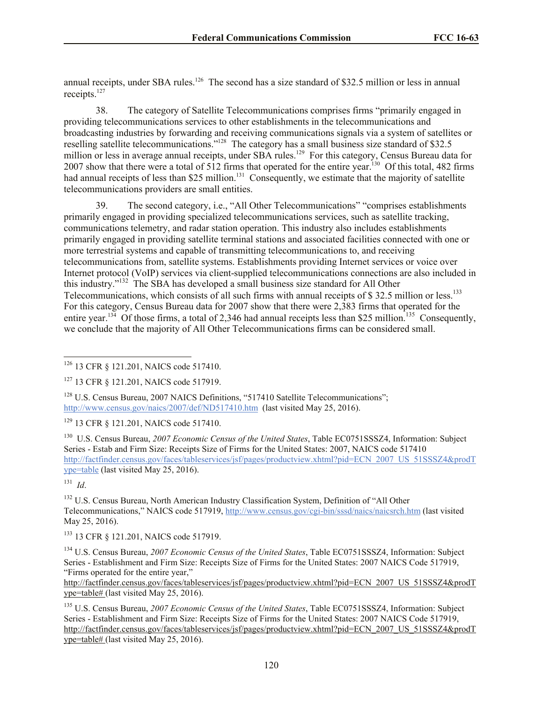annual receipts, under SBA rules.<sup>126</sup> The second has a size standard of \$32.5 million or less in annual receipts.<sup>127</sup>

38. The category of Satellite Telecommunications comprises firms "primarily engaged in providing telecommunications services to other establishments in the telecommunications and broadcasting industries by forwarding and receiving communications signals via a system of satellites or reselling satellite telecommunications."<sup>128</sup> The category has a small business size standard of \$32.5 million or less in average annual receipts, under SBA rules.<sup>129</sup> For this category, Census Bureau data for 2007 show that there were a total of 512 firms that operated for the entire year.<sup>130</sup> Of this total, 482 firms had annual receipts of less than \$25 million.<sup>131</sup> Consequently, we estimate that the majority of satellite telecommunications providers are small entities.

39. The second category, i.e., "All Other Telecommunications" "comprises establishments primarily engaged in providing specialized telecommunications services, such as satellite tracking, communications telemetry, and radar station operation. This industry also includes establishments primarily engaged in providing satellite terminal stations and associated facilities connected with one or more terrestrial systems and capable of transmitting telecommunications to, and receiving telecommunications from, satellite systems. Establishments providing Internet services or voice over Internet protocol (VoIP) services via client-supplied telecommunications connections are also included in this industry."<sup>132</sup> The SBA has developed a small business size standard for All Other Telecommunications, which consists of all such firms with annual receipts of  $\$$  32.5 million or less.<sup>133</sup> For this category, Census Bureau data for 2007 show that there were 2,383 firms that operated for the entire year.<sup>134</sup> Of those firms, a total of 2,346 had annual receipts less than \$25 million.<sup>135</sup> Consequently, we conclude that the majority of All Other Telecommunications firms can be considered small.

<sup>128</sup> U.S. Census Bureau, 2007 NAICS Definitions, "517410 Satellite Telecommunications"; http://www.census.gov/naics/2007/def/ND517410.htm (last visited May 25, 2016).

<sup>129</sup> 13 CFR § 121.201, NAICS code 517410.

<sup>130</sup> U.S. Census Bureau, 2007 Economic Census of the United States, Table EC0751SSSZ4, Information: Subject Series - Estab and Firm Size: Receipts Size of Firms for the United States: 2007, NAICS code 517410 http://factfinder.census.gov/faces/tableservices/jsf/pages/productview.xhtml?pid=ECN\_2007\_US\_51SSSZ4&prodT ype=table (last visited May 25, 2016).

131 *Id*.

l

<sup>132</sup> U.S. Census Bureau, North American Industry Classification System, Definition of "All Other Telecommunications," NAICS code 517919, http://www.census.gov/cgi-bin/sssd/naics/naicsrch.htm (last visited May 25, 2016).

<sup>133</sup> 13 CFR § 121.201, NAICS code 517919.

<sup>134</sup> U.S. Census Bureau, *2007 Economic Census of the United States*, Table EC0751SSSZ4, Information: Subject Series - Establishment and Firm Size: Receipts Size of Firms for the United States: 2007 NAICS Code 517919, "Firms operated for the entire year,"

http://factfinder.census.gov/faces/tableservices/jsf/pages/productview.xhtml?pid=ECN\_2007\_US\_51SSSZ4&prodT ype=table# (last visited May 25, 2016).

<sup>135</sup> U.S. Census Bureau, *2007 Economic Census of the United States*, Table EC0751SSSZ4, Information: Subject Series - Establishment and Firm Size: Receipts Size of Firms for the United States: 2007 NAICS Code 517919, http://factfinder.census.gov/faces/tableservices/jsf/pages/productview.xhtml?pid=ECN\_2007\_US\_51SSSZ4&prodT ype=table# (last visited May 25, 2016).

<sup>&</sup>lt;sup>126</sup> 13 CFR § 121.201, NAICS code 517410.

<sup>127</sup> 13 CFR § 121.201, NAICS code 517919.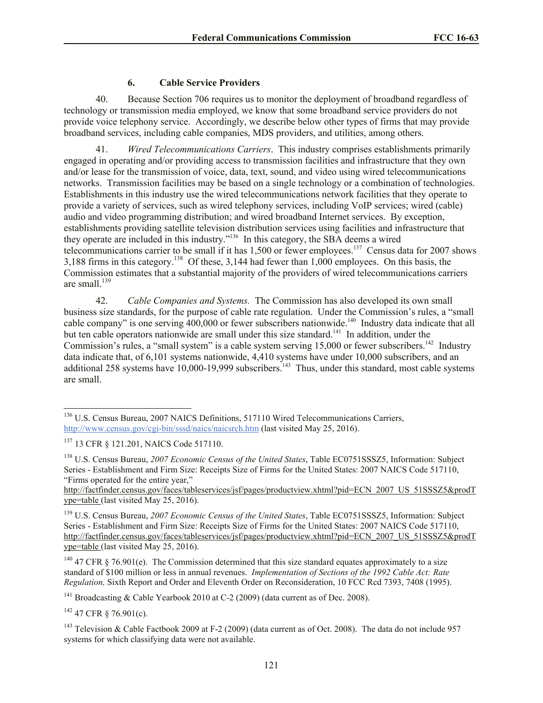# **6. Cable Service Providers**

40. Because Section 706 requires us to monitor the deployment of broadband regardless of technology or transmission media employed, we know that some broadband service providers do not provide voice telephony service. Accordingly, we describe below other types of firms that may provide broadband services, including cable companies, MDS providers, and utilities, among others.

41. *Wired Telecommunications Carriers*. This industry comprises establishments primarily engaged in operating and/or providing access to transmission facilities and infrastructure that they own and/or lease for the transmission of voice, data, text, sound, and video using wired telecommunications networks. Transmission facilities may be based on a single technology or a combination of technologies. Establishments in this industry use the wired telecommunications network facilities that they operate to provide a variety of services, such as wired telephony services, including VoIP services; wired (cable) audio and video programming distribution; and wired broadband Internet services. By exception, establishments providing satellite television distribution services using facilities and infrastructure that they operate are included in this industry."<sup>136</sup> In this category, the SBA deems a wired telecommunications carrier to be small if it has  $1,500$  or fewer employees.<sup>137</sup> Census data for 2007 shows 3,188 firms in this category.<sup>138</sup> Of these, 3,144 had fewer than  $1,000$  employees. On this basis, the Commission estimates that a substantial majority of the providers of wired telecommunications carriers are small.<sup>139</sup>

42. *Cable Companies and Systems.* The Commission has also developed its own small business size standards, for the purpose of cable rate regulation. Under the Commission's rules, a "small cable company" is one serving 400,000 or fewer subscribers nationwide.<sup>140</sup> Industry data indicate that all but ten cable operators nationwide are small under this size standard.<sup>141</sup> In addition, under the Commission's rules, a "small system" is a cable system serving 15,000 or fewer subscribers.<sup>142</sup> Industry data indicate that, of 6,101 systems nationwide, 4,410 systems have under 10,000 subscribers, and an additional 258 systems have  $10,000$ -19,999 subscribers.<sup>143</sup> Thus, under this standard, most cable systems are small.

<sup>138</sup> U.S. Census Bureau, *2007 Economic Census of the United States*, Table EC0751SSSZ5, Information: Subject Series - Establishment and Firm Size: Receipts Size of Firms for the United States: 2007 NAICS Code 517110, "Firms operated for the entire year,"

http://factfinder.census.gov/faces/tableservices/jsf/pages/productview.xhtml?pid=ECN\_2007\_US\_51SSSZ5&prodT ype=table (last visited May 25, 2016).

<sup>139</sup> U.S. Census Bureau, *2007 Economic Census of the United States*, Table EC0751SSSZ5, Information: Subject Series - Establishment and Firm Size: Receipts Size of Firms for the United States: 2007 NAICS Code 517110, http://factfinder.census.gov/faces/tableservices/jsf/pages/productview.xhtml?pid=ECN\_2007\_US\_51SSSZ5&prodT ype=table (last visited May 25, 2016).

 $140$  47 CFR § 76.901(e). The Commission determined that this size standard equates approximately to a size standard of \$100 million or less in annual revenues. *Implementation of Sections of the 1992 Cable Act: Rate Regulation,* Sixth Report and Order and Eleventh Order on Reconsideration, 10 FCC Rcd 7393, 7408 (1995).

<sup>141</sup> Broadcasting & Cable Yearbook 2010 at C-2 (2009) (data current as of Dec. 2008).

 $142$  47 CFR  $\frac{142}{16}$  76.901(c).

<sup>143</sup> Television & Cable Factbook 2009 at F-2 (2009) (data current as of Oct. 2008). The data do not include 957 systems for which classifying data were not available.

l <sup>136</sup> U.S. Census Bureau, 2007 NAICS Definitions, 517110 Wired Telecommunications Carriers, http://www.census.gov/cgi-bin/sssd/naics/naicsrch.htm (last visited May 25, 2016).

<sup>137</sup> 13 CFR § 121.201, NAICS Code 517110.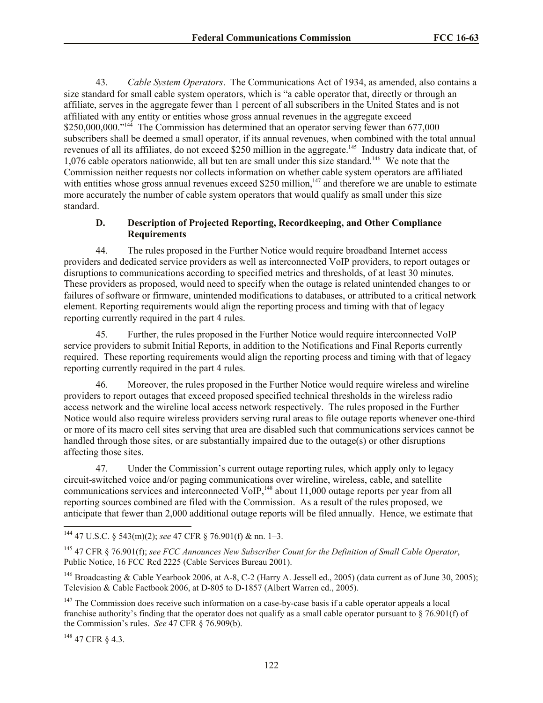43. *Cable System Operators*. The Communications Act of 1934, as amended, also contains a size standard for small cable system operators, which is "a cable operator that, directly or through an affiliate, serves in the aggregate fewer than 1 percent of all subscribers in the United States and is not affiliated with any entity or entities whose gross annual revenues in the aggregate exceed \$250,000,000."<sup>144</sup> The Commission has determined that an operator serving fewer than 677,000 subscribers shall be deemed a small operator, if its annual revenues, when combined with the total annual revenues of all its affiliates, do not exceed \$250 million in the aggregate.<sup>145</sup> Industry data indicate that, of 1,076 cable operators nationwide, all but ten are small under this size standard.<sup>146</sup> We note that the Commission neither requests nor collects information on whether cable system operators are affiliated with entities whose gross annual revenues exceed \$250 million,<sup>147</sup> and therefore we are unable to estimate more accurately the number of cable system operators that would qualify as small under this size standard.

# **D. Description of Projected Reporting, Recordkeeping, and Other Compliance Requirements**

44. The rules proposed in the Further Notice would require broadband Internet access providers and dedicated service providers as well as interconnected VoIP providers, to report outages or disruptions to communications according to specified metrics and thresholds, of at least 30 minutes. These providers as proposed, would need to specify when the outage is related unintended changes to or failures of software or firmware, unintended modifications to databases, or attributed to a critical network element. Reporting requirements would align the reporting process and timing with that of legacy reporting currently required in the part 4 rules.

45. Further, the rules proposed in the Further Notice would require interconnected VoIP service providers to submit Initial Reports, in addition to the Notifications and Final Reports currently required. These reporting requirements would align the reporting process and timing with that of legacy reporting currently required in the part 4 rules.

46. Moreover, the rules proposed in the Further Notice would require wireless and wireline providers to report outages that exceed proposed specified technical thresholds in the wireless radio access network and the wireline local access network respectively. The rules proposed in the Further Notice would also require wireless providers serving rural areas to file outage reports whenever one-third or more of its macro cell sites serving that area are disabled such that communications services cannot be handled through those sites, or are substantially impaired due to the outage(s) or other disruptions affecting those sites.

47. Under the Commission's current outage reporting rules, which apply only to legacy circuit-switched voice and/or paging communications over wireline, wireless, cable, and satellite communications services and interconnected VoIP,<sup>148</sup> about 11,000 outage reports per year from all reporting sources combined are filed with the Commission. As a result of the rules proposed, we anticipate that fewer than 2,000 additional outage reports will be filed annually. Hence, we estimate that

 $148$  47 CFR  $8$  4.3.

<sup>144</sup> 47 U.S.C. § 543(m)(2); *see* 47 CFR § 76.901(f) & nn. 1–3.

<sup>145</sup> 47 CFR § 76.901(f); *see FCC Announces New Subscriber Count for the Definition of Small Cable Operator*, Public Notice, 16 FCC Rcd 2225 (Cable Services Bureau 2001).

<sup>&</sup>lt;sup>146</sup> Broadcasting & Cable Yearbook 2006, at A-8, C-2 (Harry A. Jessell ed., 2005) (data current as of June 30, 2005); Television & Cable Factbook 2006, at D-805 to D-1857 (Albert Warren ed., 2005).

<sup>&</sup>lt;sup>147</sup> The Commission does receive such information on a case-by-case basis if a cable operator appeals a local franchise authority's finding that the operator does not qualify as a small cable operator pursuant to  $\S$  76.901(f) of the Commission's rules. *See* 47 CFR § 76.909(b).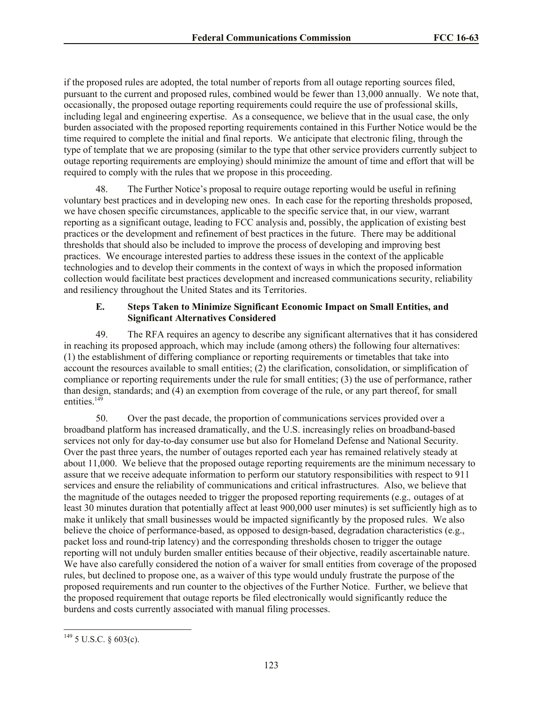if the proposed rules are adopted, the total number of reports from all outage reporting sources filed, pursuant to the current and proposed rules, combined would be fewer than 13,000 annually. We note that, occasionally, the proposed outage reporting requirements could require the use of professional skills, including legal and engineering expertise. As a consequence, we believe that in the usual case, the only burden associated with the proposed reporting requirements contained in this Further Notice would be the time required to complete the initial and final reports. We anticipate that electronic filing, through the type of template that we are proposing (similar to the type that other service providers currently subject to outage reporting requirements are employing) should minimize the amount of time and effort that will be required to comply with the rules that we propose in this proceeding.

48. The Further Notice's proposal to require outage reporting would be useful in refining voluntary best practices and in developing new ones. In each case for the reporting thresholds proposed, we have chosen specific circumstances, applicable to the specific service that, in our view, warrant reporting as a significant outage, leading to FCC analysis and, possibly, the application of existing best practices or the development and refinement of best practices in the future. There may be additional thresholds that should also be included to improve the process of developing and improving best practices. We encourage interested parties to address these issues in the context of the applicable technologies and to develop their comments in the context of ways in which the proposed information collection would facilitate best practices development and increased communications security, reliability and resiliency throughout the United States and its Territories.

# **E. Steps Taken to Minimize Significant Economic Impact on Small Entities, and Significant Alternatives Considered**

49. The RFA requires an agency to describe any significant alternatives that it has considered in reaching its proposed approach, which may include (among others) the following four alternatives: (1) the establishment of differing compliance or reporting requirements or timetables that take into account the resources available to small entities; (2) the clarification, consolidation, or simplification of compliance or reporting requirements under the rule for small entities; (3) the use of performance, rather than design, standards; and (4) an exemption from coverage of the rule, or any part thereof, for small entities.<sup>149</sup>

50. Over the past decade, the proportion of communications services provided over a broadband platform has increased dramatically, and the U.S. increasingly relies on broadband-based services not only for day-to-day consumer use but also for Homeland Defense and National Security. Over the past three years, the number of outages reported each year has remained relatively steady at about 11,000. We believe that the proposed outage reporting requirements are the minimum necessary to assure that we receive adequate information to perform our statutory responsibilities with respect to 911 services and ensure the reliability of communications and critical infrastructures. Also, we believe that the magnitude of the outages needed to trigger the proposed reporting requirements (e.g.*,* outages of at least 30 minutes duration that potentially affect at least 900,000 user minutes) is set sufficiently high as to make it unlikely that small businesses would be impacted significantly by the proposed rules. We also believe the choice of performance-based, as opposed to design-based, degradation characteristics (e.g., packet loss and round-trip latency) and the corresponding thresholds chosen to trigger the outage reporting will not unduly burden smaller entities because of their objective, readily ascertainable nature. We have also carefully considered the notion of a waiver for small entities from coverage of the proposed rules, but declined to propose one, as a waiver of this type would unduly frustrate the purpose of the proposed requirements and run counter to the objectives of the Further Notice. Further, we believe that the proposed requirement that outage reports be filed electronically would significantly reduce the burdens and costs currently associated with manual filing processes.

 $149$  5 U.S.C. § 603(c).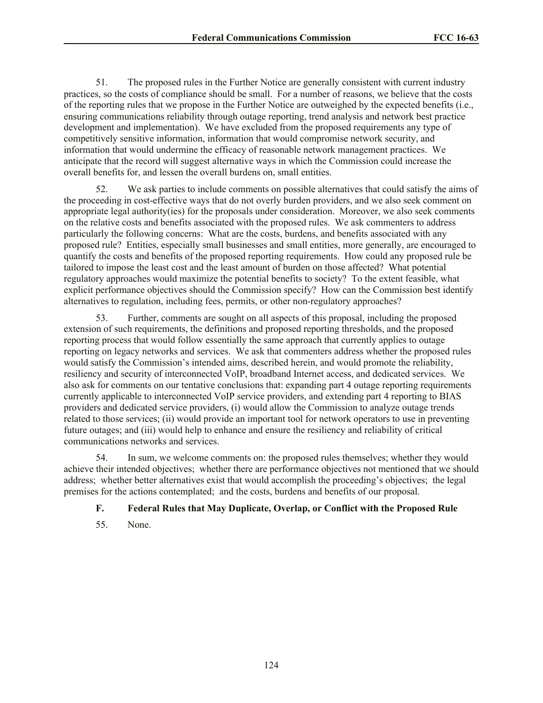51. The proposed rules in the Further Notice are generally consistent with current industry practices, so the costs of compliance should be small. For a number of reasons, we believe that the costs of the reporting rules that we propose in the Further Notice are outweighed by the expected benefits (i.e., ensuring communications reliability through outage reporting, trend analysis and network best practice development and implementation). We have excluded from the proposed requirements any type of competitively sensitive information, information that would compromise network security, and information that would undermine the efficacy of reasonable network management practices. We anticipate that the record will suggest alternative ways in which the Commission could increase the overall benefits for, and lessen the overall burdens on, small entities.

52. We ask parties to include comments on possible alternatives that could satisfy the aims of the proceeding in cost-effective ways that do not overly burden providers, and we also seek comment on appropriate legal authority(ies) for the proposals under consideration. Moreover, we also seek comments on the relative costs and benefits associated with the proposed rules. We ask commenters to address particularly the following concerns: What are the costs, burdens, and benefits associated with any proposed rule? Entities, especially small businesses and small entities, more generally, are encouraged to quantify the costs and benefits of the proposed reporting requirements. How could any proposed rule be tailored to impose the least cost and the least amount of burden on those affected? What potential regulatory approaches would maximize the potential benefits to society? To the extent feasible, what explicit performance objectives should the Commission specify? How can the Commission best identify alternatives to regulation, including fees, permits, or other non-regulatory approaches?

53. Further, comments are sought on all aspects of this proposal, including the proposed extension of such requirements, the definitions and proposed reporting thresholds, and the proposed reporting process that would follow essentially the same approach that currently applies to outage reporting on legacy networks and services. We ask that commenters address whether the proposed rules would satisfy the Commission's intended aims, described herein, and would promote the reliability, resiliency and security of interconnected VoIP, broadband Internet access, and dedicated services. We also ask for comments on our tentative conclusions that: expanding part 4 outage reporting requirements currently applicable to interconnected VoIP service providers, and extending part 4 reporting to BIAS providers and dedicated service providers, (i) would allow the Commission to analyze outage trends related to those services; (ii) would provide an important tool for network operators to use in preventing future outages; and (iii) would help to enhance and ensure the resiliency and reliability of critical communications networks and services.

54. In sum, we welcome comments on: the proposed rules themselves; whether they would achieve their intended objectives; whether there are performance objectives not mentioned that we should address; whether better alternatives exist that would accomplish the proceeding's objectives; the legal premises for the actions contemplated; and the costs, burdens and benefits of our proposal.

# **F. Federal Rules that May Duplicate, Overlap, or Conflict with the Proposed Rule**

55. None.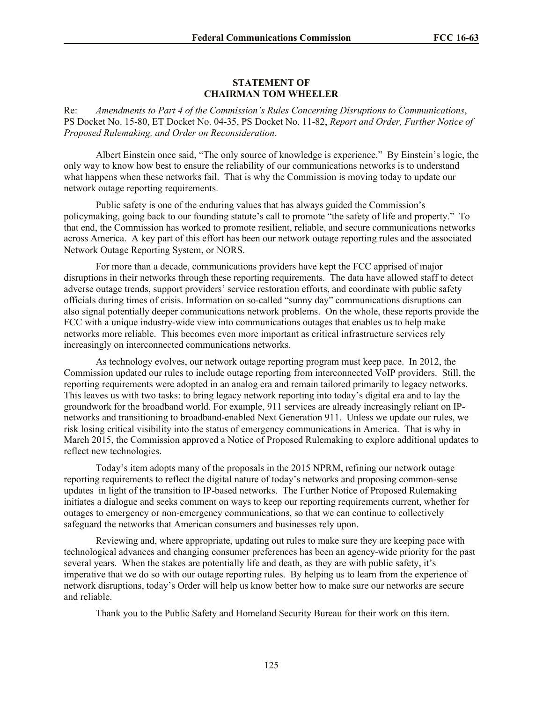### **STATEMENT OF CHAIRMAN TOM WHEELER**

Re: *Amendments to Part 4 of the Commission's Rules Concerning Disruptions to Communications*, PS Docket No. 15-80, ET Docket No. 04-35, PS Docket No. 11-82, *Report and Order, Further Notice of Proposed Rulemaking, and Order on Reconsideration*.

Albert Einstein once said, "The only source of knowledge is experience." By Einstein's logic, the only way to know how best to ensure the reliability of our communications networks is to understand what happens when these networks fail. That is why the Commission is moving today to update our network outage reporting requirements.

Public safety is one of the enduring values that has always guided the Commission's policymaking, going back to our founding statute's call to promote "the safety of life and property." To that end, the Commission has worked to promote resilient, reliable, and secure communications networks across America. A key part of this effort has been our network outage reporting rules and the associated Network Outage Reporting System, or NORS.

For more than a decade, communications providers have kept the FCC apprised of major disruptions in their networks through these reporting requirements. The data have allowed staff to detect adverse outage trends, support providers' service restoration efforts, and coordinate with public safety officials during times of crisis. Information on so-called "sunny day" communications disruptions can also signal potentially deeper communications network problems. On the whole, these reports provide the FCC with a unique industry-wide view into communications outages that enables us to help make networks more reliable. This becomes even more important as critical infrastructure services rely increasingly on interconnected communications networks.

As technology evolves, our network outage reporting program must keep pace. In 2012, the Commission updated our rules to include outage reporting from interconnected VoIP providers. Still, the reporting requirements were adopted in an analog era and remain tailored primarily to legacy networks. This leaves us with two tasks: to bring legacy network reporting into today's digital era and to lay the groundwork for the broadband world. For example, 911 services are already increasingly reliant on IPnetworks and transitioning to broadband-enabled Next Generation 911. Unless we update our rules, we risk losing critical visibility into the status of emergency communications in America. That is why in March 2015, the Commission approved a Notice of Proposed Rulemaking to explore additional updates to reflect new technologies.

Today's item adopts many of the proposals in the 2015 NPRM, refining our network outage reporting requirements to reflect the digital nature of today's networks and proposing common-sense updates in light of the transition to IP-based networks. The Further Notice of Proposed Rulemaking initiates a dialogue and seeks comment on ways to keep our reporting requirements current, whether for outages to emergency or non-emergency communications, so that we can continue to collectively safeguard the networks that American consumers and businesses rely upon.

Reviewing and, where appropriate, updating out rules to make sure they are keeping pace with technological advances and changing consumer preferences has been an agency-wide priority for the past several years. When the stakes are potentially life and death, as they are with public safety, it's imperative that we do so with our outage reporting rules. By helping us to learn from the experience of network disruptions, today's Order will help us know better how to make sure our networks are secure and reliable.

Thank you to the Public Safety and Homeland Security Bureau for their work on this item.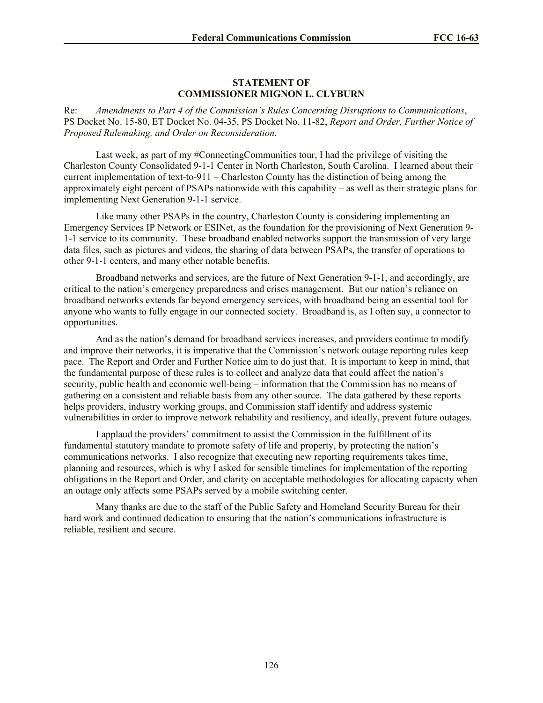### **STATEMENT OF COMMISSIONER MIGNON L. CLYBURN**

Re: *Amendments to Part 4 of the Commission's Rules Concerning Disruptions to Communications*, PS Docket No. 15-80, ET Docket No. 04-35, PS Docket No. 11-82, *Report and Order, Further Notice of Proposed Rulemaking, and Order on Reconsideration*.

Last week, as part of my #ConnectingCommunities tour, I had the privilege of visiting the Charleston County Consolidated 9-1-1 Center in North Charleston, South Carolina. I learned about their current implementation of text-to-911 – Charleston County has the distinction of being among the approximately eight percent of PSAPs nationwide with this capability – as well as their strategic plans for implementing Next Generation 9-1-1 service.

Like many other PSAPs in the country, Charleston County is considering implementing an Emergency Services IP Network or ESINet, as the foundation for the provisioning of Next Generation 9- 1-1 service to its community. These broadband enabled networks support the transmission of very large data files, such as pictures and videos, the sharing of data between PSAPs, the transfer of operations to other 9-1-1 centers, and many other notable benefits.

Broadband networks and services, are the future of Next Generation 9-1-1, and accordingly, are critical to the nation's emergency preparedness and crises management. But our nation's reliance on broadband networks extends far beyond emergency services, with broadband being an essential tool for anyone who wants to fully engage in our connected society. Broadband is, as I often say, a connector to opportunities.

And as the nation's demand for broadband services increases, and providers continue to modify and improve their networks, it is imperative that the Commission's network outage reporting rules keep pace. The Report and Order and Further Notice aim to do just that. It is important to keep in mind, that the fundamental purpose of these rules is to collect and analyze data that could affect the nation's security, public health and economic well-being – information that the Commission has no means of gathering on a consistent and reliable basis from any other source. The data gathered by these reports helps providers, industry working groups, and Commission staff identify and address systemic vulnerabilities in order to improve network reliability and resiliency, and ideally, prevent future outages.

I applaud the providers' commitment to assist the Commission in the fulfillment of its fundamental statutory mandate to promote safety of life and property, by protecting the nation's communications networks. I also recognize that executing new reporting requirements takes time, planning and resources, which is why I asked for sensible timelines for implementation of the reporting obligations in the Report and Order, and clarity on acceptable methodologies for allocating capacity when an outage only affects some PSAPs served by a mobile switching center.

Many thanks are due to the staff of the Public Safety and Homeland Security Bureau for their hard work and continued dedication to ensuring that the nation's communications infrastructure is reliable, resilient and secure.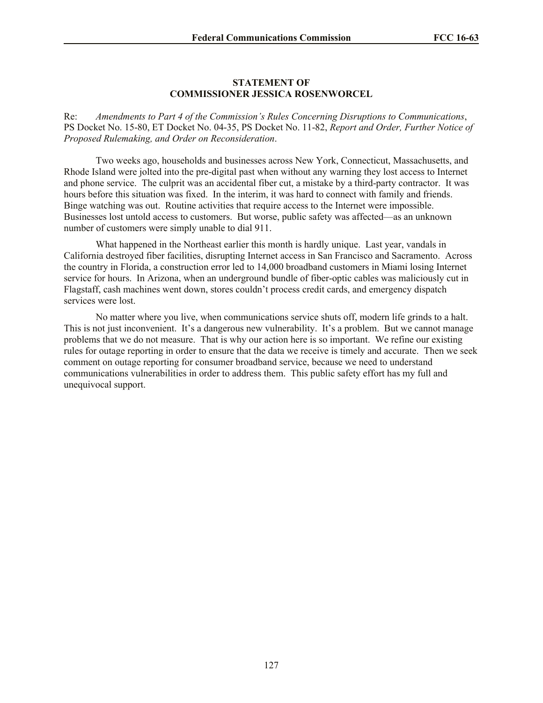### **STATEMENT OF COMMISSIONER JESSICA ROSENWORCEL**

Re: *Amendments to Part 4 of the Commission's Rules Concerning Disruptions to Communications*, PS Docket No. 15-80, ET Docket No. 04-35, PS Docket No. 11-82, *Report and Order, Further Notice of Proposed Rulemaking, and Order on Reconsideration*.

Two weeks ago, households and businesses across New York, Connecticut, Massachusetts, and Rhode Island were jolted into the pre-digital past when without any warning they lost access to Internet and phone service. The culprit was an accidental fiber cut, a mistake by a third-party contractor. It was hours before this situation was fixed. In the interim, it was hard to connect with family and friends. Binge watching was out. Routine activities that require access to the Internet were impossible. Businesses lost untold access to customers. But worse, public safety was affected—as an unknown number of customers were simply unable to dial 911.

What happened in the Northeast earlier this month is hardly unique. Last year, vandals in California destroyed fiber facilities, disrupting Internet access in San Francisco and Sacramento. Across the country in Florida, a construction error led to 14,000 broadband customers in Miami losing Internet service for hours. In Arizona, when an underground bundle of fiber-optic cables was maliciously cut in Flagstaff, cash machines went down, stores couldn't process credit cards, and emergency dispatch services were lost.

No matter where you live, when communications service shuts off, modern life grinds to a halt. This is not just inconvenient. It's a dangerous new vulnerability. It's a problem. But we cannot manage problems that we do not measure. That is why our action here is so important. We refine our existing rules for outage reporting in order to ensure that the data we receive is timely and accurate. Then we seek comment on outage reporting for consumer broadband service, because we need to understand communications vulnerabilities in order to address them. This public safety effort has my full and unequivocal support.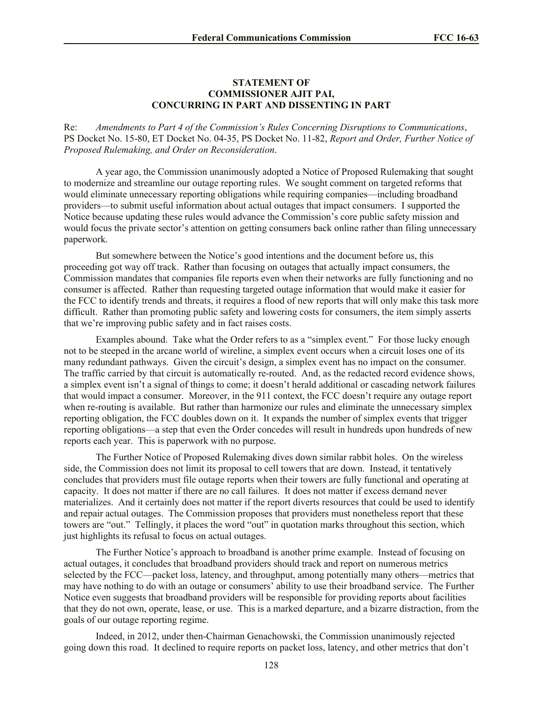## **STATEMENT OF COMMISSIONER AJIT PAI, CONCURRING IN PART AND DISSENTING IN PART**

Re: *Amendments to Part 4 of the Commission's Rules Concerning Disruptions to Communications*, PS Docket No. 15-80, ET Docket No. 04-35, PS Docket No. 11-82, *Report and Order, Further Notice of Proposed Rulemaking, and Order on Reconsideration*.

A year ago, the Commission unanimously adopted a Notice of Proposed Rulemaking that sought to modernize and streamline our outage reporting rules. We sought comment on targeted reforms that would eliminate unnecessary reporting obligations while requiring companies—including broadband providers—to submit useful information about actual outages that impact consumers. I supported the Notice because updating these rules would advance the Commission's core public safety mission and would focus the private sector's attention on getting consumers back online rather than filing unnecessary paperwork.

But somewhere between the Notice's good intentions and the document before us, this proceeding got way off track. Rather than focusing on outages that actually impact consumers, the Commission mandates that companies file reports even when their networks are fully functioning and no consumer is affected. Rather than requesting targeted outage information that would make it easier for the FCC to identify trends and threats, it requires a flood of new reports that will only make this task more difficult. Rather than promoting public safety and lowering costs for consumers, the item simply asserts that we're improving public safety and in fact raises costs.

Examples abound. Take what the Order refers to as a "simplex event." For those lucky enough not to be steeped in the arcane world of wireline, a simplex event occurs when a circuit loses one of its many redundant pathways. Given the circuit's design, a simplex event has no impact on the consumer. The traffic carried by that circuit is automatically re-routed. And, as the redacted record evidence shows, a simplex event isn't a signal of things to come; it doesn't herald additional or cascading network failures that would impact a consumer. Moreover, in the 911 context, the FCC doesn't require any outage report when re-routing is available. But rather than harmonize our rules and eliminate the unnecessary simplex reporting obligation, the FCC doubles down on it. It expands the number of simplex events that trigger reporting obligations—a step that even the Order concedes will result in hundreds upon hundreds of new reports each year. This is paperwork with no purpose.

The Further Notice of Proposed Rulemaking dives down similar rabbit holes. On the wireless side, the Commission does not limit its proposal to cell towers that are down. Instead, it tentatively concludes that providers must file outage reports when their towers are fully functional and operating at capacity. It does not matter if there are no call failures. It does not matter if excess demand never materializes. And it certainly does not matter if the report diverts resources that could be used to identify and repair actual outages. The Commission proposes that providers must nonetheless report that these towers are "out." Tellingly, it places the word "out" in quotation marks throughout this section, which just highlights its refusal to focus on actual outages.

The Further Notice's approach to broadband is another prime example. Instead of focusing on actual outages, it concludes that broadband providers should track and report on numerous metrics selected by the FCC—packet loss, latency, and throughput, among potentially many others—metrics that may have nothing to do with an outage or consumers' ability to use their broadband service. The Further Notice even suggests that broadband providers will be responsible for providing reports about facilities that they do not own, operate, lease, or use. This is a marked departure, and a bizarre distraction, from the goals of our outage reporting regime.

Indeed, in 2012, under then-Chairman Genachowski, the Commission unanimously rejected going down this road. It declined to require reports on packet loss, latency, and other metrics that don't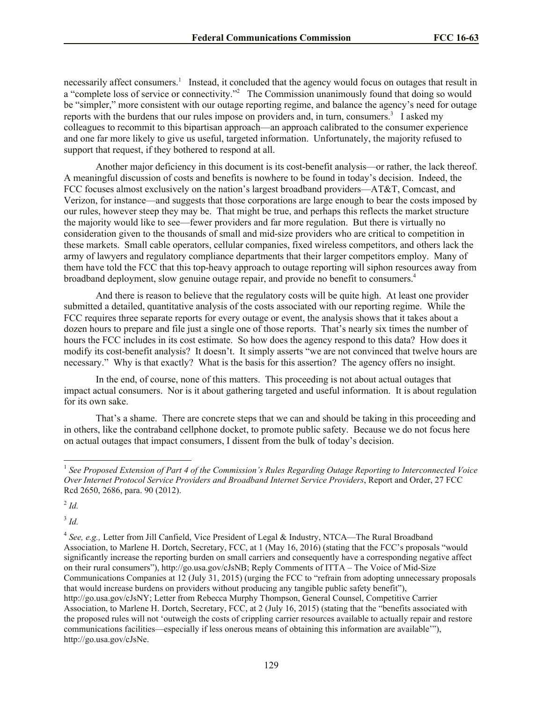necessarily affect consumers.<sup>1</sup> Instead, it concluded that the agency would focus on outages that result in a "complete loss of service or connectivity."<sup>2</sup> The Commission unanimously found that doing so would be "simpler," more consistent with our outage reporting regime, and balance the agency's need for outage reports with the burdens that our rules impose on providers and, in turn, consumers.<sup>3</sup> I asked my colleagues to recommit to this bipartisan approach—an approach calibrated to the consumer experience and one far more likely to give us useful, targeted information. Unfortunately, the majority refused to support that request, if they bothered to respond at all.

Another major deficiency in this document is its cost-benefit analysis—or rather, the lack thereof. A meaningful discussion of costs and benefits is nowhere to be found in today's decision. Indeed, the FCC focuses almost exclusively on the nation's largest broadband providers—AT&T, Comcast, and Verizon, for instance—and suggests that those corporations are large enough to bear the costs imposed by our rules, however steep they may be. That might be true, and perhaps this reflects the market structure the majority would like to see—fewer providers and far more regulation. But there is virtually no consideration given to the thousands of small and mid-size providers who are critical to competition in these markets. Small cable operators, cellular companies, fixed wireless competitors, and others lack the army of lawyers and regulatory compliance departments that their larger competitors employ. Many of them have told the FCC that this top-heavy approach to outage reporting will siphon resources away from broadband deployment, slow genuine outage repair, and provide no benefit to consumers.<sup>4</sup>

And there is reason to believe that the regulatory costs will be quite high. At least one provider submitted a detailed, quantitative analysis of the costs associated with our reporting regime. While the FCC requires three separate reports for every outage or event, the analysis shows that it takes about a dozen hours to prepare and file just a single one of those reports. That's nearly six times the number of hours the FCC includes in its cost estimate. So how does the agency respond to this data? How does it modify its cost-benefit analysis? It doesn't. It simply asserts "we are not convinced that twelve hours are necessary." Why is that exactly? What is the basis for this assertion? The agency offers no insight.

In the end, of course, none of this matters. This proceeding is not about actual outages that impact actual consumers. Nor is it about gathering targeted and useful information. It is about regulation for its own sake.

That's a shame. There are concrete steps that we can and should be taking in this proceeding and in others, like the contraband cellphone docket, to promote public safety. Because we do not focus here on actual outages that impact consumers, I dissent from the bulk of today's decision.

2 *Id.* 

3 *Id.* 

 1 *See Proposed Extension of Part 4 of the Commission's Rules Regarding Outage Reporting to Interconnected Voice Over Internet Protocol Service Providers and Broadband Internet Service Providers*, Report and Order, 27 FCC Rcd 2650, 2686, para. 90 (2012).

<sup>4</sup> *See, e.g.,* Letter from Jill Canfield, Vice President of Legal & Industry, NTCA—The Rural Broadband Association, to Marlene H. Dortch, Secretary, FCC, at 1 (May 16, 2016) (stating that the FCC's proposals "would significantly increase the reporting burden on small carriers and consequently have a corresponding negative affect on their rural consumers"), http://go.usa.gov/cJsNB; Reply Comments of ITTA – The Voice of Mid-Size Communications Companies at 12 (July 31, 2015) (urging the FCC to "refrain from adopting unnecessary proposals that would increase burdens on providers without producing any tangible public safety benefit"), http://go.usa.gov/cJsNY; Letter from Rebecca Murphy Thompson, General Counsel, Competitive Carrier Association, to Marlene H. Dortch, Secretary, FCC, at 2 (July 16, 2015) (stating that the "benefits associated with the proposed rules will not 'outweigh the costs of crippling carrier resources available to actually repair and restore communications facilities—especially if less onerous means of obtaining this information are available'"), http://go.usa.gov/cJsNe.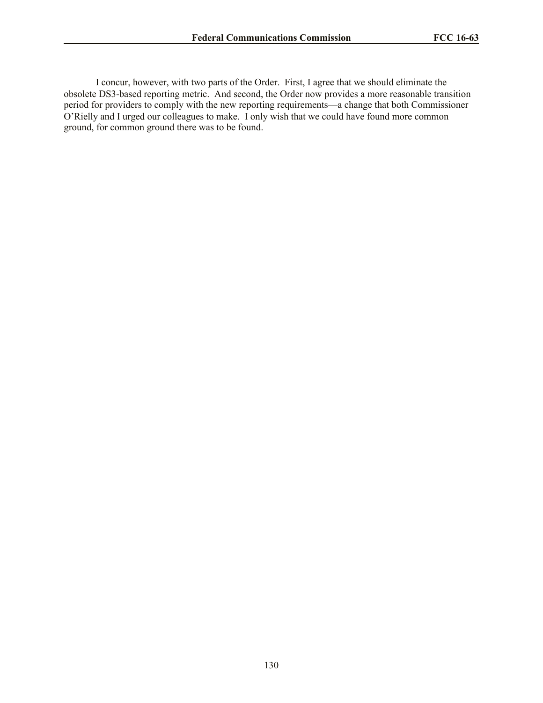I concur, however, with two parts of the Order. First, I agree that we should eliminate the obsolete DS3-based reporting metric. And second, the Order now provides a more reasonable transition period for providers to comply with the new reporting requirements—a change that both Commissioner O'Rielly and I urged our colleagues to make. I only wish that we could have found more common ground, for common ground there was to be found.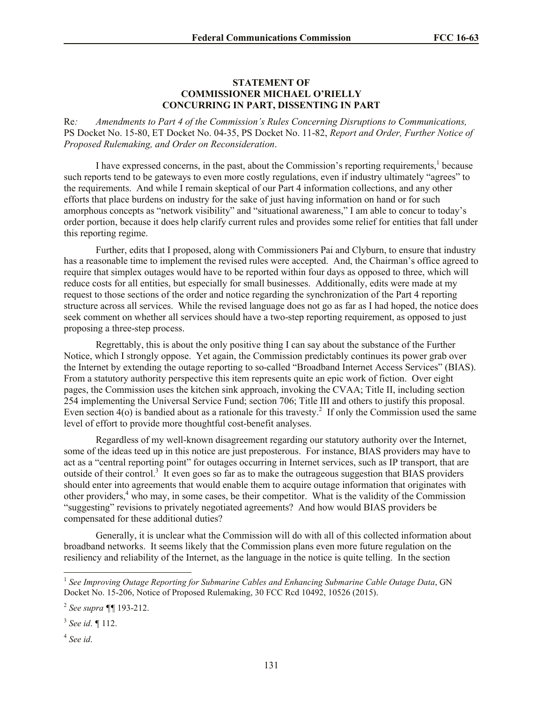# **STATEMENT OF COMMISSIONER MICHAEL O'RIELLY CONCURRING IN PART, DISSENTING IN PART**

Re*: Amendments to Part 4 of the Commission's Rules Concerning Disruptions to Communications,* PS Docket No. 15-80, ET Docket No. 04-35, PS Docket No. 11-82, *Report and Order, Further Notice of Proposed Rulemaking, and Order on Reconsideration*.

I have expressed concerns, in the past, about the Commission's reporting requirements,<sup>1</sup> because such reports tend to be gateways to even more costly regulations, even if industry ultimately "agrees" to the requirements. And while I remain skeptical of our Part 4 information collections, and any other efforts that place burdens on industry for the sake of just having information on hand or for such amorphous concepts as "network visibility" and "situational awareness," I am able to concur to today's order portion, because it does help clarify current rules and provides some relief for entities that fall under this reporting regime.

Further, edits that I proposed, along with Commissioners Pai and Clyburn, to ensure that industry has a reasonable time to implement the revised rules were accepted. And, the Chairman's office agreed to require that simplex outages would have to be reported within four days as opposed to three, which will reduce costs for all entities, but especially for small businesses. Additionally, edits were made at my request to those sections of the order and notice regarding the synchronization of the Part 4 reporting structure across all services. While the revised language does not go as far as I had hoped, the notice does seek comment on whether all services should have a two-step reporting requirement, as opposed to just proposing a three-step process.

Regrettably, this is about the only positive thing I can say about the substance of the Further Notice, which I strongly oppose. Yet again, the Commission predictably continues its power grab over the Internet by extending the outage reporting to so-called "Broadband Internet Access Services" (BIAS). From a statutory authority perspective this item represents quite an epic work of fiction. Over eight pages, the Commission uses the kitchen sink approach, invoking the CVAA; Title II, including section 254 implementing the Universal Service Fund; section 706; Title III and others to justify this proposal. Even section  $4(0)$  is bandied about as a rationale for this travesty.<sup>2</sup> If only the Commission used the same level of effort to provide more thoughtful cost-benefit analyses.

Regardless of my well-known disagreement regarding our statutory authority over the Internet, some of the ideas teed up in this notice are just preposterous. For instance, BIAS providers may have to act as a "central reporting point" for outages occurring in Internet services, such as IP transport, that are outside of their control.<sup>3</sup> It even goes so far as to make the outrageous suggestion that BIAS providers should enter into agreements that would enable them to acquire outage information that originates with other providers,<sup>4</sup> who may, in some cases, be their competitor. What is the validity of the Commission "suggesting" revisions to privately negotiated agreements? And how would BIAS providers be compensated for these additional duties?

Generally, it is unclear what the Commission will do with all of this collected information about broadband networks. It seems likely that the Commission plans even more future regulation on the resiliency and reliability of the Internet, as the language in the notice is quite telling. In the section

<sup>&</sup>lt;sup>1</sup><br><sup>1</sup> See Improving Outage Reporting for Submarine Cables and Enhancing Submarine Cable Outage Data, GN Docket No. 15-206, Notice of Proposed Rulemaking, 30 FCC Rcd 10492, 10526 (2015).

<sup>2</sup> *See supra ¶¶* 193-212.

<sup>3</sup> *See id*. *¶* 112.

<sup>4</sup> *See id*.